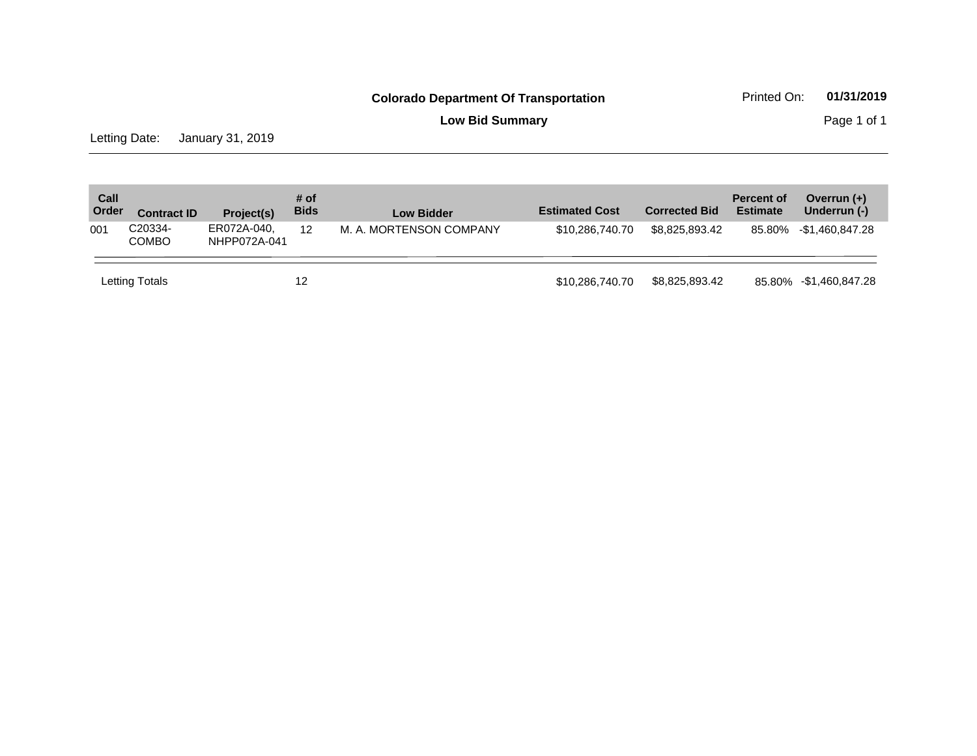**Low Bid Summary Page 1 of 1** 

Letting Date: January 31, 2019

| Call<br>Order | <b>Contract ID</b>      | Project(s)                  | # of<br><b>Bids</b> | <b>Low Bidder</b>       | <b>Estimated Cost</b> | <b>Corrected Bid</b> | <b>Percent of</b><br><b>Estimate</b> | Overrun $(+)$<br>Underrun (-) |
|---------------|-------------------------|-----------------------------|---------------------|-------------------------|-----------------------|----------------------|--------------------------------------|-------------------------------|
| 001           | C20334-<br><b>COMBO</b> | ER072A-040,<br>NHPP072A-041 | 12                  | M. A. MORTENSON COMPANY | \$10,286,740,70       | \$8.825.893.42       |                                      | 85.80% -\$1,460,847.28        |
|               | Letting Totals          |                             | 12                  |                         | \$10,286,740.70       | \$8,825,893.42       |                                      | 85.80% - \$1,460,847.28       |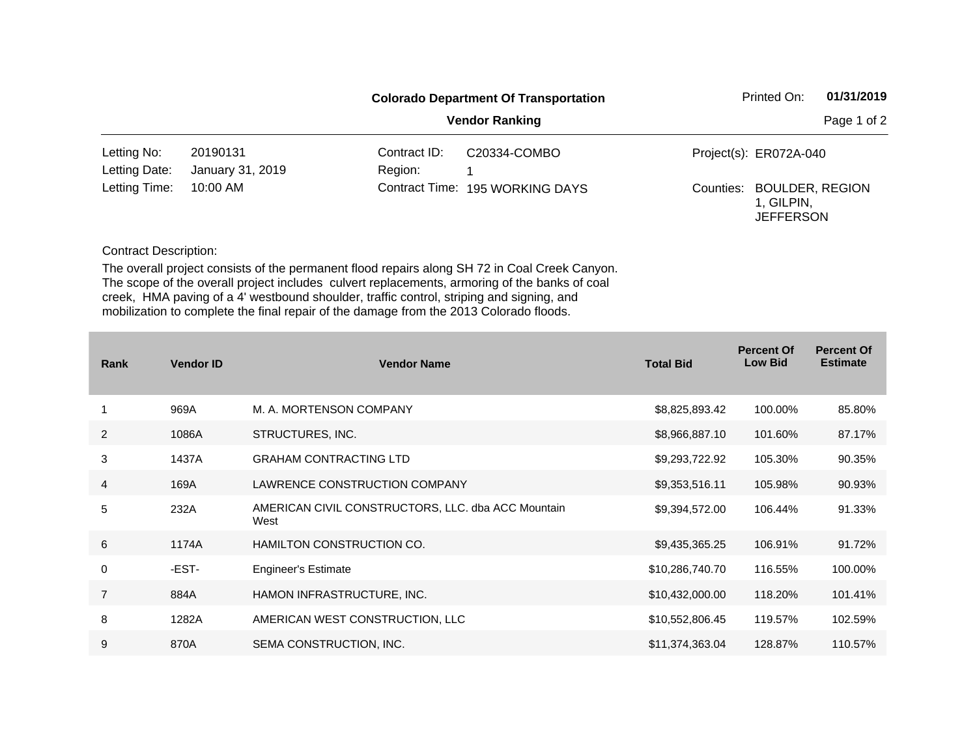|                              |                              |                         | <b>Colorado Department Of Transportation</b> | Printed On:                                                 | 01/31/2019  |
|------------------------------|------------------------------|-------------------------|----------------------------------------------|-------------------------------------------------------------|-------------|
|                              |                              |                         | <b>Vendor Ranking</b>                        |                                                             | Page 1 of 2 |
| Letting No:<br>Letting Date: | 20190131<br>January 31, 2019 | Contract ID:<br>Region: | C20334-COMBO                                 | Project(s): ER072A-040                                      |             |
| Letting Time:                | 10:00 AM                     |                         | Contract Time: 195 WORKING DAYS              | Counties: BOULDER, REGION<br>1. GILPIN.<br><b>JEFFERSON</b> |             |

Contract Description:

The overall project consists of the permanent flood repairs along SH 72 in Coal Creek Canyon. The scope of the overall project includes culvert replacements, armoring of the banks of coal creek, HMA paving of a 4' westbound shoulder, traffic control, striping and signing, and mobilization to complete the final repair of the damage from the 2013 Colorado floods.

| Rank           | <b>Vendor ID</b> | <b>Vendor Name</b>                                         | <b>Total Bid</b> | <b>Percent Of</b><br><b>Low Bid</b> | <b>Percent Of</b><br><b>Estimate</b> |
|----------------|------------------|------------------------------------------------------------|------------------|-------------------------------------|--------------------------------------|
|                | 969A             | M. A. MORTENSON COMPANY                                    | \$8,825,893.42   | 100.00%                             | 85.80%                               |
| $\overline{2}$ | 1086A            | STRUCTURES, INC.                                           | \$8,966,887.10   | 101.60%                             | 87.17%                               |
| 3              | 1437A            | <b>GRAHAM CONTRACTING LTD</b>                              | \$9,293,722.92   | 105.30%                             | 90.35%                               |
| $\overline{4}$ | 169A             | LAWRENCE CONSTRUCTION COMPANY                              | \$9,353,516.11   | 105.98%                             | 90.93%                               |
| 5              | 232A             | AMERICAN CIVIL CONSTRUCTORS, LLC. dba ACC Mountain<br>West | \$9,394,572.00   | 106.44%                             | 91.33%                               |
| 6              | 1174A            | HAMILTON CONSTRUCTION CO.                                  | \$9,435,365.25   | 106.91%                             | 91.72%                               |
| 0              | -EST-            | <b>Engineer's Estimate</b>                                 | \$10,286,740.70  | 116.55%                             | 100.00%                              |
| $\overline{7}$ | 884A             | HAMON INFRASTRUCTURE, INC.                                 | \$10,432,000.00  | 118.20%                             | 101.41%                              |
| 8              | 1282A            | AMERICAN WEST CONSTRUCTION, LLC                            | \$10,552,806.45  | 119.57%                             | 102.59%                              |
| 9              | 870A             | SEMA CONSTRUCTION, INC.                                    | \$11,374,363.04  | 128.87%                             | 110.57%                              |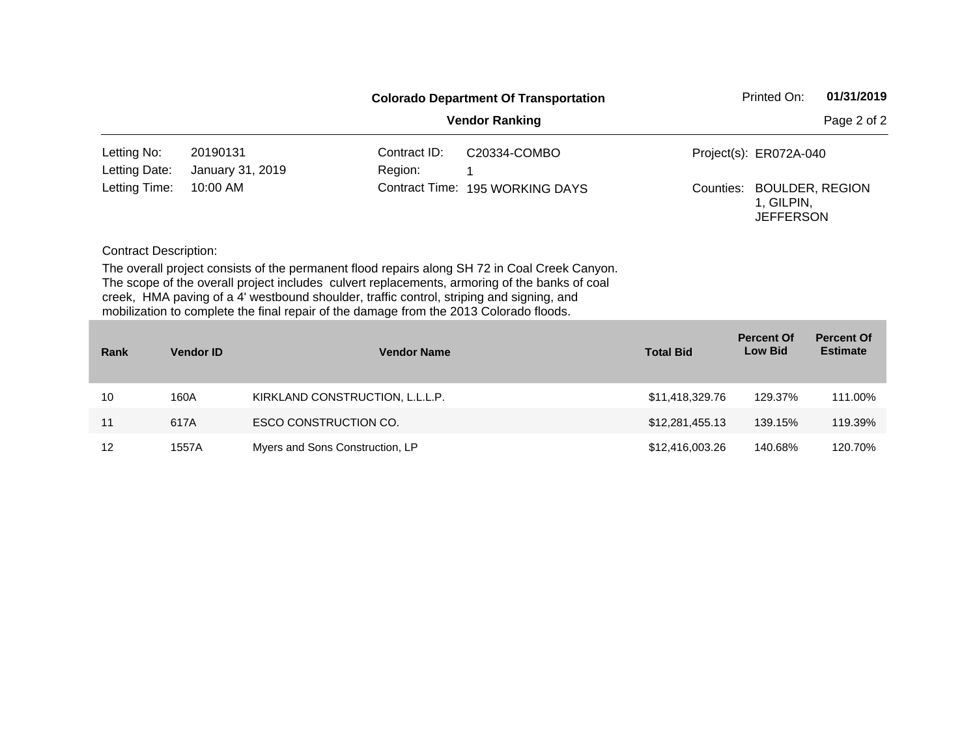| Printed On:<br><b>Colorado Department Of Transportation</b> |                                                                                                                                                                                                                                                                                                                                                                                      |                    |                       |                  |                                                          |                                      |  |
|-------------------------------------------------------------|--------------------------------------------------------------------------------------------------------------------------------------------------------------------------------------------------------------------------------------------------------------------------------------------------------------------------------------------------------------------------------------|--------------------|-----------------------|------------------|----------------------------------------------------------|--------------------------------------|--|
|                                                             |                                                                                                                                                                                                                                                                                                                                                                                      |                    | <b>Vendor Ranking</b> |                  |                                                          | Page 2 of 2                          |  |
| Letting No:                                                 | 20190131                                                                                                                                                                                                                                                                                                                                                                             | Contract ID:       | C20334-COMBO          |                  | Project(s): ER072A-040                                   |                                      |  |
| Letting Date:                                               | January 31, 2019                                                                                                                                                                                                                                                                                                                                                                     | Region:            |                       |                  |                                                          |                                      |  |
| Letting Time:                                               | 10:00 AM                                                                                                                                                                                                                                                                                                                                                                             | Contract Time:     | 195 WORKING DAYS      | Counties:        | <b>BOULDER, REGION</b><br>1, GILPIN,<br><b>JEFFERSON</b> |                                      |  |
| <b>Contract Description:</b>                                |                                                                                                                                                                                                                                                                                                                                                                                      |                    |                       |                  |                                                          |                                      |  |
|                                                             | The overall project consists of the permanent flood repairs along SH 72 in Coal Creek Canyon.<br>The scope of the overall project includes culvert replacements, armoring of the banks of coal<br>creek, HMA paving of a 4' westbound shoulder, traffic control, striping and signing, and<br>mobilization to complete the final repair of the damage from the 2013 Colorado floods. |                    |                       |                  |                                                          |                                      |  |
| Rank                                                        | <b>Vendor ID</b>                                                                                                                                                                                                                                                                                                                                                                     | <b>Vendor Name</b> |                       | <b>Total Bid</b> | <b>Percent Of</b><br><b>Low Bid</b>                      | <b>Percent Of</b><br><b>Estimate</b> |  |
|                                                             |                                                                                                                                                                                                                                                                                                                                                                                      |                    |                       |                  |                                                          |                                      |  |

| <b>Rank</b> | <b>Vendor ID</b> | <b>Vendor Name</b>              | <b>Total Bid</b> | ו טועסווג טו<br><b>Low Bid</b> | וש הוויטו<br><b>Estimate</b> |
|-------------|------------------|---------------------------------|------------------|--------------------------------|------------------------------|
| 10          | 160A             | KIRKLAND CONSTRUCTION, L.L.L.P. | \$11,418,329.76  | 129.37%                        | 111.00%                      |
| 11          | 617A             | ESCO CONSTRUCTION CO.           | \$12,281,455.13  | 139.15%                        | 119.39%                      |
| 12          | 1557A            | Myers and Sons Construction, LP | \$12,416,003.26  | 140.68%                        | 120.70%                      |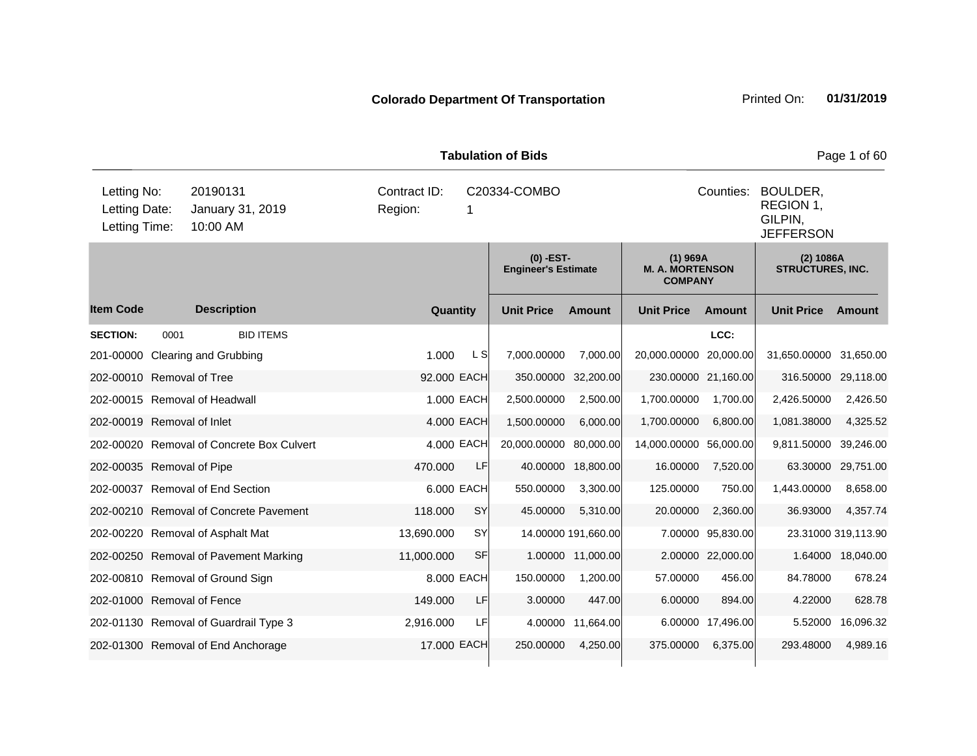| <b>Tabulation of Bids</b><br>Page 1 of 60     |      |                                           |                         |                   |                                           |                     |                                                        |                   |                                                      |                     |  |
|-----------------------------------------------|------|-------------------------------------------|-------------------------|-------------------|-------------------------------------------|---------------------|--------------------------------------------------------|-------------------|------------------------------------------------------|---------------------|--|
| Letting No:<br>Letting Date:<br>Letting Time: |      | 20190131<br>January 31, 2019<br>10:00 AM  | Contract ID:<br>Region: | C20334-COMBO<br>1 |                                           |                     |                                                        |                   | BOULDER,<br>REGION 1,<br>GILPIN,<br><b>JEFFERSON</b> |                     |  |
|                                               |      |                                           |                         |                   | $(0)$ -EST-<br><b>Engineer's Estimate</b> |                     | $(1)$ 969A<br><b>M. A. MORTENSON</b><br><b>COMPANY</b> |                   | (2) 1086A<br><b>STRUCTURES, INC.</b>                 |                     |  |
| <b>Item Code</b>                              |      | <b>Description</b>                        | Quantity                |                   | <b>Unit Price</b>                         | <b>Amount</b>       | <b>Unit Price</b>                                      | <b>Amount</b>     | <b>Unit Price</b>                                    | <b>Amount</b>       |  |
| <b>SECTION:</b>                               | 0001 | <b>BID ITEMS</b>                          |                         |                   |                                           |                     |                                                        | LCC:              |                                                      |                     |  |
| 201-00000                                     |      | <b>Clearing and Grubbing</b>              | 1.000                   | L S               | 7,000.00000                               | 7,000.00            | 20,000.00000                                           | 20,000.00         | 31,650.00000                                         | 31,650.00           |  |
| 202-00010 Removal of Tree                     |      |                                           | 92.000 EACH             |                   | 350.00000                                 | 32,200.00           | 230.00000 21,160.00                                    |                   | 316.50000                                            | 29,118.00           |  |
|                                               |      | 202-00015 Removal of Headwall             |                         | 1.000 EACH        | 2,500.00000                               | 2,500.00            | 1,700.00000                                            | 1,700.00          | 2,426.50000                                          | 2,426.50            |  |
| 202-00019 Removal of Inlet                    |      |                                           |                         | 4.000 EACH        | 1,500.00000                               | 6,000.00            | 1,700.00000                                            | 6,800.00          | 1,081.38000                                          | 4,325.52            |  |
|                                               |      | 202-00020 Removal of Concrete Box Culvert |                         | 4.000 EACH        | 20,000.00000 80,000.00                    |                     | 14,000.00000 56,000.00                                 |                   | 9,811.50000                                          | 39,246.00           |  |
| 202-00035 Removal of Pipe                     |      |                                           | 470.000                 | LF                | 40.00000                                  | 18,800.00           | 16.00000                                               | 7,520.00          | 63.30000                                             | 29,751.00           |  |
|                                               |      | 202-00037 Removal of End Section          |                         | 6.000 EACH        | 550.00000                                 | 3,300.00            | 125.00000                                              | 750.00            | 1,443.00000                                          | 8,658.00            |  |
|                                               |      | 202-00210 Removal of Concrete Pavement    | 118.000                 | SY                | 45.00000                                  | 5,310.00            | 20.00000                                               | 2,360.00          | 36.93000                                             | 4,357.74            |  |
|                                               |      | 202-00220 Removal of Asphalt Mat          | 13,690.000              | SY                |                                           | 14.00000 191,660.00 |                                                        | 7.00000 95,830.00 |                                                      | 23.31000 319,113.90 |  |
|                                               |      | 202-00250 Removal of Pavement Marking     | 11,000.000              | <b>SF</b>         |                                           | 1.00000 11,000.00   |                                                        | 2.00000 22,000.00 |                                                      | 1.64000 18,040.00   |  |
|                                               |      | 202-00810 Removal of Ground Sign          |                         | 8.000 EACH        | 150.00000                                 | 1,200.00            | 57.00000                                               | 456.00            | 84.78000                                             | 678.24              |  |
| 202-01000 Removal of Fence                    |      |                                           | 149.000                 | LF                | 3.00000                                   | 447.00              | 6.00000                                                | 894.00            | 4.22000                                              | 628.78              |  |
|                                               |      | 202-01130 Removal of Guardrail Type 3     | 2,916.000               | LF                |                                           | 4.00000 11,664.00   |                                                        | 6.00000 17,496.00 | 5.52000                                              | 16,096.32           |  |
|                                               |      | 202-01300 Removal of End Anchorage        | 17,000 EACH             |                   | 250,00000                                 | 4,250.00            | 375.00000                                              | 6,375.00          | 293.48000                                            | 4,989.16            |  |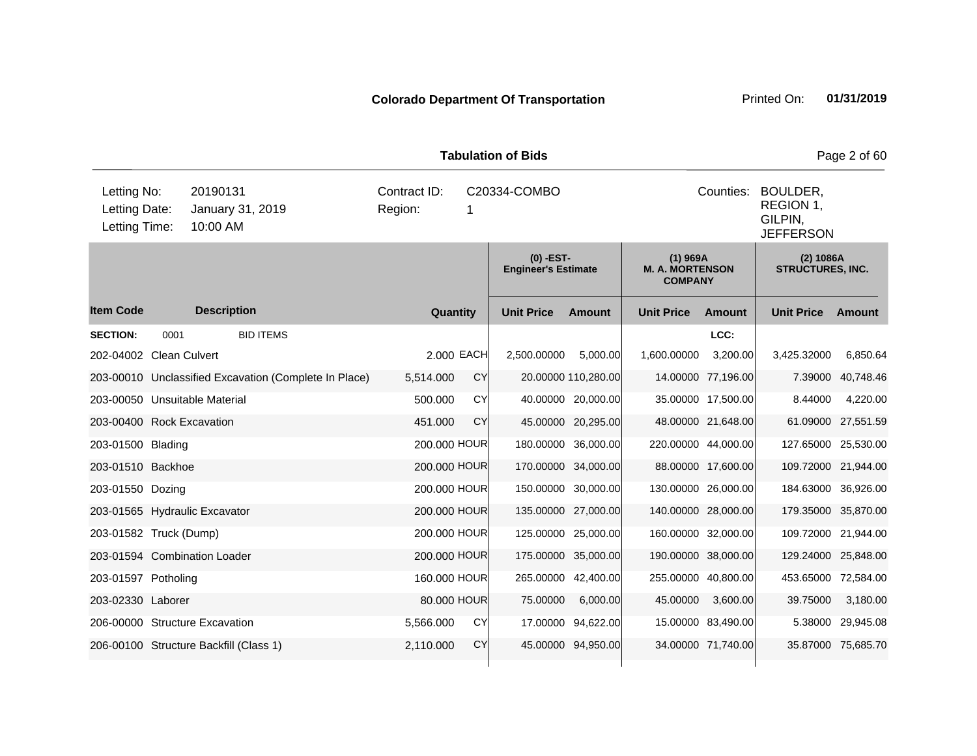| <b>Tabulation of Bids</b><br>Page 2 of 60     |      |                                                       |                         |            |                                           |                     |                                                                   |                     |                                      |                    |  |
|-----------------------------------------------|------|-------------------------------------------------------|-------------------------|------------|-------------------------------------------|---------------------|-------------------------------------------------------------------|---------------------|--------------------------------------|--------------------|--|
| Letting No:<br>Letting Date:<br>Letting Time: |      | 20190131<br>January 31, 2019<br>10:00 AM              | Contract ID:<br>Region: | 1          | C20334-COMBO                              |                     | Counties:<br>BOULDER,<br>REGION 1,<br>GILPIN,<br><b>JEFFERSON</b> |                     |                                      |                    |  |
|                                               |      |                                                       |                         |            | $(0)$ -EST-<br><b>Engineer's Estimate</b> |                     | $(1)$ 969A<br><b>M. A. MORTENSON</b><br><b>COMPANY</b>            |                     | (2) 1086A<br><b>STRUCTURES, INC.</b> |                    |  |
| <b>Item Code</b>                              |      | <b>Description</b>                                    | Quantity                |            | <b>Unit Price</b>                         | <b>Amount</b>       | <b>Unit Price</b>                                                 | <b>Amount</b>       | <b>Unit Price</b>                    | Amount             |  |
| <b>SECTION:</b>                               | 0001 | <b>BID ITEMS</b>                                      |                         |            |                                           |                     |                                                                   | LCC:                |                                      |                    |  |
| 202-04002 Clean Culvert                       |      |                                                       |                         | 2.000 EACH | 2,500.00000                               | 5,000.00            | 1,600.00000                                                       | 3,200.00            | 3,425.32000                          | 6,850.64           |  |
|                                               |      | 203-00010 Unclassified Excavation (Complete In Place) | 5,514.000               | CY         |                                           | 20.00000 110,280.00 |                                                                   | 14.00000 77,196.00  | 7.39000                              | 40,748.46          |  |
| 203-00050 Unsuitable Material                 |      |                                                       | 500.000                 | CY         |                                           | 40.00000 20,000.00  |                                                                   | 35.00000 17,500.00  | 8.44000                              | 4,220.00           |  |
| 203-00400 Rock Excavation                     |      |                                                       | 451.000                 | <b>CY</b>  |                                           | 45.00000 20,295.00  |                                                                   | 48.00000 21,648.00  | 61.09000                             | 27,551.59          |  |
| 203-01500 Blading                             |      |                                                       | 200.000 HOUR            |            |                                           | 180.00000 36,000.00 |                                                                   | 220.00000 44,000.00 | 127.65000 25,530.00                  |                    |  |
| 203-01510 Backhoe                             |      |                                                       | 200.000 HOUR            |            |                                           | 170.00000 34,000.00 |                                                                   | 88.00000 17,600.00  | 109.72000 21,944.00                  |                    |  |
| 203-01550 Dozing                              |      |                                                       | 200.000 HOUR            |            |                                           | 150.00000 30,000.00 |                                                                   | 130.00000 26,000.00 | 184.63000 36,926.00                  |                    |  |
|                                               |      | 203-01565 Hydraulic Excavator                         | 200.000 HOUR            |            |                                           | 135.00000 27,000.00 |                                                                   | 140.00000 28,000.00 | 179.35000 35,870.00                  |                    |  |
| 203-01582 Truck (Dump)                        |      |                                                       | 200.000 HOUR            |            |                                           | 125.00000 25,000.00 |                                                                   | 160.00000 32,000.00 | 109.72000 21,944.00                  |                    |  |
|                                               |      | 203-01594 Combination Loader                          | 200.000 HOUR            |            |                                           | 175.00000 35,000.00 |                                                                   | 190.00000 38,000.00 | 129.24000 25,848.00                  |                    |  |
| 203-01597 Potholing                           |      |                                                       | 160.000 HOUR            |            |                                           | 265.00000 42,400.00 |                                                                   | 255.00000 40,800.00 | 453.65000 72,584.00                  |                    |  |
| 203-02330 Laborer                             |      |                                                       | 80.000 HOUR             |            | 75.00000                                  | 6,000.00            | 45.00000                                                          | 3,600.00            | 39.75000                             | 3,180.00           |  |
|                                               |      | 206-00000 Structure Excavation                        | 5,566.000               | CY         |                                           | 17.00000 94,622.00  |                                                                   | 15.00000 83,490.00  |                                      | 5.38000 29,945.08  |  |
|                                               |      | 206-00100 Structure Backfill (Class 1)                | 2,110.000               | <b>CY</b>  |                                           | 45.00000 94,950.00  |                                                                   | 34.00000 71,740.00  |                                      | 35.87000 75,685.70 |  |
|                                               |      |                                                       |                         |            |                                           |                     |                                                                   |                     |                                      |                    |  |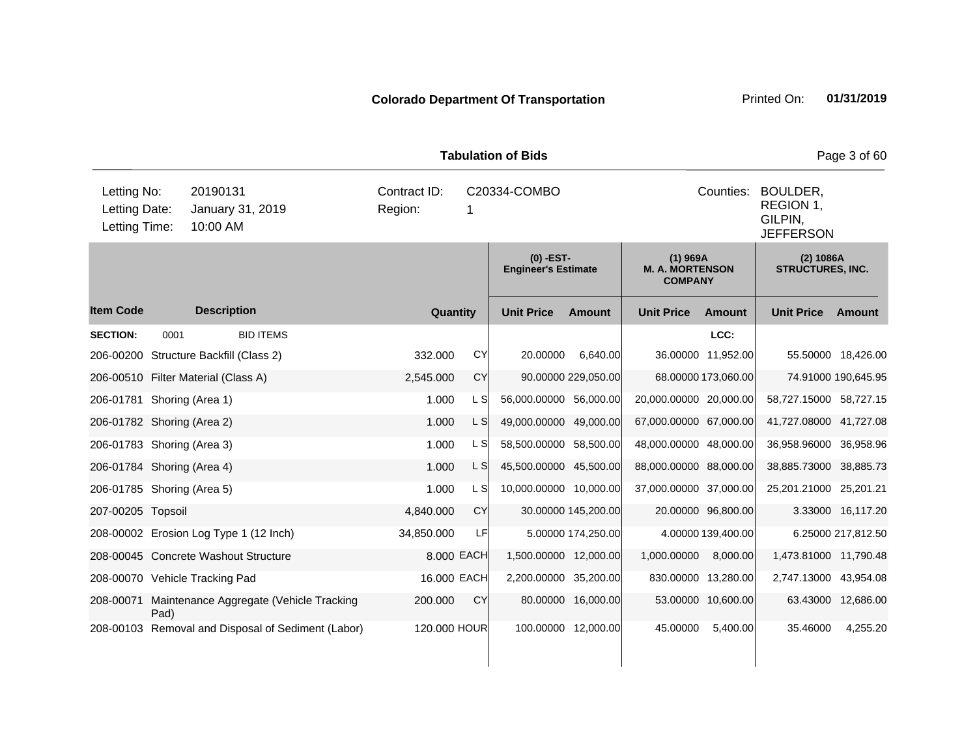| <b>Tabulation of Bids</b>                                                                 |      |                                        |                                                    |                         |                   |                                           |                     |                                                        |                     |                                                                | Page 3 of 60        |  |
|-------------------------------------------------------------------------------------------|------|----------------------------------------|----------------------------------------------------|-------------------------|-------------------|-------------------------------------------|---------------------|--------------------------------------------------------|---------------------|----------------------------------------------------------------|---------------------|--|
| Letting No:<br>20190131<br>Letting Date:<br>January 31, 2019<br>10:00 AM<br>Letting Time: |      |                                        |                                                    | Contract ID:<br>Region: | C20334-COMBO<br>1 |                                           |                     |                                                        |                     | Counties: BOULDER,<br>REGION 1,<br>GILPIN,<br><b>JEFFERSON</b> |                     |  |
|                                                                                           |      |                                        |                                                    |                         |                   | $(0)$ -EST-<br><b>Engineer's Estimate</b> |                     | $(1)$ 969A<br><b>M. A. MORTENSON</b><br><b>COMPANY</b> |                     | (2) 1086A<br><b>STRUCTURES, INC.</b>                           |                     |  |
| <b>Item Code</b>                                                                          |      | <b>Description</b>                     |                                                    | Quantity                |                   | <b>Unit Price</b>                         | <b>Amount</b>       | <b>Unit Price</b>                                      | Amount              | <b>Unit Price</b>                                              | Amount              |  |
| <b>SECTION:</b>                                                                           | 0001 |                                        | <b>BID ITEMS</b>                                   |                         |                   |                                           |                     |                                                        | LCC:                |                                                                |                     |  |
|                                                                                           |      | 206-00200 Structure Backfill (Class 2) |                                                    | 332.000                 | <b>CY</b>         | 20.00000                                  | 6,640.00            |                                                        | 36.00000 11,952.00  |                                                                | 55.50000 18,426.00  |  |
|                                                                                           |      | 206-00510 Filter Material (Class A)    |                                                    | 2,545.000               | CY                |                                           | 90.00000 229,050.00 |                                                        | 68.00000 173,060.00 |                                                                | 74.91000 190,645.95 |  |
| 206-01781 Shoring (Area 1)                                                                |      |                                        |                                                    | 1.000                   | L S               | 56,000.00000 56,000.00                    |                     | 20,000.00000 20,000.00                                 |                     | 58,727.15000 58,727.15                                         |                     |  |
| 206-01782 Shoring (Area 2)                                                                |      |                                        |                                                    | 1.000                   | L S               | 49,000.00000 49,000.00                    |                     | 67,000.00000 67,000.00                                 |                     | 41,727.08000 41,727.08                                         |                     |  |
| 206-01783 Shoring (Area 3)                                                                |      |                                        |                                                    | 1.000                   | L S               | 58,500.00000 58,500.00                    |                     | 48,000.00000 48,000.00                                 |                     | 36,958.96000 36,958.96                                         |                     |  |
| 206-01784 Shoring (Area 4)                                                                |      |                                        |                                                    | 1.000                   | L S               | 45,500.00000 45,500.00                    |                     | 88,000.00000 88,000.00                                 |                     | 38,885.73000 38,885.73                                         |                     |  |
| 206-01785 Shoring (Area 5)                                                                |      |                                        |                                                    | 1.000                   | L S               | 10,000.00000 10,000.00                    |                     | 37,000.00000 37,000.00                                 |                     | 25,201.21000 25,201.21                                         |                     |  |
| 207-00205 Topsoil                                                                         |      |                                        |                                                    | 4,840.000               | <b>CY</b>         |                                           | 30.00000 145,200.00 |                                                        | 20.00000 96,800.00  |                                                                | 3.33000 16,117.20   |  |
|                                                                                           |      | 208-00002 Erosion Log Type 1 (12 Inch) |                                                    | 34,850.000              | LF                |                                           | 5.00000 174,250.00  |                                                        | 4.00000 139,400.00  |                                                                | 6.25000 217,812.50  |  |
|                                                                                           |      | 208-00045 Concrete Washout Structure   |                                                    |                         | 8.000 EACH        | 1,500.00000 12,000.00                     |                     | 1,000.00000                                            | 8,000.00            | 1,473.81000 11,790.48                                          |                     |  |
|                                                                                           |      | 208-00070 Vehicle Tracking Pad         |                                                    |                         | 16.000 EACH       | 2,200.00000 35,200.00                     |                     |                                                        | 830.00000 13,280.00 | 2,747.13000 43,954.08                                          |                     |  |
| 208-00071                                                                                 | Pad) |                                        | Maintenance Aggregate (Vehicle Tracking            | 200.000                 | CY                |                                           | 80.00000 16,000.00  |                                                        | 53.00000 10,600.00  |                                                                | 63.43000 12,686.00  |  |
|                                                                                           |      |                                        | 208-00103 Removal and Disposal of Sediment (Labor) | 120.000 HOUR            |                   |                                           | 100.00000 12,000.00 | 45.00000                                               | 5,400.00            | 35.46000                                                       | 4,255.20            |  |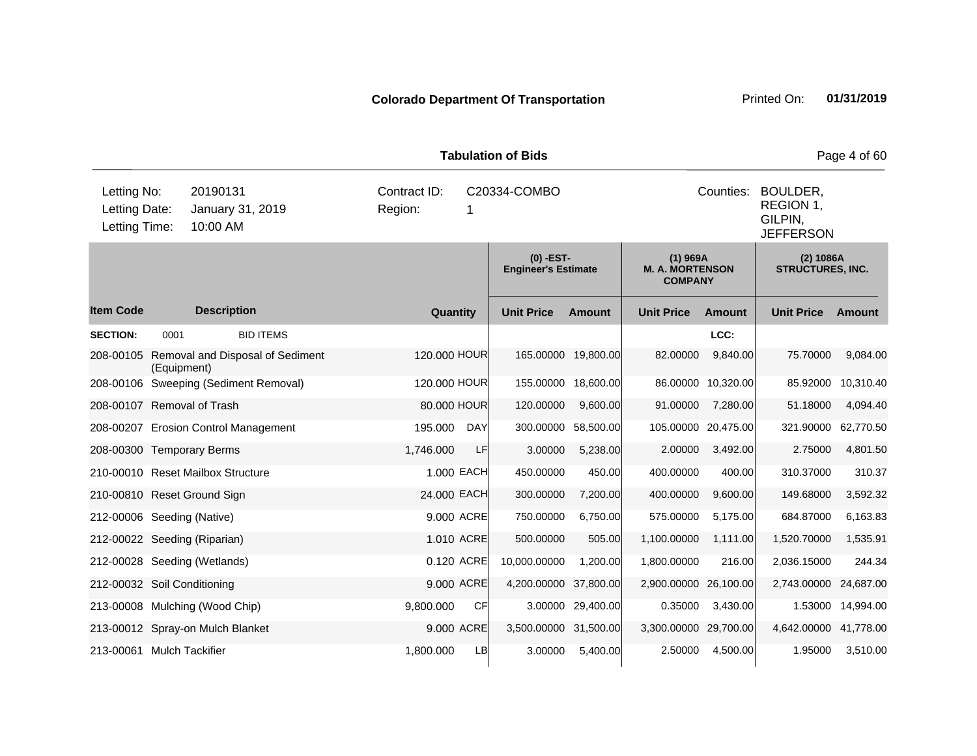| <b>Tabulation of Bids</b>                                                                 |             |                                       |           |                                   |              |                                           |                     |                                                        |                     |                                                      | Page 4 of 60 |
|-------------------------------------------------------------------------------------------|-------------|---------------------------------------|-----------|-----------------------------------|--------------|-------------------------------------------|---------------------|--------------------------------------------------------|---------------------|------------------------------------------------------|--------------|
| Letting No:<br>20190131<br>Letting Date:<br>January 31, 2019<br>10:00 AM<br>Letting Time: |             |                                       | Region:   | Contract ID:<br>C20334-COMBO<br>1 |              |                                           |                     |                                                        | Counties:           | BOULDER,<br>REGION 1,<br>GILPIN,<br><b>JEFFERSON</b> |              |
|                                                                                           |             |                                       |           |                                   |              | $(0)$ -EST-<br><b>Engineer's Estimate</b> |                     | $(1)$ 969A<br><b>M. A. MORTENSON</b><br><b>COMPANY</b> |                     | (2) 1086A<br><b>STRUCTURES, INC.</b>                 |              |
| <b>Item Code</b>                                                                          |             | <b>Description</b>                    |           |                                   | Quantity     | <b>Unit Price</b>                         | Amount              | <b>Unit Price</b>                                      | Amount              | <b>Unit Price</b>                                    | Amount       |
| <b>SECTION:</b>                                                                           | 0001        | <b>BID ITEMS</b>                      |           |                                   |              |                                           |                     |                                                        | LCC:                |                                                      |              |
| 208-00105                                                                                 | (Equipment) | Removal and Disposal of Sediment      |           |                                   | 120.000 HOUR |                                           | 165.00000 19,800.00 | 82.00000                                               | 9,840.00            | 75.70000                                             | 9,084.00     |
|                                                                                           |             | 208-00106 Sweeping (Sediment Removal) |           |                                   | 120.000 HOUR | 155.00000                                 | 18,600.00           |                                                        | 86.00000 10,320.00  | 85.92000                                             | 10,310.40    |
| 208-00107 Removal of Trash                                                                |             |                                       |           |                                   | 80.000 HOUR  | 120.00000                                 | 9,600.00            | 91.00000                                               | 7,280.00            | 51.18000                                             | 4,094.40     |
|                                                                                           |             | 208-00207 Erosion Control Management  | 195.000   |                                   | <b>DAY</b>   | 300.00000                                 | 58,500.00           |                                                        | 105.00000 20,475.00 | 321.90000                                            | 62,770.50    |
| 208-00300 Temporary Berms                                                                 |             |                                       | 1,746.000 |                                   | LF           | 3.00000                                   | 5,238.00            | 2.00000                                                | 3,492.00            | 2.75000                                              | 4,801.50     |
|                                                                                           |             | 210-00010 Reset Mailbox Structure     |           |                                   | 1.000 EACH   | 450.00000                                 | 450.00              | 400.00000                                              | 400.00              | 310.37000                                            | 310.37       |
| 210-00810 Reset Ground Sign                                                               |             |                                       |           |                                   | 24.000 EACH  | 300.00000                                 | 7,200.00            | 400.00000                                              | 9,600.00            | 149.68000                                            | 3,592.32     |
| 212-00006 Seeding (Native)                                                                |             |                                       |           |                                   | 9.000 ACRE   | 750.00000                                 | 6,750.00            | 575.00000                                              | 5,175.00            | 684.87000                                            | 6,163.83     |
| 212-00022 Seeding (Riparian)                                                              |             |                                       |           |                                   | 1.010 ACRE   | 500.00000                                 | 505.00              | 1,100.00000                                            | 1,111.00            | 1,520.70000                                          | 1,535.91     |
|                                                                                           |             | 212-00028 Seeding (Wetlands)          |           |                                   | 0.120 ACRE   | 10,000.00000                              | 1,200.00            | 1,800.00000                                            | 216.00              | 2,036.15000                                          | 244.34       |
| 212-00032 Soil Conditioning                                                               |             |                                       |           |                                   | 9.000 ACRE   | 4,200.00000 37,800.00                     |                     | 2,900.00000 26,100.00                                  |                     | 2,743.00000                                          | 24,687.00    |
|                                                                                           |             | 213-00008 Mulching (Wood Chip)        | 9,800.000 |                                   | <b>CF</b>    |                                           | 3.00000 29,400.00   | 0.35000                                                | 3,430.00            | 1.53000                                              | 14,994.00    |
|                                                                                           |             | 213-00012 Spray-on Mulch Blanket      |           |                                   | 9.000 ACRE   | 3,500.00000 31,500.00                     |                     | 3,300.00000 29,700.00                                  |                     | 4,642.00000 41,778.00                                |              |
| 213-00061 Mulch Tackifier                                                                 |             |                                       | 1,800.000 |                                   | LB           | 3.00000                                   | 5,400.00            | 2.50000                                                | 4,500.00            | 1.95000                                              | 3,510.00     |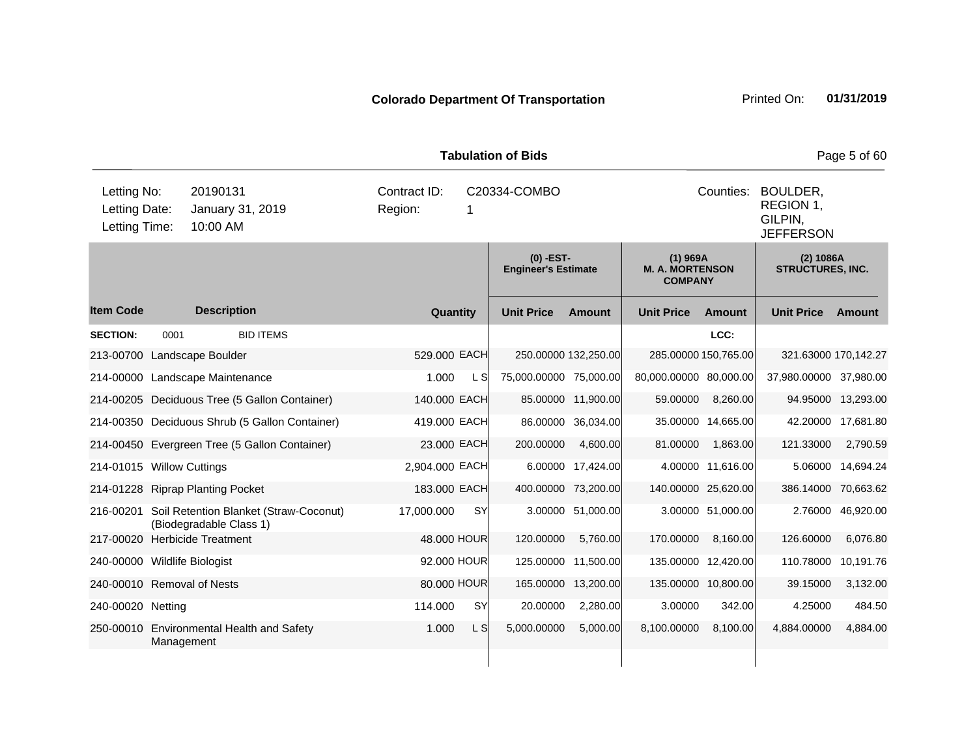| <b>Tabulation of Bids</b>                                                                 |            |                                                                   |         |                |           |                                           |                      |                                                        |                                                      |                                      | Page 5 of 60       |
|-------------------------------------------------------------------------------------------|------------|-------------------------------------------------------------------|---------|----------------|-----------|-------------------------------------------|----------------------|--------------------------------------------------------|------------------------------------------------------|--------------------------------------|--------------------|
| Letting No:<br>20190131<br>Letting Date:<br>January 31, 2019<br>Letting Time:<br>10:00 AM |            |                                                                   | Region: | Contract ID:   | 1         | C20334-COMBO                              |                      | Counties:                                              | BOULDER,<br>REGION 1,<br>GILPIN,<br><b>JEFFERSON</b> |                                      |                    |
|                                                                                           |            |                                                                   |         |                |           | $(0)$ -EST-<br><b>Engineer's Estimate</b> |                      | $(1)$ 969A<br><b>M. A. MORTENSON</b><br><b>COMPANY</b> |                                                      | (2) 1086A<br><b>STRUCTURES, INC.</b> |                    |
| <b>Item Code</b>                                                                          |            | <b>Description</b>                                                |         | Quantity       |           | <b>Unit Price</b>                         | Amount               | <b>Unit Price</b>                                      | Amount                                               | <b>Unit Price</b>                    | Amount             |
| <b>SECTION:</b>                                                                           | 0001       | <b>BID ITEMS</b>                                                  |         |                |           |                                           |                      |                                                        | LCC:                                                 |                                      |                    |
| 213-00700                                                                                 |            | Landscape Boulder                                                 |         | 529.000 EACH   |           |                                           | 250.00000 132,250.00 |                                                        | 285.00000 150,765.00                                 | 321.63000 170,142.27                 |                    |
|                                                                                           |            | 214-00000 Landscape Maintenance                                   |         | 1.000          | L SI      | 75,000.00000 75,000.00                    |                      | 80,000.00000 80,000.00                                 |                                                      | 37,980.00000 37,980.00               |                    |
|                                                                                           |            | 214-00205 Deciduous Tree (5 Gallon Container)                     |         | 140.000 EACH   |           |                                           | 85.00000 11,900.00   | 59.00000                                               | 8,260.00                                             |                                      | 94.95000 13,293.00 |
|                                                                                           |            | 214-00350 Deciduous Shrub (5 Gallon Container)                    |         | 419.000 EACH   |           |                                           | 86.00000 36,034.00   |                                                        | 35.00000 14,665.00                                   |                                      | 42.20000 17,681.80 |
|                                                                                           |            | 214-00450 Evergreen Tree (5 Gallon Container)                     |         | 23.000 EACH    |           | 200.00000                                 | 4,600.00             | 81.00000                                               | 1,863.00                                             | 121.33000                            | 2,790.59           |
| 214-01015 Willow Cuttings                                                                 |            |                                                                   |         | 2,904.000 EACH |           |                                           | 6.00000 17,424.00    |                                                        | 4.00000 11,616.00                                    |                                      | 5.06000 14,694.24  |
|                                                                                           |            | 214-01228 Riprap Planting Pocket                                  |         | 183.000 EACH   |           |                                           | 400.00000 73,200.00  |                                                        | 140.00000 25,620.00                                  | 386.14000 70,663.62                  |                    |
| 216-00201                                                                                 |            | Soil Retention Blanket (Straw-Coconut)<br>(Biodegradable Class 1) |         | 17,000.000     | <b>SY</b> |                                           | 3.00000 51,000.00    |                                                        | 3.00000 51,000.00                                    |                                      | 2.76000 46,920.00  |
| 217-00020                                                                                 |            | <b>Herbicide Treatment</b>                                        |         | 48.000 HOUR    |           | 120.00000                                 | 5,760.00             | 170.00000                                              | 8,160.00                                             | 126.60000                            | 6,076.80           |
| 240-00000 Wildlife Biologist                                                              |            |                                                                   |         | 92.000 HOUR    |           |                                           | 125.00000 11,500.00  |                                                        | 135.00000 12,420.00                                  | 110.78000 10,191.76                  |                    |
| 240-00010 Removal of Nests                                                                |            |                                                                   |         | 80.000 HOUR    |           | 165.00000                                 | 13,200.00            |                                                        | 135.00000 10,800.00                                  | 39.15000                             | 3,132.00           |
| 240-00020 Netting                                                                         |            |                                                                   |         | 114.000        | SY        | 20.00000                                  | 2,280.00             | 3.00000                                                | 342.00                                               | 4.25000                              | 484.50             |
|                                                                                           | Management | 250-00010 Environmental Health and Safety                         |         | 1.000          | L S       | 5,000.00000                               | 5,000.00             | 8,100.00000                                            | 8,100.00                                             | 4,884.00000                          | 4,884.00           |
|                                                                                           |            |                                                                   |         |                |           |                                           |                      |                                                        |                                                      |                                      |                    |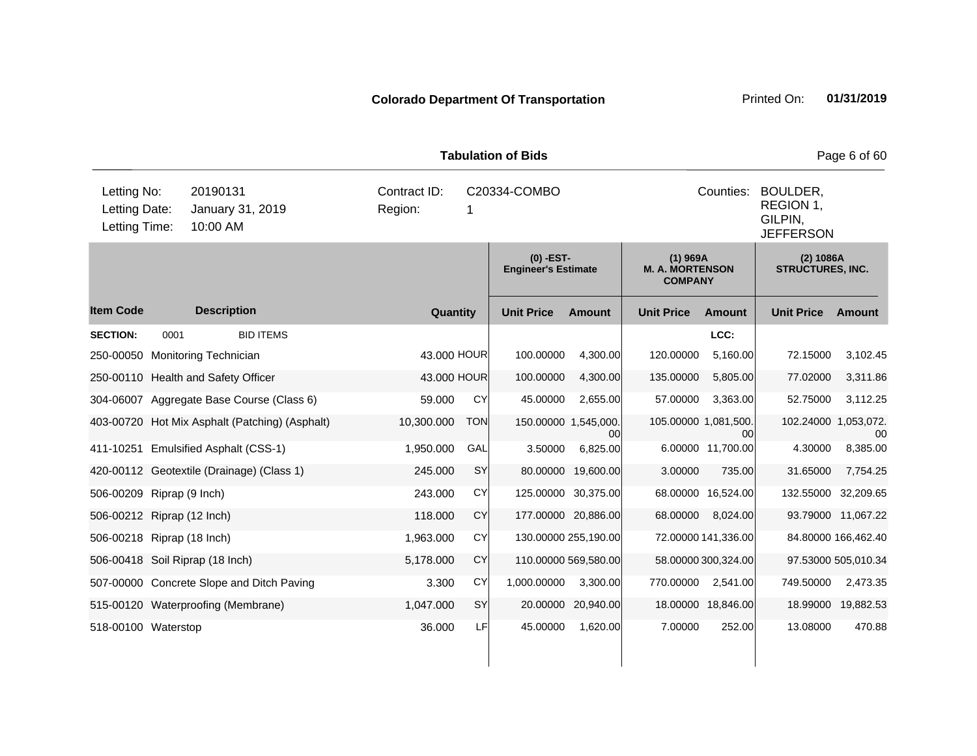| <b>Tabulation of Bids</b>                     |      |                                                |            |                                   |            |                                         |                    |                                                        |                     |                                                                   | Page 6 of 60        |  |
|-----------------------------------------------|------|------------------------------------------------|------------|-----------------------------------|------------|-----------------------------------------|--------------------|--------------------------------------------------------|---------------------|-------------------------------------------------------------------|---------------------|--|
| Letting No:<br>Letting Date:<br>Letting Time: |      | 20190131<br>January 31, 2019<br>10:00 AM       | Region:    | Contract ID:<br>C20334-COMBO<br>1 |            |                                         |                    |                                                        |                     | Counties:<br>BOULDER,<br>REGION 1,<br>GILPIN,<br><b>JEFFERSON</b> |                     |  |
|                                               |      |                                                |            |                                   |            | (0) -EST-<br><b>Engineer's Estimate</b> |                    | $(1)$ 969A<br><b>M. A. MORTENSON</b><br><b>COMPANY</b> |                     | (2) 1086A<br><b>STRUCTURES, INC.</b>                              |                     |  |
| <b>Item Code</b>                              |      | <b>Description</b>                             |            | Quantity                          |            | <b>Unit Price</b>                       | <b>Amount</b>      | <b>Unit Price</b>                                      | <b>Amount</b>       | <b>Unit Price</b>                                                 | Amount              |  |
| <b>SECTION:</b>                               | 0001 | <b>BID ITEMS</b>                               |            |                                   |            |                                         |                    |                                                        | LCC:                |                                                                   |                     |  |
| 250-00050                                     |      | <b>Monitoring Technician</b>                   |            | 43.000 HOUR                       |            | 100.00000                               | 4,300.00           | 120.00000                                              | 5,160.00            | 72.15000                                                          | 3,102.45            |  |
|                                               |      | 250-00110 Health and Safety Officer            |            | 43.000 HOUR                       |            | 100.00000                               | 4,300.00           | 135.00000                                              | 5,805.00            | 77.02000                                                          | 3,311.86            |  |
|                                               |      | 304-06007 Aggregate Base Course (Class 6)      | 59.000     |                                   | CY         | 45.00000                                | 2,655.00           | 57.00000                                               | 3,363.00            | 52.75000                                                          | 3,112.25            |  |
|                                               |      | 403-00720 Hot Mix Asphalt (Patching) (Asphalt) | 10,300.000 |                                   | <b>TON</b> | 150.00000 1,545,000.                    | 00                 | 105.00000 1,081,500.                                   | 00                  | 102.24000 1,053,072.                                              | 00                  |  |
|                                               |      | 411-10251 Emulsified Asphalt (CSS-1)           | 1,950.000  |                                   | GAL        | 3.50000                                 | 6,825.00           |                                                        | 6.00000 11,700.00   | 4.30000                                                           | 8,385.00            |  |
|                                               |      | 420-00112 Geotextile (Drainage) (Class 1)      | 245.000    |                                   | SY         | 80.00000                                | 19,600.00          | 3.00000                                                | 735.00              | 31.65000                                                          | 7,754.25            |  |
| 506-00209 Riprap (9 Inch)                     |      |                                                | 243.000    |                                   | <b>CY</b>  | 125.00000 30,375.00                     |                    |                                                        | 68.00000 16,524.00  | 132.55000                                                         | 32,209.65           |  |
| 506-00212 Riprap (12 Inch)                    |      |                                                | 118,000    |                                   | <b>CY</b>  | 177.00000 20,886.00                     |                    | 68.00000                                               | 8,024.00            |                                                                   | 93.79000 11,067.22  |  |
| 506-00218 Riprap (18 Inch)                    |      |                                                | 1,963.000  |                                   | <b>CY</b>  | 130.00000 255,190.00                    |                    |                                                        | 72.00000 141,336.00 |                                                                   | 84.80000 166,462.40 |  |
|                                               |      | 506-00418 Soil Riprap (18 Inch)                | 5,178.000  |                                   | CY         | 110.00000 569,580.00                    |                    |                                                        | 58.00000 300,324.00 |                                                                   | 97.53000 505,010.34 |  |
|                                               |      | 507-00000 Concrete Slope and Ditch Paving      | 3.300      |                                   | CY         | 1,000.00000                             | 3,300.00           | 770.00000                                              | 2,541.00            | 749.50000                                                         | 2,473.35            |  |
|                                               |      | 515-00120 Waterproofing (Membrane)             | 1,047.000  |                                   | SY         |                                         | 20.00000 20,940.00 |                                                        | 18.00000 18,846.00  |                                                                   | 18.99000 19,882.53  |  |
| 518-00100 Waterstop                           |      |                                                | 36.000     |                                   | LF         | 45.00000                                | 1,620.00           | 7.00000                                                | 252.00              | 13.08000                                                          | 470.88              |  |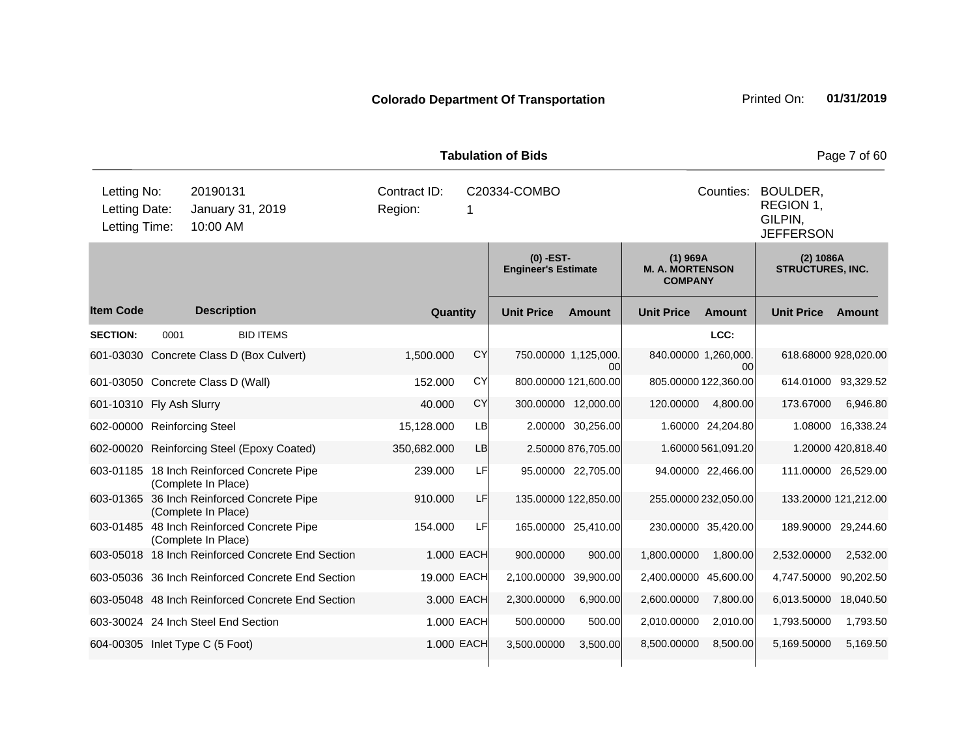| <b>Tabulation of Bids</b>   |                                                                                           |                                                                   |  |                                         |            |                                           |                             |                                                        |                                                                   |                                      | Page 7 of 60       |
|-----------------------------|-------------------------------------------------------------------------------------------|-------------------------------------------------------------------|--|-----------------------------------------|------------|-------------------------------------------|-----------------------------|--------------------------------------------------------|-------------------------------------------------------------------|--------------------------------------|--------------------|
|                             | Letting No:<br>20190131<br>Letting Date:<br>January 31, 2019<br>10:00 AM<br>Letting Time: |                                                                   |  | Contract ID:<br>C20334-COMBO<br>Region: |            |                                           |                             |                                                        | Counties:<br>BOULDER,<br>REGION 1,<br>GILPIN,<br><b>JEFFERSON</b> |                                      |                    |
|                             |                                                                                           |                                                                   |  |                                         |            | $(0)$ -EST-<br><b>Engineer's Estimate</b> |                             | $(1)$ 969A<br><b>M. A. MORTENSON</b><br><b>COMPANY</b> |                                                                   | (2) 1086A<br><b>STRUCTURES, INC.</b> |                    |
| <b>Item Code</b>            |                                                                                           | <b>Description</b>                                                |  | Quantity                                |            | <b>Unit Price</b>                         | <b>Amount</b>               | <b>Unit Price</b>                                      | Amount                                                            | <b>Unit Price</b>                    | Amount             |
| <b>SECTION:</b>             | 0001                                                                                      | <b>BID ITEMS</b>                                                  |  |                                         |            |                                           |                             |                                                        | LCC:                                                              |                                      |                    |
| 601-03030                   |                                                                                           | Concrete Class D (Box Culvert)                                    |  | 1,500.000                               | <b>CY</b>  |                                           | 750.00000 1,125,000.<br>00l | 840.00000 1,260,000.                                   | 00                                                                | 618.68000 928,020.00                 |                    |
|                             |                                                                                           | 601-03050 Concrete Class D (Wall)                                 |  | 152.000                                 | <b>CY</b>  |                                           | 800.00000 121,600.00        |                                                        | 805.00000 122,360.00                                              | 614.01000 93,329.52                  |                    |
| 601-10310 Fly Ash Slurry    |                                                                                           |                                                                   |  | 40.000                                  | <b>CY</b>  |                                           | 300.00000 12,000.00         | 120.00000                                              | 4,800.00                                                          | 173.67000                            | 6,946.80           |
| 602-00000 Reinforcing Steel |                                                                                           |                                                                   |  | 15,128.000                              | LB         |                                           | 2.00000 30,256.00           |                                                        | 1.60000 24,204.80                                                 |                                      | 1.08000 16,338.24  |
|                             |                                                                                           | 602-00020 Reinforcing Steel (Epoxy Coated)                        |  | 350,682.000                             | <b>LB</b>  |                                           | 2.50000 876,705.00          |                                                        | 1.60000 561,091.20                                                |                                      | 1.20000 420,818.40 |
|                             |                                                                                           | 603-01185 18 Inch Reinforced Concrete Pipe<br>(Complete In Place) |  | 239.000                                 | LF         |                                           | 95.00000 22,705.00          |                                                        | 94.00000 22,466.00                                                | 111.00000 26,529.00                  |                    |
|                             |                                                                                           | 603-01365 36 Inch Reinforced Concrete Pipe<br>(Complete In Place) |  | 910.000                                 | LF         |                                           | 135.00000 122,850.00        |                                                        | 255.00000 232,050.00                                              | 133.20000 121,212.00                 |                    |
|                             |                                                                                           | 603-01485 48 Inch Reinforced Concrete Pipe<br>(Complete In Place) |  | 154.000                                 | LF         |                                           | 165.00000 25,410.00         |                                                        | 230.00000 35,420.00                                               | 189.90000 29,244.60                  |                    |
|                             |                                                                                           | 603-05018 18 Inch Reinforced Concrete End Section                 |  |                                         | 1.000 EACH | 900.00000                                 | 900.00                      | 1,800.00000                                            | 1,800.00                                                          | 2,532.00000                          | 2,532.00           |
|                             |                                                                                           | 603-05036 36 Inch Reinforced Concrete End Section                 |  | 19.000 EACH                             |            | 2,100.00000                               | 39,900.00                   | 2,400.00000 45,600.00                                  |                                                                   | 4,747.50000 90,202.50                |                    |
|                             |                                                                                           | 603-05048 48 Inch Reinforced Concrete End Section                 |  |                                         | 3.000 EACH | 2,300.00000                               | 6,900.00                    | 2,600.00000                                            | 7,800.00                                                          | 6,013.50000 18,040.50                |                    |
|                             |                                                                                           | 603-30024 24 Inch Steel End Section                               |  |                                         | 1.000 EACH | 500.00000                                 | 500.00                      | 2,010.00000                                            | 2,010.00                                                          | 1,793.50000                          | 1,793.50           |
|                             |                                                                                           | 604-00305 Inlet Type C (5 Foot)                                   |  |                                         | 1.000 EACH | 3,500.00000                               | 3,500.00                    | 8,500.00000                                            | 8,500.00                                                          | 5,169.50000                          | 5,169.50           |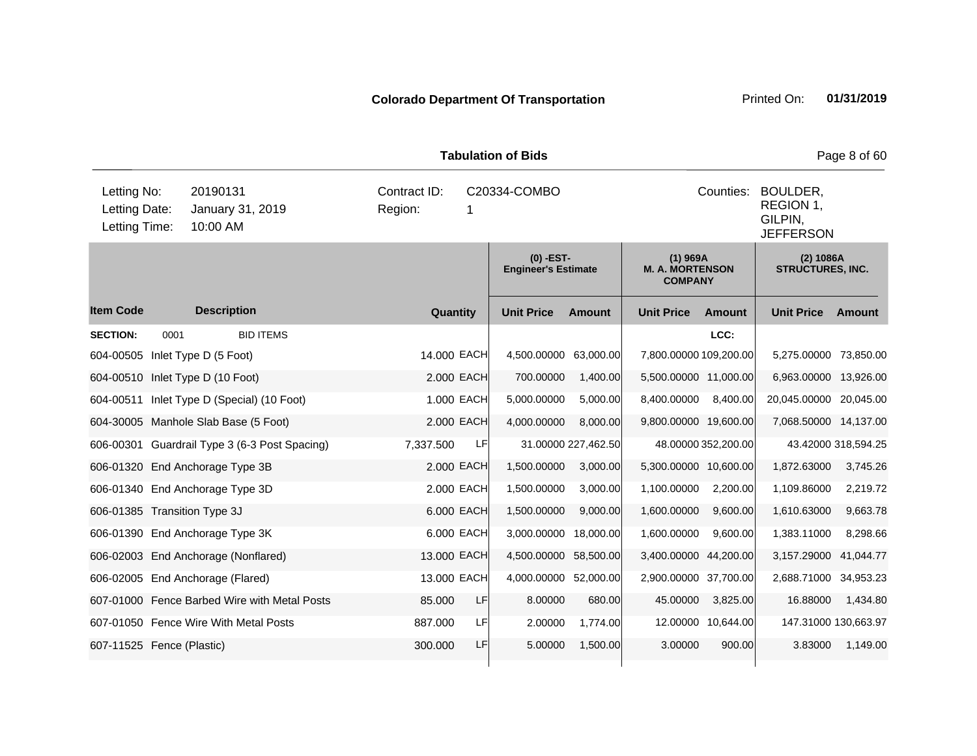| <b>Tabulation of Bids</b>                     |      |                                               |                         |             |                                           |                                                                   |                                                        |                     |                                      | Page 8 of 60        |
|-----------------------------------------------|------|-----------------------------------------------|-------------------------|-------------|-------------------------------------------|-------------------------------------------------------------------|--------------------------------------------------------|---------------------|--------------------------------------|---------------------|
| Letting No:<br>Letting Date:<br>Letting Time: |      | 20190131<br>January 31, 2019<br>10:00 AM      | Contract ID:<br>Region: | 1           | C20334-COMBO                              | Counties:<br>BOULDER,<br>REGION 1,<br>GILPIN,<br><b>JEFFERSON</b> |                                                        |                     |                                      |                     |
|                                               |      |                                               |                         |             | $(0)$ -EST-<br><b>Engineer's Estimate</b> |                                                                   | $(1)$ 969A<br><b>M. A. MORTENSON</b><br><b>COMPANY</b> |                     | (2) 1086A<br><b>STRUCTURES, INC.</b> |                     |
| <b>Item Code</b>                              |      | <b>Description</b>                            |                         | Quantity    | <b>Unit Price</b>                         | <b>Amount</b>                                                     | <b>Unit Price</b>                                      | <b>Amount</b>       | <b>Unit Price</b>                    | Amount              |
| <b>SECTION:</b>                               | 0001 | <b>BID ITEMS</b>                              |                         |             |                                           |                                                                   |                                                        | LCC:                |                                      |                     |
| 604-00505                                     |      | Inlet Type D (5 Foot)                         |                         | 14.000 EACH | 4,500.00000                               | 63,000.00                                                         | 7,800.00000 109,200.00                                 |                     | 5,275.00000 73,850.00                |                     |
|                                               |      | 604-00510 Inlet Type D (10 Foot)              |                         | 2.000 EACH  | 700.00000                                 | 1,400.00                                                          | 5,500.00000 11,000.00                                  |                     | 6,963.00000 13,926.00                |                     |
| 604-00511                                     |      | Inlet Type D (Special) (10 Foot)              |                         | 1.000 EACH  | 5,000.00000                               | 5,000.00                                                          | 8,400.00000                                            | 8,400.00            | 20,045.00000 20,045.00               |                     |
|                                               |      | 604-30005 Manhole Slab Base (5 Foot)          |                         | 2.000 EACH  | 4,000.00000                               | 8,000.00                                                          | 9,800.00000 19,600.00                                  |                     | 7,068.50000 14,137.00                |                     |
|                                               |      | 606-00301 Guardrail Type 3 (6-3 Post Spacing) | 7,337.500               | LF          |                                           | 31.00000 227,462.50                                               |                                                        | 48.00000 352,200.00 |                                      | 43.42000 318,594.25 |
|                                               |      | 606-01320 End Anchorage Type 3B               |                         | 2.000 EACH  | 1,500.00000                               | 3,000.00                                                          | 5,300.00000 10,600.00                                  |                     | 1,872.63000                          | 3,745.26            |
|                                               |      | 606-01340 End Anchorage Type 3D               |                         | 2.000 EACH  | 1,500.00000                               | 3,000.00                                                          | 1,100.00000                                            | 2,200.00            | 1,109.86000                          | 2,219.72            |
| 606-01385 Transition Type 3J                  |      |                                               |                         | 6.000 EACH  | 1,500.00000                               | 9,000.00                                                          | 1,600.00000                                            | 9,600.00            | 1,610.63000                          | 9,663.78            |
|                                               |      | 606-01390 End Anchorage Type 3K               |                         | 6.000 EACH  | 3,000.00000                               | 18,000.00                                                         | 1,600.00000                                            | 9,600.00            | 1,383.11000                          | 8,298.66            |
|                                               |      | 606-02003 End Anchorage (Nonflared)           |                         | 13.000 EACH | 4,500.00000                               | 58,500.00                                                         | 3,400.00000 44,200.00                                  |                     | 3,157.29000                          | 41,044.77           |
|                                               |      | 606-02005 End Anchorage (Flared)              |                         | 13.000 EACH | 4,000.00000 52,000.00                     |                                                                   | 2,900.00000 37,700.00                                  |                     | 2,688.71000                          | 34,953.23           |
|                                               |      | 607-01000 Fence Barbed Wire with Metal Posts  | 85.000                  | LF          | 8.00000                                   | 680.00                                                            | 45.00000                                               | 3,825.00            | 16.88000                             | 1,434.80            |
|                                               |      | 607-01050 Fence Wire With Metal Posts         | 887.000                 | LF          | 2.00000                                   | 1,774.00                                                          |                                                        | 12.00000 10,644.00  | 147.31000 130,663.97                 |                     |
| 607-11525 Fence (Plastic)                     |      |                                               | 300.000                 | LF          | 5.00000                                   | 1,500.00                                                          | 3.00000                                                | 900.00              | 3.83000                              | 1,149.00            |
|                                               |      |                                               |                         |             |                                           |                                                                   |                                                        |                     |                                      |                     |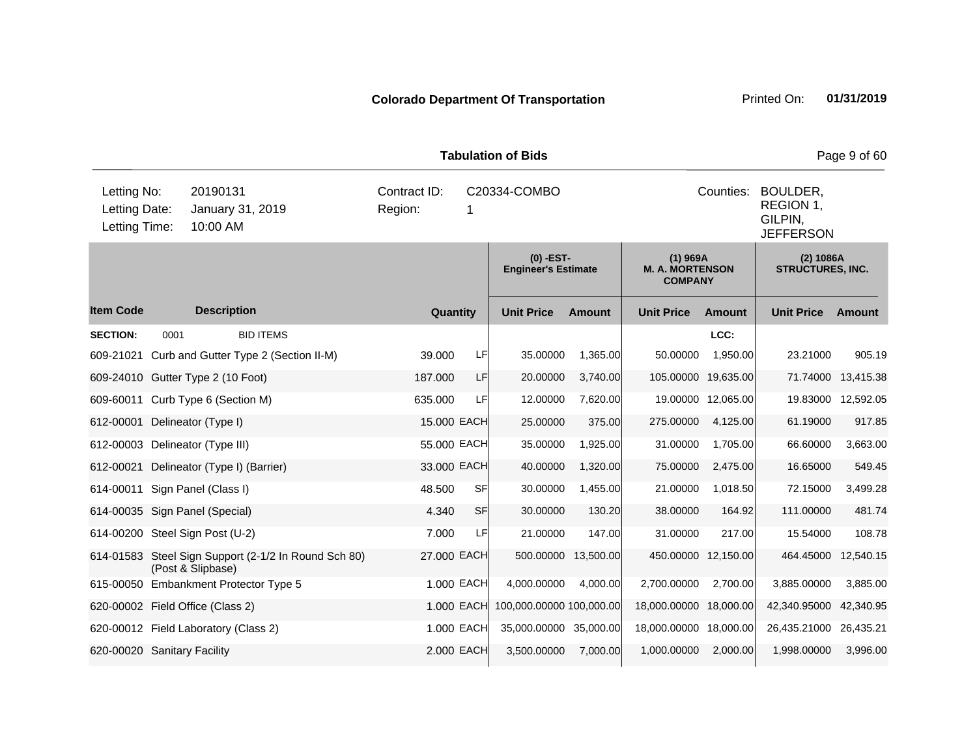| <b>Tabulation of Bids</b>                     |      |                                                                 |                                           |            |                          |               |                                                                   |                    |                                      | Page 9 of 60       |
|-----------------------------------------------|------|-----------------------------------------------------------------|-------------------------------------------|------------|--------------------------|---------------|-------------------------------------------------------------------|--------------------|--------------------------------------|--------------------|
| Letting No:<br>Letting Date:<br>Letting Time: |      | 20190131<br>January 31, 2019<br>10:00 AM                        | Contract ID:<br>Region:                   | 1          | C20334-COMBO             |               | Counties:<br>BOULDER,<br>REGION 1.<br>GILPIN,<br><b>JEFFERSON</b> |                    |                                      |                    |
|                                               |      |                                                                 | $(0)$ -EST-<br><b>Engineer's Estimate</b> |            |                          |               | $(1)$ 969A<br><b>M. A. MORTENSON</b><br><b>COMPANY</b>            |                    | (2) 1086A<br><b>STRUCTURES, INC.</b> |                    |
| <b>Item Code</b>                              |      | <b>Description</b>                                              | Quantity                                  |            | <b>Unit Price</b>        | <b>Amount</b> | <b>Unit Price</b>                                                 | <b>Amount</b>      | <b>Unit Price</b>                    | Amount             |
| <b>SECTION:</b>                               | 0001 | <b>BID ITEMS</b>                                                |                                           |            |                          |               |                                                                   | LCC:               |                                      |                    |
| 609-21021                                     |      | Curb and Gutter Type 2 (Section II-M)                           | 39,000                                    | LF         | 35.00000                 | 1,365.00      | 50.00000                                                          | 1,950.00           | 23.21000                             | 905.19             |
|                                               |      | 609-24010 Gutter Type 2 (10 Foot)                               | 187.000                                   | LF         | 20.00000                 | 3,740.00      | 105.00000                                                         | 19,635.00          | 71.74000                             | 13,415.38          |
|                                               |      | 609-60011 Curb Type 6 (Section M)                               | 635.000                                   | LF         | 12.00000                 | 7,620.00      |                                                                   | 19.00000 12,065.00 |                                      | 19.83000 12,592.05 |
| 612-00001                                     |      | Delineator (Type I)                                             | 15.000 EACH                               |            | 25.00000                 | 375.00        | 275.00000                                                         | 4,125.00           | 61.19000                             | 917.85             |
| 612-00003                                     |      | Delineator (Type III)                                           | 55.000 EACH                               |            | 35.00000                 | 1,925.00      | 31.00000                                                          | 1,705.00           | 66.60000                             | 3,663.00           |
| 612-00021                                     |      | Delineator (Type I) (Barrier)                                   | 33.000 EACH                               |            | 40.00000                 | 1,320.00      | 75.00000                                                          | 2,475.00           | 16.65000                             | 549.45             |
| 614-00011                                     |      | Sign Panel (Class I)                                            | 48.500                                    | <b>SF</b>  | 30.00000                 | 1,455.00      | 21.00000                                                          | 1,018.50           | 72.15000                             | 3,499.28           |
|                                               |      | 614-00035 Sign Panel (Special)                                  | 4.340                                     | <b>SF</b>  | 30.00000                 | 130.20        | 38.00000                                                          | 164.92             | 111.00000                            | 481.74             |
|                                               |      | 614-00200 Steel Sign Post (U-2)                                 | 7.000                                     | LF         | 21.00000                 | 147.00        | 31.00000                                                          | 217.00             | 15.54000                             | 108.78             |
| 614-01583                                     |      | Steel Sign Support (2-1/2 In Round Sch 80)<br>(Post & Slipbase) | 27.000 EACH                               |            | 500.00000                | 13,500.00     | 450.00000 12,150.00                                               |                    | 464.45000                            | 12,540.15          |
|                                               |      | 615-00050 Embankment Protector Type 5                           |                                           | 1.000 EACH | 4,000.00000              | 4,000.00      | 2,700.00000                                                       | 2,700.00           | 3,885.00000                          | 3,885.00           |
|                                               |      | 620-00002 Field Office (Class 2)                                |                                           | 1.000 EACH | 100,000.00000 100,000.00 |               | 18,000.00000 18,000.00                                            |                    | 42,340.95000                         | 42,340.95          |
|                                               |      | 620-00012 Field Laboratory (Class 2)                            |                                           | 1.000 EACH | 35,000.00000 35,000.00   |               | 18,000.00000 18,000.00                                            |                    | 26,435.21000 26,435.21               |                    |
| 620-00020 Sanitary Facility                   |      |                                                                 |                                           | 2.000 EACH | 3,500.00000              | 7,000.00      | 1,000.00000                                                       | 2,000.00           | 1,998.00000                          | 3,996.00           |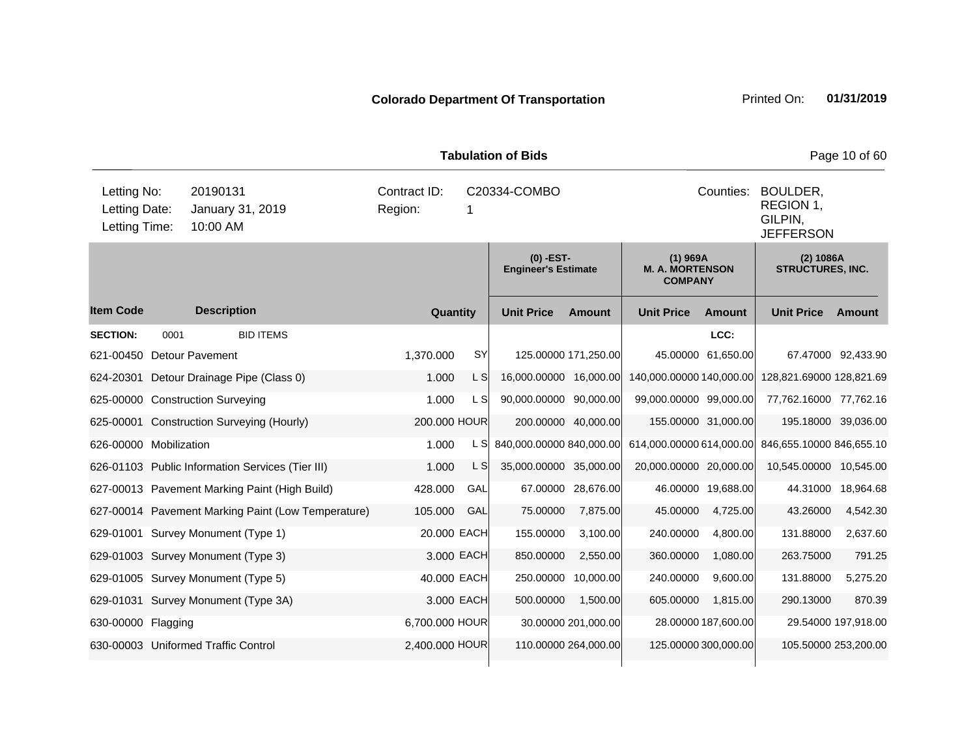| <b>Tabulation of Bids</b><br>Page 10 of 60    |                                          |                                                    |                |             |                                         |                      |                                                                   |                      |                                      |                     |
|-----------------------------------------------|------------------------------------------|----------------------------------------------------|----------------|-------------|-----------------------------------------|----------------------|-------------------------------------------------------------------|----------------------|--------------------------------------|---------------------|
| Letting No:<br>Letting Date:<br>Letting Time: | 20190131<br>January 31, 2019<br>10:00 AM | Contract ID:<br>C20334-COMBO<br>Region:<br>1       |                |             |                                         |                      | Counties:<br>BOULDER,<br>REGION 1,<br>GILPIN,<br><b>JEFFERSON</b> |                      |                                      |                     |
|                                               |                                          |                                                    |                |             | (0) -EST-<br><b>Engineer's Estimate</b> |                      | $(1)$ 969A<br><b>M. A. MORTENSON</b><br><b>COMPANY</b>            |                      | (2) 1086A<br><b>STRUCTURES, INC.</b> |                     |
| <b>Item Code</b>                              |                                          | <b>Description</b>                                 | Quantity       |             | <b>Unit Price</b>                       | Amount               | <b>Unit Price</b>                                                 | <b>Amount</b>        | <b>Unit Price</b>                    | <b>Amount</b>       |
| <b>SECTION:</b>                               | 0001                                     | <b>BID ITEMS</b>                                   |                |             |                                         |                      |                                                                   | LCC:                 |                                      |                     |
| 621-00450                                     |                                          | <b>Detour Pavement</b>                             | 1,370.000      | SY          |                                         | 125.00000 171,250.00 |                                                                   | 45.00000 61,650.00   |                                      | 67.47000 92,433.90  |
| 624-20301                                     |                                          | Detour Drainage Pipe (Class 0)                     | 1.000          | L S         | 16,000.00000 16,000.00                  |                      | 140,000.00000 140,000.00                                          |                      | 128,821.69000 128,821.69             |                     |
|                                               |                                          | 625-00000 Construction Surveying                   | 1.000          | L S         | 90,000.00000 90,000.00                  |                      | 99,000.00000 99,000.00                                            |                      | 77,762.16000 77,762.16               |                     |
|                                               |                                          | 625-00001 Construction Surveying (Hourly)          | 200.000 HOUR   |             |                                         | 200.00000 40,000.00  |                                                                   | 155.00000 31,000.00  | 195.18000 39,036.00                  |                     |
| 626-00000 Mobilization                        |                                          |                                                    | 1.000          | L SI        | 840,000.00000 840,000.00                |                      | 614,000.00000 614,000.00                                          |                      | 846,655.10000 846,655.10             |                     |
|                                               |                                          | 626-01103 Public Information Services (Tier III)   | 1.000          | $\lfloor$ S | 35,000.00000 35,000.00                  |                      | 20,000.00000 20,000.00                                            |                      | 10,545.00000                         | 10,545.00           |
|                                               |                                          | 627-00013 Pavement Marking Paint (High Build)      | 428.000        | GAL         |                                         | 67.00000 28,676.00   |                                                                   | 46.00000 19,688.00   | 44.31000                             | 18,964.68           |
|                                               |                                          | 627-00014 Pavement Marking Paint (Low Temperature) | 105.000        | GAL         | 75.00000                                | 7,875.00             | 45.00000                                                          | 4,725.00             | 43.26000                             | 4,542.30            |
|                                               |                                          | 629-01001 Survey Monument (Type 1)                 | 20.000 EACH    |             | 155.00000                               | 3,100.00             | 240.00000                                                         | 4,800.00             | 131.88000                            | 2,637.60            |
|                                               |                                          | 629-01003 Survey Monument (Type 3)                 |                | 3.000 EACH  | 850.00000                               | 2,550.00             | 360.00000                                                         | 1,080.00             | 263.75000                            | 791.25              |
|                                               |                                          | 629-01005 Survey Monument (Type 5)                 | 40.000 EACH    |             |                                         | 250.00000 10,000.00  | 240.00000                                                         | 9,600.00             | 131.88000                            | 5,275.20            |
|                                               |                                          | 629-01031 Survey Monument (Type 3A)                |                | 3.000 EACH  | 500.00000                               | 1,500.00             | 605.00000                                                         | 1,815.00             | 290.13000                            | 870.39              |
| 630-00000 Flagging                            |                                          |                                                    | 6,700.000 HOUR |             |                                         | 30.00000 201,000.00  |                                                                   | 28.00000 187,600.00  |                                      | 29.54000 197,918.00 |
|                                               |                                          | 630-00003 Uniformed Traffic Control                | 2,400.000 HOUR |             |                                         | 110.00000 264,000.00 |                                                                   | 125.00000 300,000.00 | 105.50000 253,200.00                 |                     |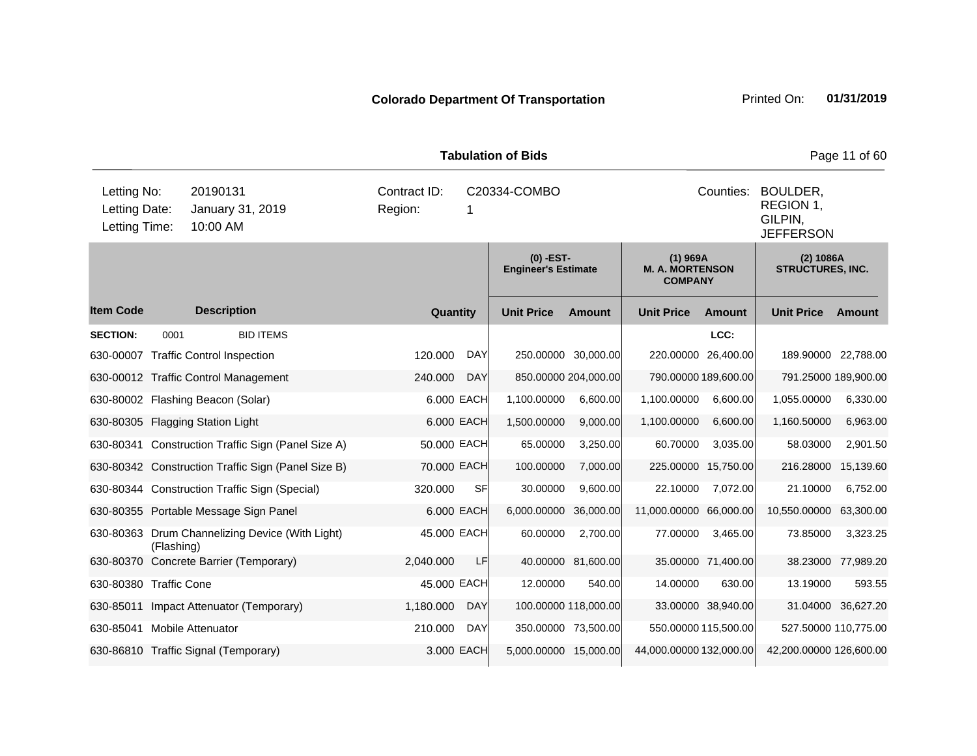| <b>Tabulation of Bids</b>                                                                 |            |                                                    |                         |              |                                         |                                                                   |                                                        |                      |                                      | Page 11 of 60      |
|-------------------------------------------------------------------------------------------|------------|----------------------------------------------------|-------------------------|--------------|-----------------------------------------|-------------------------------------------------------------------|--------------------------------------------------------|----------------------|--------------------------------------|--------------------|
| 20190131<br>Letting No:<br>Letting Date:<br>January 31, 2019<br>10:00 AM<br>Letting Time: |            |                                                    | Contract ID:<br>Region: | C20334-COMBO |                                         | Counties:<br>BOULDER,<br>REGION 1,<br>GILPIN,<br><b>JEFFERSON</b> |                                                        |                      |                                      |                    |
|                                                                                           |            |                                                    |                         |              | (0) -EST-<br><b>Engineer's Estimate</b> |                                                                   | $(1)$ 969A<br><b>M. A. MORTENSON</b><br><b>COMPANY</b> |                      | (2) 1086A<br><b>STRUCTURES, INC.</b> |                    |
| <b>Item Code</b>                                                                          |            | <b>Description</b>                                 | Quantity                |              | <b>Unit Price</b>                       | <b>Amount</b>                                                     | <b>Unit Price</b>                                      | <b>Amount</b>        | <b>Unit Price</b>                    | Amount             |
| <b>SECTION:</b>                                                                           | 0001       | <b>BID ITEMS</b>                                   |                         |              |                                         |                                                                   |                                                        | LCC:                 |                                      |                    |
| 630-00007                                                                                 |            | <b>Traffic Control Inspection</b>                  | 120.000                 | <b>DAY</b>   |                                         | 250.00000 30,000.00                                               | 220.00000 26,400.00                                    |                      | 189.90000 22,788.00                  |                    |
|                                                                                           |            | 630-00012 Traffic Control Management               | 240.000                 | <b>DAY</b>   |                                         | 850.00000 204,000.00                                              | 790.00000 189,600.00                                   |                      | 791.25000 189,900.00                 |                    |
|                                                                                           |            | 630-80002 Flashing Beacon (Solar)                  |                         | 6.000 EACH   | 1,100.00000                             | 6,600.00                                                          | 1,100.00000                                            | 6,600.00             | 1,055.00000                          | 6,330.00           |
|                                                                                           |            | 630-80305 Flagging Station Light                   |                         | 6.000 EACH   | 1,500.00000                             | 9,000.00                                                          | 1,100.00000                                            | 6,600.00             | 1,160.50000                          | 6,963.00           |
|                                                                                           |            | 630-80341 Construction Traffic Sign (Panel Size A) | 50.000 EACH             |              | 65.00000                                | 3,250.00                                                          | 60.70000                                               | 3,035.00             | 58.03000                             | 2,901.50           |
|                                                                                           |            | 630-80342 Construction Traffic Sign (Panel Size B) | 70.000 EACH             |              | 100.00000                               | 7,000.00                                                          | 225.00000                                              | 15,750.00            | 216.28000                            | 15,139.60          |
|                                                                                           |            | 630-80344 Construction Traffic Sign (Special)      | 320.000                 | <b>SF</b>    | 30.00000                                | 9,600.00                                                          | 22.10000                                               | 7,072.00             | 21.10000                             | 6,752.00           |
|                                                                                           |            | 630-80355 Portable Message Sign Panel              |                         | 6.000 EACH   | 6,000.00000                             | 36,000.00                                                         | 11,000.00000 66,000.00                                 |                      | 10,550.00000                         | 63,300.00          |
|                                                                                           | (Flashing) | 630-80363 Drum Channelizing Device (With Light)    | 45.000 EACH             |              | 60.00000                                | 2,700.00                                                          | 77.00000                                               | 3,465.00             | 73.85000                             | 3,323.25           |
|                                                                                           |            | 630-80370 Concrete Barrier (Temporary)             | 2,040.000               | LF           |                                         | 40.00000 81,600.00                                                |                                                        | 35.00000 71,400.00   |                                      | 38.23000 77,989.20 |
| 630-80380 Traffic Cone                                                                    |            |                                                    | 45.000 EACH             |              | 12.00000                                | 540.00                                                            | 14.00000                                               | 630.00               | 13.19000                             | 593.55             |
| 630-85011                                                                                 |            | Impact Attenuator (Temporary)                      | 1,180.000               | <b>DAY</b>   |                                         | 100.00000 118,000.00                                              |                                                        | 33.00000 38,940.00   |                                      | 31.04000 36,627.20 |
| 630-85041 Mobile Attenuator                                                               |            |                                                    | 210.000                 | <b>DAY</b>   |                                         | 350.00000 73,500.00                                               |                                                        | 550.00000 115,500.00 | 527.50000 110,775.00                 |                    |
|                                                                                           |            | 630-86810 Traffic Signal (Temporary)               |                         | 3.000 EACH   | 5,000.00000 15,000.00                   |                                                                   | 44,000.00000 132,000.00                                |                      | 42,200.00000 126,600.00              |                    |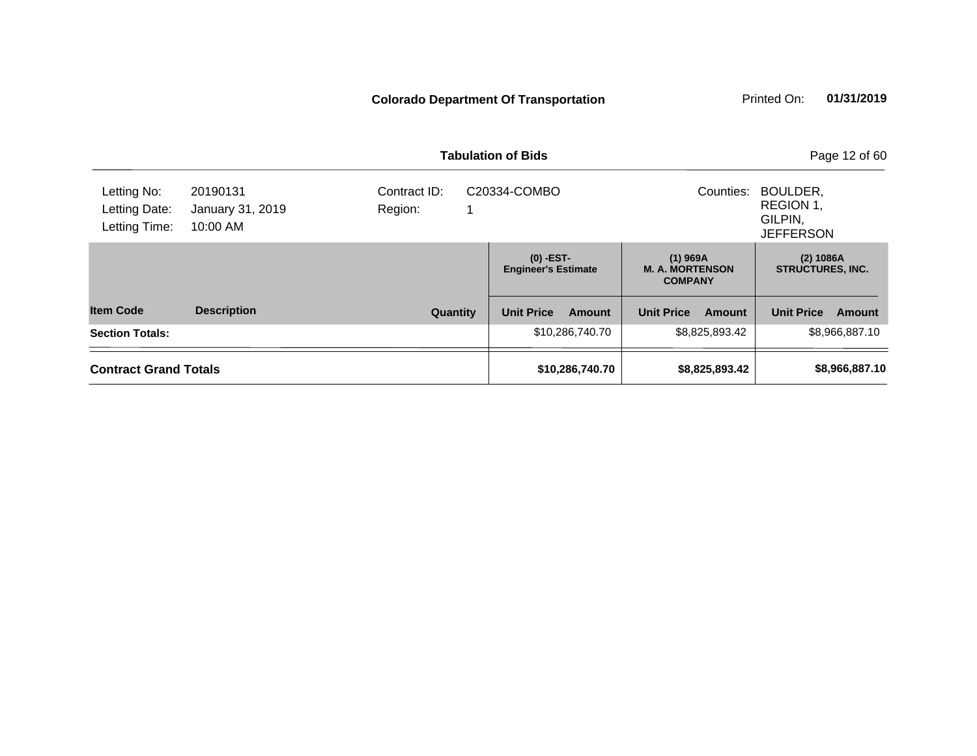|                                               |                                          | <b>Tabulation of Bids</b> | Page 12 of 60                             |                                                        |                                                      |
|-----------------------------------------------|------------------------------------------|---------------------------|-------------------------------------------|--------------------------------------------------------|------------------------------------------------------|
| Letting No:<br>Letting Date:<br>Letting Time: | 20190131<br>January 31, 2019<br>10:00 AM | Contract ID:<br>Region:   | C20334-COMBO                              | Counties:                                              | BOULDER,<br>REGION 1.<br>GILPIN.<br><b>JEFFERSON</b> |
|                                               |                                          |                           | $(0)$ -EST-<br><b>Engineer's Estimate</b> | $(1)$ 969A<br><b>M. A. MORTENSON</b><br><b>COMPANY</b> | (2) 1086A<br><b>STRUCTURES, INC.</b>                 |
| <b>Item Code</b>                              | <b>Description</b>                       | Quantity                  | <b>Unit Price</b><br><b>Amount</b>        | <b>Unit Price</b><br>Amount                            | <b>Unit Price</b><br>Amount                          |
| <b>Section Totals:</b>                        |                                          |                           | \$10,286,740.70                           | \$8,825,893.42                                         | \$8,966,887.10                                       |
| <b>Contract Grand Totals</b>                  |                                          | \$10,286,740.70           | \$8,825,893.42                            | \$8,966,887.10                                         |                                                      |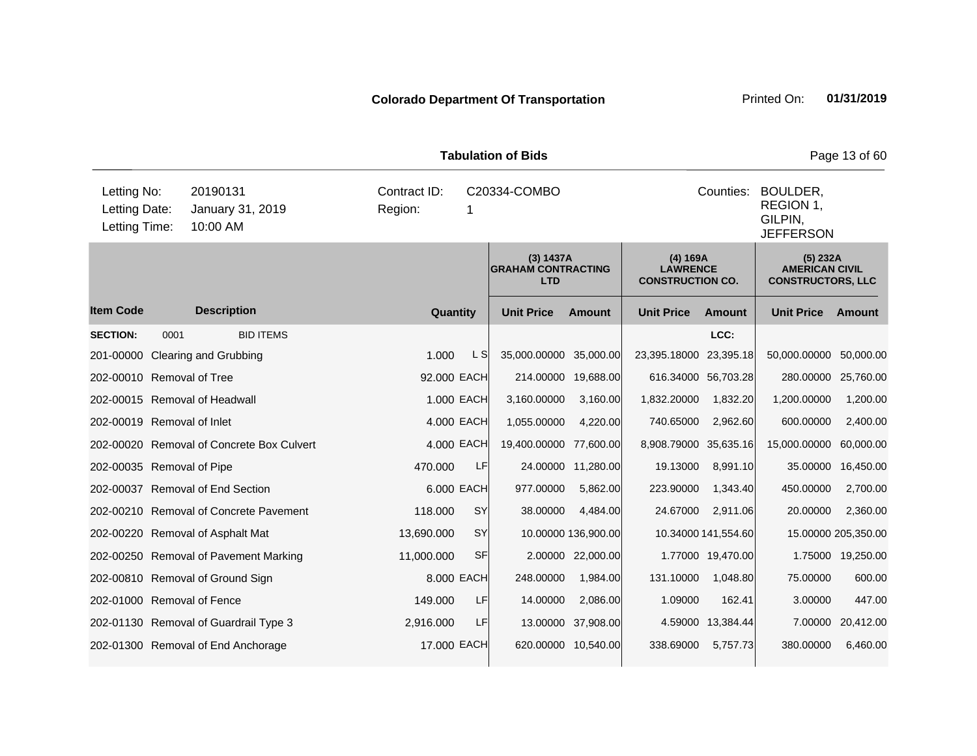| <b>Tabulation of Bids</b>                                                                                            |      |                                           |             |            |                                                      |                     |                                                        |                     |                                                               | Page 13 of 60       |
|----------------------------------------------------------------------------------------------------------------------|------|-------------------------------------------|-------------|------------|------------------------------------------------------|---------------------|--------------------------------------------------------|---------------------|---------------------------------------------------------------|---------------------|
| Letting No:<br>20190131<br>Contract ID:<br>Letting Date:<br>Region:<br>January 31, 2019<br>Letting Time:<br>10:00 AM |      |                                           |             | 1          | C20334-COMBO                                         | Counties:           | BOULDER,<br>REGION 1,<br>GILPIN,<br><b>JEFFERSON</b>   |                     |                                                               |                     |
|                                                                                                                      |      |                                           |             |            | (3) 1437A<br><b>GRAHAM CONTRACTING</b><br><b>LTD</b> |                     | (4) 169A<br><b>LAWRENCE</b><br><b>CONSTRUCTION CO.</b> |                     | (5) 232A<br><b>AMERICAN CIVIL</b><br><b>CONSTRUCTORS, LLC</b> |                     |
| <b>Item Code</b>                                                                                                     |      | <b>Description</b>                        | Quantity    |            | <b>Unit Price</b>                                    | <b>Amount</b>       | <b>Unit Price</b>                                      | <b>Amount</b>       | <b>Unit Price</b>                                             | Amount              |
| <b>SECTION:</b>                                                                                                      | 0001 | <b>BID ITEMS</b>                          |             |            |                                                      |                     |                                                        | LCC:                |                                                               |                     |
| 201-00000                                                                                                            |      | <b>Clearing and Grubbing</b>              | 1.000       | L SI       | 35,000.00000                                         | 35,000.00           | 23,395.18000 23,395.18                                 |                     | 50,000.00000                                                  | 50,000.00           |
| 202-00010 Removal of Tree                                                                                            |      |                                           | 92.000 EACH |            | 214.00000                                            | 19,688.00           | 616.34000 56,703.28                                    |                     | 280.00000 25,760.00                                           |                     |
|                                                                                                                      |      | 202-00015 Removal of Headwall             |             | 1.000 EACH | 3,160.00000                                          | 3,160.00            | 1,832.20000                                            | 1,832.20            | 1,200.00000                                                   | 1,200.00            |
| 202-00019 Removal of Inlet                                                                                           |      |                                           |             | 4.000 EACH | 1,055.00000                                          | 4,220.00            | 740.65000                                              | 2,962.60            | 600.00000                                                     | 2,400.00            |
|                                                                                                                      |      | 202-00020 Removal of Concrete Box Culvert |             | 4.000 EACH | 19,400.00000                                         | 77,600.00           | 8,908.79000 35,635.16                                  |                     | 15,000.00000                                                  | 60,000.00           |
| 202-00035 Removal of Pipe                                                                                            |      |                                           | 470.000     | LF         | 24.00000                                             | 11,280.00           | 19.13000                                               | 8,991.10            | 35.00000                                                      | 16,450.00           |
|                                                                                                                      |      | 202-00037 Removal of End Section          |             | 6.000 EACH | 977.00000                                            | 5,862.00            | 223.90000                                              | 1,343.40            | 450.00000                                                     | 2,700.00            |
|                                                                                                                      |      | 202-00210 Removal of Concrete Pavement    | 118.000     | <b>SY</b>  | 38.00000                                             | 4,484.00            | 24.67000                                               | 2,911.06            | 20.00000                                                      | 2,360.00            |
|                                                                                                                      |      | 202-00220 Removal of Asphalt Mat          | 13,690.000  | <b>SY</b>  |                                                      | 10.00000 136,900.00 |                                                        | 10.34000 141,554.60 |                                                               | 15.00000 205,350.00 |
|                                                                                                                      |      | 202-00250 Removal of Pavement Marking     | 11,000.000  | SF         |                                                      | 2.00000 22,000.00   |                                                        | 1.77000 19,470.00   |                                                               | 1.75000 19,250.00   |
|                                                                                                                      |      | 202-00810 Removal of Ground Sign          |             | 8.000 EACH | 248.00000                                            | 1,984.00            | 131.10000                                              | 1,048.80            | 75.00000                                                      | 600.00              |
| 202-01000 Removal of Fence                                                                                           |      |                                           | 149.000     | LF         | 14.00000                                             | 2,086.00            | 1.09000                                                | 162.41              | 3.00000                                                       | 447.00              |
|                                                                                                                      |      | 202-01130 Removal of Guardrail Type 3     | 2,916.000   | LF         | 13.00000                                             | 37,908.00           |                                                        | 4.59000 13,384.44   |                                                               | 7.00000 20,412.00   |
|                                                                                                                      |      | 202-01300 Removal of End Anchorage        | 17.000 EACH |            | 620.00000                                            | 10,540.00           | 338.69000                                              | 5,757.73            | 380.00000                                                     | 6,460.00            |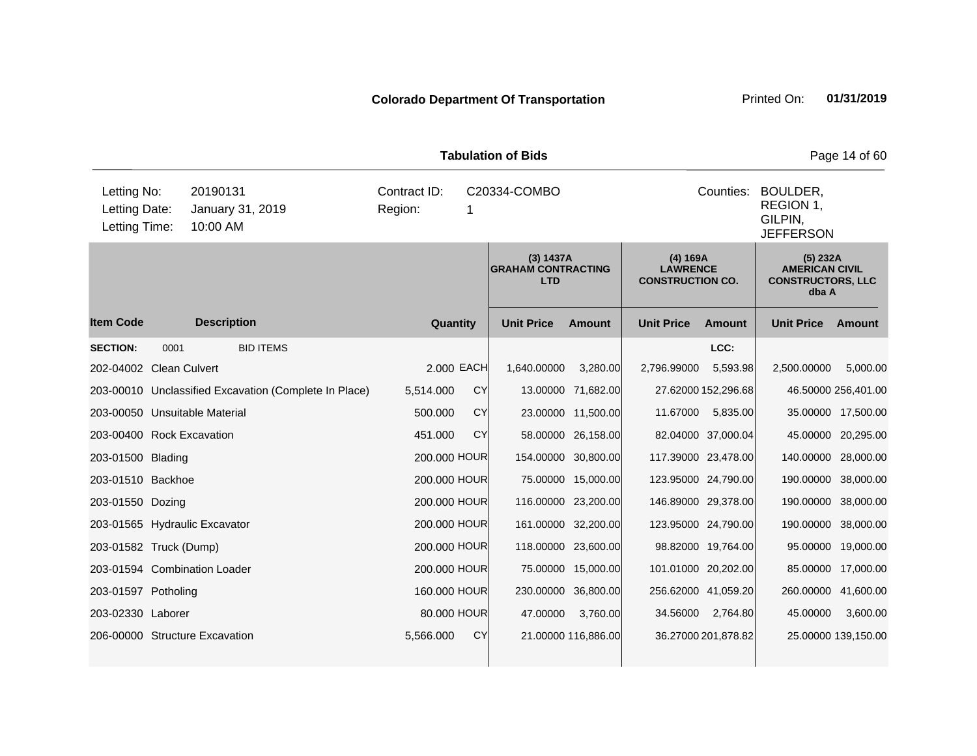|                                               |      |                                                       | Page 14 of 60 |           |                                                                   |                     |                                                        |                     |                                                                        |                     |
|-----------------------------------------------|------|-------------------------------------------------------|---------------|-----------|-------------------------------------------------------------------|---------------------|--------------------------------------------------------|---------------------|------------------------------------------------------------------------|---------------------|
| Letting No:<br>Letting Date:<br>Letting Time: |      | Contract ID:<br>Region:                               | C20334-COMBO  |           | Counties:<br>BOULDER,<br>REGION 1,<br>GILPIN.<br><b>JEFFERSON</b> |                     |                                                        |                     |                                                                        |                     |
|                                               |      |                                                       |               |           | (3) 1437A<br><b>GRAHAM CONTRACTING</b><br><b>LTD</b>              |                     | (4) 169A<br><b>LAWRENCE</b><br><b>CONSTRUCTION CO.</b> |                     | (5) 232A<br><b>AMERICAN CIVIL</b><br><b>CONSTRUCTORS, LLC</b><br>dba A |                     |
| <b>Item Code</b>                              |      | <b>Description</b>                                    | Quantity      |           | <b>Unit Price</b>                                                 | <b>Amount</b>       | <b>Unit Price</b>                                      | <b>Amount</b>       | <b>Unit Price</b>                                                      | Amount              |
| <b>SECTION:</b>                               | 0001 | <b>BID ITEMS</b>                                      |               |           |                                                                   |                     |                                                        | LCC:                |                                                                        |                     |
| 202-04002 Clean Culvert                       |      |                                                       | 2,000 EACH    |           | 1,640.00000                                                       | 3,280.00            | 2,796.99000                                            | 5,593.98            | 2,500.00000                                                            | 5,000.00            |
|                                               |      | 203-00010 Unclassified Excavation (Complete In Place) | 5,514.000     | CY        |                                                                   | 13.00000 71,682.00  |                                                        | 27.62000 152,296.68 |                                                                        | 46.50000 256,401.00 |
|                                               |      | 203-00050 Unsuitable Material                         | 500.000       | CY        |                                                                   | 23.00000 11,500.00  | 11.67000                                               | 5,835.00            |                                                                        | 35.00000 17,500.00  |
| 203-00400 Rock Excavation                     |      |                                                       | 451.000       | CY        |                                                                   | 58.00000 26,158.00  |                                                        | 82.04000 37,000.04  |                                                                        | 45.00000 20,295.00  |
| 203-01500 Blading                             |      |                                                       | 200.000 HOUR  |           |                                                                   | 154.00000 30,800.00 |                                                        | 117.39000 23,478.00 | 140.00000 28,000.00                                                    |                     |
| 203-01510 Backhoe                             |      |                                                       | 200,000 HOUR  |           |                                                                   | 75.00000 15,000.00  |                                                        | 123.95000 24,790.00 | 190.00000 38,000.00                                                    |                     |
| 203-01550 Dozing                              |      |                                                       | 200.000 HOUR  |           |                                                                   | 116.00000 23,200.00 |                                                        | 146.89000 29,378.00 | 190.00000 38,000.00                                                    |                     |
|                                               |      | 203-01565 Hydraulic Excavator                         | 200.000 HOUR  |           |                                                                   | 161.00000 32,200.00 |                                                        | 123.95000 24,790.00 | 190.00000 38,000.00                                                    |                     |
| 203-01582 Truck (Dump)                        |      |                                                       | 200.000 HOUR  |           |                                                                   | 118.00000 23,600.00 |                                                        | 98.82000 19,764.00  |                                                                        | 95.00000 19,000.00  |
|                                               |      | 203-01594 Combination Loader                          | 200.000 HOUR  |           |                                                                   | 75.00000 15,000.00  |                                                        | 101.01000 20,202.00 |                                                                        | 85.00000 17,000.00  |
| 203-01597 Potholing                           |      |                                                       | 160.000 HOUR  |           | 230.00000                                                         | 36,800.00           |                                                        | 256.62000 41,059.20 | 260.00000 41,600.00                                                    |                     |
| 203-02330 Laborer                             |      |                                                       | 80,000 HOUR   |           | 47.00000                                                          | 3,760.00            | 34.56000                                               | 2,764.80            | 45.00000                                                               | 3,600.00            |
|                                               |      | 206-00000 Structure Excavation                        | 5,566.000     | <b>CY</b> |                                                                   | 21.00000 116,886.00 |                                                        | 36.27000 201,878.82 |                                                                        | 25.00000 139,150.00 |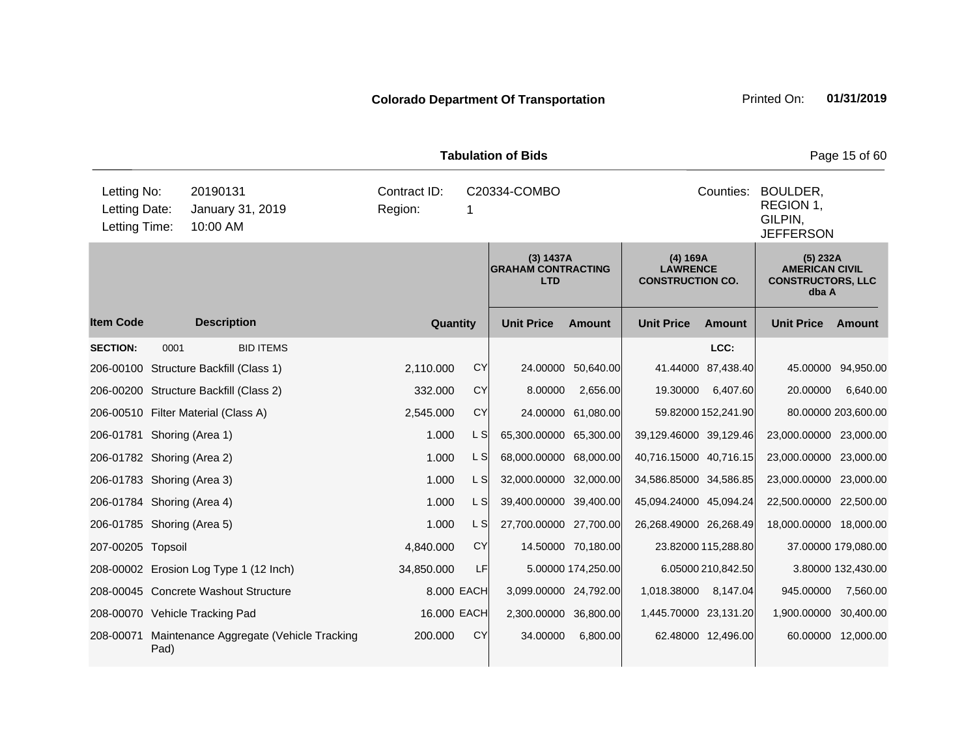| <b>Tabulation of Bids</b>                                                                 |      |                                         |            |                                                      |                |                        |                    |                                                        |                     |                                                                        | Page 15 of 60       |
|-------------------------------------------------------------------------------------------|------|-----------------------------------------|------------|------------------------------------------------------|----------------|------------------------|--------------------|--------------------------------------------------------|---------------------|------------------------------------------------------------------------|---------------------|
| Letting No:<br>20190131<br>Letting Date:<br>January 31, 2019<br>10:00 AM<br>Letting Time: |      |                                         | Region:    | Contract ID:<br>C20334-COMBO<br>1                    |                |                        |                    |                                                        | Counties:           | BOULDER,<br>REGION 1,<br>GILPIN,<br><b>JEFFERSON</b>                   |                     |
|                                                                                           |      |                                         |            | (3) 1437A<br><b>GRAHAM CONTRACTING</b><br><b>LTD</b> |                |                        |                    | (4) 169A<br><b>LAWRENCE</b><br><b>CONSTRUCTION CO.</b> |                     | (5) 232A<br><b>AMERICAN CIVIL</b><br><b>CONSTRUCTORS, LLC</b><br>dba A |                     |
| <b>Item Code</b>                                                                          |      | <b>Description</b>                      |            | Quantity                                             |                | <b>Unit Price</b>      | <b>Amount</b>      | <b>Unit Price</b>                                      | <b>Amount</b>       | <b>Unit Price</b>                                                      | Amount              |
| <b>SECTION:</b>                                                                           | 0001 | <b>BID ITEMS</b>                        |            |                                                      |                |                        |                    |                                                        | LCC:                |                                                                        |                     |
|                                                                                           |      | 206-00100 Structure Backfill (Class 1)  |            | 2,110.000                                            | <b>CY</b>      |                        | 24.00000 50,640.00 |                                                        | 41.44000 87,438.40  |                                                                        | 45.00000 94,950.00  |
|                                                                                           |      | 206-00200 Structure Backfill (Class 2)  |            | 332.000                                              | <b>CY</b>      | 8.00000                | 2,656.00           | 19.30000                                               | 6,407.60            | 20,00000                                                               | 6,640.00            |
|                                                                                           |      | 206-00510 Filter Material (Class A)     |            | 2,545.000                                            | <b>CY</b>      |                        | 24.00000 61,080.00 |                                                        | 59.82000 152,241.90 |                                                                        | 80.00000 203,600.00 |
| 206-01781 Shoring (Area 1)                                                                |      |                                         |            | 1.000                                                | L S            | 65,300.00000 65,300.00 |                    | 39,129.46000 39,129.46                                 |                     | 23,000.00000 23,000.00                                                 |                     |
| 206-01782 Shoring (Area 2)                                                                |      |                                         |            | 1.000                                                | L SI           | 68,000.00000 68,000.00 |                    | 40,716.15000 40,716.15                                 |                     | 23,000.00000 23,000.00                                                 |                     |
| 206-01783 Shoring (Area 3)                                                                |      |                                         |            | 1.000                                                | L SI           | 32,000.00000 32,000.00 |                    | 34,586.85000 34,586.85                                 |                     | 23,000.00000 23,000.00                                                 |                     |
| 206-01784 Shoring (Area 4)                                                                |      |                                         |            | 1.000                                                | L SI           | 39,400.00000 39,400.00 |                    | 45,094.24000 45,094.24                                 |                     | 22,500.00000 22,500.00                                                 |                     |
| 206-01785 Shoring (Area 5)                                                                |      |                                         |            | 1.000                                                | L <sub>S</sub> | 27,700.00000 27,700.00 |                    | 26,268.49000 26,268.49                                 |                     | 18,000.00000 18,000.00                                                 |                     |
| 207-00205 Topsoil                                                                         |      |                                         |            | 4,840.000                                            | <b>CY</b>      |                        | 14.50000 70,180.00 |                                                        | 23.82000 115,288.80 |                                                                        | 37.00000 179,080.00 |
|                                                                                           |      | 208-00002 Erosion Log Type 1 (12 Inch)  | 34,850.000 |                                                      | <b>LF</b>      |                        | 5.00000 174,250.00 |                                                        | 6.05000 210,842.50  |                                                                        | 3.80000 132,430.00  |
|                                                                                           |      | 208-00045 Concrete Washout Structure    |            |                                                      | 8.000 EACH     | 3,099.00000 24,792.00  |                    | 1,018.38000                                            | 8,147.04            | 945.00000                                                              | 7,560.00            |
|                                                                                           |      | 208-00070 Vehicle Tracking Pad          |            |                                                      | 16.000 EACH    | 2,300.00000 36,800.00  |                    | 1,445.70000 23,131.20                                  |                     | 1,900.00000                                                            | 30,400.00           |
| 208-00071                                                                                 | Pad) | Maintenance Aggregate (Vehicle Tracking |            | 200.000                                              | <b>CY</b>      | 34.00000               | 6,800.00           |                                                        | 62.48000 12,496.00  |                                                                        | 60.00000 12,000.00  |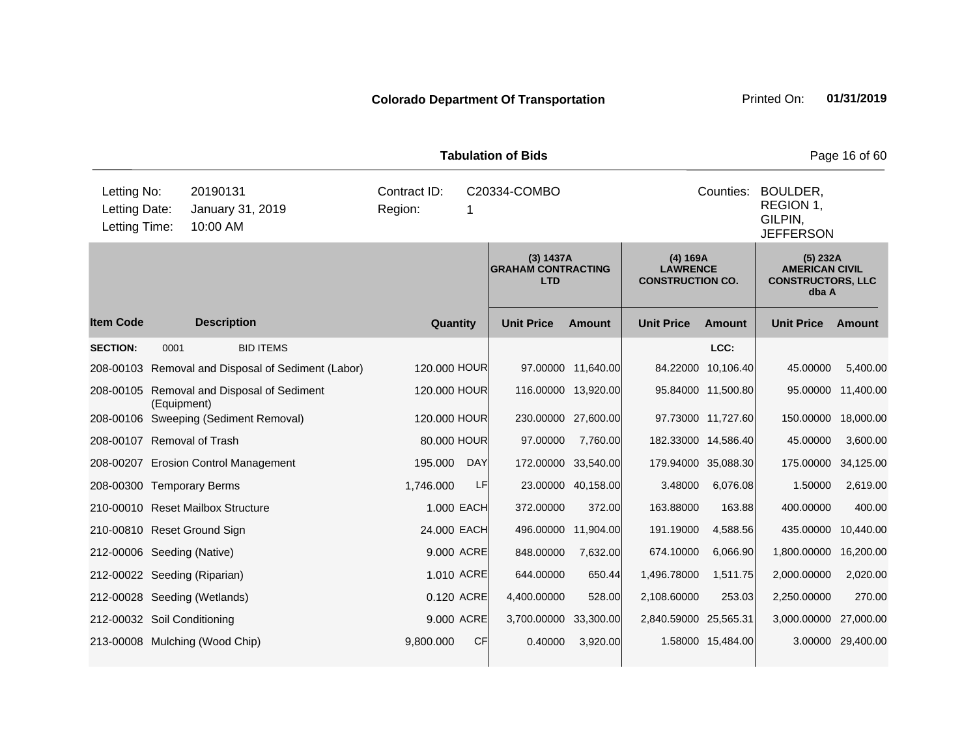|                                                                                           | <b>Tabulation of Bids</b> |                                                      |                         |                                                        |                   |                                                                        |                                                                   |                     |                   |           |
|-------------------------------------------------------------------------------------------|---------------------------|------------------------------------------------------|-------------------------|--------------------------------------------------------|-------------------|------------------------------------------------------------------------|-------------------------------------------------------------------|---------------------|-------------------|-----------|
| Letting No:<br>20190131<br>Letting Date:<br>January 31, 2019<br>Letting Time:<br>10:00 AM |                           |                                                      | Contract ID:<br>Region: | 1                                                      | C20334-COMBO      |                                                                        | Counties:<br>BOULDER,<br>REGION 1,<br>GILPIN.<br><b>JEFFERSON</b> |                     |                   |           |
|                                                                                           |                           | (3) 1437A<br><b>GRAHAM CONTRACTING</b><br><b>LTD</b> |                         | (4) 169A<br><b>LAWRENCE</b><br><b>CONSTRUCTION CO.</b> |                   | (5) 232A<br><b>AMERICAN CIVIL</b><br><b>CONSTRUCTORS, LLC</b><br>dba A |                                                                   |                     |                   |           |
| <b>Item Code</b>                                                                          |                           | <b>Description</b>                                   | Quantity                |                                                        | <b>Unit Price</b> | <b>Amount</b>                                                          | <b>Unit Price</b>                                                 | <b>Amount</b>       | <b>Unit Price</b> | Amount    |
| <b>SECTION:</b>                                                                           | 0001                      | <b>BID ITEMS</b>                                     |                         |                                                        |                   |                                                                        |                                                                   | LCC:                |                   |           |
|                                                                                           |                           | 208-00103 Removal and Disposal of Sediment (Labor)   | 120.000 HOUR            |                                                        |                   | 97.00000 11,640.00                                                     |                                                                   | 84.22000 10,106.40  | 45.00000          | 5,400.00  |
|                                                                                           | (Equipment)               | 208-00105 Removal and Disposal of Sediment           | 120.000 HOUR            |                                                        |                   | 116.00000 13,920.00                                                    |                                                                   | 95.84000 11,500.80  | 95.00000          | 11,400.00 |
|                                                                                           |                           | 208-00106 Sweeping (Sediment Removal)                | 120.000 HOUR            |                                                        |                   | 230.00000 27,600.00                                                    |                                                                   | 97.73000 11,727.60  | 150.00000         | 18,000.00 |
| 208-00107 Removal of Trash                                                                |                           |                                                      | 80.000 HOUR             |                                                        | 97,00000          | 7,760.00                                                               |                                                                   | 182.33000 14,586.40 | 45.00000          | 3,600.00  |
|                                                                                           |                           | 208-00207 Erosion Control Management                 | 195.000                 | <b>DAY</b>                                             | 172.00000         | 33,540.00                                                              |                                                                   | 179.94000 35,088.30 | 175.00000         | 34,125.00 |
| 208-00300 Temporary Berms                                                                 |                           |                                                      | 1,746.000               | LF                                                     |                   | 23.00000 40,158.00                                                     | 3.48000                                                           | 6,076.08            | 1.50000           | 2,619.00  |
|                                                                                           |                           | 210-00010 Reset Mailbox Structure                    | 1.000 EACH              |                                                        | 372.00000         | 372.00                                                                 | 163.88000                                                         | 163.88              | 400.00000         | 400.00    |
|                                                                                           |                           | 210-00810 Reset Ground Sign                          | 24.000 EACH             |                                                        | 496.00000         | 11,904.00                                                              | 191.19000                                                         | 4,588.56            | 435.00000         | 10,440.00 |
| 212-00006 Seeding (Native)                                                                |                           |                                                      | 9.000 ACRE              |                                                        | 848.00000         | 7,632.00                                                               | 674.10000                                                         | 6,066.90            | 1,800.00000       | 16,200.00 |
| 212-00022 Seeding (Riparian)                                                              |                           |                                                      | 1.010 ACRE              |                                                        | 644.00000         | 650.44                                                                 | 1,496.78000                                                       | 1,511.75            | 2,000.00000       | 2,020.00  |
|                                                                                           |                           | 212-00028 Seeding (Wetlands)                         | 0.120 ACRE              |                                                        | 4,400.00000       | 528.00                                                                 | 2,108.60000                                                       | 253.03              | 2,250.00000       | 270.00    |
| 212-00032 Soil Conditioning                                                               |                           |                                                      | 9.000 ACRE              |                                                        | 3,700.00000       | 33,300.00                                                              | 2,840.59000 25,565.31                                             |                     | 3,000.00000       | 27,000.00 |
|                                                                                           |                           | 213-00008 Mulching (Wood Chip)                       | 9,800.000               | <b>CF</b>                                              | 0.40000           | 3,920.00                                                               |                                                                   | 1.58000 15,484.00   | 3.00000           | 29,400.00 |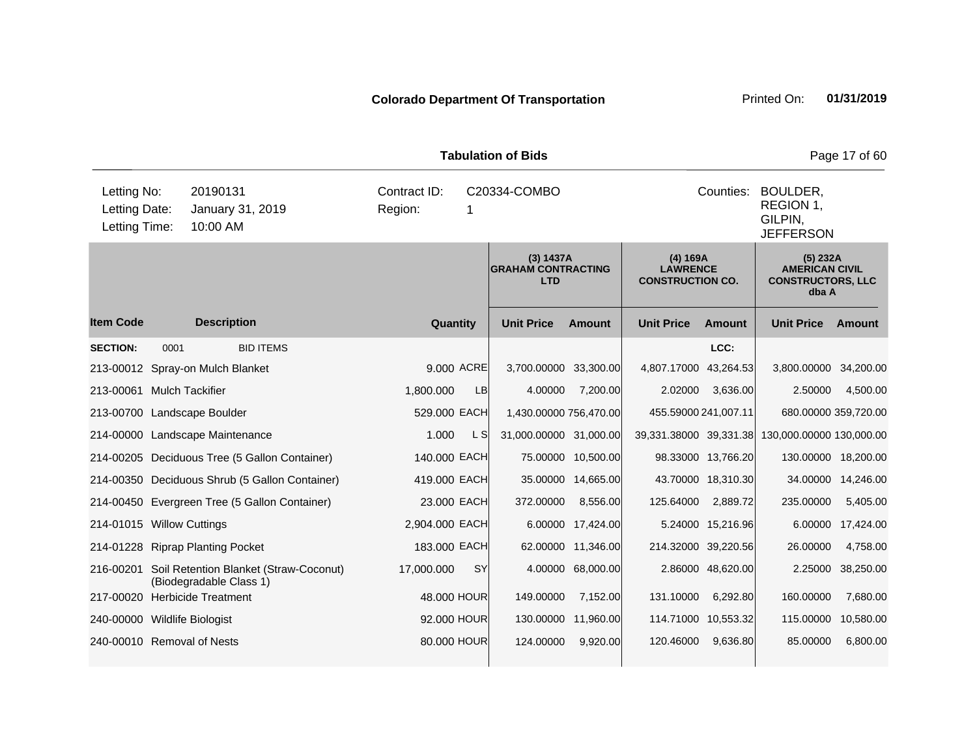| <b>Tabulation of Bids</b>                     |      |                                                                             |                                                      |            |                        |                    |                                                        |                    |                                                                        | Page 17 of 60      |
|-----------------------------------------------|------|-----------------------------------------------------------------------------|------------------------------------------------------|------------|------------------------|--------------------|--------------------------------------------------------|--------------------|------------------------------------------------------------------------|--------------------|
| Letting No:<br>Letting Date:<br>Letting Time: |      | 20190131<br>January 31, 2019<br>10:00 AM                                    | Contract ID:<br>Region:                              |            | C20334-COMBO           |                    |                                                        | Counties:          | BOULDER,<br>REGION 1,<br>GILPIN,<br><b>JEFFERSON</b>                   |                    |
|                                               |      |                                                                             | (3) 1437A<br><b>GRAHAM CONTRACTING</b><br><b>LTD</b> |            |                        |                    | (4) 169A<br><b>LAWRENCE</b><br><b>CONSTRUCTION CO.</b> |                    | (5) 232A<br><b>AMERICAN CIVIL</b><br><b>CONSTRUCTORS, LLC</b><br>dba A |                    |
| <b>Item Code</b>                              |      | <b>Description</b>                                                          | Quantity                                             |            | <b>Unit Price</b>      | <b>Amount</b>      | <b>Unit Price</b>                                      | <b>Amount</b>      | <b>Unit Price</b>                                                      | Amount             |
| <b>SECTION:</b>                               | 0001 | <b>BID ITEMS</b>                                                            |                                                      |            |                        |                    |                                                        | LCC:               |                                                                        |                    |
|                                               |      | 213-00012 Spray-on Mulch Blanket                                            |                                                      | 9,000 ACRE | 3,700.00000 33,300.00  |                    | 4,807.17000 43,264.53                                  |                    | 3,800.00000 34,200.00                                                  |                    |
| 213-00061 Mulch Tackifier                     |      |                                                                             | 1,800.000                                            | LB         | 4.00000                | 7,200.00           | 2.02000                                                | 3,636.00           | 2.50000                                                                | 4,500.00           |
|                                               |      | 213-00700 Landscape Boulder                                                 | 529,000 EACH                                         |            | 1,430.00000 756,470.00 |                    | 455.59000 241,007.11                                   |                    | 680.00000 359,720.00                                                   |                    |
|                                               |      | 214-00000 Landscape Maintenance                                             | 1.000                                                | L SI       | 31,000.00000 31,000.00 |                    | 39,331.38000 39,331.38                                 |                    | 130,000.00000 130,000.00                                               |                    |
|                                               |      | 214-00205 Deciduous Tree (5 Gallon Container)                               | 140.000 EACH                                         |            |                        | 75.00000 10,500.00 |                                                        | 98.33000 13,766.20 | 130.00000 18,200.00                                                    |                    |
|                                               |      | 214-00350 Deciduous Shrub (5 Gallon Container)                              | 419.000 EACH                                         |            |                        | 35.00000 14,665.00 |                                                        | 43.70000 18,310.30 |                                                                        | 34.00000 14,246.00 |
|                                               |      | 214-00450 Evergreen Tree (5 Gallon Container)                               | 23.000 EACH                                          |            | 372.00000              | 8,556.00           | 125.64000                                              | 2,889.72           | 235.00000                                                              | 5,405.00           |
| 214-01015 Willow Cuttings                     |      |                                                                             | 2,904.000 EACH                                       |            |                        | 6.00000 17,424.00  |                                                        | 5.24000 15,216.96  |                                                                        | 6.00000 17,424.00  |
|                                               |      | 214-01228 Riprap Planting Pocket                                            | 183.000 EACH                                         |            |                        | 62.00000 11,346.00 | 214.32000 39,220.56                                    |                    | 26.00000                                                               | 4,758.00           |
|                                               |      | 216-00201 Soil Retention Blanket (Straw-Coconut)<br>(Biodegradable Class 1) | 17,000.000                                           | SY         |                        | 4.00000 68,000.00  |                                                        | 2.86000 48,620.00  |                                                                        | 2.25000 38,250.00  |
|                                               |      | 217-00020 Herbicide Treatment                                               | 48.000 HOUR                                          |            | 149.00000              | 7,152.00           | 131.10000                                              | 6,292.80           | 160.00000                                                              | 7,680.00           |
| 240-00000 Wildlife Biologist                  |      |                                                                             | 92.000 HOUR                                          |            | 130.00000              | 11,960.00          | 114.71000                                              | 10,553.32          | 115.00000                                                              | 10,580.00          |
| 240-00010 Removal of Nests                    |      |                                                                             | 80,000 HOUR                                          |            | 124.00000              | 9,920.00           | 120.46000                                              | 9,636.80           | 85.00000                                                               | 6,800.00           |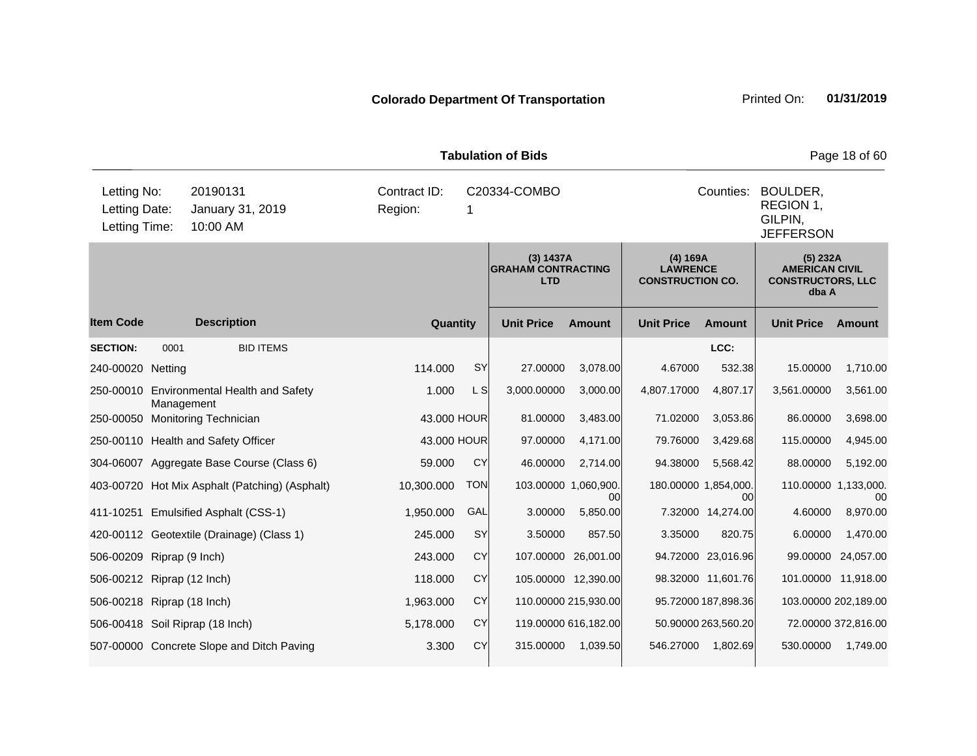| <b>Tabulation of Bids</b>                     |                                           |                                                |                                                      |            |                   |                                 |                                                        |                     |                                                                        | Page 18 of 60        |
|-----------------------------------------------|-------------------------------------------|------------------------------------------------|------------------------------------------------------|------------|-------------------|---------------------------------|--------------------------------------------------------|---------------------|------------------------------------------------------------------------|----------------------|
| Letting No:<br>Letting Date:<br>Letting Time: |                                           | 20190131<br>January 31, 2019<br>10:00 AM       | Contract ID:<br>Region:                              | 1          | C20334-COMBO      |                                 |                                                        | Counties:           | BOULDER,<br>REGION 1,<br>GILPIN,<br><b>JEFFERSON</b>                   |                      |
|                                               |                                           |                                                | (3) 1437A<br><b>GRAHAM CONTRACTING</b><br><b>LTD</b> |            |                   |                                 | (4) 169A<br><b>LAWRENCE</b><br><b>CONSTRUCTION CO.</b> |                     | (5) 232A<br><b>AMERICAN CIVIL</b><br><b>CONSTRUCTORS, LLC</b><br>dba A |                      |
| <b>Item Code</b>                              |                                           | <b>Description</b>                             | Quantity                                             |            | <b>Unit Price</b> | <b>Amount</b>                   | <b>Unit Price</b>                                      | Amount              | <b>Unit Price</b>                                                      | Amount               |
| <b>SECTION:</b>                               | 0001                                      | <b>BID ITEMS</b>                               |                                                      |            |                   |                                 |                                                        | LCC:                |                                                                        |                      |
| 240-00020 Netting                             |                                           |                                                | 114.000                                              | <b>SY</b>  | 27.00000          | 3,078.00                        | 4.67000                                                | 532.38              | 15.00000                                                               | 1,710.00             |
| 250-00010                                     | Management                                | <b>Environmental Health and Safety</b>         | 1.000                                                | L S        | 3,000.00000       | 3,000.00                        | 4,807.17000                                            | 4,807.17            | 3,561.00000                                                            | 3,561.00             |
|                                               |                                           | 250-00050 Monitoring Technician                | 43.000 HOUR                                          |            | 81.00000          | 3,483.00                        | 71.02000                                               | 3,053.86            | 86.00000                                                               | 3,698.00             |
|                                               |                                           | 250-00110 Health and Safety Officer            | 43.000 HOUR                                          |            | 97.00000          | 4,171.00                        | 79.76000                                               | 3,429.68            | 115.00000                                                              | 4,945.00             |
|                                               |                                           | 304-06007 Aggregate Base Course (Class 6)      | 59.000                                               | CY         | 46.00000          | 2,714.00                        | 94.38000                                               | 5,568.42            | 88.00000                                                               | 5,192.00             |
|                                               |                                           | 403-00720 Hot Mix Asphalt (Patching) (Asphalt) | 10,300.000                                           | <b>TON</b> |                   | 103.00000 1,060,900.<br>$00 \,$ | 180.00000 1,854,000.                                   | 00                  | 110.00000 1,133,000.                                                   | 00                   |
|                                               |                                           | 411-10251 Emulsified Asphalt (CSS-1)           | 1,950.000                                            | GAL        | 3.00000           | 5,850.00                        |                                                        | 7.32000 14,274.00   | 4.60000                                                                | 8,970.00             |
|                                               |                                           | 420-00112 Geotextile (Drainage) (Class 1)      | 245.000                                              | SY         | 3.50000           | 857.50                          | 3.35000                                                | 820.75              | 6.00000                                                                | 1,470.00             |
| 506-00209 Riprap (9 Inch)                     |                                           |                                                | 243.000                                              | CY         |                   | 107.00000 26,001.00             |                                                        | 94.72000 23,016.96  |                                                                        | 99.00000 24,057.00   |
| 506-00212 Riprap (12 Inch)                    |                                           |                                                | 118.000                                              | CY         |                   | 105.00000 12,390.00             |                                                        | 98.32000 11,601.76  |                                                                        | 101.00000 11,918.00  |
| 506-00218 Riprap (18 Inch)                    |                                           |                                                | 1,963.000                                            | CY         |                   | 110.00000 215,930.00            |                                                        | 95.72000 187,898.36 |                                                                        | 103.00000 202,189.00 |
|                                               |                                           | 506-00418 Soil Riprap (18 Inch)                | 5,178.000                                            | CY         |                   | 119.00000 616,182.00            |                                                        | 50.90000 263,560.20 |                                                                        | 72.00000 372,816.00  |
|                                               | 507-00000 Concrete Slope and Ditch Paving |                                                | 3.300                                                | CY         | 315.00000         | 1,039.50                        | 546.27000                                              | 1,802.69            | 530.00000                                                              | 1,749.00             |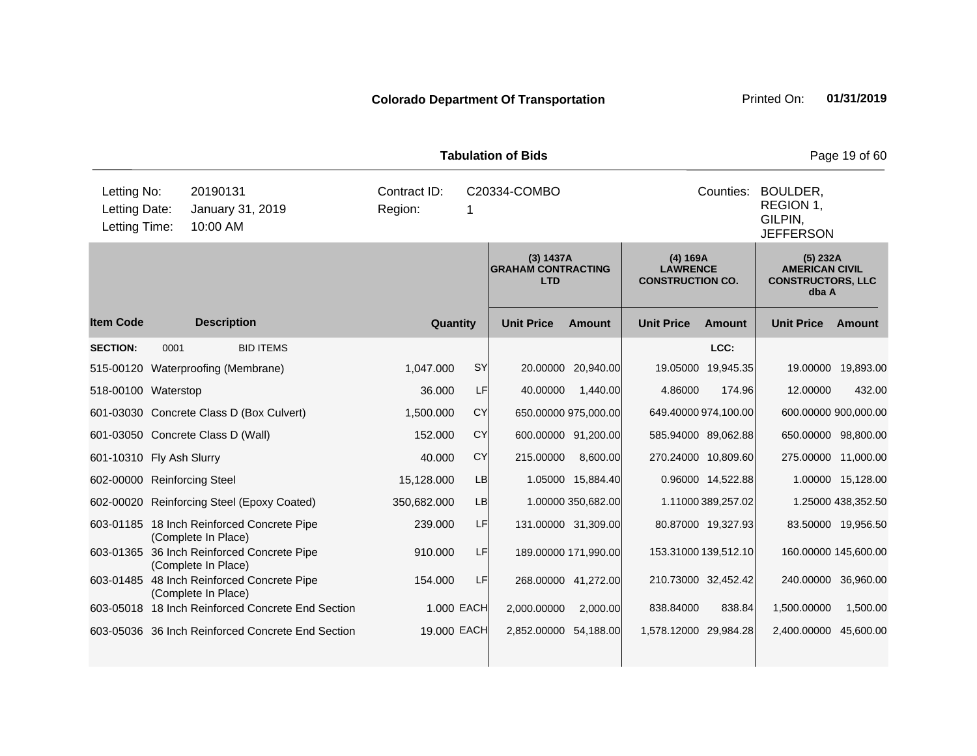| <b>Tabulation of Bids</b>                     |      |                                                                   |                         |            |                       |                                                        |                                                                   |                                                                        |                       | Page 19 of 60      |
|-----------------------------------------------|------|-------------------------------------------------------------------|-------------------------|------------|-----------------------|--------------------------------------------------------|-------------------------------------------------------------------|------------------------------------------------------------------------|-----------------------|--------------------|
| Letting No:<br>Letting Date:<br>Letting Time: |      | 20190131<br>January 31, 2019<br>10:00 AM                          | Contract ID:<br>Region: | 1          | C20334-COMBO          |                                                        | Counties:<br>BOULDER,<br>REGION 1,<br>GILPIN,<br><b>JEFFERSON</b> |                                                                        |                       |                    |
|                                               |      | (3) 1437A<br><b>GRAHAM CONTRACTING</b><br><b>LTD</b>              |                         |            |                       | (4) 169A<br><b>LAWRENCE</b><br><b>CONSTRUCTION CO.</b> |                                                                   | (5) 232A<br><b>AMERICAN CIVIL</b><br><b>CONSTRUCTORS, LLC</b><br>dba A |                       |                    |
| <b>Item Code</b>                              |      | <b>Description</b>                                                | Quantity                |            | <b>Unit Price</b>     | Amount                                                 | <b>Unit Price</b>                                                 | Amount                                                                 | <b>Unit Price</b>     | Amount             |
| <b>SECTION:</b>                               | 0001 | <b>BID ITEMS</b>                                                  |                         |            |                       |                                                        |                                                                   | LCC:                                                                   |                       |                    |
|                                               |      | 515-00120 Waterproofing (Membrane)                                | 1.047.000               | SY         |                       | 20.00000 20,940.00                                     |                                                                   | 19.05000 19,945.35                                                     |                       | 19.00000 19,893.00 |
| 518-00100 Waterstop                           |      |                                                                   | 36.000                  | LF         | 40.00000              | 1,440.00                                               | 4.86000                                                           | 174.96                                                                 | 12.00000              | 432.00             |
|                                               |      | 601-03030 Concrete Class D (Box Culvert)                          | 1,500.000               | <b>CY</b>  |                       | 650.00000 975,000.00                                   | 649.40000 974,100.00                                              |                                                                        | 600.00000 900,000.00  |                    |
|                                               |      | 601-03050 Concrete Class D (Wall)                                 | 152.000                 | <b>CY</b>  |                       | 600.00000 91,200.00                                    | 585.94000 89,062.88                                               |                                                                        | 650.00000 98,800.00   |                    |
| 601-10310 Fly Ash Slurry                      |      |                                                                   | 40.000                  | <b>CY</b>  | 215.00000             | 8,600.00                                               | 270.24000 10,809.60                                               |                                                                        | 275.00000 11,000.00   |                    |
| 602-00000 Reinforcing Steel                   |      |                                                                   | 15,128.000              | <b>LB</b>  |                       | 1.05000 15,884.40                                      |                                                                   | 0.96000 14,522.88                                                      |                       | 1.00000 15,128.00  |
|                                               |      | 602-00020 Reinforcing Steel (Epoxy Coated)                        | 350,682.000             | <b>LB</b>  |                       | 1.00000 350,682.00                                     |                                                                   | 1.11000 389,257.02                                                     |                       | 1.25000 438,352.50 |
|                                               |      | 603-01185 18 Inch Reinforced Concrete Pipe<br>(Complete In Place) | 239.000                 | LF         |                       | 131.00000 31,309.00                                    |                                                                   | 80.87000 19,327.93                                                     |                       | 83.50000 19,956.50 |
|                                               |      | 603-01365 36 Inch Reinforced Concrete Pipe<br>(Complete In Place) | 910.000                 | LF         |                       | 189.00000 171,990.00                                   | 153.31000 139,512.10                                              |                                                                        | 160.00000 145,600.00  |                    |
|                                               |      | 603-01485 48 Inch Reinforced Concrete Pipe<br>(Complete In Place) | 154.000                 | LF         |                       | 268.00000 41,272.00                                    | 210.73000 32,452.42                                               |                                                                        | 240.00000 36,960.00   |                    |
|                                               |      | 603-05018 18 Inch Reinforced Concrete End Section                 |                         | 1.000 EACH | 2,000.00000           | 2,000.00                                               | 838.84000                                                         | 838.84                                                                 | 1,500.00000           | 1,500.00           |
|                                               |      | 603-05036 36 Inch Reinforced Concrete End Section                 | 19.000 EACH             |            | 2,852.00000 54,188.00 |                                                        | 1,578.12000 29,984.28                                             |                                                                        | 2,400.00000 45,600.00 |                    |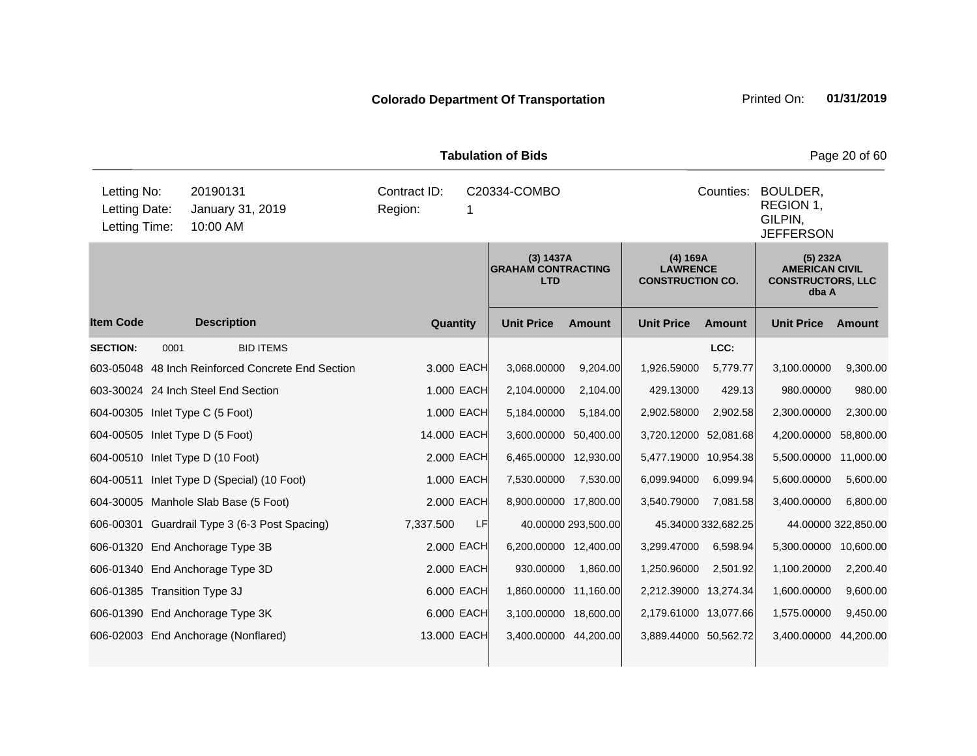|                                               | <b>Tabulation of Bids</b><br>Page 20 of 60 |                                                   |                         |            |                                                      |                     |                                                        |                     |                                                                          |                     |  |
|-----------------------------------------------|--------------------------------------------|---------------------------------------------------|-------------------------|------------|------------------------------------------------------|---------------------|--------------------------------------------------------|---------------------|--------------------------------------------------------------------------|---------------------|--|
| Letting No:<br>Letting Date:<br>Letting Time: |                                            | 20190131<br>January 31, 2019<br>10:00 AM          | Contract ID:<br>Region: |            | C20334-COMBO                                         |                     |                                                        | Counties:           | BOULDER,<br>REGION 1,<br>GILPIN.<br><b>JEFFERSON</b>                     |                     |  |
|                                               |                                            |                                                   |                         |            | (3) 1437A<br><b>GRAHAM CONTRACTING</b><br><b>LTD</b> |                     | (4) 169A<br><b>LAWRENCE</b><br><b>CONSTRUCTION CO.</b> |                     | $(5)$ 232A<br><b>AMERICAN CIVIL</b><br><b>CONSTRUCTORS, LLC</b><br>dba A |                     |  |
| <b>Item Code</b>                              |                                            | <b>Description</b>                                | Quantity                |            | <b>Unit Price</b>                                    | <b>Amount</b>       | <b>Unit Price</b>                                      | <b>Amount</b>       | <b>Unit Price</b>                                                        | Amount              |  |
| <b>SECTION:</b>                               | 0001                                       | <b>BID ITEMS</b>                                  |                         |            |                                                      |                     |                                                        | LCC:                |                                                                          |                     |  |
|                                               |                                            | 603-05048 48 Inch Reinforced Concrete End Section |                         | 3.000 EACH | 3,068.00000                                          | 9,204.00            | 1,926.59000                                            | 5,779.77            | 3,100.00000                                                              | 9,300.00            |  |
|                                               |                                            | 603-30024 24 Inch Steel End Section               |                         | 1.000 EACH | 2,104.00000                                          | 2,104.00            | 429.13000                                              | 429.13              | 980.00000                                                                | 980.00              |  |
|                                               |                                            | 604-00305 Inlet Type C (5 Foot)                   |                         | 1.000 EACH | 5,184.00000                                          | 5,184.00            | 2,902.58000                                            | 2,902.58            | 2,300.00000                                                              | 2,300.00            |  |
|                                               |                                            | 604-00505 Inlet Type D (5 Foot)                   | 14.000 EACH             |            | 3,600.00000                                          | 50,400.00           | 3,720.12000 52,081.68                                  |                     | 4,200.00000                                                              | 58,800.00           |  |
|                                               |                                            | 604-00510 Inlet Type D (10 Foot)                  |                         | 2.000 EACH | 6,465.00000                                          | 12,930.00           | 5,477.19000 10,954.38                                  |                     | 5,500.00000 11,000.00                                                    |                     |  |
|                                               |                                            | 604-00511 Inlet Type D (Special) (10 Foot)        |                         | 1.000 EACH | 7,530.00000                                          | 7,530.00            | 6,099.94000                                            | 6,099.94            | 5,600.00000                                                              | 5,600.00            |  |
|                                               |                                            | 604-30005 Manhole Slab Base (5 Foot)              |                         | 2,000 EACH | 8,900.00000 17,800.00                                |                     | 3,540.79000                                            | 7.081.58            | 3,400.00000                                                              | 6,800.00            |  |
|                                               |                                            | 606-00301 Guardrail Type 3 (6-3 Post Spacing)     | 7,337.500               | LF         |                                                      | 40.00000 293,500.00 |                                                        | 45.34000 332,682.25 |                                                                          | 44.00000 322,850.00 |  |
|                                               |                                            | 606-01320 End Anchorage Type 3B                   |                         | 2.000 EACH | 6,200.00000 12,400.00                                |                     | 3,299.47000                                            | 6,598.94            | 5,300.00000                                                              | 10,600.00           |  |
|                                               |                                            | 606-01340 End Anchorage Type 3D                   |                         | 2.000 EACH | 930.00000                                            | 1,860.00            | 1,250.96000                                            | 2,501.92            | 1,100.20000                                                              | 2,200.40            |  |
| 606-01385 Transition Type 3J                  |                                            |                                                   |                         | 6.000 EACH | 1,860.00000 11,160.00                                |                     | 2,212.39000 13,274.34                                  |                     | 1,600.00000                                                              | 9,600.00            |  |
|                                               |                                            | 606-01390 End Anchorage Type 3K                   |                         | 6.000 EACH | 3,100.00000 18,600.00                                |                     | 2,179.61000 13,077.66                                  |                     | 1,575.00000                                                              | 9,450.00            |  |
|                                               |                                            | 606-02003 End Anchorage (Nonflared)               | 13.000 EACH             |            | 3,400.00000 44,200.00                                |                     | 3,889.44000 50,562.72                                  |                     | 3,400.00000 44,200.00                                                    |                     |  |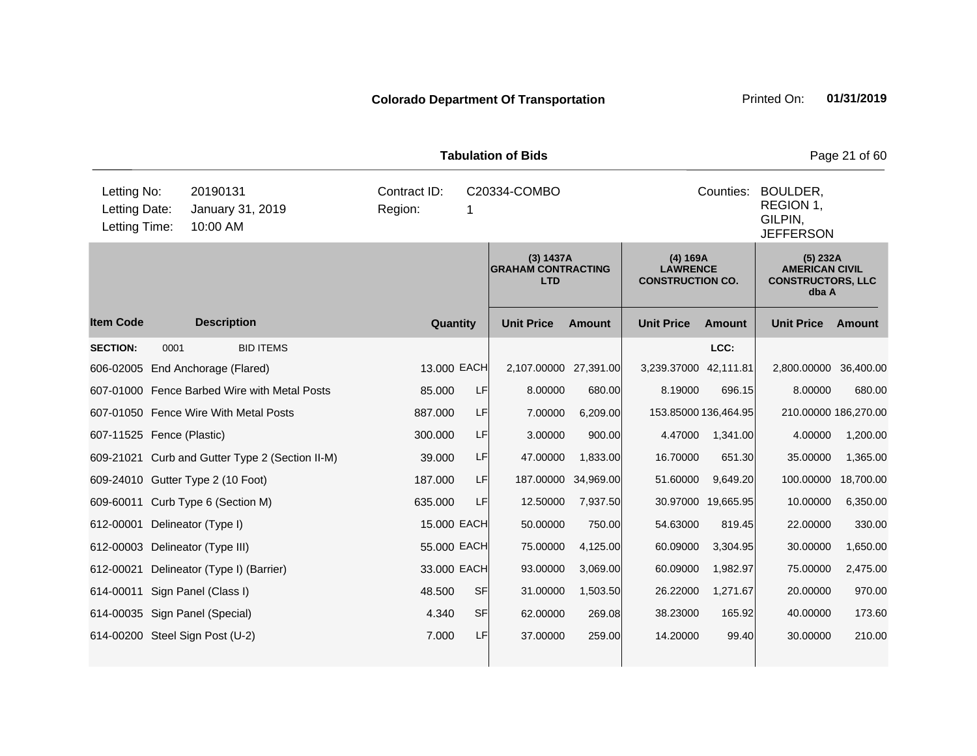| <b>Tabulation of Bids</b><br>Page 21 of 60    |      |                                                 |                         |           |                                                      |                     |                                                        |                                                                   |                                                                        |               |  |
|-----------------------------------------------|------|-------------------------------------------------|-------------------------|-----------|------------------------------------------------------|---------------------|--------------------------------------------------------|-------------------------------------------------------------------|------------------------------------------------------------------------|---------------|--|
| Letting No:<br>Letting Date:<br>Letting Time: |      | 20190131<br>January 31, 2019<br>10:00 AM        | Contract ID:<br>Region: | 1         | C20334-COMBO                                         |                     |                                                        | Counties:<br>BOULDER,<br>REGION 1,<br>GILPIN,<br><b>JEFFERSON</b> |                                                                        |               |  |
|                                               |      |                                                 |                         |           | (3) 1437A<br><b>GRAHAM CONTRACTING</b><br><b>LTD</b> |                     | (4) 169A<br><b>LAWRENCE</b><br><b>CONSTRUCTION CO.</b> |                                                                   | (5) 232A<br><b>AMERICAN CIVIL</b><br><b>CONSTRUCTORS, LLC</b><br>dba A |               |  |
| <b>Item Code</b>                              |      | <b>Description</b>                              | Quantity                |           | <b>Unit Price</b>                                    | <b>Amount</b>       | <b>Unit Price</b>                                      | <b>Amount</b>                                                     | <b>Unit Price</b>                                                      | <b>Amount</b> |  |
| <b>SECTION:</b>                               | 0001 | <b>BID ITEMS</b>                                |                         |           |                                                      |                     |                                                        | LCC:                                                              |                                                                        |               |  |
|                                               |      | 606-02005 End Anchorage (Flared)                | 13.000 EACH             |           | 2,107.00000 27,391.00                                |                     | 3,239.37000 42,111.81                                  |                                                                   | 2,800.00000                                                            | 36,400.00     |  |
|                                               |      | 607-01000 Fence Barbed Wire with Metal Posts    | 85.000                  | LF        | 8.00000                                              | 680.00              | 8.19000                                                | 696.15                                                            | 8.00000                                                                | 680.00        |  |
|                                               |      | 607-01050 Fence Wire With Metal Posts           | 887.000                 | LF        | 7.00000                                              | 6,209.00            | 153.85000 136,464.95                                   |                                                                   | 210.00000 186,270.00                                                   |               |  |
| 607-11525 Fence (Plastic)                     |      |                                                 | 300.000                 | LF        | 3.00000                                              | 900.00              | 4.47000                                                | 1,341.00                                                          | 4.00000                                                                | 1,200.00      |  |
|                                               |      | 609-21021 Curb and Gutter Type 2 (Section II-M) | 39.000                  | LF        | 47.00000                                             | 1,833.00            | 16.70000                                               | 651.30                                                            | 35.00000                                                               | 1,365.00      |  |
|                                               |      | 609-24010 Gutter Type 2 (10 Foot)               | 187.000                 | LF        |                                                      | 187.00000 34,969.00 | 51.60000                                               | 9,649.20                                                          | 100.00000                                                              | 18,700.00     |  |
|                                               |      | 609-60011 Curb Type 6 (Section M)               | 635.000                 | LF        | 12.50000                                             | 7,937.50            |                                                        | 30.97000 19,665.95                                                | 10.00000                                                               | 6,350.00      |  |
| 612-00001                                     |      | Delineator (Type I)                             | 15.000 EACH             |           | 50.00000                                             | 750.00              | 54.63000                                               | 819.45                                                            | 22.00000                                                               | 330.00        |  |
| 612-00003                                     |      | Delineator (Type III)                           | 55.000 EACH             |           | 75.00000                                             | 4,125.00            | 60.09000                                               | 3,304.95                                                          | 30.00000                                                               | 1,650.00      |  |
| 612-00021                                     |      | Delineator (Type I) (Barrier)                   | 33.000 EACH             |           | 93.00000                                             | 3,069.00            | 60.09000                                               | 1,982.97                                                          | 75.00000                                                               | 2,475.00      |  |
| 614-00011                                     |      | Sign Panel (Class I)                            | 48.500                  | <b>SF</b> | 31.00000                                             | 1,503.50            | 26.22000                                               | 1,271.67                                                          | 20.00000                                                               | 970.00        |  |
|                                               |      | 614-00035 Sign Panel (Special)                  | 4.340                   | <b>SF</b> | 62.00000                                             | 269.08              | 38.23000                                               | 165.92                                                            | 40.00000                                                               | 173.60        |  |
|                                               |      | 614-00200 Steel Sign Post (U-2)                 | 7.000                   | LF        | 37.00000                                             | 259.00              | 14.20000                                               | 99.40                                                             | 30.00000                                                               | 210.00        |  |
|                                               |      |                                                 |                         |           |                                                      |                     |                                                        |                                                                   |                                                                        |               |  |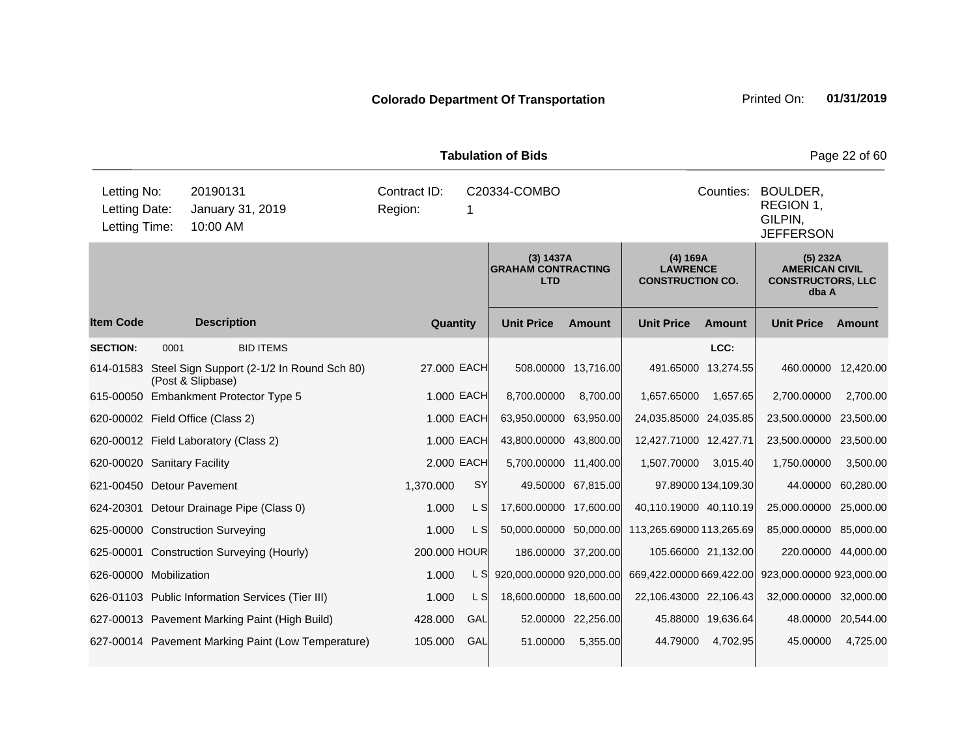|                                               | <b>Tabulation of Bids</b><br>Page 22 of 60 |                                                                           |                         |                |                                                      |                     |                                                        |                     |                                                                        |                    |  |  |  |
|-----------------------------------------------|--------------------------------------------|---------------------------------------------------------------------------|-------------------------|----------------|------------------------------------------------------|---------------------|--------------------------------------------------------|---------------------|------------------------------------------------------------------------|--------------------|--|--|--|
| Letting No:<br>Letting Date:<br>Letting Time: |                                            | 20190131<br>January 31, 2019<br>10:00 AM                                  | Contract ID:<br>Region: | 1              | C20334-COMBO                                         |                     |                                                        | Counties:           | BOULDER,<br>REGION 1,<br>GILPIN,<br><b>JEFFERSON</b>                   |                    |  |  |  |
|                                               |                                            |                                                                           |                         |                | (3) 1437A<br><b>GRAHAM CONTRACTING</b><br><b>LTD</b> |                     | (4) 169A<br><b>LAWRENCE</b><br><b>CONSTRUCTION CO.</b> |                     | (5) 232A<br><b>AMERICAN CIVIL</b><br><b>CONSTRUCTORS, LLC</b><br>dba A |                    |  |  |  |
| <b>Item Code</b>                              |                                            | <b>Description</b>                                                        |                         | Quantity       | <b>Unit Price</b>                                    | <b>Amount</b>       | <b>Unit Price</b>                                      | <b>Amount</b>       | <b>Unit Price</b>                                                      | Amount             |  |  |  |
| <b>SECTION:</b>                               | 0001                                       | <b>BID ITEMS</b>                                                          |                         |                |                                                      |                     |                                                        | LCC:                |                                                                        |                    |  |  |  |
|                                               |                                            | 614-01583 Steel Sign Support (2-1/2 In Round Sch 80)<br>(Post & Slipbase) |                         | 27.000 EACH    |                                                      | 508.00000 13,716.00 |                                                        | 491.65000 13,274.55 | 460.00000 12,420.00                                                    |                    |  |  |  |
|                                               |                                            | 615-00050 Embankment Protector Type 5                                     |                         | 1.000 EACH     | 8,700.00000                                          | 8,700.00            | 1,657.65000                                            | 1,657.65            | 2,700.00000                                                            | 2,700.00           |  |  |  |
|                                               |                                            | 620-00002 Field Office (Class 2)                                          |                         | 1.000 EACH     | 63,950.00000 63,950.00                               |                     | 24,035.85000 24,035.85                                 |                     | 23,500.00000                                                           | 23,500.00          |  |  |  |
|                                               |                                            | 620-00012 Field Laboratory (Class 2)                                      |                         | 1,000 EACH     | 43,800.00000 43,800.00                               |                     | 12,427.71000 12,427.71                                 |                     | 23,500.00000 23,500.00                                                 |                    |  |  |  |
| 620-00020 Sanitary Facility                   |                                            |                                                                           |                         | 2,000 EACH     | 5,700.00000 11,400.00                                |                     | 1,507.70000                                            | 3,015.40            | 1,750.00000                                                            | 3,500.00           |  |  |  |
| 621-00450 Detour Pavement                     |                                            |                                                                           | 1,370.000               | SY             |                                                      | 49.50000 67,815.00  |                                                        | 97.89000 134,109.30 |                                                                        | 44.00000 60,280.00 |  |  |  |
|                                               |                                            | 624-20301 Detour Drainage Pipe (Class 0)                                  | 1.000                   | L S            | 17,600.00000 17,600.00                               |                     | 40,110.19000 40,110.19                                 |                     | 25,000.00000                                                           | 25,000.00          |  |  |  |
|                                               |                                            | 625-00000 Construction Surveying                                          | 1.000                   | L S            | 50,000.00000 50,000.00                               |                     | 113,265.69000 113,265.69                               |                     | 85,000.00000 85,000.00                                                 |                    |  |  |  |
|                                               |                                            | 625-00001 Construction Surveying (Hourly)                                 | 200.000 HOUR            |                |                                                      | 186.00000 37,200.00 | 105.66000 21,132.00                                    |                     | 220.00000 44,000.00                                                    |                    |  |  |  |
| 626-00000 Mobilization                        |                                            |                                                                           | 1.000                   | L S            | 920,000.00000 920,000.00                             |                     | 669,422.00000 669,422.00                               |                     | 923,000.00000 923,000.00                                               |                    |  |  |  |
|                                               |                                            | 626-01103 Public Information Services (Tier III)                          | 1.000                   | L <sub>S</sub> | 18,600.00000 18,600.00                               |                     | 22,106.43000 22,106.43                                 |                     | 32,000.00000 32,000.00                                                 |                    |  |  |  |
|                                               |                                            | 627-00013 Pavement Marking Paint (High Build)                             | 428.000                 | GAL            |                                                      | 52.00000 22,256.00  |                                                        | 45.88000 19,636.64  |                                                                        | 48.00000 20,544.00 |  |  |  |
|                                               |                                            | 627-00014 Pavement Marking Paint (Low Temperature)                        | 105.000                 | GAL            | 51.00000                                             | 5,355.00            | 44.79000                                               | 4,702.95            | 45.00000                                                               | 4,725.00           |  |  |  |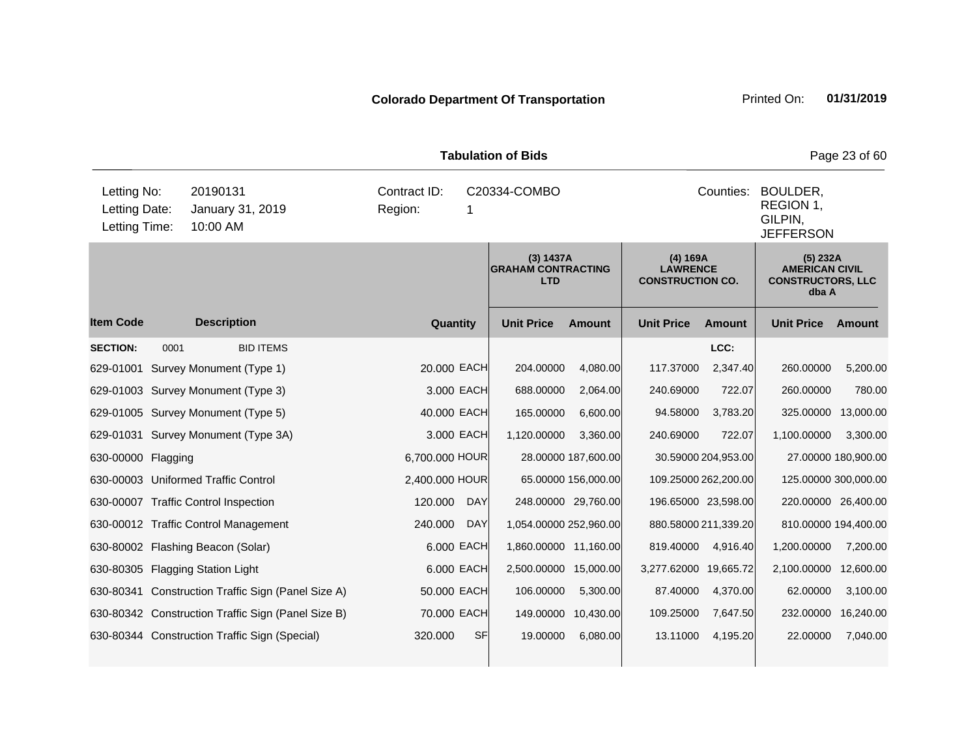|                                               |      |                                                    |                         |            | <b>Tabulation of Bids</b>                            |                     |                                                        |                     |                                                                        | Page 23 of 60       |
|-----------------------------------------------|------|----------------------------------------------------|-------------------------|------------|------------------------------------------------------|---------------------|--------------------------------------------------------|---------------------|------------------------------------------------------------------------|---------------------|
| Letting No:<br>Letting Date:<br>Letting Time: |      | 20190131<br>January 31, 2019<br>10:00 AM           | Contract ID:<br>Region: | 1          | C20334-COMBO                                         |                     |                                                        | Counties:           | BOULDER,<br>REGION 1,<br>GILPIN,<br><b>JEFFERSON</b>                   |                     |
|                                               |      |                                                    |                         |            | (3) 1437A<br><b>GRAHAM CONTRACTING</b><br><b>LTD</b> |                     | (4) 169A<br><b>LAWRENCE</b><br><b>CONSTRUCTION CO.</b> |                     | (5) 232A<br><b>AMERICAN CIVIL</b><br><b>CONSTRUCTORS, LLC</b><br>dba A |                     |
| <b>Item Code</b>                              |      | <b>Description</b>                                 | Quantity                |            | <b>Unit Price</b>                                    | <b>Amount</b>       | <b>Unit Price</b>                                      | <b>Amount</b>       | <b>Unit Price</b>                                                      | <b>Amount</b>       |
| <b>SECTION:</b>                               | 0001 | <b>BID ITEMS</b>                                   |                         |            |                                                      |                     |                                                        | LCC:                |                                                                        |                     |
|                                               |      | 629-01001 Survey Monument (Type 1)                 | 20.000 EACH             |            | 204.00000                                            | 4,080.00            | 117.37000                                              | 2,347.40            | 260.00000                                                              | 5,200.00            |
|                                               |      | 629-01003 Survey Monument (Type 3)                 |                         | 3.000 EACH | 688.00000                                            | 2,064.00            | 240.69000                                              | 722.07              | 260.00000                                                              | 780.00              |
|                                               |      | 629-01005 Survey Monument (Type 5)                 | 40.000 EACH             |            | 165.00000                                            | 6,600.00            | 94.58000                                               | 3,783.20            | 325.00000                                                              | 13,000.00           |
|                                               |      | 629-01031 Survey Monument (Type 3A)                |                         | 3.000 EACH | 1,120.00000                                          | 3,360.00            | 240.69000                                              | 722.07              | 1,100.00000                                                            | 3,300.00            |
| 630-00000 Flagging                            |      |                                                    | 6,700.000 HOUR          |            |                                                      | 28.00000 187,600.00 |                                                        | 30.59000 204,953.00 |                                                                        | 27.00000 180,900.00 |
|                                               |      | 630-00003 Uniformed Traffic Control                | 2,400.000 HOUR          |            |                                                      | 65.00000 156,000.00 | 109.25000 262,200.00                                   |                     | 125.00000 300,000.00                                                   |                     |
|                                               |      | 630-00007 Traffic Control Inspection               | 120,000                 | <b>DAY</b> |                                                      | 248.00000 29,760.00 | 196.65000 23,598.00                                    |                     | 220.00000 26,400.00                                                    |                     |
|                                               |      | 630-00012 Traffic Control Management               | 240.000                 | <b>DAY</b> | 1,054.00000 252,960.00                               |                     | 880.58000 211,339.20                                   |                     | 810.00000 194,400.00                                                   |                     |
|                                               |      | 630-80002 Flashing Beacon (Solar)                  |                         | 6.000 EACH | 1,860.00000 11,160.00                                |                     | 819.40000                                              | 4,916.40            | 1,200.00000                                                            | 7,200.00            |
|                                               |      | 630-80305 Flagging Station Light                   |                         | 6.000 EACH | 2,500.00000 15,000.00                                |                     | 3,277.62000 19,665.72                                  |                     | 2,100.00000                                                            | 12,600.00           |
|                                               |      | 630-80341 Construction Traffic Sign (Panel Size A) | 50.000 EACH             |            | 106.00000                                            | 5,300.00            | 87.40000                                               | 4,370.00            | 62.00000                                                               | 3,100.00            |
|                                               |      | 630-80342 Construction Traffic Sign (Panel Size B) | 70.000 EACH             |            |                                                      | 149.00000 10,430.00 | 109.25000                                              | 7,647.50            | 232.00000                                                              | 16,240.00           |
|                                               |      | 630-80344 Construction Traffic Sign (Special)      | 320.000                 | <b>SF</b>  | 19.00000                                             | 6,080.00            | 13.11000                                               | 4,195.20            | 22.00000                                                               | 7,040.00            |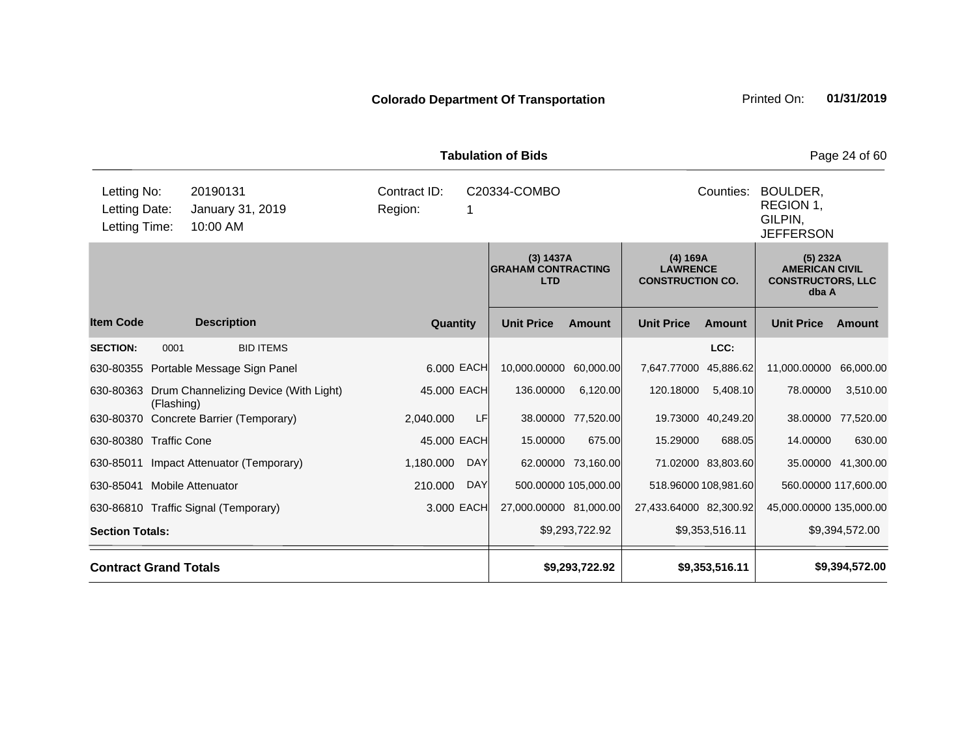|                                               |            |                                          |                         |                        | <b>Tabulation of Bids</b>                            |                        |                                                        |                         |                                                                          | Page 24 of 60        |
|-----------------------------------------------|------------|------------------------------------------|-------------------------|------------------------|------------------------------------------------------|------------------------|--------------------------------------------------------|-------------------------|--------------------------------------------------------------------------|----------------------|
| Letting No:<br>Letting Date:<br>Letting Time: |            | 20190131<br>January 31, 2019<br>10:00 AM | Contract ID:<br>Region: |                        | C20334-COMBO                                         |                        |                                                        | Counties:               | BOULDER,<br>REGION 1,<br>GILPIN.<br><b>JEFFERSON</b>                     |                      |
|                                               |            |                                          |                         |                        | (3) 1437A<br><b>GRAHAM CONTRACTING</b><br><b>LTD</b> |                        | (4) 169A<br><b>LAWRENCE</b><br><b>CONSTRUCTION CO.</b> |                         | $(5)$ 232A<br><b>AMERICAN CIVIL</b><br><b>CONSTRUCTORS, LLC</b><br>dba A |                      |
| <b>Item Code</b>                              |            | <b>Description</b>                       | Quantity                |                        | <b>Unit Price</b>                                    | <b>Amount</b>          | <b>Unit Price</b>                                      | <b>Amount</b>           | <b>Unit Price</b>                                                        | Amount               |
| <b>SECTION:</b>                               | 0001       | <b>BID ITEMS</b>                         |                         |                        |                                                      |                        |                                                        | LCC:                    |                                                                          |                      |
|                                               |            | 630-80355 Portable Message Sign Panel    | 6.000 EACH              |                        | 10,000.00000 60,000.00                               |                        | 7,647.77000                                            | 45,886.62               | 11,000.00000                                                             | 66,000.00            |
| 630-80363                                     | (Flashing) | Drum Channelizing Device (With Light)    | 45.000 EACH             |                        | 136.00000                                            | 6,120.00               | 120.18000                                              | 5,408.10                | 78.00000                                                                 | 3,510.00             |
|                                               |            | 630-80370 Concrete Barrier (Temporary)   | 2,040.000               | LF                     |                                                      | 38.00000 77,520.00     |                                                        | 19.73000 40,249.20      | 38.00000                                                                 | 77,520.00            |
| 630-80380 Traffic Cone                        |            |                                          | 45.000 EACH             |                        | 15.00000                                             | 675.00                 | 15.29000                                               | 688.05                  | 14.00000                                                                 | 630.00               |
|                                               |            | 630-85011 Impact Attenuator (Temporary)  | 1,180.000               | <b>DAY</b>             |                                                      | 62.00000 73,160.00     |                                                        | 71.02000 83,803.60      |                                                                          | 35.00000 41,300.00   |
| 630-85041 Mobile Attenuator                   |            |                                          | 210.000                 | <b>DAY</b>             |                                                      | 500.00000 105,000.00   |                                                        | 518.96000 108.981.60    |                                                                          | 560.00000 117,600.00 |
| 630-86810 Traffic Signal (Temporary)          |            | 3.000 EACH                               |                         | 27,000.00000 81,000.00 |                                                      | 27,433.64000 82,300.92 |                                                        | 45,000.00000 135,000.00 |                                                                          |                      |
| <b>Section Totals:</b>                        |            |                                          |                         |                        |                                                      | \$9,293,722.92         |                                                        | \$9,353,516.11          |                                                                          | \$9,394,572.00       |
| <b>Contract Grand Totals</b>                  |            |                                          |                         |                        |                                                      | \$9,293,722.92         |                                                        | \$9,353,516.11          |                                                                          | \$9,394,572.00       |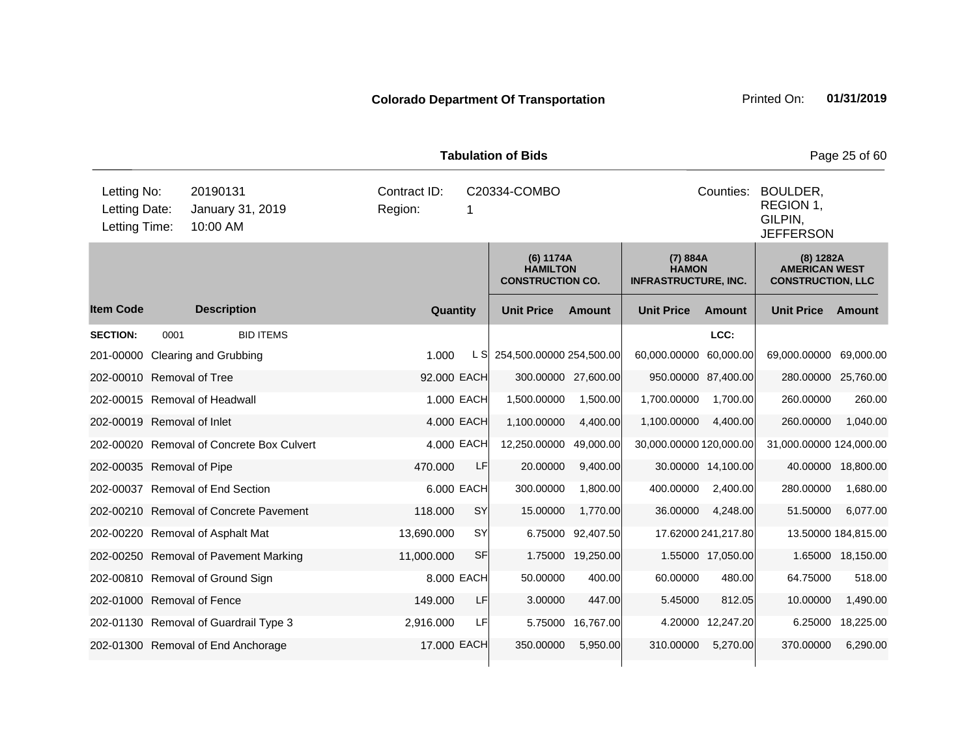|                                               |                                                                                                       |                                           |                         |           | <b>Tabulation of Bids</b>                               |                     |                                                         |                     |                                                               | Page 25 of 60       |  |
|-----------------------------------------------|-------------------------------------------------------------------------------------------------------|-------------------------------------------|-------------------------|-----------|---------------------------------------------------------|---------------------|---------------------------------------------------------|---------------------|---------------------------------------------------------------|---------------------|--|
| Letting No:<br>Letting Date:<br>Letting Time: |                                                                                                       | 20190131<br>January 31, 2019<br>10:00 AM  | Contract ID:<br>Region: |           | C20334-COMBO                                            |                     |                                                         | Counties:           | BOULDER,<br>REGION 1,<br>GILPIN,<br><b>JEFFERSON</b>          |                     |  |
|                                               |                                                                                                       |                                           |                         |           | (6) 1174A<br><b>HAMILTON</b><br><b>CONSTRUCTION CO.</b> |                     | (7) 884A<br><b>HAMON</b><br><b>INFRASTRUCTURE, INC.</b> |                     | (8) 1282A<br><b>AMERICAN WEST</b><br><b>CONSTRUCTION, LLC</b> |                     |  |
| <b>Item Code</b>                              |                                                                                                       | <b>Description</b>                        | Quantity                |           | <b>Unit Price</b>                                       | <b>Amount</b>       | <b>Unit Price</b>                                       | <b>Amount</b>       | <b>Unit Price</b>                                             | Amount              |  |
| <b>SECTION:</b>                               | 0001                                                                                                  | <b>BID ITEMS</b>                          |                         |           |                                                         |                     |                                                         | LCC:                |                                                               |                     |  |
| 201-00000                                     |                                                                                                       | Clearing and Grubbing                     | 1.000                   | L S       | 254,500.00000 254,500.00                                |                     | 60,000.00000                                            | 60,000.00           | 69,000.00000                                                  | 69,000.00           |  |
| 202-00010 Removal of Tree                     |                                                                                                       |                                           | 92.000 EACH             |           |                                                         | 300.00000 27,600.00 | 950.00000 87,400.00                                     |                     | 280.00000 25,760.00                                           |                     |  |
|                                               |                                                                                                       | 202-00015 Removal of Headwall             | 1.000 EACH              |           | 1,500.00000                                             | 1,500.00            | 1,700.00000                                             | 1,700.00            | 260.00000                                                     | 260.00              |  |
| 202-00019 Removal of Inlet                    |                                                                                                       |                                           | 4.000 EACH              |           | 1,100.00000                                             | 4,400.00            | 1,100.00000                                             | 4,400.00            | 260.00000                                                     | 1,040.00            |  |
|                                               |                                                                                                       | 202-00020 Removal of Concrete Box Culvert | 4.000 EACH              |           | 12,250.00000                                            | 49,000.00           | 30,000.00000 120,000.00                                 |                     | 31,000.00000 124,000.00                                       |                     |  |
| 202-00035 Removal of Pipe                     |                                                                                                       |                                           | 470.000                 | LF        | 20.00000                                                | 9,400.00            |                                                         | 30.00000 14,100.00  |                                                               | 40.00000 18,800.00  |  |
|                                               |                                                                                                       | 202-00037 Removal of End Section          | 6.000 EACH              |           | 300.00000                                               | 1,800.00            | 400.00000                                               | 2,400.00            | 280.00000                                                     | 1,680.00            |  |
|                                               |                                                                                                       | 202-00210 Removal of Concrete Pavement    | 118.000                 | SY        | 15.00000                                                | 1,770.00            | 36.00000                                                | 4,248.00            | 51.50000                                                      | 6,077.00            |  |
|                                               |                                                                                                       | 202-00220 Removal of Asphalt Mat          | 13,690.000              | <b>SY</b> | 6.75000                                                 | 92,407.50           |                                                         | 17.62000 241,217.80 |                                                               | 13.50000 184,815.00 |  |
|                                               |                                                                                                       | 202-00250 Removal of Pavement Marking     | 11,000.000              | <b>SF</b> | 1.75000                                                 | 19,250.00           |                                                         | 1.55000 17,050.00   |                                                               | 1.65000 18,150.00   |  |
|                                               |                                                                                                       | 202-00810 Removal of Ground Sign          | 8.000 EACH              |           | 50.00000                                                | 400.00              | 60.00000                                                | 480.00              | 64.75000                                                      | 518.00              |  |
| 202-01000 Removal of Fence                    |                                                                                                       |                                           | 149.000                 | LF        | 3.00000                                                 | 447.00              | 5.45000                                                 | 812.05              | 10.00000                                                      | 1,490.00            |  |
|                                               | 202-01130 Removal of Guardrail Type 3<br>2,916.000<br>LF<br>5.75000<br>16,767.00<br>4.20000 12,247.20 |                                           |                         |           |                                                         |                     |                                                         | 6.25000             | 18,225.00                                                     |                     |  |
|                                               | 17,000 EACH<br>310.00000<br>5,270.00<br>202-01300 Removal of End Anchorage<br>350,00000<br>5,950.00   |                                           |                         |           |                                                         |                     |                                                         |                     | 370.00000                                                     | 6,290.00            |  |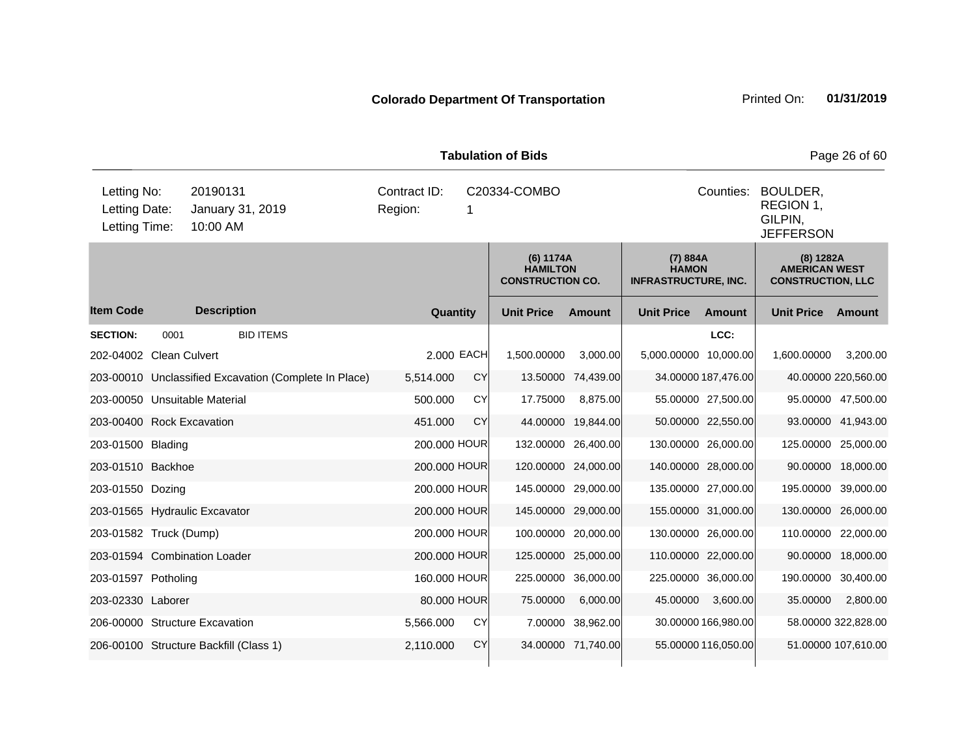|                                               | <b>Tabulation of Bids</b><br>Page 26 of 60 |                                                       |                         |            |                                                         |                     |                                                         |                     |                                                               |                     |  |  |
|-----------------------------------------------|--------------------------------------------|-------------------------------------------------------|-------------------------|------------|---------------------------------------------------------|---------------------|---------------------------------------------------------|---------------------|---------------------------------------------------------------|---------------------|--|--|
| Letting No:<br>Letting Date:<br>Letting Time: |                                            | 20190131<br>January 31, 2019<br>10:00 AM              | Contract ID:<br>Region: | 1          | C20334-COMBO                                            |                     |                                                         | Counties:           | BOULDER,<br>REGION 1,<br>GILPIN,<br><b>JEFFERSON</b>          |                     |  |  |
|                                               |                                            |                                                       |                         |            | (6) 1174A<br><b>HAMILTON</b><br><b>CONSTRUCTION CO.</b> |                     | (7) 884A<br><b>HAMON</b><br><b>INFRASTRUCTURE, INC.</b> |                     | (8) 1282A<br><b>AMERICAN WEST</b><br><b>CONSTRUCTION, LLC</b> |                     |  |  |
| <b>Item Code</b>                              |                                            | <b>Description</b>                                    | Quantity                |            | <b>Unit Price</b>                                       | Amount              | <b>Unit Price</b>                                       | <b>Amount</b>       | <b>Unit Price</b>                                             | Amount              |  |  |
| <b>SECTION:</b>                               | 0001                                       | <b>BID ITEMS</b>                                      |                         |            |                                                         |                     |                                                         | LCC:                |                                                               |                     |  |  |
| 202-04002 Clean Culvert                       |                                            |                                                       |                         | 2.000 EACH | 1,500.00000                                             | 3,000.00            | 5,000.00000 10,000.00                                   |                     | 1,600.00000                                                   | 3,200.00            |  |  |
|                                               |                                            | 203-00010 Unclassified Excavation (Complete In Place) | 5,514.000               | CY         |                                                         | 13.50000 74,439.00  |                                                         | 34.00000 187,476.00 |                                                               | 40.00000 220,560.00 |  |  |
| 203-00050 Unsuitable Material                 |                                            |                                                       | 500.000                 | <b>CY</b>  | 17.75000                                                | 8,875.00            |                                                         | 55.00000 27,500.00  |                                                               | 95.00000 47,500.00  |  |  |
| 203-00400 Rock Excavation                     |                                            |                                                       | 451.000                 | CY         | 44.00000                                                | 19,844.00           |                                                         | 50.00000 22,550.00  |                                                               | 93.00000 41,943.00  |  |  |
| 203-01500 Blading                             |                                            |                                                       | 200.000 HOUR            |            |                                                         | 132.00000 26,400.00 | 130.00000 26,000.00                                     |                     | 125.00000 25,000.00                                           |                     |  |  |
| 203-01510 Backhoe                             |                                            |                                                       | 200.000 HOUR            |            |                                                         | 120.00000 24,000.00 | 140.00000 28,000.00                                     |                     |                                                               | 90.00000 18,000.00  |  |  |
| 203-01550 Dozing                              |                                            |                                                       | 200.000 HOUR            |            |                                                         | 145.00000 29,000.00 | 135.00000 27,000.00                                     |                     | 195.00000 39,000.00                                           |                     |  |  |
|                                               |                                            | 203-01565 Hydraulic Excavator                         | 200.000 HOUR            |            |                                                         | 145.00000 29,000.00 | 155.00000 31,000.00                                     |                     | 130.00000 26,000.00                                           |                     |  |  |
| 203-01582 Truck (Dump)                        |                                            |                                                       | 200.000 HOUR            |            |                                                         | 100.00000 20,000.00 | 130.00000 26,000.00                                     |                     | 110.00000 22,000.00                                           |                     |  |  |
|                                               |                                            | 203-01594 Combination Loader                          | 200.000 HOUR            |            |                                                         | 125.00000 25,000.00 | 110.00000 22,000.00                                     |                     |                                                               | 90.00000 18,000.00  |  |  |
| 203-01597 Potholing                           |                                            |                                                       | 160.000 HOUR            |            |                                                         | 225.00000 36,000.00 | 225.00000 36,000.00                                     |                     | 190.00000 30,400.00                                           |                     |  |  |
| 203-02330 Laborer                             |                                            |                                                       | 80.000 HOUR             |            | 75.00000                                                | 6,000.00            | 45.00000                                                | 3,600.00            | 35.00000                                                      | 2,800.00            |  |  |
|                                               |                                            | 206-00000 Structure Excavation                        | 5,566.000               | CY         |                                                         | 7.00000 38,962.00   |                                                         | 30.00000 166,980.00 |                                                               | 58.00000 322,828.00 |  |  |
|                                               |                                            | 206-00100 Structure Backfill (Class 1)                | 2,110.000               | <b>CY</b>  |                                                         | 34.00000 71,740.00  |                                                         | 55.00000 116.050.00 |                                                               | 51.00000 107,610.00 |  |  |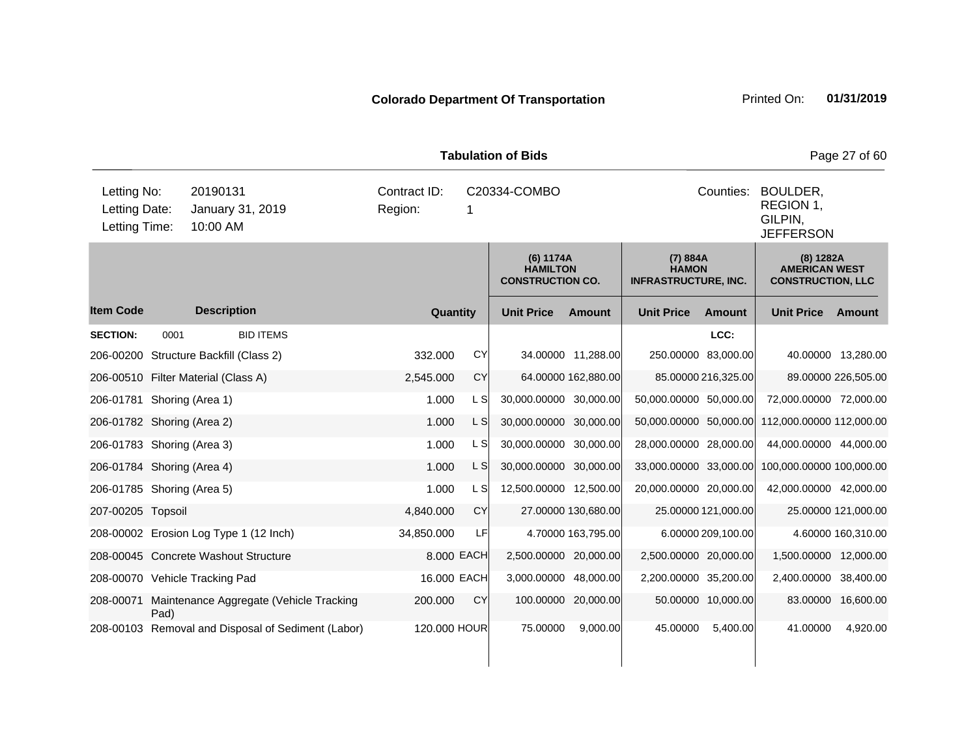|                                               |      |                      |                                                    |                         |            |              | <b>Tabulation of Bids</b>                               |                     |                                                         |                     |                                                               | Page 27 of 60       |  |
|-----------------------------------------------|------|----------------------|----------------------------------------------------|-------------------------|------------|--------------|---------------------------------------------------------|---------------------|---------------------------------------------------------|---------------------|---------------------------------------------------------------|---------------------|--|
| Letting No:<br>Letting Date:<br>Letting Time: |      | 20190131<br>10:00 AM | January 31, 2019                                   | Contract ID:<br>Region: |            | 1            | C20334-COMBO                                            |                     |                                                         | Counties:           | BOULDER,<br>REGION 1,<br>GILPIN,<br><b>JEFFERSON</b>          |                     |  |
|                                               |      |                      |                                                    |                         |            |              | (6) 1174A<br><b>HAMILTON</b><br><b>CONSTRUCTION CO.</b> |                     | (7) 884A<br><b>HAMON</b><br><b>INFRASTRUCTURE, INC.</b> |                     | (8) 1282A<br><b>AMERICAN WEST</b><br><b>CONSTRUCTION, LLC</b> |                     |  |
| <b>Item Code</b>                              |      | <b>Description</b>   |                                                    |                         | Quantity   |              | <b>Unit Price</b>                                       | <b>Amount</b>       | <b>Unit Price</b>                                       | Amount              | <b>Unit Price</b>                                             | Amount              |  |
| <b>SECTION:</b>                               | 0001 |                      | <b>BID ITEMS</b>                                   |                         |            |              |                                                         |                     |                                                         | LCC:                |                                                               |                     |  |
| 206-00200 Structure Backfill (Class 2)        |      |                      |                                                    |                         | 332.000    | <b>CY</b>    |                                                         | 34.00000 11,288.00  | 250.00000 83,000.00                                     |                     |                                                               | 40.00000 13,280.00  |  |
| 206-00510 Filter Material (Class A)           |      |                      |                                                    |                         | 2,545.000  | CY           |                                                         | 64.00000 162,880.00 |                                                         | 85.00000 216,325.00 |                                                               | 89.00000 226,505.00 |  |
| 206-01781 Shoring (Area 1)                    |      |                      |                                                    |                         | 1.000      | L S          | 30,000.00000 30,000.00                                  |                     | 50,000.00000 50,000.00                                  |                     | 72,000.00000 72,000.00                                        |                     |  |
| 206-01782 Shoring (Area 2)                    |      |                      |                                                    |                         | 1.000      | L S          | 30,000.00000 30,000.00                                  |                     | 50,000.00000 50,000.00                                  |                     | 112,000.00000 112,000.00                                      |                     |  |
| 206-01783 Shoring (Area 3)                    |      |                      |                                                    |                         | 1.000      | L SI         | 30,000.00000 30,000.00                                  |                     | 28,000.00000 28,000.00                                  |                     | 44,000.00000 44,000.00                                        |                     |  |
| 206-01784 Shoring (Area 4)                    |      |                      |                                                    |                         | 1.000      | L S          | 30,000.00000 30,000.00                                  |                     | 33,000.00000 33,000.00                                  |                     | 100,000.00000 100,000.00                                      |                     |  |
| 206-01785 Shoring (Area 5)                    |      |                      |                                                    |                         | 1.000      | L S          | 12,500.00000 12,500.00                                  |                     | 20,000.00000 20,000.00                                  |                     | 42,000.00000 42,000.00                                        |                     |  |
| 207-00205 Topsoil                             |      |                      |                                                    |                         | 4,840.000  | <b>CY</b>    |                                                         | 27.00000 130,680.00 |                                                         | 25.00000 121,000.00 |                                                               | 25.00000 121,000.00 |  |
|                                               |      |                      | 208-00002 Erosion Log Type 1 (12 Inch)             |                         | 34,850.000 | LF           |                                                         | 4.70000 163,795.00  |                                                         | 6.00000 209,100.00  |                                                               | 4.60000 160,310.00  |  |
| 208-00045 Concrete Washout Structure          |      |                      |                                                    |                         |            | 8.000 EACH   | 2,500.00000 20,000.00                                   |                     | 2,500.00000 20,000.00                                   |                     | 1,500.00000 12,000.00                                         |                     |  |
| 208-00070 Vehicle Tracking Pad                |      |                      |                                                    |                         |            | 16.000 EACH  | 3,000.00000 48,000.00                                   |                     | 2,200.00000 35,200.00                                   |                     | 2,400.00000 38,400.00                                         |                     |  |
| 208-00071                                     | Pad) |                      | Maintenance Aggregate (Vehicle Tracking            |                         | 200.000    | <b>CY</b>    |                                                         | 100.00000 20,000.00 |                                                         | 50.00000 10,000.00  |                                                               | 83.00000 16,600.00  |  |
|                                               |      |                      | 208-00103 Removal and Disposal of Sediment (Labor) |                         |            | 120.000 HOUR | 75.00000                                                | 9,000.00            | 45.00000                                                | 5,400.00            | 41.00000                                                      | 4,920.00            |  |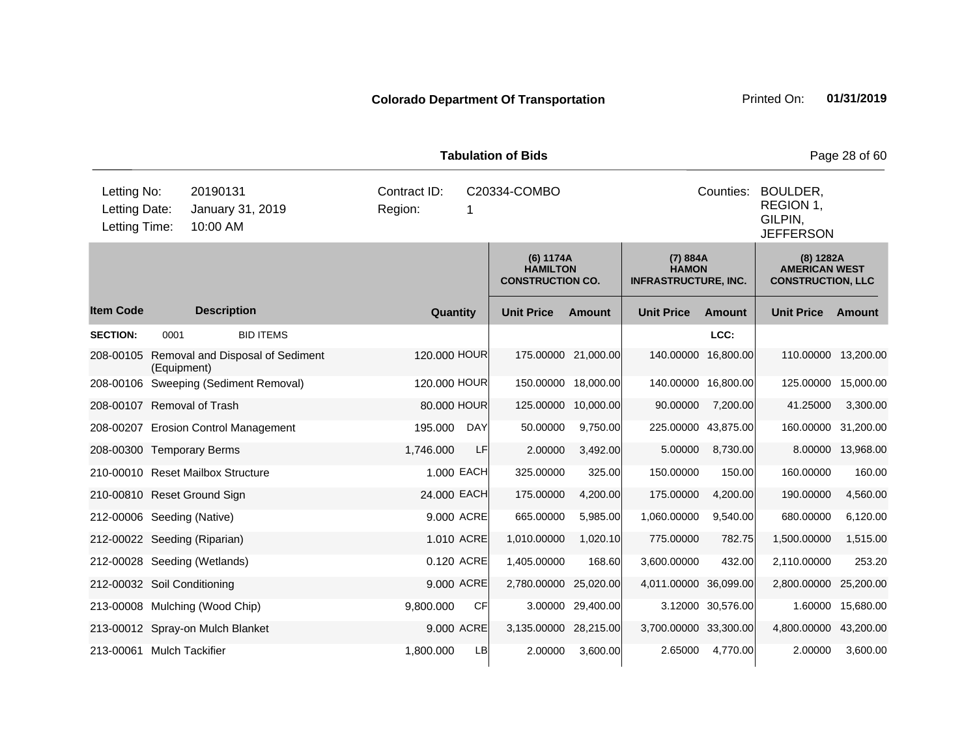|                                               | <b>Tabulation of Bids</b><br>Page 28 of 60 |                                          |                         |              |           |                                                         |                     |                                                         |                                                                   |                                                               |                   |  |
|-----------------------------------------------|--------------------------------------------|------------------------------------------|-------------------------|--------------|-----------|---------------------------------------------------------|---------------------|---------------------------------------------------------|-------------------------------------------------------------------|---------------------------------------------------------------|-------------------|--|
| Letting No:<br>Letting Date:<br>Letting Time: |                                            | 20190131<br>January 31, 2019<br>10:00 AM | Contract ID:<br>Region: | 1            |           | C20334-COMBO                                            |                     |                                                         | Counties:<br>BOULDER,<br>REGION 1,<br>GILPIN,<br><b>JEFFERSON</b> |                                                               |                   |  |
|                                               |                                            |                                          |                         |              |           | (6) 1174A<br><b>HAMILTON</b><br><b>CONSTRUCTION CO.</b> |                     | (7) 884A<br><b>HAMON</b><br><b>INFRASTRUCTURE, INC.</b> |                                                                   | (8) 1282A<br><b>AMERICAN WEST</b><br><b>CONSTRUCTION, LLC</b> |                   |  |
| <b>Item Code</b>                              |                                            | <b>Description</b>                       |                         | Quantity     |           | <b>Unit Price</b>                                       | Amount              | <b>Unit Price</b>                                       | <b>Amount</b>                                                     | <b>Unit Price</b>                                             | Amount            |  |
| <b>SECTION:</b>                               | 0001                                       | <b>BID ITEMS</b>                         |                         |              |           |                                                         |                     |                                                         | LCC:                                                              |                                                               |                   |  |
| 208-00105                                     | (Equipment)                                | Removal and Disposal of Sediment         |                         | 120.000 HOUR |           |                                                         | 175.00000 21,000.00 | 140.00000 16,800.00                                     |                                                                   | 110.00000 13,200.00                                           |                   |  |
|                                               |                                            | 208-00106 Sweeping (Sediment Removal)    |                         | 120.000 HOUR |           |                                                         | 150.00000 18,000.00 | 140.00000 16,800.00                                     |                                                                   | 125.00000 15,000.00                                           |                   |  |
| 208-00107 Removal of Trash                    |                                            |                                          |                         | 80.000 HOUR  |           | 125.00000 10,000.00                                     |                     | 90.00000                                                | 7,200.00                                                          | 41.25000                                                      | 3,300.00          |  |
|                                               |                                            | 208-00207 Erosion Control Management     | 195.000                 | DAY          |           | 50.00000                                                | 9,750.00            | 225.00000 43,875.00                                     |                                                                   | 160.00000 31,200.00                                           |                   |  |
| 208-00300 Temporary Berms                     |                                            |                                          | 1,746.000               |              | LF        | 2.00000                                                 | 3,492.00            | 5.00000                                                 | 8,730.00                                                          |                                                               | 8.00000 13,968.00 |  |
|                                               |                                            | 210-00010 Reset Mailbox Structure        |                         | 1.000 EACH   |           | 325.00000                                               | 325.00              | 150.00000                                               | 150.00                                                            | 160.00000                                                     | 160.00            |  |
| 210-00810 Reset Ground Sign                   |                                            |                                          |                         | 24.000 EACH  |           | 175.00000                                               | 4,200.00            | 175.00000                                               | 4,200.00                                                          | 190.00000                                                     | 4,560.00          |  |
| 212-00006 Seeding (Native)                    |                                            |                                          |                         | 9.000 ACRE   |           | 665.00000                                               | 5,985.00            | 1,060.00000                                             | 9,540.00                                                          | 680.00000                                                     | 6,120.00          |  |
| 212-00022 Seeding (Riparian)                  |                                            |                                          |                         | 1.010 ACRE   |           | 1,010.00000                                             | 1,020.10            | 775.00000                                               | 782.75                                                            | 1,500.00000                                                   | 1,515.00          |  |
|                                               |                                            | 212-00028 Seeding (Wetlands)             |                         | 0.120 ACRE   |           | 1,405.00000                                             | 168.60              | 3,600.00000                                             | 432.00                                                            | 2,110.00000                                                   | 253.20            |  |
| 212-00032 Soil Conditioning                   |                                            |                                          |                         | 9.000 ACRE   |           | 2,780.00000 25,020.00                                   |                     | 4,011.00000 36,099.00                                   |                                                                   | 2,800.00000                                                   | 25,200.00         |  |
|                                               |                                            | 213-00008 Mulching (Wood Chip)           | 9,800.000               |              | <b>CF</b> |                                                         | 3.00000 29,400.00   |                                                         | 3.12000 30,576.00                                                 | 1.60000                                                       | 15,680.00         |  |
|                                               |                                            | 213-00012 Spray-on Mulch Blanket         |                         | 9.000 ACRE   |           | 3,135.00000 28,215.00                                   |                     | 3,700.00000 33,300.00                                   |                                                                   | 4,800.00000 43,200.00                                         |                   |  |
| 213-00061 Mulch Tackifier                     |                                            |                                          | 1,800.000               |              | LB        | 2.00000                                                 | 3,600.00            | 2.65000                                                 | 4,770.00                                                          | 2.00000                                                       | 3,600.00          |  |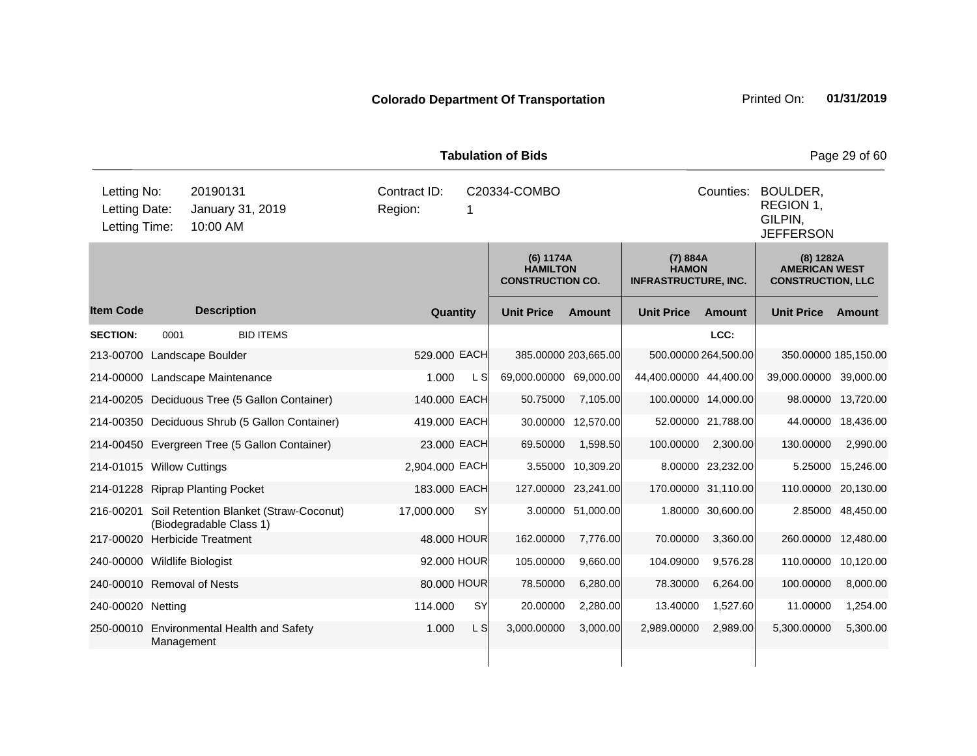|                                               |            |                                                                             |                         |             | <b>Tabulation of Bids</b>                               |                      |                                                         |                      |                                                                 | Page 29 of 60      |  |
|-----------------------------------------------|------------|-----------------------------------------------------------------------------|-------------------------|-------------|---------------------------------------------------------|----------------------|---------------------------------------------------------|----------------------|-----------------------------------------------------------------|--------------------|--|
| Letting No:<br>Letting Date:<br>Letting Time: |            | 20190131<br>January 31, 2019<br>10:00 AM                                    | Contract ID:<br>Region: | -1          | C20334-COMBO                                            |                      |                                                         | Counties:            | BOULDER,<br>REGION 1,<br>GILPIN,<br><b>JEFFERSON</b>            |                    |  |
|                                               |            |                                                                             |                         |             | (6) 1174A<br><b>HAMILTON</b><br><b>CONSTRUCTION CO.</b> |                      | (7) 884A<br><b>HAMON</b><br><b>INFRASTRUCTURE, INC.</b> |                      | $(8)$ 1282A<br><b>AMERICAN WEST</b><br><b>CONSTRUCTION, LLC</b> |                    |  |
| <b>Item Code</b>                              |            | <b>Description</b>                                                          |                         | Quantity    | <b>Unit Price</b>                                       | Amount               | <b>Unit Price</b>                                       | Amount               | <b>Unit Price</b>                                               | Amount             |  |
| <b>SECTION:</b>                               | 0001       | <b>BID ITEMS</b>                                                            |                         |             |                                                         |                      |                                                         | LCC:                 |                                                                 |                    |  |
|                                               |            | 213-00700 Landscape Boulder                                                 | 529,000 EACH            |             |                                                         | 385.00000 203,665.00 |                                                         | 500.00000 264,500.00 | 350.00000 185,150.00                                            |                    |  |
|                                               |            | 214-00000 Landscape Maintenance                                             | 1.000                   | <b>LS</b>   | 69,000.00000 69,000.00                                  |                      | 44,400.00000 44,400.00                                  |                      | 39,000.00000 39,000.00                                          |                    |  |
|                                               |            | 214-00205 Deciduous Tree (5 Gallon Container)                               | 140.000 EACH            |             | 50.75000                                                | 7,105.00             |                                                         | 100.00000 14,000.00  |                                                                 | 98.00000 13,720.00 |  |
|                                               |            | 214-00350 Deciduous Shrub (5 Gallon Container)                              | 419.000 EACH            |             |                                                         | 30.00000 12,570.00   |                                                         | 52.00000 21,788.00   |                                                                 | 44.00000 18,436.00 |  |
|                                               |            | 214-00450 Evergreen Tree (5 Gallon Container)                               |                         | 23.000 EACH | 69.50000                                                | 1,598.50             | 100.00000                                               | 2,300.00             | 130.00000                                                       | 2,990.00           |  |
| 214-01015 Willow Cuttings                     |            |                                                                             | 2,904.000 EACH          |             |                                                         | 3.55000 10,309.20    |                                                         | 8.00000 23,232.00    |                                                                 | 5.25000 15,246.00  |  |
|                                               |            | 214-01228 Riprap Planting Pocket                                            | 183.000 EACH            |             |                                                         | 127.00000 23,241.00  |                                                         | 170.00000 31,110.00  | 110.00000 20,130.00                                             |                    |  |
|                                               |            | 216-00201 Soil Retention Blanket (Straw-Coconut)<br>(Biodegradable Class 1) | 17,000.000              | <b>SY</b>   |                                                         | 3.00000 51,000.00    |                                                         | 1.80000 30,600.00    |                                                                 | 2.85000 48,450.00  |  |
| 217-00020                                     |            | <b>Herbicide Treatment</b>                                                  |                         | 48.000 HOUR | 162.00000                                               | 7,776.00             | 70.00000                                                | 3,360.00             | 260.00000 12,480.00                                             |                    |  |
| 240-00000 Wildlife Biologist                  |            |                                                                             |                         | 92.000 HOUR | 105.00000                                               | 9,660.00             | 104.09000                                               | 9,576.28             | 110.00000 10,120.00                                             |                    |  |
| 240-00010 Removal of Nests                    |            |                                                                             |                         | 80.000 HOUR | 78.50000                                                | 6,280.00             | 78.30000                                                | 6,264.00             | 100.00000                                                       | 8,000.00           |  |
| 240-00020 Netting                             |            |                                                                             | 114.000                 | SY          | 20.00000                                                | 2,280.00             | 13.40000                                                | 1,527.60             | 11.00000                                                        | 1,254.00           |  |
|                                               | Management | 250-00010 Environmental Health and Safety                                   | 1.000                   | L S         | 3,000.00000                                             | 3,000.00             | 2,989.00000                                             | 2,989.00             | 5,300.00000                                                     | 5,300.00           |  |
|                                               |            |                                                                             |                         |             |                                                         |                      |                                                         |                      |                                                                 |                    |  |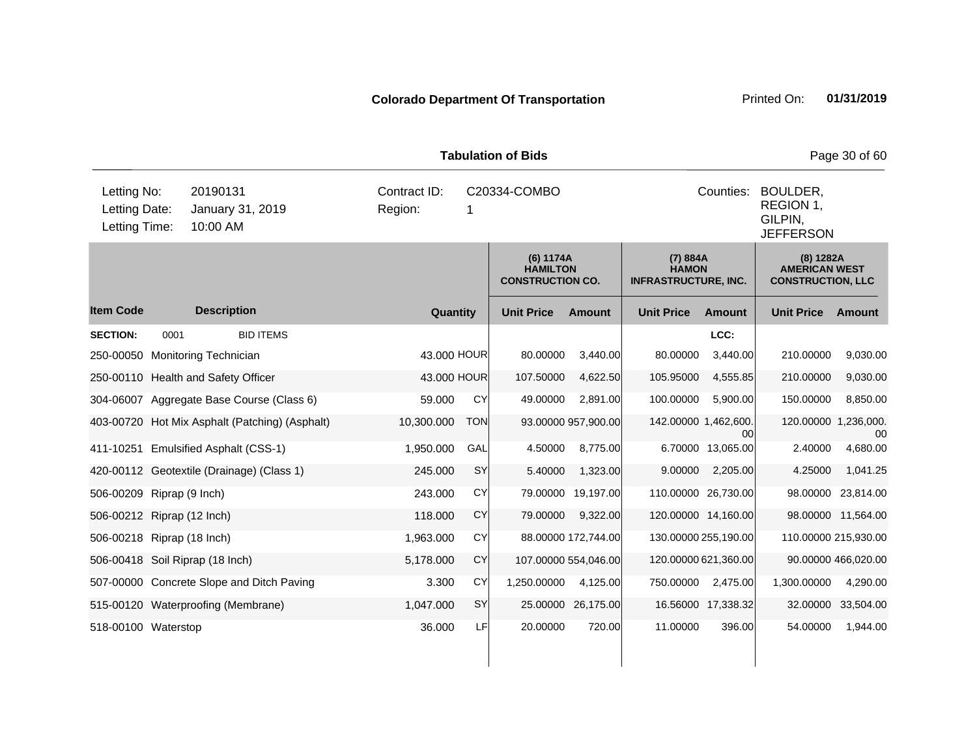|                                               | <b>Tabulation of Bids</b><br>Page 30 of 60 |                                           |                                                |                         |             |                                                         |                      |                                                         |                      |                                                               |                      |  |
|-----------------------------------------------|--------------------------------------------|-------------------------------------------|------------------------------------------------|-------------------------|-------------|---------------------------------------------------------|----------------------|---------------------------------------------------------|----------------------|---------------------------------------------------------------|----------------------|--|
| Letting No:<br>Letting Date:<br>Letting Time: |                                            | 20190131<br>January 31, 2019<br>10:00 AM  |                                                | Contract ID:<br>Region: | 1           | C20334-COMBO                                            |                      |                                                         | Counties:            | BOULDER,<br>REGION 1,<br>GILPIN,<br><b>JEFFERSON</b>          |                      |  |
|                                               |                                            |                                           |                                                |                         |             | (6) 1174A<br><b>HAMILTON</b><br><b>CONSTRUCTION CO.</b> |                      | (7) 884A<br><b>HAMON</b><br><b>INFRASTRUCTURE, INC.</b> |                      | (8) 1282A<br><b>AMERICAN WEST</b><br><b>CONSTRUCTION, LLC</b> |                      |  |
| <b>Item Code</b>                              |                                            | <b>Description</b>                        |                                                |                         | Quantity    | <b>Unit Price</b>                                       | <b>Amount</b>        | <b>Unit Price</b>                                       | <b>Amount</b>        | <b>Unit Price</b>                                             | Amount               |  |
| <b>SECTION:</b>                               | 0001                                       |                                           | <b>BID ITEMS</b>                               |                         |             |                                                         |                      |                                                         | LCC:                 |                                                               |                      |  |
|                                               |                                            | 250-00050 Monitoring Technician           |                                                |                         | 43.000 HOUR | 80.00000                                                | 3,440.00             | 80.00000                                                | 3,440.00             | 210.00000                                                     | 9,030.00             |  |
|                                               |                                            | 250-00110 Health and Safety Officer       |                                                |                         | 43.000 HOUR | 107.50000                                               | 4,622.50             | 105.95000                                               | 4,555.85             | 210.00000                                                     | 9,030.00             |  |
|                                               |                                            | 304-06007 Aggregate Base Course (Class 6) |                                                | 59.000                  | CY          | 49.00000                                                | 2,891.00             | 100.00000                                               | 5.900.00             | 150.00000                                                     | 8,850.00             |  |
|                                               |                                            |                                           | 403-00720 Hot Mix Asphalt (Patching) (Asphalt) | 10,300.000              | <b>TON</b>  |                                                         | 93.00000 957,900.00  | 142.00000 1,462,600.                                    | 00                   | 120.00000 1,236,000.                                          | 00                   |  |
|                                               |                                            | 411-10251 Emulsified Asphalt (CSS-1)      |                                                | 1,950.000               | GAL         | 4.50000                                                 | 8,775.00             |                                                         | 6.70000 13,065.00    | 2.40000                                                       | 4,680.00             |  |
|                                               |                                            | 420-00112 Geotextile (Drainage) (Class 1) |                                                | 245.000                 | SY          | 5.40000                                                 | 1,323.00             | 9.00000                                                 | 2,205.00             | 4.25000                                                       | 1,041.25             |  |
| 506-00209 Riprap (9 Inch)                     |                                            |                                           |                                                | 243.000                 | CY          |                                                         | 79.00000 19,197.00   |                                                         | 110.00000 26,730.00  | 98.00000                                                      | 23,814.00            |  |
| 506-00212 Riprap (12 Inch)                    |                                            |                                           |                                                | 118.000                 | CY          | 79.00000                                                | 9,322.00             |                                                         | 120.00000 14,160.00  |                                                               | 98.00000 11,564.00   |  |
| 506-00218 Riprap (18 Inch)                    |                                            |                                           |                                                | 1,963.000               | <b>CY</b>   |                                                         | 88.00000 172,744.00  |                                                         | 130.00000 255,190.00 |                                                               | 110.00000 215,930.00 |  |
|                                               |                                            | 506-00418 Soil Riprap (18 Inch)           |                                                | 5,178.000               | CY          |                                                         | 107.00000 554,046.00 |                                                         | 120.00000 621,360.00 |                                                               | 90.00000 466,020.00  |  |
|                                               |                                            | 507-00000 Concrete Slope and Ditch Paving |                                                | 3.300                   | CY          | 1,250.00000                                             | 4,125.00             | 750.00000                                               | 2,475.00             | 1,300.00000                                                   | 4,290.00             |  |
|                                               |                                            | 515-00120 Waterproofing (Membrane)        |                                                | 1,047.000               | SY          |                                                         | 25.00000 26,175.00   |                                                         | 16.56000 17,338.32   | 32.00000                                                      | 33,504.00            |  |
| 518-00100 Waterstop                           |                                            |                                           |                                                | 36.000                  | LF          | 20.00000                                                | 720.00               | 11.00000                                                | 396.00               | 54.00000                                                      | 1,944.00             |  |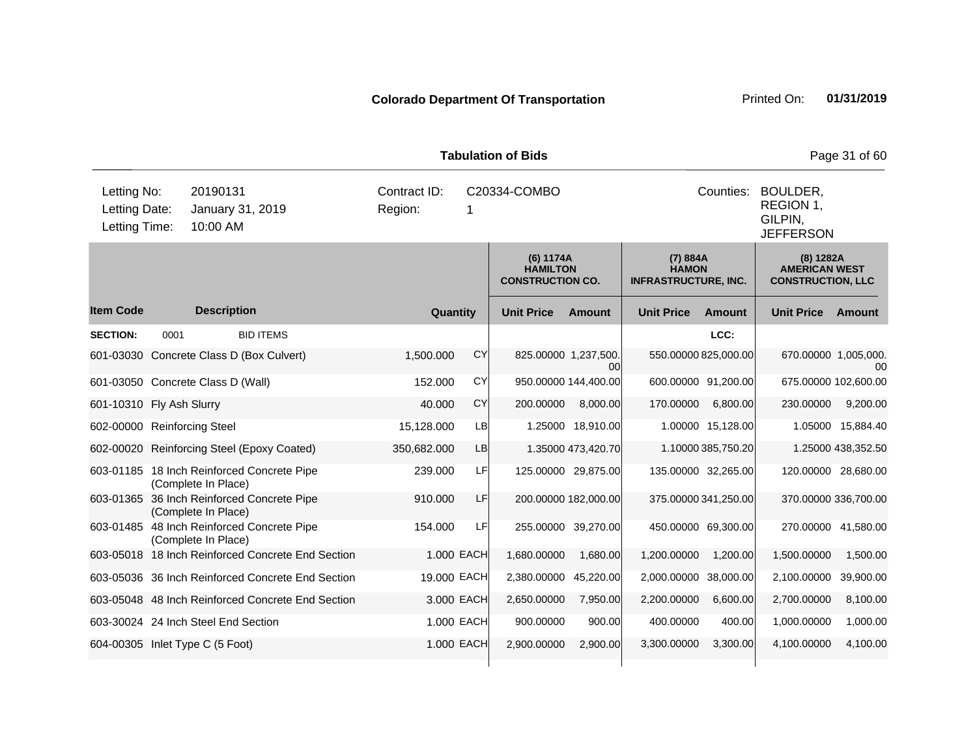|                                               | <b>Tabulation of Bids</b><br>Page 31 of 60 |                                                                   |  |                         |            |                                                         |                                       |                                                         |                      |                                                               |                    |  |
|-----------------------------------------------|--------------------------------------------|-------------------------------------------------------------------|--|-------------------------|------------|---------------------------------------------------------|---------------------------------------|---------------------------------------------------------|----------------------|---------------------------------------------------------------|--------------------|--|
| Letting No:<br>Letting Date:<br>Letting Time: |                                            | 20190131<br>January 31, 2019<br>10:00 AM                          |  | Contract ID:<br>Region: |            | C20334-COMBO                                            |                                       |                                                         | Counties:            | BOULDER,<br>REGION 1,<br>GILPIN,<br><b>JEFFERSON</b>          |                    |  |
|                                               |                                            |                                                                   |  |                         |            | (6) 1174A<br><b>HAMILTON</b><br><b>CONSTRUCTION CO.</b> |                                       | (7) 884A<br><b>HAMON</b><br><b>INFRASTRUCTURE, INC.</b> |                      | (8) 1282A<br><b>AMERICAN WEST</b><br><b>CONSTRUCTION, LLC</b> |                    |  |
| <b>Item Code</b>                              |                                            | <b>Description</b>                                                |  | Quantity                |            | <b>Unit Price</b>                                       | Amount                                | <b>Unit Price</b>                                       | Amount               | <b>Unit Price</b>                                             | Amount             |  |
| <b>SECTION:</b>                               | 0001                                       | <b>BID ITEMS</b>                                                  |  |                         |            |                                                         |                                       |                                                         | LCC:                 |                                                               |                    |  |
|                                               |                                            | 601-03030 Concrete Class D (Box Culvert)                          |  | 1,500.000               | <b>CY</b>  |                                                         | 825.00000 1,237,500.<br><sub>00</sub> |                                                         | 550.00000 825,000.00 | 670.00000 1,005,000.                                          | $00 \,$            |  |
|                                               |                                            | 601-03050 Concrete Class D (Wall)                                 |  | 152.000                 | <b>CY</b>  |                                                         | 950.00000 144,400.00                  |                                                         | 600.00000 91,200.00  | 675.00000 102,600.00                                          |                    |  |
| 601-10310 Fly Ash Slurry                      |                                            |                                                                   |  | 40.000                  | <b>CY</b>  | 200.00000                                               | 8,000.00                              | 170.00000                                               | 6,800.00             | 230.00000                                                     | 9,200.00           |  |
| 602-00000 Reinforcing Steel                   |                                            |                                                                   |  | 15,128.000              | LB         |                                                         | 1.25000 18,910.00                     |                                                         | 1.00000 15,128.00    |                                                               | 1.05000 15,884.40  |  |
|                                               |                                            | 602-00020 Reinforcing Steel (Epoxy Coated)                        |  | 350,682.000             | <b>LB</b>  |                                                         | 1.35000 473,420.70                    |                                                         | 1.10000 385,750.20   |                                                               | 1.25000 438,352.50 |  |
|                                               |                                            | 603-01185 18 Inch Reinforced Concrete Pipe<br>(Complete In Place) |  | 239.000                 | LF         |                                                         | 125.00000 29,875.00                   |                                                         | 135.00000 32,265.00  | 120.00000 28,680.00                                           |                    |  |
|                                               |                                            | 603-01365 36 Inch Reinforced Concrete Pipe<br>(Complete In Place) |  | 910.000                 | LF         |                                                         | 200.00000 182,000.00                  |                                                         | 375.00000 341,250.00 | 370.00000 336,700.00                                          |                    |  |
|                                               |                                            | 603-01485 48 Inch Reinforced Concrete Pipe<br>(Complete In Place) |  | 154.000                 | LF         |                                                         | 255.00000 39,270.00                   |                                                         | 450.00000 69,300.00  | 270.00000 41,580.00                                           |                    |  |
|                                               |                                            | 603-05018 18 Inch Reinforced Concrete End Section                 |  |                         | 1.000 EACH | 1,680.00000                                             | 1,680.00                              | 1,200.00000                                             | 1,200.00             | 1,500.00000                                                   | 1,500.00           |  |
|                                               |                                            | 603-05036 36 Inch Reinforced Concrete End Section                 |  | 19.000 EACH             |            | 2,380.00000                                             | 45,220.00                             | 2,000.00000                                             | 38,000.00            | 2,100.00000                                                   | 39,900.00          |  |
|                                               |                                            | 603-05048 48 Inch Reinforced Concrete End Section                 |  |                         | 3,000 EACH | 2,650.00000                                             | 7,950.00                              | 2,200.00000                                             | 6,600.00             | 2,700.00000                                                   | 8,100.00           |  |
|                                               |                                            | 603-30024 24 Inch Steel End Section                               |  |                         | 1.000 EACH | 900.00000                                               | 900.00                                | 400.00000                                               | 400.00               | 1,000.00000                                                   | 1,000.00           |  |
|                                               |                                            | 604-00305 Inlet Type C (5 Foot)                                   |  |                         | 1.000 EACH | 2,900.00000                                             | 2,900.00                              | 3,300.00000                                             | 3,300.00             | 4,100.00000                                                   | 4,100.00           |  |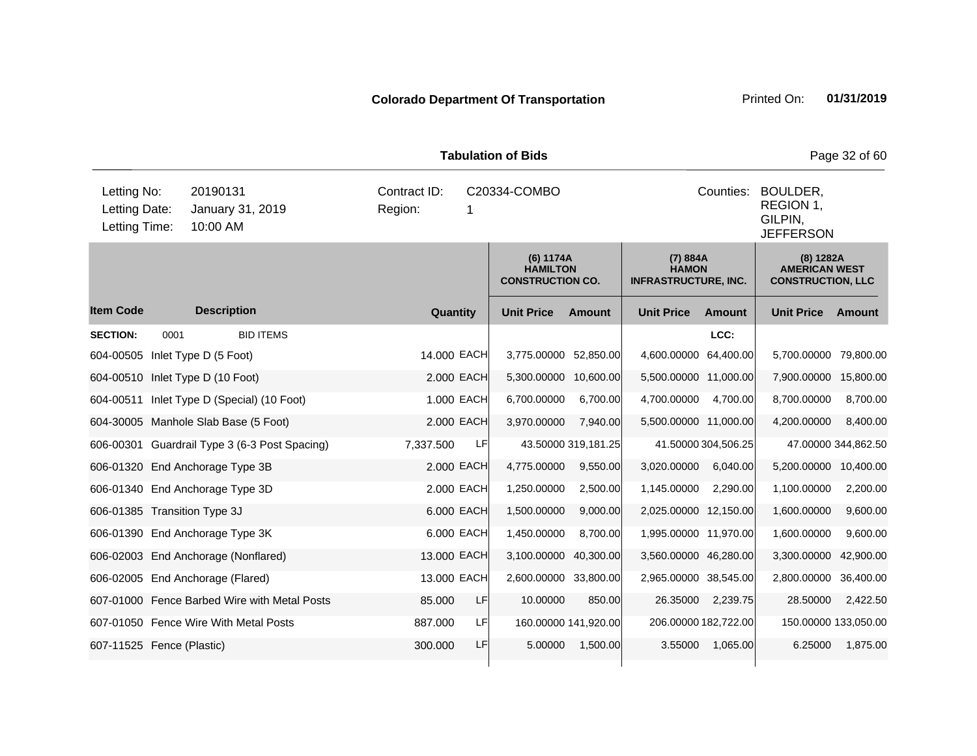| <b>Tabulation of Bids</b>                     |      |                                               |                                              |             |                       |                                                         |                       |                                                         | Page 32 of 60                                        |                                                               |  |
|-----------------------------------------------|------|-----------------------------------------------|----------------------------------------------|-------------|-----------------------|---------------------------------------------------------|-----------------------|---------------------------------------------------------|------------------------------------------------------|---------------------------------------------------------------|--|
| Letting No:<br>Letting Date:<br>Letting Time: |      | 20190131<br>January 31, 2019<br>10:00 AM      | Contract ID:<br>C20334-COMBO<br>Region:<br>1 |             |                       |                                                         |                       | Counties:                                               | BOULDER,<br>REGION 1,<br>GILPIN,<br><b>JEFFERSON</b> |                                                               |  |
|                                               |      |                                               |                                              |             |                       | (6) 1174A<br><b>HAMILTON</b><br><b>CONSTRUCTION CO.</b> |                       | (7) 884A<br><b>HAMON</b><br><b>INFRASTRUCTURE, INC.</b> |                                                      | (8) 1282A<br><b>AMERICAN WEST</b><br><b>CONSTRUCTION, LLC</b> |  |
| <b>Item Code</b>                              |      | <b>Description</b>                            | Quantity                                     |             | <b>Unit Price</b>     | <b>Amount</b>                                           | <b>Unit Price</b>     | <b>Amount</b>                                           | <b>Unit Price</b>                                    | <b>Amount</b>                                                 |  |
| <b>SECTION:</b>                               | 0001 | <b>BID ITEMS</b>                              |                                              |             |                       |                                                         |                       | LCC:                                                    |                                                      |                                                               |  |
|                                               |      | 604-00505 Inlet Type D (5 Foot)               |                                              | 14.000 EACH | 3,775.00000 52,850.00 |                                                         | 4,600.00000 64,400.00 |                                                         | 5,700.00000                                          | 79,800.00                                                     |  |
|                                               |      | 604-00510 Inlet Type D (10 Foot)              |                                              | 2.000 EACH  | 5,300.00000 10,600.00 |                                                         | 5,500.00000 11,000.00 |                                                         | 7,900.00000                                          | 15,800.00                                                     |  |
|                                               |      | 604-00511 Inlet Type D (Special) (10 Foot)    |                                              | 1.000 EACH  | 6,700.00000           | 6,700.00                                                | 4,700.00000           | 4,700.00                                                | 8,700.00000                                          | 8,700.00                                                      |  |
|                                               |      | 604-30005 Manhole Slab Base (5 Foot)          |                                              | 2.000 EACH  | 3,970.00000           | 7,940.00                                                | 5,500.00000 11,000.00 |                                                         | 4,200.00000                                          | 8,400.00                                                      |  |
|                                               |      | 606-00301 Guardrail Type 3 (6-3 Post Spacing) | 7,337.500                                    | LF          |                       | 43.50000 319,181.25                                     |                       | 41.50000 304,506.25                                     |                                                      | 47.00000 344,862.50                                           |  |
|                                               |      | 606-01320 End Anchorage Type 3B               |                                              | 2.000 EACH  | 4,775.00000           | 9,550.00                                                | 3,020.00000           | 6,040.00                                                | 5,200.00000                                          | 10,400.00                                                     |  |
|                                               |      | 606-01340 End Anchorage Type 3D               |                                              | 2.000 EACH  | 1,250.00000           | 2,500.00                                                | 1,145.00000           | 2,290.00                                                | 1,100.00000                                          | 2,200.00                                                      |  |
| 606-01385 Transition Type 3J                  |      |                                               |                                              | 6.000 EACH  | 1,500.00000           | 9,000.00                                                | 2,025.00000 12,150.00 |                                                         | 1,600.00000                                          | 9,600.00                                                      |  |
|                                               |      | 606-01390 End Anchorage Type 3K               |                                              | 6.000 EACH  | 1,450.00000           | 8,700.00                                                | 1,995.00000 11,970.00 |                                                         | 1,600.00000                                          | 9,600.00                                                      |  |
|                                               |      | 606-02003 End Anchorage (Nonflared)           | 13.000 EACH                                  |             | 3,100.00000 40,300.00 |                                                         | 3,560.00000 46,280.00 |                                                         | 3,300.00000                                          | 42,900.00                                                     |  |
|                                               |      | 606-02005 End Anchorage (Flared)              | 13.000 EACH                                  |             | 2,600.00000 33,800.00 |                                                         | 2,965.00000 38,545.00 |                                                         | 2,800.00000                                          | 36,400.00                                                     |  |
|                                               |      | 607-01000 Fence Barbed Wire with Metal Posts  | 85.000                                       | LF          | 10.00000              | 850.00                                                  | 26.35000              | 2,239.75                                                | 28.50000                                             | 2,422.50                                                      |  |
|                                               |      | 607-01050 Fence Wire With Metal Posts         | 887.000                                      | LF          |                       | 160.00000 141,920.00                                    |                       | 206.00000 182,722.00                                    | 150.00000 133,050.00                                 |                                                               |  |
| 607-11525 Fence (Plastic)                     |      |                                               | 300.000                                      | LF          | 5.00000               | 1,500.00                                                | 3.55000               | 1,065.00                                                | 6.25000                                              | 1,875.00                                                      |  |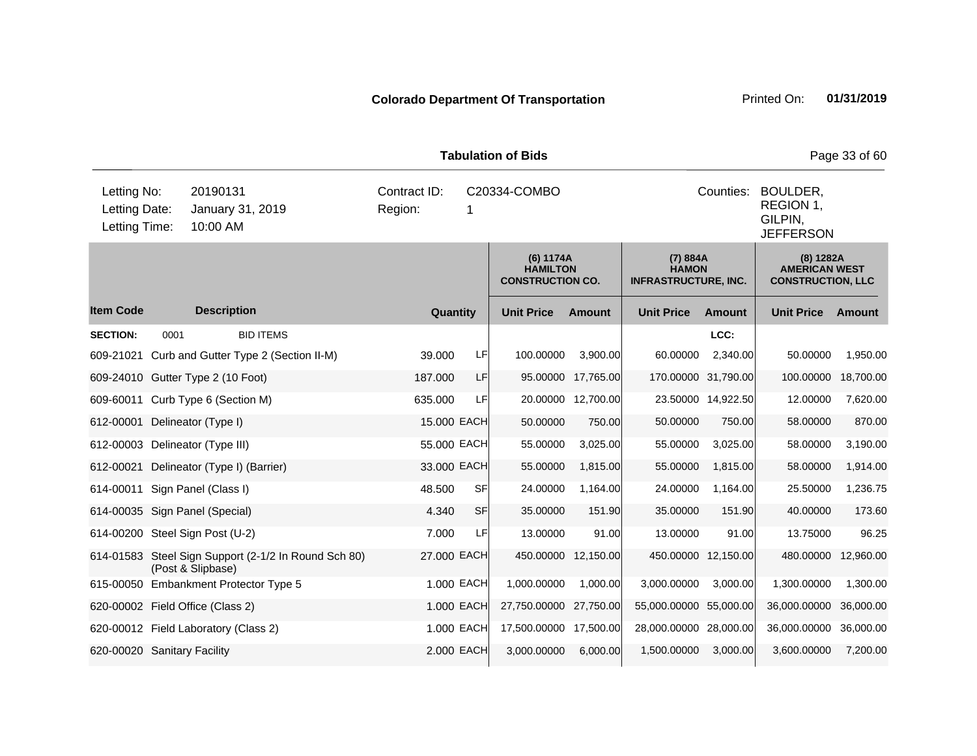| <b>Tabulation of Bids</b><br>Page 33 of 60    |      |                                                                           |  |                                                         |            |                                                         |                     |                                                               |                     |                                                      |           |
|-----------------------------------------------|------|---------------------------------------------------------------------------|--|---------------------------------------------------------|------------|---------------------------------------------------------|---------------------|---------------------------------------------------------------|---------------------|------------------------------------------------------|-----------|
| Letting No:<br>Letting Date:<br>Letting Time: |      | 20190131<br>January 31, 2019<br>10:00 AM                                  |  | Contract ID:<br>Region:                                 |            | C20334-COMBO                                            |                     |                                                               | Counties:           | BOULDER,<br>REGION 1,<br>GILPIN,<br><b>JEFFERSON</b> |           |
|                                               |      |                                                                           |  | (6) 1174A<br><b>HAMILTON</b><br><b>CONSTRUCTION CO.</b> |            | (7) 884A<br><b>HAMON</b><br><b>INFRASTRUCTURE, INC.</b> |                     | (8) 1282A<br><b>AMERICAN WEST</b><br><b>CONSTRUCTION, LLC</b> |                     |                                                      |           |
| <b>Item Code</b>                              |      | <b>Description</b>                                                        |  | Quantity                                                |            | <b>Unit Price</b>                                       | <b>Amount</b>       | <b>Unit Price</b>                                             | <b>Amount</b>       | <b>Unit Price</b>                                    | Amount    |
| <b>SECTION:</b>                               | 0001 | <b>BID ITEMS</b>                                                          |  |                                                         |            |                                                         |                     |                                                               | LCC:                |                                                      |           |
| 609-21021                                     |      | Curb and Gutter Type 2 (Section II-M)                                     |  | 39.000                                                  | LF         | 100.00000                                               | 3,900.00            | 60.00000                                                      | 2,340.00            | 50.00000                                             | 1,950.00  |
|                                               |      | 609-24010 Gutter Type 2 (10 Foot)                                         |  | 187.000                                                 | LF         |                                                         | 95.00000 17,765.00  |                                                               | 170.00000 31,790.00 | 100.00000                                            | 18,700.00 |
|                                               |      | 609-60011 Curb Type 6 (Section M)                                         |  | 635.000                                                 | LF         |                                                         | 20.00000 12,700.00  |                                                               | 23.50000 14,922.50  | 12.00000                                             | 7,620.00  |
| 612-00001                                     |      | Delineator (Type I)                                                       |  | 15.000 EACH                                             |            | 50.00000                                                | 750.00              | 50.00000                                                      | 750.00              | 58.00000                                             | 870.00    |
|                                               |      | 612-00003 Delineator (Type III)                                           |  | 55.000 EACH                                             |            | 55.00000                                                | 3,025.00            | 55.00000                                                      | 3,025.00            | 58.00000                                             | 3,190.00  |
| 612-00021                                     |      | Delineator (Type I) (Barrier)                                             |  | 33.000 EACH                                             |            | 55.00000                                                | 1,815.00            | 55.00000                                                      | 1,815.00            | 58.00000                                             | 1,914.00  |
|                                               |      | 614-00011 Sign Panel (Class I)                                            |  | 48.500                                                  | <b>SF</b>  | 24.00000                                                | 1,164.00            | 24.00000                                                      | 1,164.00            | 25.50000                                             | 1,236.75  |
|                                               |      | 614-00035 Sign Panel (Special)                                            |  | 4.340                                                   | <b>SF</b>  | 35.00000                                                | 151.90              | 35.00000                                                      | 151.90              | 40.00000                                             | 173.60    |
|                                               |      | 614-00200 Steel Sign Post (U-2)                                           |  | 7.000                                                   | LF         | 13.00000                                                | 91.00               | 13.00000                                                      | 91.00               | 13.75000                                             | 96.25     |
|                                               |      | 614-01583 Steel Sign Support (2-1/2 In Round Sch 80)<br>(Post & Slipbase) |  | 27.000 EACH                                             |            |                                                         | 450.00000 12,150.00 |                                                               | 450.00000 12,150.00 | 480.00000                                            | 12,960.00 |
|                                               |      | 615-00050 Embankment Protector Type 5                                     |  |                                                         | 1.000 EACH | 1,000.00000                                             | 1,000.00            | 3,000.00000                                                   | 3,000.00            | 1,300.00000                                          | 1,300.00  |
|                                               |      | 620-00002 Field Office (Class 2)                                          |  |                                                         | 1.000 EACH | 27,750.00000 27,750.00                                  |                     | 55,000.00000 55,000.00                                        |                     | 36,000.00000                                         | 36,000.00 |
|                                               |      | 620-00012 Field Laboratory (Class 2)                                      |  |                                                         | 1.000 EACH | 17,500.00000 17,500.00                                  |                     | 28,000.00000 28,000.00                                        |                     | 36,000.00000                                         | 36,000.00 |
| 620-00020 Sanitary Facility                   |      |                                                                           |  |                                                         | 2.000 EACH | 3,000.00000                                             | 6,000.00            | 1,500.00000                                                   | 3,000.00            | 3,600.00000                                          | 7,200.00  |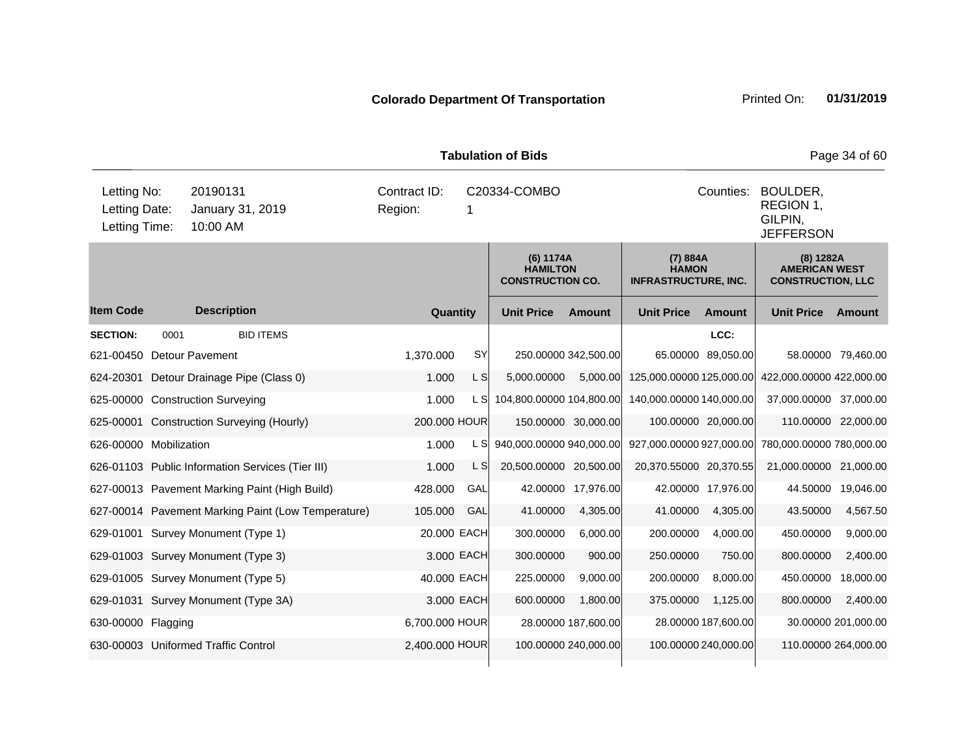| <b>Tabulation of Bids</b><br>Page 34 of 60    |      |                                                    |                         |              |                                                         |                                                                   |                                                         |                     |                                                                 |                     |  |
|-----------------------------------------------|------|----------------------------------------------------|-------------------------|--------------|---------------------------------------------------------|-------------------------------------------------------------------|---------------------------------------------------------|---------------------|-----------------------------------------------------------------|---------------------|--|
| Letting No:<br>Letting Date:<br>Letting Time: |      | 20190131<br>January 31, 2019<br>10:00 AM           | Contract ID:<br>Region: | C20334-COMBO |                                                         | Counties:<br>BOULDER,<br>REGION 1,<br>GILPIN,<br><b>JEFFERSON</b> |                                                         |                     |                                                                 |                     |  |
|                                               |      |                                                    |                         |              | (6) 1174A<br><b>HAMILTON</b><br><b>CONSTRUCTION CO.</b> |                                                                   | (7) 884A<br><b>HAMON</b><br><b>INFRASTRUCTURE, INC.</b> |                     | $(8)$ 1282A<br><b>AMERICAN WEST</b><br><b>CONSTRUCTION, LLC</b> |                     |  |
| <b>Item Code</b>                              |      | <b>Description</b>                                 | Quantity                |              | <b>Unit Price</b>                                       | <b>Amount</b>                                                     | <b>Unit Price</b>                                       | <b>Amount</b>       | <b>Unit Price</b>                                               | Amount              |  |
| <b>SECTION:</b>                               | 0001 | <b>BID ITEMS</b>                                   |                         |              |                                                         |                                                                   |                                                         | LCC:                |                                                                 |                     |  |
| 621-00450                                     |      | <b>Detour Pavement</b>                             | 1.370.000               | SY           |                                                         | 250.00000 342,500.00                                              |                                                         | 65.00000 89,050.00  |                                                                 | 58.00000 79,460.00  |  |
| 624-20301                                     |      | Detour Drainage Pipe (Class 0)                     | 1.000                   | L S          | 5,000.00000                                             | 5,000.00                                                          | 125,000.00000 125,000.00                                |                     | 422,000.00000 422,000.00                                        |                     |  |
|                                               |      | 625-00000 Construction Surveying                   | 1.000                   | L SI         | 104,800.00000 104,800.00                                |                                                                   | 140,000.00000 140,000.00                                |                     | 37,000.00000 37,000.00                                          |                     |  |
|                                               |      | 625-00001 Construction Surveying (Hourly)          | 200.000 HOUR            |              |                                                         | 150.00000 30,000.00                                               |                                                         | 100.00000 20,000.00 | 110.00000 22,000.00                                             |                     |  |
| 626-00000 Mobilization                        |      |                                                    | 1.000                   | L S          | 940,000.00000 940,000.00                                |                                                                   | 927,000.00000 927,000.00                                |                     | 780,000.00000 780,000.00                                        |                     |  |
|                                               |      | 626-01103 Public Information Services (Tier III)   | 1.000                   | L S          | 20,500.00000 20,500.00                                  |                                                                   | 20,370.55000 20,370.55                                  |                     | 21,000.00000 21,000.00                                          |                     |  |
|                                               |      | 627-00013 Pavement Marking Paint (High Build)      | 428.000                 | GAL          |                                                         | 42.00000 17,976.00                                                |                                                         | 42.00000 17,976.00  |                                                                 | 44.50000 19,046.00  |  |
|                                               |      | 627-00014 Pavement Marking Paint (Low Temperature) | 105.000                 | GAL          | 41.00000                                                | 4,305.00                                                          | 41.00000                                                | 4,305.00            | 43.50000                                                        | 4,567.50            |  |
|                                               |      | 629-01001 Survey Monument (Type 1)                 | 20.000 EACH             |              | 300.00000                                               | 6,000.00                                                          | 200.00000                                               | 4,000.00            | 450.00000                                                       | 9,000.00            |  |
|                                               |      | 629-01003 Survey Monument (Type 3)                 | 3.000 EACH              |              | 300.00000                                               | 900.00                                                            | 250.00000                                               | 750.00              | 800.00000                                                       | 2,400.00            |  |
|                                               |      | 629-01005 Survey Monument (Type 5)                 | 40.000 EACH             |              | 225.00000                                               | 9,000.00                                                          | 200.00000                                               | 8,000.00            | 450.00000 18,000.00                                             |                     |  |
|                                               |      | 629-01031 Survey Monument (Type 3A)                |                         | 3.000 EACH   | 600.00000                                               | 1,800.00                                                          | 375.00000                                               | 1,125.00            | 800.00000                                                       | 2,400.00            |  |
| 630-00000 Flagging                            |      |                                                    | 6,700.000 HOUR          |              |                                                         | 28.00000 187,600.00                                               |                                                         | 28.00000 187,600.00 |                                                                 | 30.00000 201,000.00 |  |
|                                               |      | 630-00003 Uniformed Traffic Control                | 100.00000 240,000.00    |              | 100.00000 240,000.00                                    | 110.00000 264,000.00                                              |                                                         |                     |                                                                 |                     |  |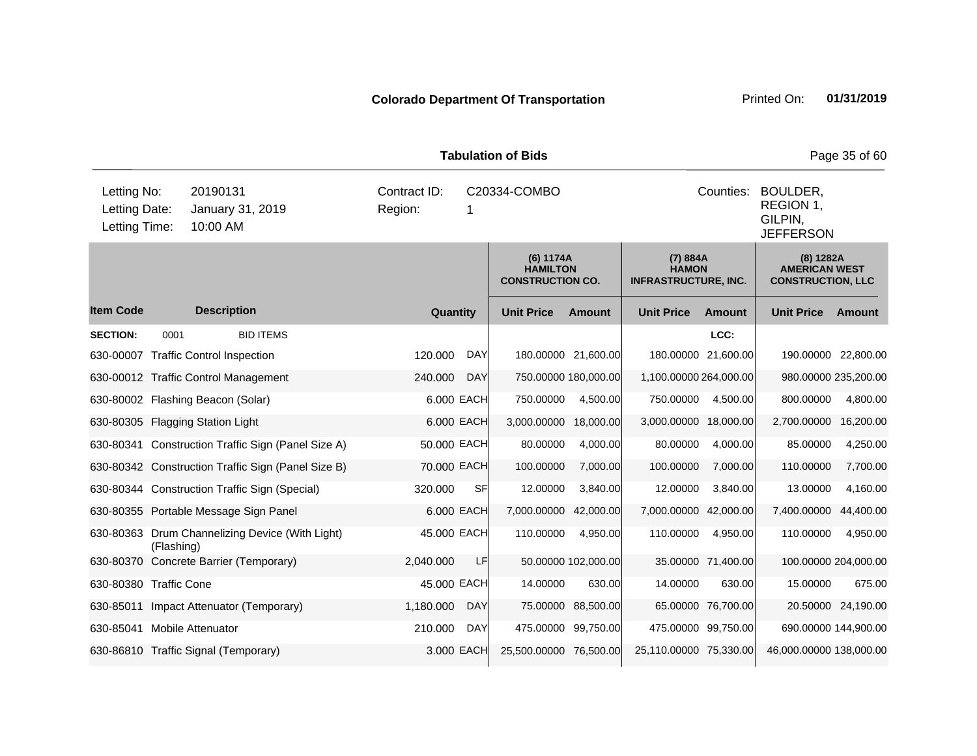| <b>Tabulation of Bids</b>                     |            |                                                    |                         |              |                                                         |                                                                   |                                                         |                     |                                                               | Page 35 of 60      |
|-----------------------------------------------|------------|----------------------------------------------------|-------------------------|--------------|---------------------------------------------------------|-------------------------------------------------------------------|---------------------------------------------------------|---------------------|---------------------------------------------------------------|--------------------|
| Letting No:<br>Letting Date:<br>Letting Time: |            | 20190131<br>January 31, 2019<br>10:00 AM           | Contract ID:<br>Region: | C20334-COMBO |                                                         | Counties:<br>BOULDER,<br>REGION 1,<br>GILPIN,<br><b>JEFFERSON</b> |                                                         |                     |                                                               |                    |
|                                               |            |                                                    |                         |              | (6) 1174A<br><b>HAMILTON</b><br><b>CONSTRUCTION CO.</b> |                                                                   | (7) 884A<br><b>HAMON</b><br><b>INFRASTRUCTURE, INC.</b> |                     | (8) 1282A<br><b>AMERICAN WEST</b><br><b>CONSTRUCTION, LLC</b> |                    |
| <b>Item Code</b>                              |            | <b>Description</b>                                 | Quantity                |              | <b>Unit Price</b>                                       | <b>Amount</b>                                                     | <b>Unit Price</b>                                       | Amount              | <b>Unit Price</b>                                             | Amount             |
| <b>SECTION:</b>                               | 0001       | <b>BID ITEMS</b>                                   |                         |              |                                                         |                                                                   |                                                         | LCC:                |                                                               |                    |
|                                               |            | 630-00007 Traffic Control Inspection               | 120.000                 | <b>DAY</b>   |                                                         | 180.00000 21,600.00                                               |                                                         | 180.00000 21,600.00 | 190.00000 22,800.00                                           |                    |
|                                               |            | 630-00012 Traffic Control Management               | 240.000                 | <b>DAY</b>   |                                                         | 750.00000 180,000.00                                              | 1,100.00000 264,000.00                                  |                     | 980.00000 235,200.00                                          |                    |
|                                               |            | 630-80002 Flashing Beacon (Solar)                  |                         | 6.000 EACH   | 750.00000                                               | 4,500.00                                                          | 750.00000                                               | 4.500.00            | 800.00000                                                     | 4,800.00           |
|                                               |            | 630-80305 Flagging Station Light                   |                         | 6.000 EACH   | 3,000.00000                                             | 18,000.00                                                         | 3,000.00000                                             | 18,000.00           | 2,700.00000                                                   | 16,200.00          |
|                                               |            | 630-80341 Construction Traffic Sign (Panel Size A) | 50.000 EACH             |              | 80.00000                                                | 4,000.00                                                          | 80.00000                                                | 4,000.00            | 85.00000                                                      | 4,250.00           |
|                                               |            | 630-80342 Construction Traffic Sign (Panel Size B) | 70.000 EACH             |              | 100.00000                                               | 7,000.00                                                          | 100.00000                                               | 7,000.00            | 110.00000                                                     | 7,700.00           |
|                                               |            | 630-80344 Construction Traffic Sign (Special)      | 320.000                 | <b>SF</b>    | 12.00000                                                | 3,840.00                                                          | 12.00000                                                | 3,840.00            | 13.00000                                                      | 4,160.00           |
|                                               |            | 630-80355 Portable Message Sign Panel              |                         | 6.000 EACH   | 7,000.00000                                             | 42,000.00                                                         | 7,000.00000                                             | 42,000.00           | 7,400.00000                                                   | 44,400.00          |
|                                               | (Flashing) | 630-80363 Drum Channelizing Device (With Light)    | 45.000 EACH             |              | 110.00000                                               | 4,950.00                                                          | 110.00000                                               | 4,950.00            | 110.00000                                                     | 4,950.00           |
|                                               |            | 630-80370 Concrete Barrier (Temporary)             | 2,040.000               | <b>LF</b>    |                                                         | 50.00000 102,000.00                                               |                                                         | 35.00000 71,400.00  | 100.00000 204,000.00                                          |                    |
| 630-80380 Traffic Cone                        |            |                                                    | 45.000 EACH             |              | 14.00000                                                | 630.00                                                            | 14.00000                                                | 630.00              | 15.00000                                                      | 675.00             |
| 630-85011                                     |            | Impact Attenuator (Temporary)                      | 1,180.000               | <b>DAY</b>   | 75.00000                                                | 88,500.00                                                         |                                                         | 65.00000 76,700.00  |                                                               | 20.50000 24,190.00 |
| 630-85041 Mobile Attenuator                   |            |                                                    | 210.000                 | DAY          |                                                         | 475.00000 99,750.00                                               |                                                         | 475.00000 99,750.00 | 690.00000 144,900.00                                          |                    |
|                                               |            | 630-86810 Traffic Signal (Temporary)               |                         | 3.000 EACH   | 25,500.00000 76,500.00                                  |                                                                   | 25,110.00000 75,330.00                                  |                     | 46,000.00000 138,000.00                                       |                    |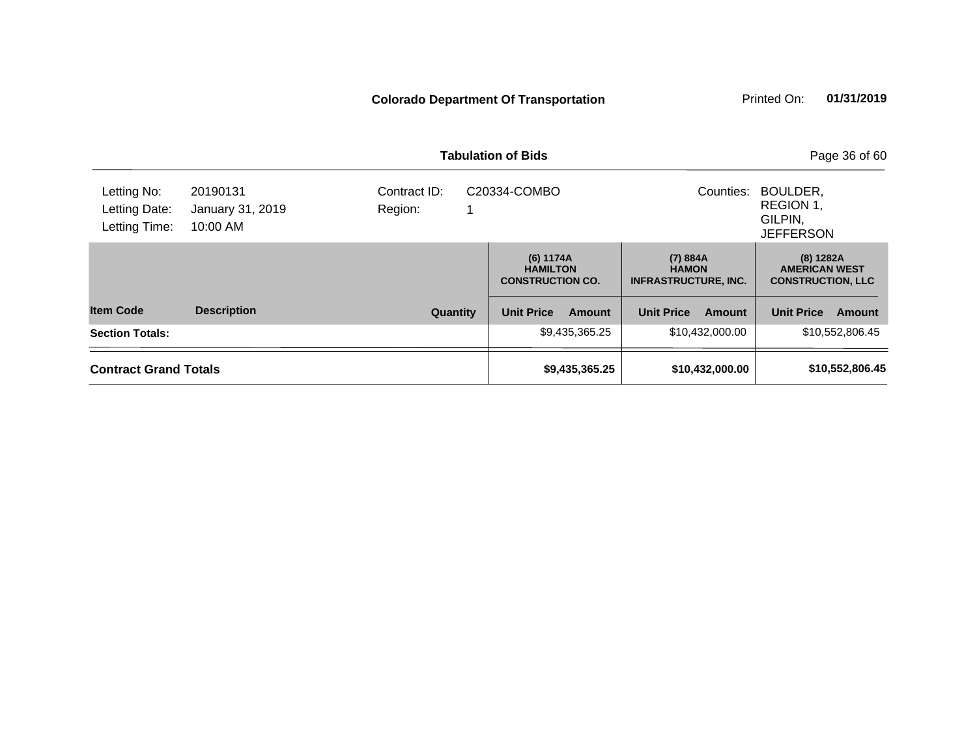|                                               |                                          |                         | <b>Tabulation of Bids</b>                               | Page 36 of 60                                           |                                                               |
|-----------------------------------------------|------------------------------------------|-------------------------|---------------------------------------------------------|---------------------------------------------------------|---------------------------------------------------------------|
| Letting No:<br>Letting Date:<br>Letting Time: | 20190131<br>January 31, 2019<br>10:00 AM | Contract ID:<br>Region: | C20334-COMBO                                            | Counties:                                               | BOULDER,<br>REGION 1,<br>GILPIN,<br><b>JEFFERSON</b>          |
|                                               |                                          |                         | (6) 1174A<br><b>HAMILTON</b><br><b>CONSTRUCTION CO.</b> | (7) 884A<br><b>HAMON</b><br><b>INFRASTRUCTURE, INC.</b> | (8) 1282A<br><b>AMERICAN WEST</b><br><b>CONSTRUCTION, LLC</b> |
| <b>Item Code</b>                              | <b>Description</b>                       | <b>Quantity</b>         | <b>Unit Price</b><br>Amount                             | <b>Unit Price</b><br>Amount                             | <b>Unit Price</b><br><b>Amount</b>                            |
| <b>Section Totals:</b>                        |                                          |                         | \$9,435,365.25                                          | \$10,432,000.00                                         | \$10,552,806.45                                               |
| <b>Contract Grand Totals</b>                  |                                          |                         | \$9,435,365.25                                          | \$10,432,000.00                                         | \$10,552,806.45                                               |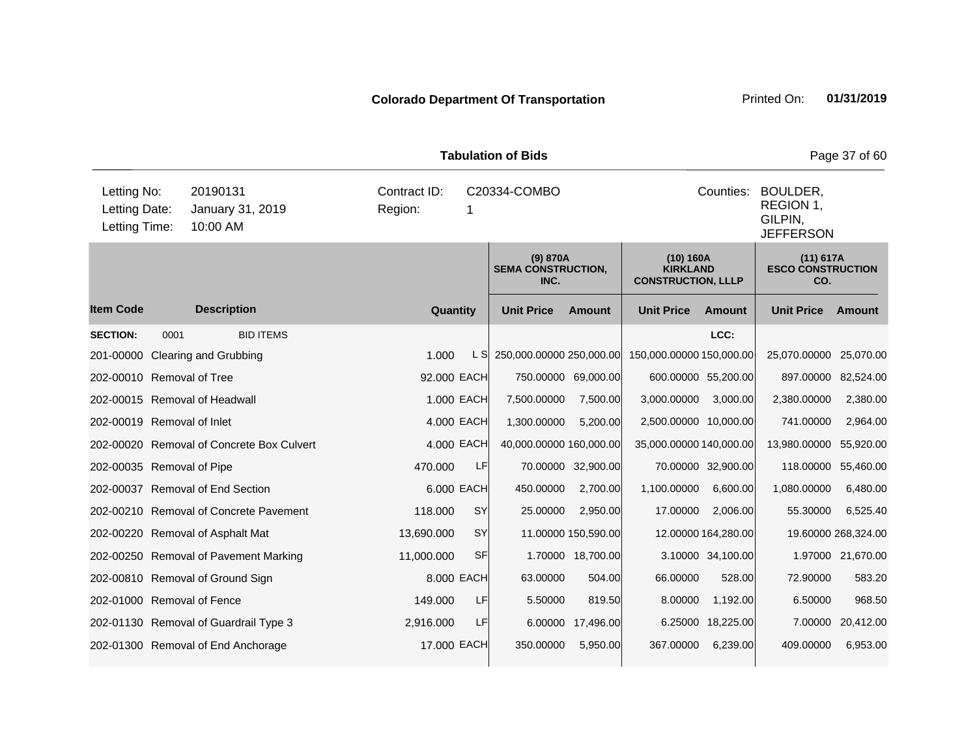| <b>Tabulation of Bids</b>                     |      |                                           |                         |                   |                                               |                     |                                                           |                     |                                                                   | Page 37 of 60       |  |
|-----------------------------------------------|------|-------------------------------------------|-------------------------|-------------------|-----------------------------------------------|---------------------|-----------------------------------------------------------|---------------------|-------------------------------------------------------------------|---------------------|--|
| Letting No:<br>Letting Date:<br>Letting Time: |      | 20190131<br>January 31, 2019<br>10:00 AM  | Contract ID:<br>Region: | C20334-COMBO<br>1 |                                               |                     |                                                           |                     | Counties:<br>BOULDER,<br>REGION 1,<br>GILPIN,<br><b>JEFFERSON</b> |                     |  |
|                                               |      |                                           |                         |                   | (9) 870A<br><b>SEMA CONSTRUCTION,</b><br>INC. |                     | (10) 160A<br><b>KIRKLAND</b><br><b>CONSTRUCTION, LLLP</b> |                     | (11) 617A<br><b>ESCO CONSTRUCTION</b><br>CO.                      |                     |  |
| <b>Item Code</b>                              |      | <b>Description</b>                        | Quantity                |                   | <b>Unit Price</b>                             | <b>Amount</b>       | <b>Unit Price</b>                                         | <b>Amount</b>       | <b>Unit Price</b>                                                 | Amount              |  |
| <b>SECTION:</b>                               | 0001 | <b>BID ITEMS</b>                          |                         |                   |                                               |                     |                                                           | LCC:                |                                                                   |                     |  |
| 201-00000                                     |      | <b>Clearing and Grubbing</b>              | 1.000                   | L SI              | 250,000.00000 250,000.00                      |                     | 150,000.00000 150,000.00                                  |                     | 25,070.00000                                                      | 25,070.00           |  |
| 202-00010 Removal of Tree                     |      |                                           | 92.000 EACH             |                   | 750.00000 69,000.00                           |                     | 600.00000 55,200.00                                       |                     | 897.00000 82,524.00                                               |                     |  |
|                                               |      | 202-00015 Removal of Headwall             |                         | 1.000 EACH        | 7,500.00000                                   | 7,500.00            | 3,000.00000                                               | 3,000.00            | 2,380.00000                                                       | 2,380.00            |  |
| 202-00019 Removal of Inlet                    |      |                                           |                         | 4.000 EACH        | 1,300.00000                                   | 5,200.00            | 2,500.00000 10,000.00                                     |                     | 741.00000                                                         | 2,964.00            |  |
|                                               |      | 202-00020 Removal of Concrete Box Culvert |                         | 4.000 EACH        | 40,000.00000 160,000.00                       |                     | 35,000.00000 140,000.00                                   |                     | 13,980.00000                                                      | 55,920.00           |  |
| 202-00035 Removal of Pipe                     |      |                                           | 470.000                 | LF                |                                               | 70.00000 32,900.00  |                                                           | 70.00000 32,900.00  | 118.00000                                                         | 55,460.00           |  |
|                                               |      | 202-00037 Removal of End Section          |                         | 6.000 EACH        | 450.00000                                     | 2,700.00            | 1,100.00000                                               | 6,600.00            | 1,080.00000                                                       | 6,480.00            |  |
|                                               |      | 202-00210 Removal of Concrete Pavement    | 118,000                 | SY                | 25.00000                                      | 2,950.00            | 17.00000                                                  | 2,006.00            | 55.30000                                                          | 6,525.40            |  |
|                                               |      | 202-00220 Removal of Asphalt Mat          | 13,690.000              | <b>SY</b>         |                                               | 11.00000 150,590.00 |                                                           | 12.00000 164,280.00 |                                                                   | 19.60000 268,324.00 |  |
|                                               |      | 202-00250 Removal of Pavement Marking     | 11,000.000              | <b>SF</b>         |                                               | 1.70000 18,700.00   |                                                           | 3.10000 34,100.00   |                                                                   | 1.97000 21,670.00   |  |
|                                               |      | 202-00810 Removal of Ground Sign          |                         | 8.000 EACH        | 63.00000                                      | 504.00              | 66.00000                                                  | 528.00              | 72.90000                                                          | 583.20              |  |
| 202-01000 Removal of Fence                    |      |                                           | 149.000                 | LF                | 5.50000                                       | 819.50              | 8.00000                                                   | 1,192.00            | 6.50000                                                           | 968.50              |  |
|                                               |      | 202-01130 Removal of Guardrail Type 3     | 2,916.000               | LF                |                                               | 6.00000 17,496.00   |                                                           | 6.25000 18,225.00   | 7.00000                                                           | 20,412.00           |  |
|                                               |      | 202-01300 Removal of End Anchorage        | 17.000 EACH             |                   | 350.00000                                     | 5,950.00            | 367.00000                                                 | 6,239.00            | 409.00000                                                         | 6,953.00            |  |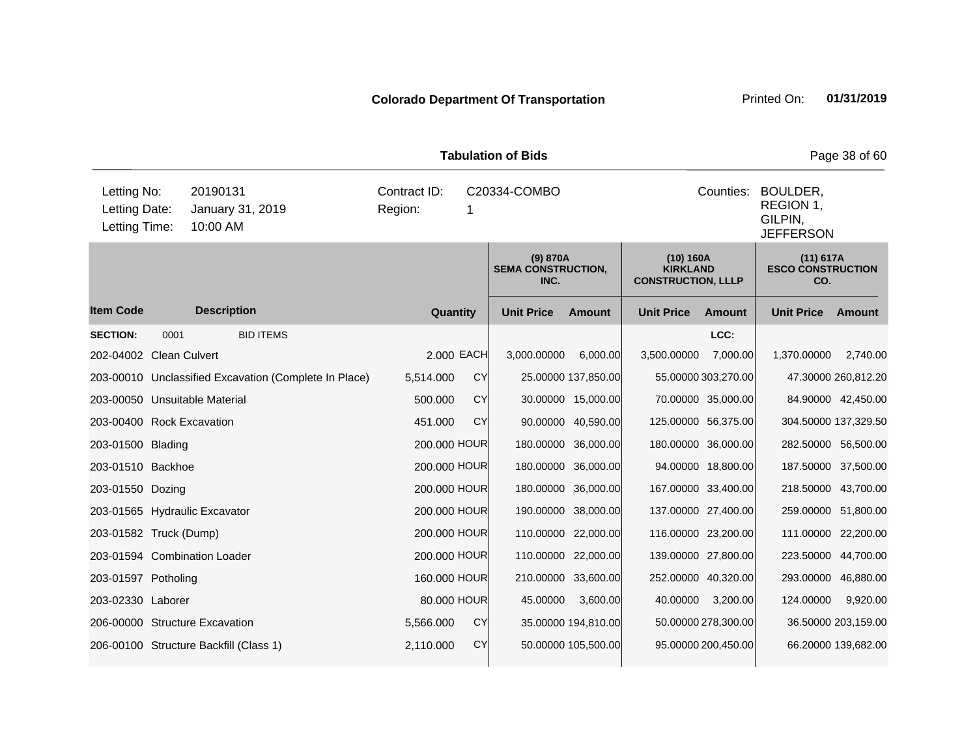|                                               | <b>Tabulation of Bids</b><br>Page 38 of 60 |                                                       |                         |              |                                               |                     |                                                           |                                                      |                                              |                     |  |  |
|-----------------------------------------------|--------------------------------------------|-------------------------------------------------------|-------------------------|--------------|-----------------------------------------------|---------------------|-----------------------------------------------------------|------------------------------------------------------|----------------------------------------------|---------------------|--|--|
| Letting No:<br>Letting Date:<br>Letting Time: |                                            | 20190131<br>January 31, 2019<br>10:00 AM              | Contract ID:<br>Region: | C20334-COMBO |                                               |                     | Counties:                                                 | BOULDER,<br>REGION 1,<br>GILPIN.<br><b>JEFFERSON</b> |                                              |                     |  |  |
|                                               |                                            |                                                       |                         |              | (9) 870A<br><b>SEMA CONSTRUCTION,</b><br>INC. |                     | (10) 160A<br><b>KIRKLAND</b><br><b>CONSTRUCTION, LLLP</b> |                                                      | (11) 617A<br><b>ESCO CONSTRUCTION</b><br>CO. |                     |  |  |
| <b>Item Code</b>                              |                                            | <b>Description</b>                                    | Quantity                |              | <b>Unit Price</b>                             | <b>Amount</b>       | <b>Unit Price</b>                                         | <b>Amount</b>                                        | <b>Unit Price</b>                            | Amount              |  |  |
| <b>SECTION:</b>                               | 0001                                       | <b>BID ITEMS</b>                                      |                         |              |                                               |                     |                                                           | LCC:                                                 |                                              |                     |  |  |
| 202-04002 Clean Culvert                       |                                            |                                                       | 2.000 EACH              |              | 3,000.00000                                   | 6,000.00            | 3,500.00000                                               | 7,000.00                                             | 1,370.00000                                  | 2,740.00            |  |  |
|                                               |                                            | 203-00010 Unclassified Excavation (Complete In Place) | 5,514.000               | <b>CY</b>    |                                               | 25.00000 137,850.00 |                                                           | 55.00000 303,270.00                                  |                                              | 47.30000 260,812.20 |  |  |
| 203-00050 Unsuitable Material                 |                                            |                                                       | 500.000                 | <b>CY</b>    |                                               | 30.00000 15,000.00  |                                                           | 70.00000 35,000.00                                   |                                              | 84.90000 42,450.00  |  |  |
| 203-00400 Rock Excavation                     |                                            |                                                       | 451.000                 | <b>CY</b>    |                                               | 90.00000 40,590.00  | 125.00000 56,375.00                                       |                                                      | 304.50000 137,329.50                         |                     |  |  |
| 203-01500 Blading                             |                                            |                                                       | 200.000 HOUR            |              |                                               | 180.00000 36,000.00 |                                                           | 180.00000 36,000.00                                  | 282.50000 56,500.00                          |                     |  |  |
| 203-01510 Backhoe                             |                                            |                                                       | 200,000 HOUR            |              |                                               | 180.00000 36,000.00 |                                                           | 94.00000 18,800.00                                   | 187.50000 37,500.00                          |                     |  |  |
| 203-01550 Dozing                              |                                            |                                                       | 200.000 HOUR            |              |                                               | 180.00000 36,000.00 |                                                           | 167.00000 33,400.00                                  | 218.50000 43,700.00                          |                     |  |  |
|                                               |                                            | 203-01565 Hydraulic Excavator                         | 200.000 HOUR            |              |                                               | 190.00000 38,000.00 | 137.00000 27,400.00                                       |                                                      | 259.00000 51,800.00                          |                     |  |  |
| 203-01582 Truck (Dump)                        |                                            |                                                       | 200,000 HOUR            |              |                                               | 110.00000 22,000.00 |                                                           | 116.00000 23,200.00                                  | 111.00000 22,200.00                          |                     |  |  |
|                                               |                                            | 203-01594 Combination Loader                          | 200.000 HOUR            |              |                                               | 110.00000 22,000.00 |                                                           | 139.00000 27,800.00                                  | 223.50000 44,700.00                          |                     |  |  |
| 203-01597 Potholing                           |                                            |                                                       | 160.000 HOUR            |              |                                               | 210.00000 33,600.00 | 252.00000 40,320.00                                       |                                                      | 293.00000 46,880.00                          |                     |  |  |
| 203-02330 Laborer                             |                                            |                                                       | 80.000 HOUR             |              | 45.00000                                      | 3,600.00            | 40.00000                                                  | 3,200.00                                             | 124.00000                                    | 9,920.00            |  |  |
|                                               |                                            | 206-00000 Structure Excavation                        | 5,566.000               | <b>CY</b>    |                                               | 35.00000 194,810.00 |                                                           | 50.00000 278,300.00                                  |                                              | 36.50000 203,159.00 |  |  |
|                                               |                                            | 206-00100 Structure Backfill (Class 1)                | 2,110.000               | <b>CY</b>    |                                               | 50.00000 105,500.00 |                                                           | 95.00000 200,450.00                                  |                                              | 66.20000 139,682.00 |  |  |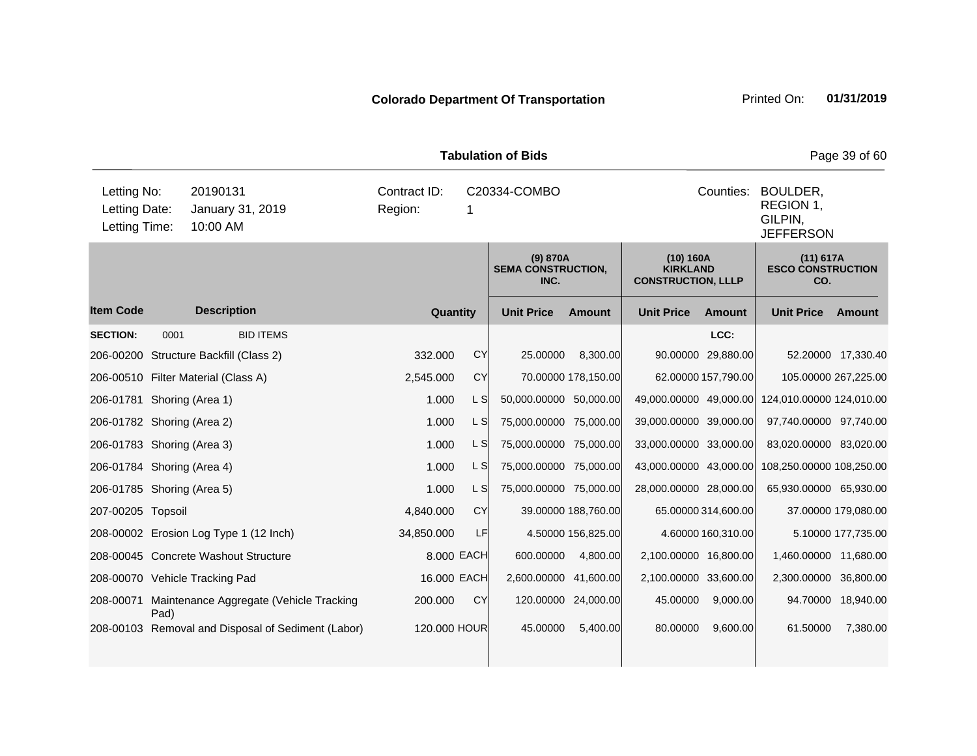| <b>Tabulation of Bids</b>                     |      |                                                    |                         |                    |                                               |                     |                                                           |                     |                                                                   |                     |  |  |
|-----------------------------------------------|------|----------------------------------------------------|-------------------------|--------------------|-----------------------------------------------|---------------------|-----------------------------------------------------------|---------------------|-------------------------------------------------------------------|---------------------|--|--|
| Letting No:<br>Letting Date:<br>Letting Time: |      | 20190131<br>January 31, 2019<br>10:00 AM           | Contract ID:<br>Region: | C20334-COMBO<br>-1 |                                               |                     |                                                           |                     | Counties:<br>BOULDER,<br>REGION 1,<br>GILPIN,<br><b>JEFFERSON</b> |                     |  |  |
|                                               |      |                                                    |                         |                    | (9) 870A<br><b>SEMA CONSTRUCTION,</b><br>INC. |                     | (10) 160A<br><b>KIRKLAND</b><br><b>CONSTRUCTION, LLLP</b> |                     | (11) 617A<br><b>ESCO CONSTRUCTION</b><br>CO.                      |                     |  |  |
| <b>Item Code</b>                              |      | <b>Description</b>                                 |                         | Quantity           | <b>Unit Price</b>                             | <b>Amount</b>       | <b>Unit Price</b>                                         | <b>Amount</b>       | <b>Unit Price</b>                                                 | Amount              |  |  |
| <b>SECTION:</b>                               | 0001 | <b>BID ITEMS</b>                                   |                         |                    |                                               |                     |                                                           | LCC:                |                                                                   |                     |  |  |
|                                               |      | 206-00200 Structure Backfill (Class 2)             | 332.000                 | CY                 | 25.00000                                      | 8,300.00            |                                                           | 90.00000 29,880.00  |                                                                   | 52.20000 17,330.40  |  |  |
|                                               |      | 206-00510 Filter Material (Class A)                | 2,545.000               | <b>CY</b>          |                                               | 70.00000 178,150.00 |                                                           | 62.00000 157,790.00 | 105.00000 267,225.00                                              |                     |  |  |
| 206-01781 Shoring (Area 1)                    |      |                                                    | 1.000                   | L S                | 50,000.00000 50,000.00                        |                     | 49,000.00000 49,000.00                                    |                     | 124,010.00000 124,010.00                                          |                     |  |  |
| 206-01782 Shoring (Area 2)                    |      |                                                    | 1.000                   | L S                | 75,000.00000 75,000.00                        |                     | 39,000.00000 39,000.00                                    |                     | 97,740.00000 97,740.00                                            |                     |  |  |
| 206-01783 Shoring (Area 3)                    |      |                                                    | 1.000                   | L S                | 75,000.00000 75,000.00                        |                     | 33,000.00000 33,000.00                                    |                     | 83,020.00000 83,020.00                                            |                     |  |  |
| 206-01784 Shoring (Area 4)                    |      |                                                    | 1.000                   | L SI               | 75,000.00000 75,000.00                        |                     | 43,000.00000 43,000.00                                    |                     | 108,250.00000 108,250.00                                          |                     |  |  |
| 206-01785 Shoring (Area 5)                    |      |                                                    | 1.000                   | L S                | 75,000.00000 75,000.00                        |                     | 28,000.00000 28,000.00                                    |                     | 65,930.00000 65,930.00                                            |                     |  |  |
| 207-00205 Topsoil                             |      |                                                    | 4,840.000               | <b>CY</b>          |                                               | 39.00000 188,760.00 |                                                           | 65.00000 314,600.00 |                                                                   | 37.00000 179,080.00 |  |  |
|                                               |      | 208-00002 Erosion Log Type 1 (12 Inch)             | 34,850.000              | LF                 |                                               | 4.50000 156,825.00  |                                                           | 4.60000 160,310.00  |                                                                   | 5.10000 177,735.00  |  |  |
|                                               |      | 208-00045 Concrete Washout Structure               |                         | 8.000 EACH         | 600.00000                                     | 4,800.00            | 2,100.00000 16,800.00                                     |                     | 1,460.00000 11,680.00                                             |                     |  |  |
|                                               |      | 208-00070 Vehicle Tracking Pad                     |                         | 16.000 EACH        | 2,600.00000 41,600.00                         |                     | 2,100.00000 33,600.00                                     |                     | 2,300.00000 36,800.00                                             |                     |  |  |
| 208-00071                                     | Pad) | Maintenance Aggregate (Vehicle Tracking            | 200.000                 | CY                 |                                               | 120.00000 24,000.00 | 45.00000                                                  | 9,000.00            |                                                                   | 94.70000 18,940.00  |  |  |
|                                               |      | 208-00103 Removal and Disposal of Sediment (Labor) |                         | 120.000 HOUR       | 45.00000                                      | 5,400.00            | 80.00000                                                  | 9,600.00            | 61.50000                                                          | 7,380.00            |  |  |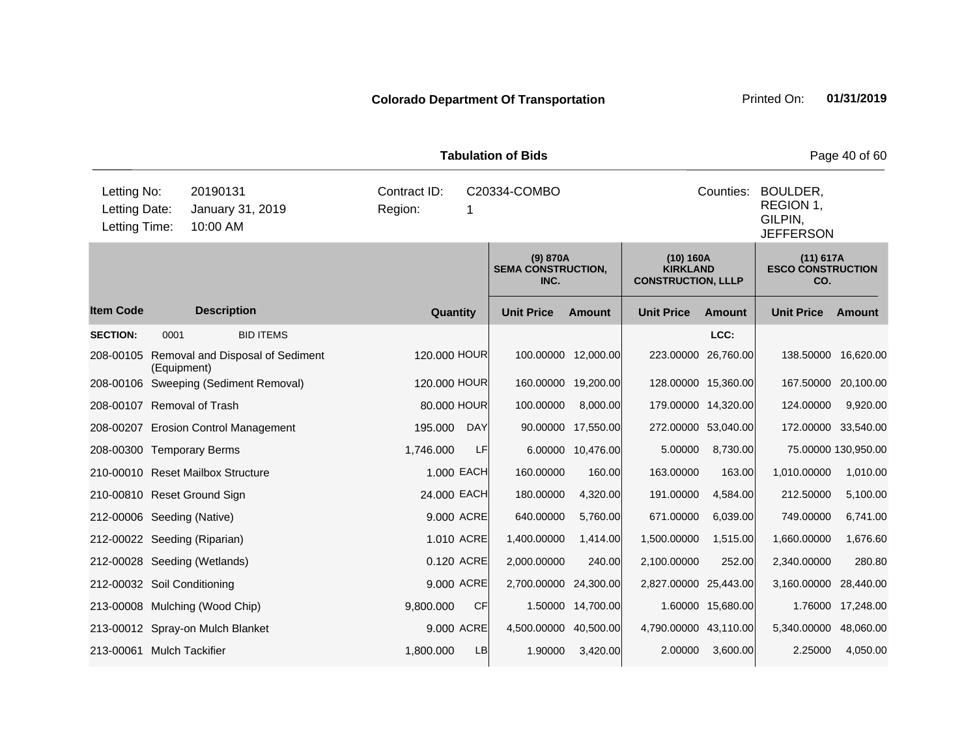|                                               | <b>Tabulation of Bids</b> |                                          |                         |            |                                               |                     |                                                           |                                                      |                                                |                     |  |
|-----------------------------------------------|---------------------------|------------------------------------------|-------------------------|------------|-----------------------------------------------|---------------------|-----------------------------------------------------------|------------------------------------------------------|------------------------------------------------|---------------------|--|
| Letting No:<br>Letting Date:<br>Letting Time: |                           | 20190131<br>January 31, 2019<br>10:00 AM | Contract ID:<br>Region: | 1          | C20334-COMBO                                  |                     | Counties:                                                 | BOULDER,<br>REGION 1,<br>GILPIN,<br><b>JEFFERSON</b> |                                                |                     |  |
|                                               |                           |                                          |                         |            | (9) 870A<br><b>SEMA CONSTRUCTION,</b><br>INC. |                     | (10) 160A<br><b>KIRKLAND</b><br><b>CONSTRUCTION, LLLP</b> |                                                      | $(11)$ 617A<br><b>ESCO CONSTRUCTION</b><br>CO. |                     |  |
| <b>Item Code</b>                              |                           | <b>Description</b>                       | Quantity                |            | <b>Unit Price</b>                             | <b>Amount</b>       | <b>Unit Price</b>                                         | <b>Amount</b>                                        | <b>Unit Price</b>                              | Amount              |  |
| <b>SECTION:</b>                               | 0001                      | <b>BID ITEMS</b>                         |                         |            |                                               |                     |                                                           | LCC:                                                 |                                                |                     |  |
| 208-00105                                     | (Equipment)               | Removal and Disposal of Sediment         | 120.000 HOUR            |            |                                               | 100.00000 12,000.00 |                                                           | 223.00000 26,760.00                                  | 138.50000                                      | 16,620.00           |  |
|                                               |                           | 208-00106 Sweeping (Sediment Removal)    | 120.000 HOUR            |            | 160.00000                                     | 19,200.00           |                                                           | 128.00000 15,360.00                                  | 167.50000                                      | 20,100.00           |  |
| 208-00107 Removal of Trash                    |                           |                                          | 80,000 HOUR             |            | 100.00000                                     | 8,000.00            |                                                           | 179.00000 14,320.00                                  | 124.00000                                      | 9,920.00            |  |
|                                               |                           | 208-00207 Erosion Control Management     | 195.000                 | <b>DAY</b> | 90.00000                                      | 17,550.00           |                                                           | 272.00000 53,040.00                                  | 172.00000                                      | 33,540.00           |  |
| 208-00300 Temporary Berms                     |                           |                                          | 1,746.000               | LF         | 6.00000                                       | 10,476.00           | 5.00000                                                   | 8,730.00                                             |                                                | 75.00000 130,950.00 |  |
|                                               |                           | 210-00010 Reset Mailbox Structure        | 1.000 EACH              |            | 160.00000                                     | 160.00              | 163.00000                                                 | 163.00                                               | 1,010.00000                                    | 1,010.00            |  |
| 210-00810 Reset Ground Sign                   |                           |                                          | 24.000 EACH             |            | 180.00000                                     | 4,320.00            | 191.00000                                                 | 4,584.00                                             | 212.50000                                      | 5,100.00            |  |
| 212-00006 Seeding (Native)                    |                           |                                          |                         | 9.000 ACRE | 640.00000                                     | 5,760.00            | 671.00000                                                 | 6,039.00                                             | 749.00000                                      | 6,741.00            |  |
| 212-00022 Seeding (Riparian)                  |                           |                                          |                         | 1.010 ACRE | 1,400.00000                                   | 1,414.00            | 1,500.00000                                               | 1,515.00                                             | 1,660.00000                                    | 1,676.60            |  |
|                                               |                           | 212-00028 Seeding (Wetlands)             |                         | 0.120 ACRE | 2,000.00000                                   | 240.00              | 2,100.00000                                               | 252.00                                               | 2,340.00000                                    | 280.80              |  |
| 212-00032 Soil Conditioning                   |                           |                                          |                         | 9.000 ACRE | 2,700.00000                                   | 24,300.00           | 2,827.00000 25,443.00                                     |                                                      | 3,160.00000                                    | 28,440.00           |  |
|                                               |                           | 213-00008 Mulching (Wood Chip)           | 9,800.000               | <b>CF</b>  | 1.50000                                       | 14,700.00           |                                                           | 1.60000 15,680.00                                    | 1.76000                                        | 17,248.00           |  |
|                                               |                           | 213-00012 Spray-on Mulch Blanket         |                         | 9.000 ACRE | 4,500.00000 40,500.00                         |                     | 4,790.00000 43,110.00                                     |                                                      | 5,340.00000                                    | 48,060.00           |  |
| 213-00061 Mulch Tackifier                     |                           |                                          | 1,800.000               | <b>LB</b>  | 1.90000                                       | 3,420.00            | 2.00000                                                   | 3,600.00                                             | 2.25000                                        | 4,050.00            |  |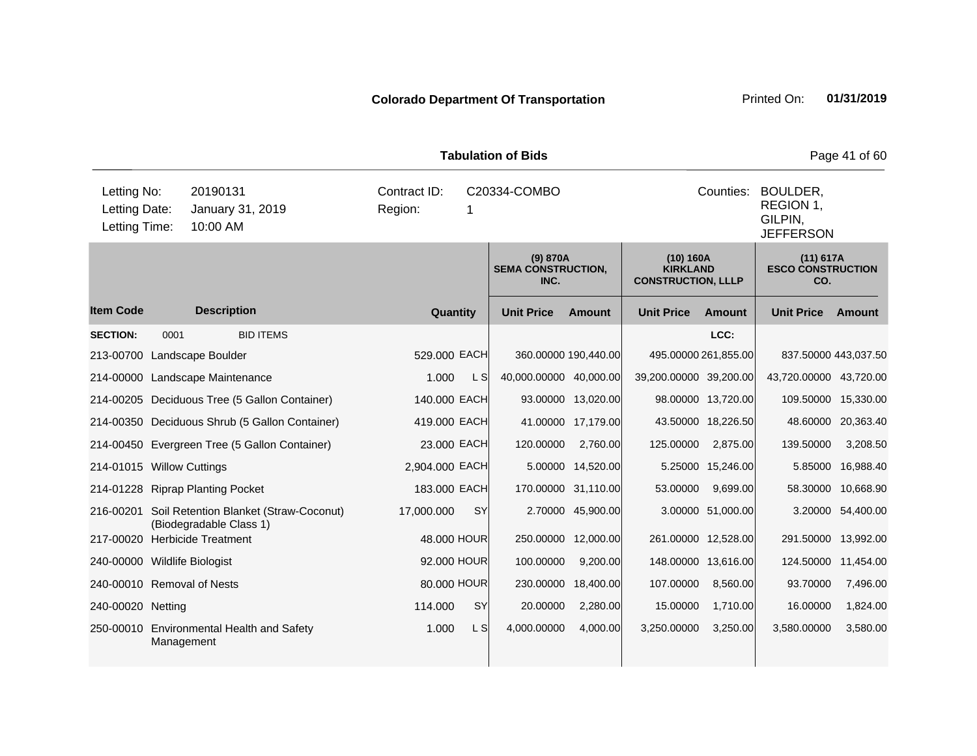|                                               |            | Page 41 of 60                                         |                         |           |                                               |                      |                                                           |                    |                                                      |                    |
|-----------------------------------------------|------------|-------------------------------------------------------|-------------------------|-----------|-----------------------------------------------|----------------------|-----------------------------------------------------------|--------------------|------------------------------------------------------|--------------------|
| Letting No:<br>Letting Date:<br>Letting Time: |            | 20190131<br>January 31, 2019<br>10:00 AM              | Contract ID:<br>Region: | 1         | C20334-COMBO                                  |                      |                                                           | Counties:          | BOULDER,<br>REGION 1,<br>GILPIN,<br><b>JEFFERSON</b> |                    |
|                                               |            |                                                       |                         |           | (9) 870A<br><b>SEMA CONSTRUCTION,</b><br>INC. |                      | (10) 160A<br><b>KIRKLAND</b><br><b>CONSTRUCTION, LLLP</b> |                    | (11) 617A<br><b>ESCO CONSTRUCTION</b><br>CO.         |                    |
| <b>Item Code</b>                              |            | <b>Description</b>                                    | Quantity                |           | <b>Unit Price</b>                             | <b>Amount</b>        | <b>Unit Price</b>                                         | Amount             | <b>Unit Price</b>                                    | Amount             |
| <b>SECTION:</b>                               | 0001       | <b>BID ITEMS</b>                                      |                         |           |                                               |                      |                                                           | LCC:               |                                                      |                    |
| 213-00700                                     |            | Landscape Boulder                                     | 529.000 EACH            |           |                                               | 360.00000 190,440.00 | 495.00000 261,855.00                                      |                    | 837.50000 443,037.50                                 |                    |
|                                               |            | 214-00000 Landscape Maintenance                       | 1.000                   | L S       | 40,000.00000 40,000.00                        |                      | 39,200.00000 39,200.00                                    |                    | 43,720.00000 43,720.00                               |                    |
|                                               |            | 214-00205 Deciduous Tree (5 Gallon Container)         | 140.000 EACH            |           |                                               | 93.00000 13,020.00   |                                                           | 98.00000 13,720.00 | 109.50000                                            | 15,330.00          |
|                                               |            | 214-00350 Deciduous Shrub (5 Gallon Container)        | 419.000 EACH            |           |                                               | 41.00000 17,179.00   |                                                           | 43.50000 18,226.50 |                                                      | 48.60000 20,363.40 |
|                                               |            | 214-00450 Evergreen Tree (5 Gallon Container)         | 23.000 EACH             |           | 120.00000                                     | 2,760.00             | 125.00000                                                 | 2,875.00           | 139.50000                                            | 3,208.50           |
| 214-01015 Willow Cuttings                     |            |                                                       | 2,904.000 EACH          |           | 5.00000                                       | 14,520.00            |                                                           | 5.25000 15,246.00  | 5.85000                                              | 16,988.40          |
|                                               |            | 214-01228 Riprap Planting Pocket                      | 183.000 EACH            |           |                                               | 170.00000 31,110.00  | 53.00000                                                  | 9,699.00           | 58.30000                                             | 10,668.90          |
| 216-00201                                     |            | Soil Retention Blanket (Straw-Coconut)                | 17,000.000              | SY        |                                               | 2.70000 45,900.00    |                                                           | 3.00000 51,000.00  | 3.20000                                              | 54,400.00          |
| 217-00020                                     |            | (Biodegradable Class 1)<br><b>Herbicide Treatment</b> | 48.000 HOUR             |           | 250.00000                                     | 12,000.00            | 261.00000 12,528.00                                       |                    | 291.50000                                            | 13,992.00          |
| 240-00000 Wildlife Biologist                  |            |                                                       | 92.000 HOUR             |           | 100.00000                                     | 9,200.00             | 148.00000 13,616.00                                       |                    | 124.50000                                            | 11,454.00          |
| 240-00010 Removal of Nests                    |            |                                                       | 80.000 HOUR             |           |                                               | 230.00000 18,400.00  | 107.00000                                                 | 8,560.00           | 93.70000                                             | 7,496.00           |
| 240-00020 Netting                             |            |                                                       | 114.000                 | <b>SY</b> | 20.00000                                      | 2,280.00             | 15.00000                                                  | 1,710.00           | 16.00000                                             | 1,824.00           |
|                                               | Management | 250-00010 Environmental Health and Safety             | 1.000                   | L S       | 4,000.00000                                   | 4,000.00             | 3,250.00000                                               | 3,250.00           | 3,580.00000                                          | 3,580.00           |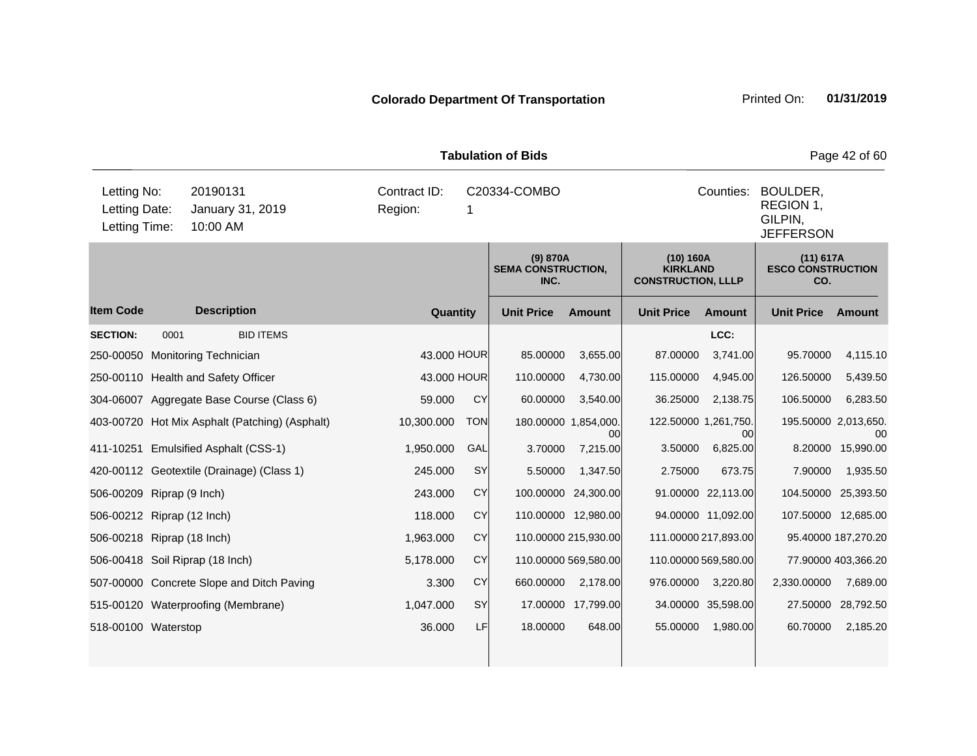|                                               |      | Page 42 of 60                                  |                         |                   |                                               |                            |                                                           |                      |                                              |                                                                   |  |  |  |
|-----------------------------------------------|------|------------------------------------------------|-------------------------|-------------------|-----------------------------------------------|----------------------------|-----------------------------------------------------------|----------------------|----------------------------------------------|-------------------------------------------------------------------|--|--|--|
| Letting No:<br>Letting Date:<br>Letting Time: |      | 20190131<br>January 31, 2019<br>10:00 AM       | Contract ID:<br>Region: | C20334-COMBO<br>1 |                                               |                            |                                                           |                      |                                              | Counties:<br>BOULDER,<br>REGION 1,<br>GILPIN,<br><b>JEFFERSON</b> |  |  |  |
|                                               |      |                                                |                         |                   | (9) 870A<br><b>SEMA CONSTRUCTION,</b><br>INC. |                            | (10) 160A<br><b>KIRKLAND</b><br><b>CONSTRUCTION, LLLP</b> |                      | (11) 617A<br><b>ESCO CONSTRUCTION</b><br>CO. |                                                                   |  |  |  |
| <b>Item Code</b>                              |      | <b>Description</b>                             | Quantity                |                   | <b>Unit Price</b>                             | <b>Amount</b>              | <b>Unit Price</b>                                         | Amount               | <b>Unit Price</b>                            | Amount                                                            |  |  |  |
| <b>SECTION:</b>                               | 0001 | <b>BID ITEMS</b>                               |                         |                   |                                               |                            |                                                           | LCC:                 |                                              |                                                                   |  |  |  |
| 250-00050                                     |      | Monitoring Technician                          | 43.000 HOUR             |                   | 85.00000                                      | 3,655.00                   | 87.00000                                                  | 3,741.00             | 95.70000                                     | 4,115.10                                                          |  |  |  |
|                                               |      | 250-00110 Health and Safety Officer            | 43.000 HOUR             |                   | 110.00000                                     | 4,730.00                   | 115.00000                                                 | 4,945.00             | 126.50000                                    | 5,439.50                                                          |  |  |  |
|                                               |      | 304-06007 Aggregate Base Course (Class 6)      | 59.000                  | CY                | 60.00000                                      | 3,540.00                   | 36.25000                                                  | 2,138.75             | 106.50000                                    | 6,283.50                                                          |  |  |  |
|                                               |      | 403-00720 Hot Mix Asphalt (Patching) (Asphalt) | 10,300.000              | <b>TON</b>        |                                               | 180.00000 1,854,000.<br>00 | 122.50000 1,261,750.                                      | 00                   | 195.50000 2,013,650.                         | 00                                                                |  |  |  |
|                                               |      | 411-10251 Emulsified Asphalt (CSS-1)           | 1,950.000               | GAL               | 3.70000                                       | 7,215.00                   | 3.50000                                                   | 6,825.00             | 8.20000                                      | 15,990.00                                                         |  |  |  |
|                                               |      | 420-00112 Geotextile (Drainage) (Class 1)      | 245.000                 | SY                | 5.50000                                       | 1,347.50                   | 2.75000                                                   | 673.75               | 7.90000                                      | 1,935.50                                                          |  |  |  |
| 506-00209 Riprap (9 Inch)                     |      |                                                | 243.000                 | <b>CY</b>         |                                               | 100.00000 24,300.00        |                                                           | 91.00000 22,113.00   | 104.50000 25,393.50                          |                                                                   |  |  |  |
| 506-00212 Riprap (12 Inch)                    |      |                                                | 118.000                 | CY                |                                               | 110.00000 12,980.00        |                                                           | 94.00000 11,092.00   |                                              | 107.50000 12,685.00                                               |  |  |  |
| 506-00218 Riprap (18 Inch)                    |      |                                                | 1,963.000               | <b>CY</b>         |                                               | 110.00000 215,930.00       |                                                           | 111.00000 217,893.00 |                                              | 95.40000 187,270.20                                               |  |  |  |
|                                               |      | 506-00418 Soil Riprap (18 Inch)                | 5,178.000               | <b>CY</b>         |                                               | 110.00000 569,580.00       |                                                           | 110.00000 569,580.00 |                                              | 77.90000 403,366.20                                               |  |  |  |
|                                               |      | 507-00000 Concrete Slope and Ditch Paving      | 3.300                   | <b>CY</b>         | 660.00000                                     | 2,178.00                   | 976.00000                                                 | 3,220.80             | 2,330.00000                                  | 7,689.00                                                          |  |  |  |
|                                               |      | 515-00120 Waterproofing (Membrane)             | 1,047.000               | <b>SY</b>         |                                               | 17.00000 17,799.00         |                                                           | 34.00000 35,598.00   | 27.50000                                     | 28,792.50                                                         |  |  |  |
| 518-00100 Waterstop                           |      |                                                | 36.000                  | LF                | 18.00000                                      | 648.00                     | 55.00000                                                  | 1,980.00             | 60.70000                                     | 2,185.20                                                          |  |  |  |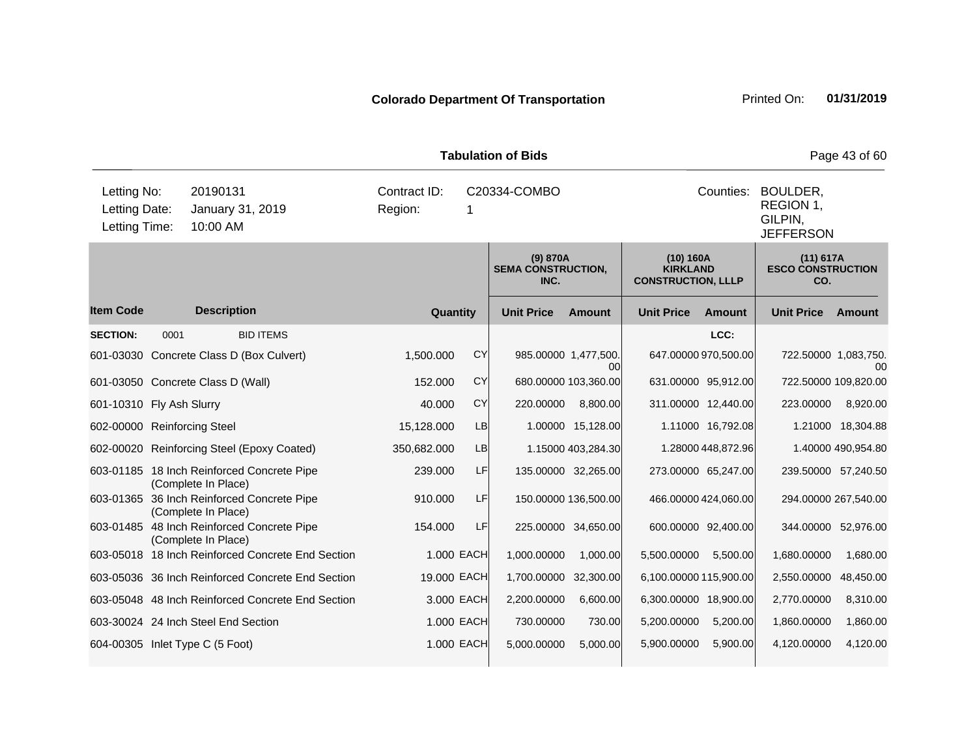| <b>Tabulation of Bids</b>                                                                 |      |                     |                                                   |                         |                    |                                               |                      |                                                           |                      |                                                                   | Page 43 of 60        |  |  |
|-------------------------------------------------------------------------------------------|------|---------------------|---------------------------------------------------|-------------------------|--------------------|-----------------------------------------------|----------------------|-----------------------------------------------------------|----------------------|-------------------------------------------------------------------|----------------------|--|--|
| Letting No:<br>20190131<br>Letting Date:<br>January 31, 2019<br>Letting Time:<br>10:00 AM |      |                     |                                                   | Contract ID:<br>Region: | C20334-COMBO<br>-1 |                                               |                      |                                                           |                      | Counties:<br>BOULDER,<br>REGION 1,<br>GILPIN,<br><b>JEFFERSON</b> |                      |  |  |
|                                                                                           |      |                     |                                                   |                         |                    | (9) 870A<br><b>SEMA CONSTRUCTION,</b><br>INC. |                      | (10) 160A<br><b>KIRKLAND</b><br><b>CONSTRUCTION, LLLP</b> |                      | (11) 617A<br><b>ESCO CONSTRUCTION</b><br>CO.                      |                      |  |  |
| <b>Item Code</b>                                                                          |      | <b>Description</b>  |                                                   |                         | Quantity           | <b>Unit Price</b>                             | Amount               | <b>Unit Price</b>                                         | <b>Amount</b>        | <b>Unit Price</b>                                                 | Amount               |  |  |
| <b>SECTION:</b>                                                                           | 0001 |                     | <b>BID ITEMS</b>                                  |                         |                    |                                               |                      |                                                           | LCC:                 |                                                                   |                      |  |  |
|                                                                                           |      |                     | 601-03030 Concrete Class D (Box Culvert)          | 1,500.000               | CY                 | 985.00000 1,477,500.                          | 00l                  |                                                           | 647.00000 970,500.00 | 722.50000 1,083,750.                                              | $00\,$               |  |  |
| 601-03050 Concrete Class D (Wall)                                                         |      |                     |                                                   | 152.000                 | <b>CY</b>          |                                               | 680.00000 103,360.00 |                                                           | 631.00000 95,912.00  | 722.50000 109,820.00                                              |                      |  |  |
| 601-10310 Fly Ash Slurry                                                                  |      |                     |                                                   | 40,000                  | <b>CY</b>          | 220.00000                                     | 8,800.00             |                                                           | 311.00000 12,440.00  | 223.00000                                                         | 8,920.00             |  |  |
| 602-00000 Reinforcing Steel                                                               |      |                     |                                                   | 15,128.000              | LB                 |                                               | 1.00000 15,128.00    |                                                           | 1.11000 16,792.08    |                                                                   | 1.21000 18,304.88    |  |  |
|                                                                                           |      |                     | 602-00020 Reinforcing Steel (Epoxy Coated)        | 350,682.000             | <b>LB</b>          |                                               | 1.15000 403,284.30   |                                                           | 1.28000 448,872.96   |                                                                   | 1.40000 490,954.80   |  |  |
|                                                                                           |      | (Complete In Place) | 603-01185 18 Inch Reinforced Concrete Pipe        | 239.000                 | LF                 |                                               | 135.00000 32,265.00  |                                                           | 273.00000 65,247.00  |                                                                   | 239.50000 57,240.50  |  |  |
|                                                                                           |      | (Complete In Place) | 603-01365 36 Inch Reinforced Concrete Pipe        | 910.000                 | LF                 |                                               | 150.00000 136,500.00 |                                                           | 466.00000 424,060.00 |                                                                   | 294.00000 267,540.00 |  |  |
|                                                                                           |      | (Complete In Place) | 603-01485 48 Inch Reinforced Concrete Pipe        | 154.000                 | LF                 |                                               | 225.00000 34,650.00  |                                                           | 600.00000 92,400.00  |                                                                   | 344.00000 52,976.00  |  |  |
|                                                                                           |      |                     | 603-05018 18 Inch Reinforced Concrete End Section |                         | 1.000 EACH         | 1,000.00000                                   | 1,000.00             | 5,500.00000                                               | 5,500.00             | 1,680.00000                                                       | 1,680.00             |  |  |
|                                                                                           |      |                     | 603-05036 36 Inch Reinforced Concrete End Section |                         | 19.000 EACH        | 1,700.00000                                   | 32,300.00            | 6,100.00000 115,900.00                                    |                      | 2,550.00000                                                       | 48,450.00            |  |  |
|                                                                                           |      |                     | 603-05048 48 Inch Reinforced Concrete End Section |                         | 3.000 EACH         | 2,200.00000                                   | 6,600.00             | 6,300.00000 18,900.00                                     |                      | 2,770.00000                                                       | 8,310.00             |  |  |
| 603-30024 24 Inch Steel End Section                                                       |      |                     |                                                   |                         | 1.000 EACH         | 730.00000                                     | 730.00               | 5,200.00000                                               | 5,200.00             | 1,860.00000                                                       | 1,860.00             |  |  |
| 604-00305 Inlet Type C (5 Foot)                                                           |      |                     |                                                   |                         | 1.000 EACH         | 5,000.00000                                   | 5,000.00             | 5,900.00000                                               | 5,900.00             | 4,120.00000                                                       | 4,120.00             |  |  |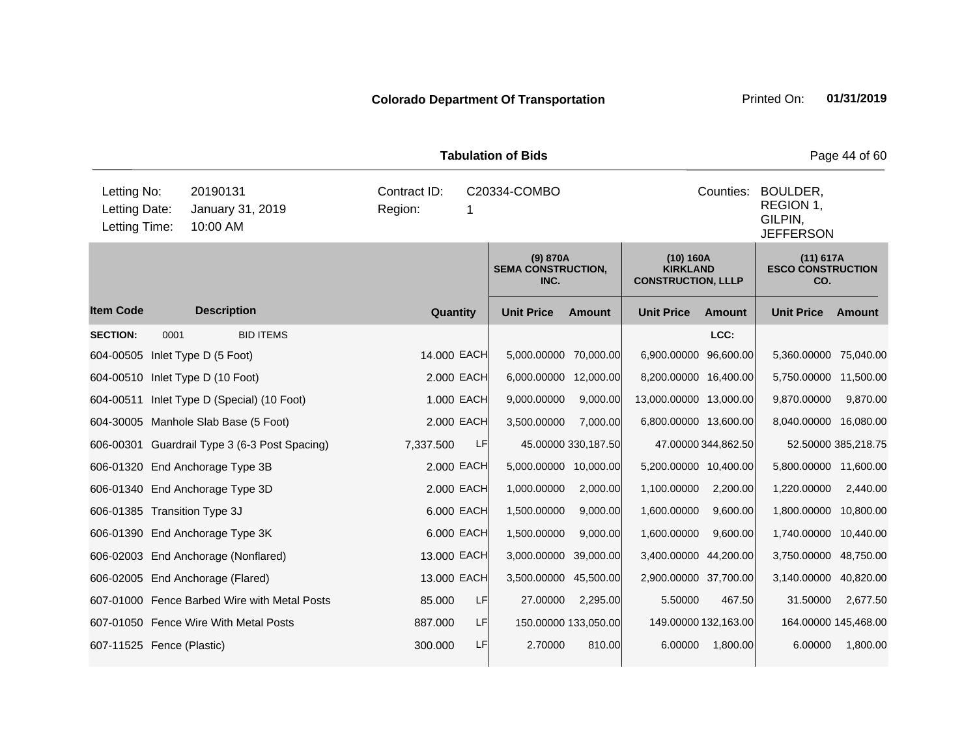|                                               |      | Page 44 of 60                                 |                         |                   |                                               |                      |                                                           |                      |                                              |                                                                   |  |  |
|-----------------------------------------------|------|-----------------------------------------------|-------------------------|-------------------|-----------------------------------------------|----------------------|-----------------------------------------------------------|----------------------|----------------------------------------------|-------------------------------------------------------------------|--|--|
| Letting No:<br>Letting Date:<br>Letting Time: |      | 20190131<br>January 31, 2019<br>10:00 AM      | Contract ID:<br>Region: | C20334-COMBO<br>1 |                                               |                      |                                                           |                      |                                              | Counties:<br>BOULDER,<br>REGION 1,<br>GILPIN,<br><b>JEFFERSON</b> |  |  |
|                                               |      |                                               |                         |                   | (9) 870A<br><b>SEMA CONSTRUCTION,</b><br>INC. |                      | (10) 160A<br><b>KIRKLAND</b><br><b>CONSTRUCTION, LLLP</b> |                      | (11) 617A<br><b>ESCO CONSTRUCTION</b><br>CO. |                                                                   |  |  |
| <b>Item Code</b>                              |      | <b>Description</b>                            | Quantity                |                   | <b>Unit Price</b>                             | <b>Amount</b>        | <b>Unit Price</b>                                         | Amount               | <b>Unit Price</b>                            | Amount                                                            |  |  |
| <b>SECTION:</b>                               | 0001 | <b>BID ITEMS</b>                              |                         |                   |                                               |                      |                                                           | LCC:                 |                                              |                                                                   |  |  |
|                                               |      | 604-00505 Inlet Type D (5 Foot)               | 14.000 EACH             |                   | 5,000.00000                                   | 70,000.00            | 6,900.00000 96,600.00                                     |                      | 5,360.00000 75,040.00                        |                                                                   |  |  |
|                                               |      | 604-00510 Inlet Type D (10 Foot)              |                         | 2.000 EACH        | 6,000.00000 12,000.00                         |                      | 8,200.00000 16,400.00                                     |                      | 5,750.00000 11,500.00                        |                                                                   |  |  |
| 604-00511                                     |      | Inlet Type D (Special) (10 Foot)              |                         | 1.000 EACH        | 9,000.00000                                   | 9,000.00             | 13,000.00000 13,000.00                                    |                      | 9,870.00000                                  | 9,870.00                                                          |  |  |
|                                               |      | 604-30005 Manhole Slab Base (5 Foot)          |                         | 2.000 EACH        | 3,500.00000                                   | 7,000.00             | 6,800.00000 13,600.00                                     |                      | 8,040.00000 16,080.00                        |                                                                   |  |  |
|                                               |      | 606-00301 Guardrail Type 3 (6-3 Post Spacing) | 7,337.500               | <b>LF</b>         |                                               | 45.00000 330,187.50  |                                                           | 47.00000 344,862.50  |                                              | 52.50000 385,218.75                                               |  |  |
|                                               |      | 606-01320 End Anchorage Type 3B               |                         | 2.000 EACH        | 5,000.00000                                   | 10,000.00            | 5,200.00000 10,400.00                                     |                      | 5,800.00000 11,600.00                        |                                                                   |  |  |
|                                               |      | 606-01340 End Anchorage Type 3D               |                         | 2.000 EACH        | 1,000.00000                                   | 2,000.00             | 1,100.00000                                               | 2,200.00             | 1,220.00000                                  | 2,440.00                                                          |  |  |
| 606-01385 Transition Type 3J                  |      |                                               |                         | 6.000 EACH        | 1,500.00000                                   | 9,000.00             | 1,600.00000                                               | 9,600.00             | 1,800.00000                                  | 10,800.00                                                         |  |  |
|                                               |      | 606-01390 End Anchorage Type 3K               |                         | 6.000 EACH        | 1,500.00000                                   | 9,000.00             | 1,600.00000                                               | 9,600.00             | 1,740.00000                                  | 10,440.00                                                         |  |  |
|                                               |      | 606-02003 End Anchorage (Nonflared)           | 13.000 EACH             |                   | 3,000.00000                                   | 39,000.00            | 3,400.00000 44,200.00                                     |                      | 3,750.00000 48,750.00                        |                                                                   |  |  |
|                                               |      | 606-02005 End Anchorage (Flared)              | 13.000 EACH             |                   | 3,500.00000                                   | 45,500.00            | 2,900.00000 37,700.00                                     |                      | 3,140.00000                                  | 40,820.00                                                         |  |  |
|                                               |      | 607-01000 Fence Barbed Wire with Metal Posts  | 85.000                  | <b>LF</b>         | 27.00000                                      | 2,295.00             | 5.50000                                                   | 467.50               | 31.50000                                     | 2,677.50                                                          |  |  |
|                                               |      | 607-01050 Fence Wire With Metal Posts         | 887.000                 | <b>LF</b>         |                                               | 150.00000 133,050.00 |                                                           | 149.00000 132,163.00 |                                              | 164.00000 145,468.00                                              |  |  |
| 607-11525 Fence (Plastic)                     |      |                                               | 300.000                 | LF                | 2.70000                                       | 810.00               | 6.00000                                                   | 1,800.00             | 6.00000                                      | 1,800.00                                                          |  |  |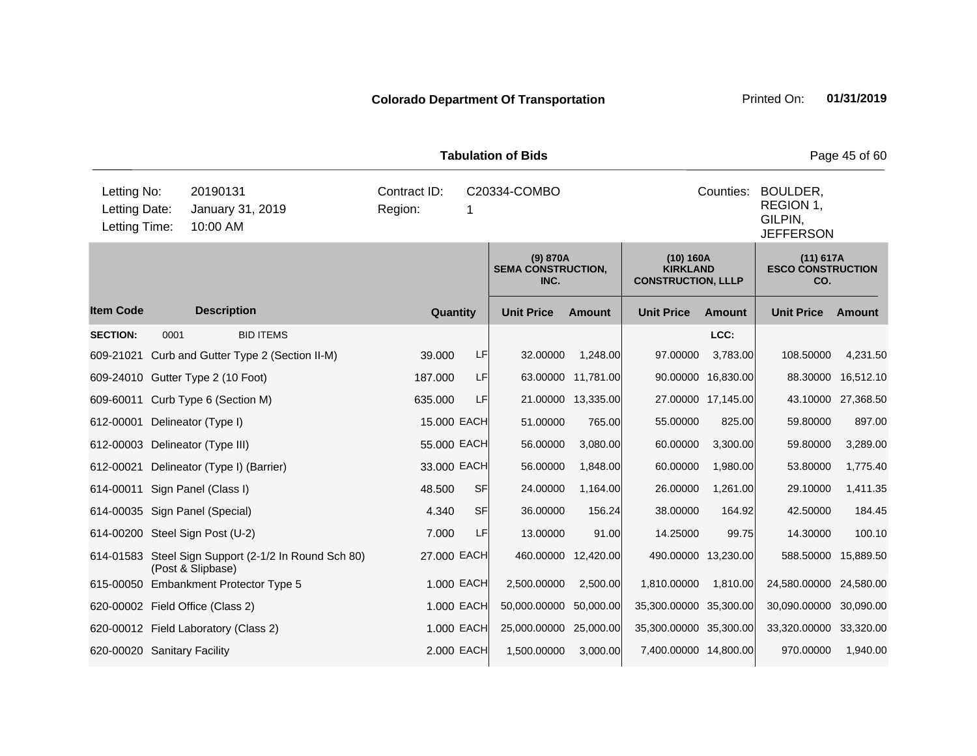| <b>Tabulation of Bids</b>                     |      |                                                                           |                         |              |                                                                   |                     |                                                           |                    |                                              |           |  |
|-----------------------------------------------|------|---------------------------------------------------------------------------|-------------------------|--------------|-------------------------------------------------------------------|---------------------|-----------------------------------------------------------|--------------------|----------------------------------------------|-----------|--|
| Letting No:<br>Letting Date:<br>Letting Time: |      | 20190131<br>January 31, 2019<br>10:00 AM                                  | Contract ID:<br>Region: | C20334-COMBO | Counties:<br>BOULDER,<br>REGION 1,<br>GILPIN,<br><b>JEFFERSON</b> |                     |                                                           |                    |                                              |           |  |
|                                               |      |                                                                           |                         |              | (9) 870A<br><b>SEMA CONSTRUCTION,</b><br>INC.                     |                     | (10) 160A<br><b>KIRKLAND</b><br><b>CONSTRUCTION, LLLP</b> |                    | (11) 617A<br><b>ESCO CONSTRUCTION</b><br>CO. |           |  |
| <b>Item Code</b>                              |      | <b>Description</b>                                                        | Quantity                |              | <b>Unit Price</b>                                                 | <b>Amount</b>       | <b>Unit Price</b>                                         | <b>Amount</b>      | <b>Unit Price</b>                            | Amount    |  |
| <b>SECTION:</b>                               | 0001 | <b>BID ITEMS</b>                                                          |                         |              |                                                                   |                     |                                                           | LCC:               |                                              |           |  |
| 609-21021                                     |      | Curb and Gutter Type 2 (Section II-M)                                     | 39.000                  | LF           | 32.00000                                                          | 1,248.00            | 97.00000                                                  | 3,783.00           | 108.50000                                    | 4,231.50  |  |
|                                               |      | 609-24010 Gutter Type 2 (10 Foot)                                         | 187.000                 | LF           |                                                                   | 63.00000 11,781.00  |                                                           | 90.00000 16,830.00 | 88.30000                                     | 16,512.10 |  |
| 609-60011                                     |      | Curb Type 6 (Section M)                                                   | 635.000                 | LF           | 21.00000                                                          | 13,335.00           |                                                           | 27.00000 17,145.00 | 43.10000                                     | 27,368.50 |  |
| 612-00001                                     |      | Delineator (Type I)                                                       | 15.000 EACH             |              | 51.00000                                                          | 765.00              | 55.00000                                                  | 825.00             | 59.80000                                     | 897.00    |  |
|                                               |      | 612-00003 Delineator (Type III)                                           | 55.000 EACH             |              | 56.00000                                                          | 3,080.00            | 60.00000                                                  | 3,300.00           | 59.80000                                     | 3,289.00  |  |
| 612-00021                                     |      | Delineator (Type I) (Barrier)                                             | 33.000 EACH             |              | 56.00000                                                          | 1,848.00            | 60.00000                                                  | 1,980.00           | 53.80000                                     | 1,775.40  |  |
|                                               |      | 614-00011 Sign Panel (Class I)                                            | 48.500                  | <b>SF</b>    | 24.00000                                                          | 1,164.00            | 26.00000                                                  | 1,261.00           | 29.10000                                     | 1,411.35  |  |
|                                               |      | 614-00035 Sign Panel (Special)                                            | 4.340                   | <b>SF</b>    | 36.00000                                                          | 156.24              | 38.00000                                                  | 164.92             | 42.50000                                     | 184.45    |  |
|                                               |      | 614-00200 Steel Sign Post (U-2)                                           | 7.000                   | LF           | 13.00000                                                          | 91.00               | 14.25000                                                  | 99.75              | 14.30000                                     | 100.10    |  |
|                                               |      | 614-01583 Steel Sign Support (2-1/2 In Round Sch 80)<br>(Post & Slipbase) | 27.000 EACH             |              |                                                                   | 460.00000 12,420.00 | 490.00000 13,230.00                                       |                    | 588.50000 15,889.50                          |           |  |
|                                               |      | 615-00050 Embankment Protector Type 5                                     |                         | 1.000 EACH   | 2,500.00000                                                       | 2,500.00            | 1,810.00000                                               | 1,810.00           | 24,580.00000                                 | 24,580.00 |  |
|                                               |      | 620-00002 Field Office (Class 2)                                          |                         | 1.000 EACH   | 50,000.00000                                                      | 50,000.00           | 35,300.00000 35,300.00                                    |                    | 30,090.00000                                 | 30,090.00 |  |
|                                               |      | 620-00012 Field Laboratory (Class 2)                                      |                         | 1.000 EACH   | 25,000.00000 25,000.00                                            |                     | 35,300.00000 35,300.00                                    |                    | 33,320.00000                                 | 33,320.00 |  |
| 620-00020 Sanitary Facility                   |      |                                                                           |                         | 2.000 EACH   | 1,500.00000                                                       | 3,000.00            | 7,400.00000 14,800.00                                     |                    | 970.00000                                    | 1,940.00  |  |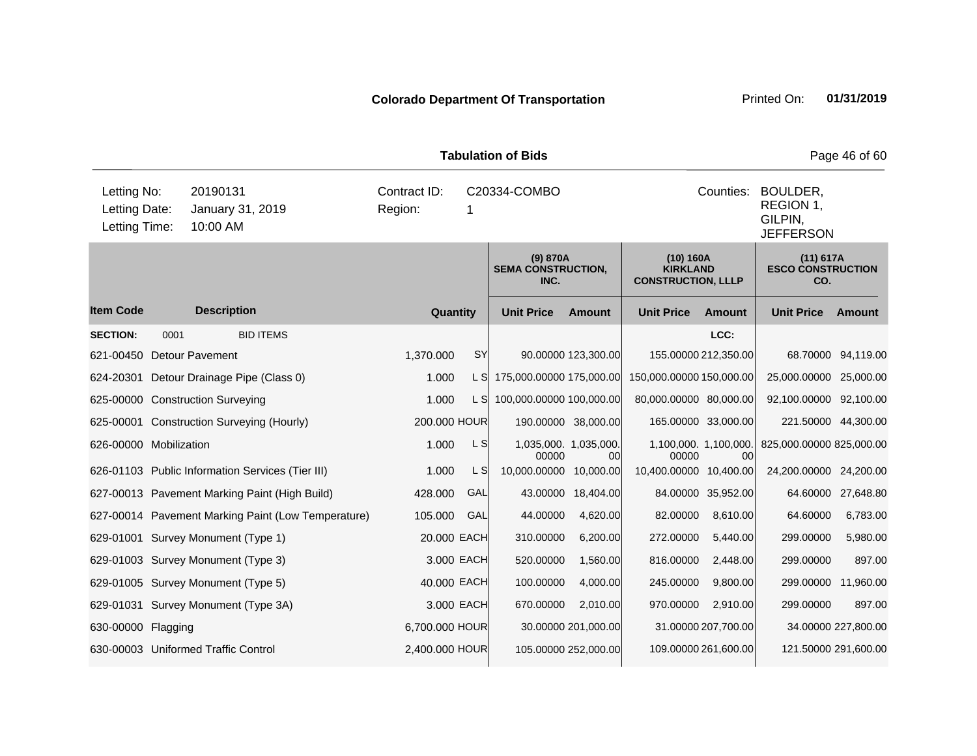|                                               |      |                                                    |                         |            | <b>Tabulation of Bids</b>                     |                              |                                                           |                             |                                                      | Page 46 of 60       |  |
|-----------------------------------------------|------|----------------------------------------------------|-------------------------|------------|-----------------------------------------------|------------------------------|-----------------------------------------------------------|-----------------------------|------------------------------------------------------|---------------------|--|
| Letting No:<br>Letting Date:<br>Letting Time: |      | 20190131<br>January 31, 2019<br>10:00 AM           | Contract ID:<br>Region: | 1          | C20334-COMBO                                  |                              |                                                           | Counties:                   | BOULDER,<br>REGION 1,<br>GILPIN,<br><b>JEFFERSON</b> |                     |  |
|                                               |      |                                                    |                         |            | (9) 870A<br><b>SEMA CONSTRUCTION,</b><br>INC. |                              | (10) 160A<br><b>KIRKLAND</b><br><b>CONSTRUCTION, LLLP</b> |                             | (11) 617A<br><b>ESCO CONSTRUCTION</b><br>CO.         |                     |  |
| <b>Item Code</b>                              |      | <b>Description</b>                                 | Quantity                |            | <b>Unit Price</b>                             | <b>Amount</b>                | <b>Unit Price</b>                                         | <b>Amount</b>               | <b>Unit Price</b>                                    | Amount              |  |
| <b>SECTION:</b>                               | 0001 | <b>BID ITEMS</b>                                   |                         |            |                                               |                              |                                                           | LCC:                        |                                                      |                     |  |
| 621-00450                                     |      | <b>Detour Pavement</b>                             | 1,370.000               | SY         |                                               | 90.00000 123,300.00          |                                                           | 155.00000 212,350.00        |                                                      | 68.70000 94,119.00  |  |
|                                               |      | 624-20301 Detour Drainage Pipe (Class 0)           | 1.000                   | L SI       | 175,000.00000 175,000.00                      |                              | 150,000.00000 150,000.00                                  |                             | 25,000.00000 25,000.00                               |                     |  |
|                                               |      | 625-00000 Construction Surveying                   | 1.000                   | L S        | 100,000.00000 100,000.00                      |                              | 80,000.00000 80,000.00                                    |                             | 92,100.00000 92,100.00                               |                     |  |
|                                               |      | 625-00001 Construction Surveying (Hourly)          | 200.000 HOUR            |            |                                               | 190.00000 38,000.00          |                                                           | 165.00000 33,000.00         | 221.50000 44,300.00                                  |                     |  |
| 626-00000 Mobilization                        |      |                                                    | 1.000                   | L S        | 00000                                         | 1,035,000. 1,035,000.<br>00l | 00000                                                     | 1,100,000. 1,100,000.<br>00 | 825,000.00000 825,000.00                             |                     |  |
|                                               |      | 626-01103 Public Information Services (Tier III)   | 1.000                   | L S        | 10,000.00000 10,000.00                        |                              | 10,400.00000 10,400.00                                    |                             | 24,200.00000 24,200.00                               |                     |  |
|                                               |      | 627-00013 Pavement Marking Paint (High Build)      | 428.000                 | GAL        | 43.00000                                      | 18,404.00                    |                                                           | 84.00000 35,952.00          |                                                      | 64.60000 27,648.80  |  |
|                                               |      | 627-00014 Pavement Marking Paint (Low Temperature) | 105.000                 | GAL        | 44.00000                                      | 4,620.00                     | 82.00000                                                  | 8,610.00                    | 64.60000                                             | 6,783.00            |  |
|                                               |      | 629-01001 Survey Monument (Type 1)                 | 20.000 EACH             |            | 310.00000                                     | 6,200.00                     | 272.00000                                                 | 5,440.00                    | 299.00000                                            | 5,980.00            |  |
|                                               |      | 629-01003 Survey Monument (Type 3)                 |                         | 3.000 EACH | 520.00000                                     | 1,560.00                     | 816.00000                                                 | 2,448.00                    | 299.00000                                            | 897.00              |  |
|                                               |      | 629-01005 Survey Monument (Type 5)                 | 40.000 EACH             |            | 100.00000                                     | 4,000.00                     | 245.00000                                                 | 9,800.00                    | 299.00000 11,960.00                                  |                     |  |
|                                               |      | 629-01031 Survey Monument (Type 3A)                |                         | 3.000 EACH | 670.00000                                     | 2,010.00                     | 970.00000                                                 | 2,910.00                    | 299.00000                                            | 897.00              |  |
| 630-00000 Flagging                            |      |                                                    | 6,700.000 HOUR          |            |                                               | 30.00000 201,000.00          |                                                           | 31.00000 207,700.00         |                                                      | 34.00000 227,800.00 |  |
|                                               |      | 630-00003 Uniformed Traffic Control                | 2,400.000 HOUR          |            |                                               | 105.00000 252,000.00         |                                                           | 109.00000 261,600.00        | 121.50000 291,600.00                                 |                     |  |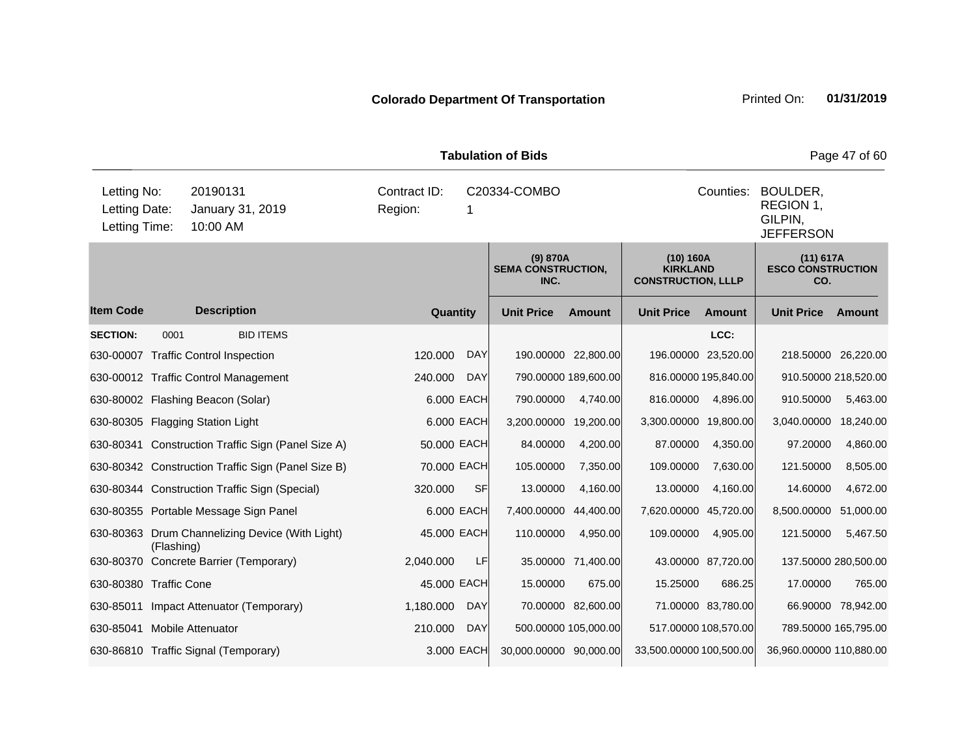|                                               |            |                                                    |                         |            | <b>Tabulation of Bids</b>                     |                      |                                                           |                      |                                                      | Page 47 of 60        |
|-----------------------------------------------|------------|----------------------------------------------------|-------------------------|------------|-----------------------------------------------|----------------------|-----------------------------------------------------------|----------------------|------------------------------------------------------|----------------------|
| Letting No:<br>Letting Date:<br>Letting Time: |            | 20190131<br>January 31, 2019<br>10:00 AM           | Contract ID:<br>Region: | 1          | C20334-COMBO                                  |                      |                                                           | Counties:            | BOULDER,<br>REGION 1,<br>GILPIN,<br><b>JEFFERSON</b> |                      |
|                                               |            |                                                    |                         |            | (9) 870A<br><b>SEMA CONSTRUCTION,</b><br>INC. |                      | (10) 160A<br><b>KIRKLAND</b><br><b>CONSTRUCTION, LLLP</b> |                      | (11) 617A<br><b>ESCO CONSTRUCTION</b><br>CO.         |                      |
| <b>Item Code</b>                              |            | <b>Description</b>                                 | Quantity                |            | <b>Unit Price</b>                             | <b>Amount</b>        | <b>Unit Price</b>                                         | Amount               | <b>Unit Price</b>                                    | Amount               |
| <b>SECTION:</b>                               | 0001       | <b>BID ITEMS</b>                                   |                         |            |                                               |                      |                                                           | LCC:                 |                                                      |                      |
|                                               |            | 630-00007 Traffic Control Inspection               | 120.000                 | <b>DAY</b> |                                               | 190.00000 22,800.00  |                                                           | 196.00000 23,520.00  | 218.50000 26,220.00                                  |                      |
|                                               |            | 630-00012 Traffic Control Management               | 240.000                 | <b>DAY</b> |                                               | 790.00000 189,600.00 | 816.00000 195,840.00                                      |                      | 910.50000 218,520.00                                 |                      |
|                                               |            | 630-80002 Flashing Beacon (Solar)                  |                         | 6.000 EACH | 790.00000                                     | 4,740.00             | 816.00000                                                 | 4,896.00             | 910.50000                                            | 5,463.00             |
|                                               |            | 630-80305 Flagging Station Light                   |                         | 6.000 EACH | 3,200.00000                                   | 19,200.00            | 3,300.00000                                               | 19,800.00            | 3,040.00000                                          | 18,240.00            |
|                                               |            | 630-80341 Construction Traffic Sign (Panel Size A) | 50.000 EACH             |            | 84.00000                                      | 4,200.00             | 87.00000                                                  | 4,350.00             | 97.20000                                             | 4,860.00             |
|                                               |            | 630-80342 Construction Traffic Sign (Panel Size B) | 70.000 EACH             |            | 105.00000                                     | 7,350.00             | 109.00000                                                 | 7,630.00             | 121.50000                                            | 8,505.00             |
|                                               |            | 630-80344 Construction Traffic Sign (Special)      | 320.000                 | <b>SF</b>  | 13.00000                                      | 4,160.00             | 13.00000                                                  | 4,160.00             | 14.60000                                             | 4,672.00             |
|                                               |            | 630-80355 Portable Message Sign Panel              |                         | 6.000 EACH | 7,400.00000                                   | 44,400.00            | 7,620.00000 45,720.00                                     |                      | 8,500.00000                                          | 51,000.00            |
|                                               | (Flashing) | 630-80363 Drum Channelizing Device (With Light)    | 45.000 EACH             |            | 110.00000                                     | 4,950.00             | 109.00000                                                 | 4,905.00             | 121.50000                                            | 5,467.50             |
|                                               |            | 630-80370 Concrete Barrier (Temporary)             | 2,040.000               | LF         |                                               | 35.00000 71,400.00   |                                                           | 43.00000 87,720.00   | 137.50000 280,500.00                                 |                      |
| 630-80380 Traffic Cone                        |            |                                                    | 45.000 EACH             |            | 15.00000                                      | 675.00               | 15.25000                                                  | 686.25               | 17.00000                                             | 765.00               |
| 630-85011                                     |            | Impact Attenuator (Temporary)                      | 1,180.000               | <b>DAY</b> |                                               | 70.00000 82,600.00   |                                                           | 71.00000 83,780.00   |                                                      | 66.90000 78,942.00   |
| 630-85041 Mobile Attenuator                   |            |                                                    | 210.000                 | <b>DAY</b> |                                               | 500.00000 105,000.00 |                                                           | 517.00000 108,570.00 |                                                      | 789.50000 165,795.00 |
|                                               |            | 630-86810 Traffic Signal (Temporary)               |                         | 3.000 EACH | 30,000.00000 90,000.00                        |                      | 33,500.00000 100,500.00                                   |                      | 36,960.00000 110,880.00                              |                      |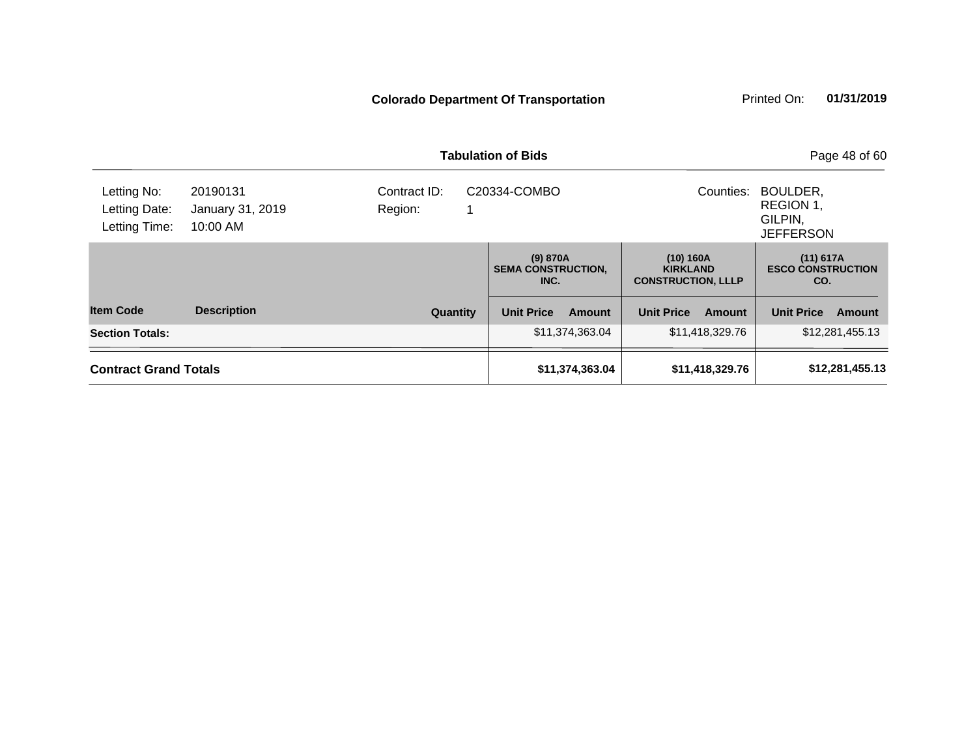|                                               |                                          |                         | <b>Tabulation of Bids</b>                     |                                                | Page 48 of 60                                        |
|-----------------------------------------------|------------------------------------------|-------------------------|-----------------------------------------------|------------------------------------------------|------------------------------------------------------|
| Letting No:<br>Letting Date:<br>Letting Time: | 20190131<br>January 31, 2019<br>10:00 AM | Contract ID:<br>Region: | C20334-COMBO                                  | Counties:                                      | BOULDER,<br>REGION 1,<br>GILPIN,<br><b>JEFFERSON</b> |
|                                               |                                          |                         | (9) 870A<br><b>SEMA CONSTRUCTION,</b><br>INC. | $(11)$ 617A<br><b>ESCO CONSTRUCTION</b><br>CO. |                                                      |
| <b>Item Code</b>                              | <b>Description</b>                       | <b>Quantity</b>         | <b>Unit Price</b><br>Amount                   | <b>Unit Price</b><br>Amount                    | <b>Unit Price</b><br>Amount                          |
| <b>Section Totals:</b>                        |                                          |                         | \$11,374,363.04                               | \$11,418,329.76                                | \$12,281,455.13                                      |
| <b>Contract Grand Totals</b>                  |                                          |                         | \$11,374,363.04                               | \$11,418,329.76<br>\$12,281,455.13             |                                                      |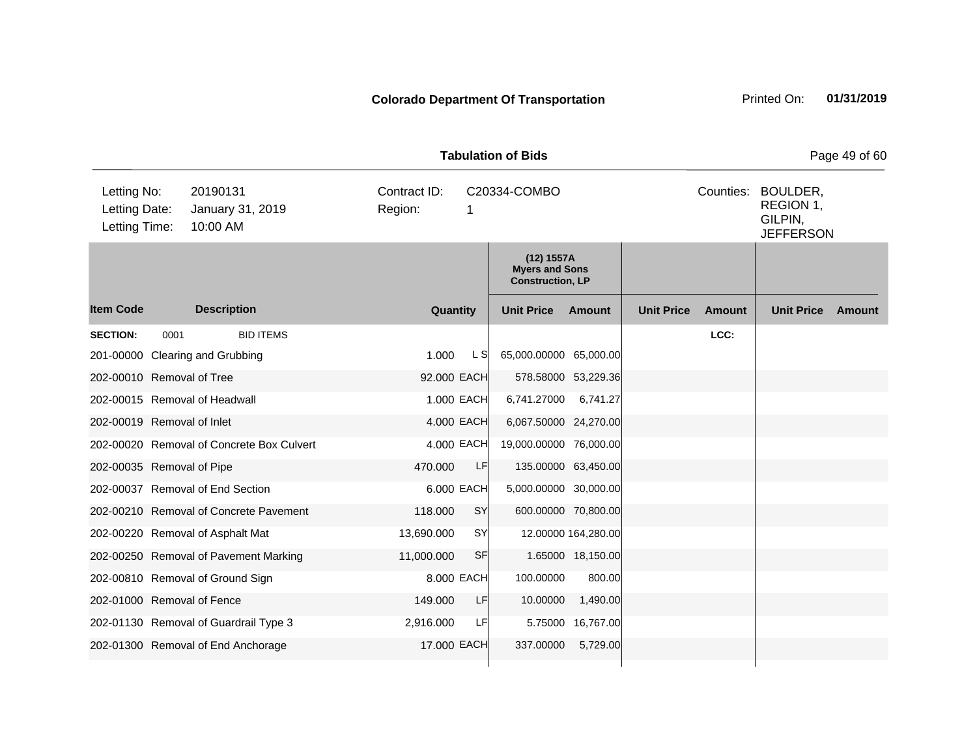| <b>Tabulation of Bids</b><br>Letting No:<br>20190131<br>Contract ID:<br>Counties:<br>BOULDER,<br>C20334-COMBO |      |                                           |         |             |                |                                                                |                     | Page 49 of 60     |               |                                          |        |
|---------------------------------------------------------------------------------------------------------------|------|-------------------------------------------|---------|-------------|----------------|----------------------------------------------------------------|---------------------|-------------------|---------------|------------------------------------------|--------|
| Letting Date:<br>Letting Time:                                                                                |      | January 31, 2019<br>10:00 AM              | Region: |             | 1              |                                                                |                     |                   |               | REGION 1,<br>GILPIN,<br><b>JEFFERSON</b> |        |
|                                                                                                               |      |                                           |         |             |                | (12) 1557A<br><b>Myers and Sons</b><br><b>Construction, LP</b> |                     |                   |               |                                          |        |
| <b>Item Code</b>                                                                                              |      | <b>Description</b>                        |         | Quantity    |                | <b>Unit Price</b>                                              | Amount              | <b>Unit Price</b> | <b>Amount</b> | <b>Unit Price</b>                        | Amount |
| <b>SECTION:</b>                                                                                               | 0001 | <b>BID ITEMS</b>                          |         |             |                |                                                                |                     |                   | LCC:          |                                          |        |
|                                                                                                               |      | 201-00000 Clearing and Grubbing           |         | 1.000       | L <sub>S</sub> | 65,000.00000 65,000.00                                         |                     |                   |               |                                          |        |
| 202-00010 Removal of Tree                                                                                     |      |                                           |         | 92.000 EACH |                |                                                                | 578.58000 53,229.36 |                   |               |                                          |        |
|                                                                                                               |      | 202-00015 Removal of Headwall             |         | 1.000 EACH  |                | 6,741.27000                                                    | 6,741.27            |                   |               |                                          |        |
| 202-00019 Removal of Inlet                                                                                    |      |                                           |         | 4.000 EACH  |                | 6,067.50000 24,270.00                                          |                     |                   |               |                                          |        |
|                                                                                                               |      | 202-00020 Removal of Concrete Box Culvert |         | 4.000 EACH  |                | 19,000.00000 76,000.00                                         |                     |                   |               |                                          |        |
| 202-00035 Removal of Pipe                                                                                     |      |                                           |         | 470.000     | LF             |                                                                | 135.00000 63,450.00 |                   |               |                                          |        |
|                                                                                                               |      | 202-00037 Removal of End Section          |         | 6.000 EACH  |                | 5,000.00000 30,000.00                                          |                     |                   |               |                                          |        |
|                                                                                                               |      | 202-00210 Removal of Concrete Pavement    |         | 118.000     | SY             |                                                                | 600.00000 70,800.00 |                   |               |                                          |        |
|                                                                                                               |      | 202-00220 Removal of Asphalt Mat          |         | 13,690.000  | <b>SY</b>      |                                                                | 12.00000 164,280.00 |                   |               |                                          |        |
|                                                                                                               |      | 202-00250 Removal of Pavement Marking     |         | 11,000.000  | <b>SF</b>      |                                                                | 1.65000 18,150.00   |                   |               |                                          |        |
|                                                                                                               |      | 202-00810 Removal of Ground Sign          |         | 8.000 EACH  |                | 100.00000                                                      | 800.00              |                   |               |                                          |        |
| 202-01000 Removal of Fence                                                                                    |      |                                           |         | 149.000     | LF             | 10.00000                                                       | 1,490.00            |                   |               |                                          |        |
|                                                                                                               |      | 202-01130 Removal of Guardrail Type 3     |         | 2,916.000   | LF             | 5.75000                                                        | 16,767.00           |                   |               |                                          |        |
|                                                                                                               |      | 202-01300 Removal of End Anchorage        |         | 17,000 EACH |                | 337.00000                                                      | 5,729.00            |                   |               |                                          |        |
|                                                                                                               |      |                                           |         |             |                |                                                                |                     |                   |               |                                          |        |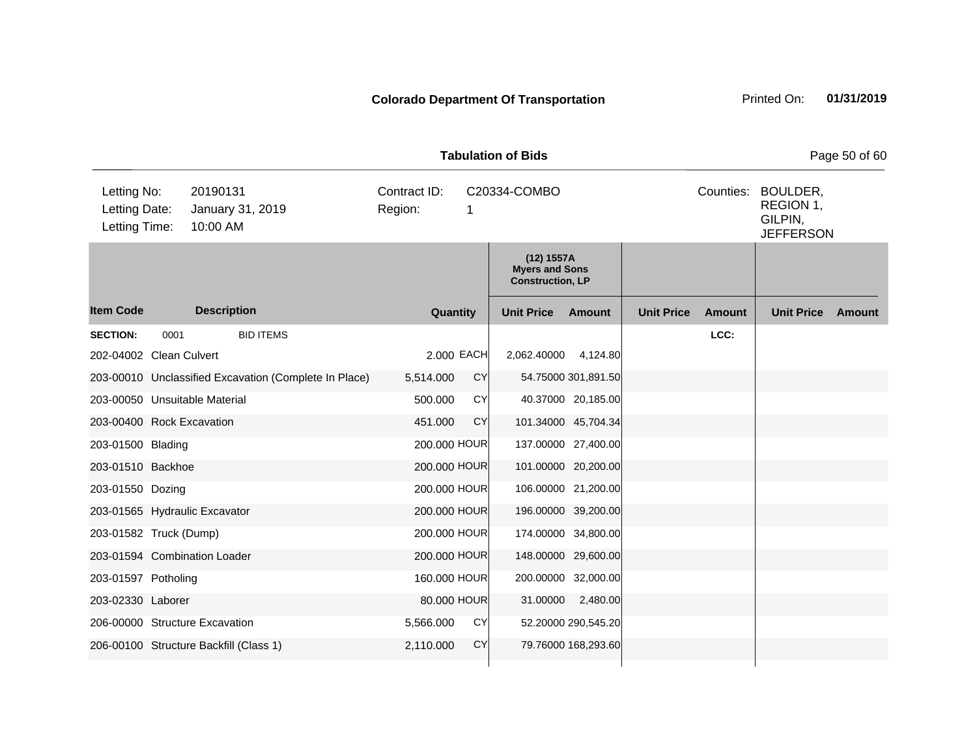|                                               |      |                                                       |                         |            | <b>Tabulation of Bids</b>                                      |                     |                   |               |                                                      | Page 50 of 60 |
|-----------------------------------------------|------|-------------------------------------------------------|-------------------------|------------|----------------------------------------------------------------|---------------------|-------------------|---------------|------------------------------------------------------|---------------|
| Letting No:<br>Letting Date:<br>Letting Time: |      | 20190131<br>January 31, 2019<br>10:00 AM              | Contract ID:<br>Region: | 1          | C20334-COMBO                                                   |                     |                   | Counties:     | BOULDER,<br>REGION 1,<br>GILPIN,<br><b>JEFFERSON</b> |               |
|                                               |      |                                                       |                         |            | (12) 1557A<br><b>Myers and Sons</b><br><b>Construction, LP</b> |                     |                   |               |                                                      |               |
| <b>Item Code</b>                              |      | <b>Description</b>                                    | Quantity                |            | <b>Unit Price</b>                                              | Amount              | <b>Unit Price</b> | <b>Amount</b> | <b>Unit Price</b>                                    | Amount        |
| <b>SECTION:</b>                               | 0001 | <b>BID ITEMS</b>                                      |                         |            |                                                                |                     |                   | LCC:          |                                                      |               |
| 202-04002 Clean Culvert                       |      |                                                       |                         | 2.000 EACH | 2,062.40000 4,124.80                                           |                     |                   |               |                                                      |               |
|                                               |      | 203-00010 Unclassified Excavation (Complete In Place) | 5,514.000               | <b>CY</b>  |                                                                | 54.75000 301,891.50 |                   |               |                                                      |               |
|                                               |      | 203-00050 Unsuitable Material                         | 500.000                 | <b>CY</b>  |                                                                | 40.37000 20,185.00  |                   |               |                                                      |               |
| 203-00400 Rock Excavation                     |      |                                                       | 451.000                 | <b>CY</b>  |                                                                | 101.34000 45,704.34 |                   |               |                                                      |               |
| 203-01500 Blading                             |      |                                                       | 200.000 HOUR            |            |                                                                | 137.00000 27,400.00 |                   |               |                                                      |               |
| 203-01510 Backhoe                             |      |                                                       | 200.000 HOUR            |            |                                                                | 101.00000 20,200.00 |                   |               |                                                      |               |
| 203-01550 Dozing                              |      |                                                       | 200.000 HOUR            |            |                                                                | 106.00000 21,200.00 |                   |               |                                                      |               |
|                                               |      | 203-01565 Hydraulic Excavator                         | 200.000 HOUR            |            |                                                                | 196.00000 39,200.00 |                   |               |                                                      |               |
| 203-01582 Truck (Dump)                        |      |                                                       | 200.000 HOUR            |            |                                                                | 174.00000 34,800.00 |                   |               |                                                      |               |
|                                               |      | 203-01594 Combination Loader                          | 200.000 HOUR            |            |                                                                | 148.00000 29,600.00 |                   |               |                                                      |               |
| 203-01597 Potholing                           |      |                                                       | 160.000 HOUR            |            |                                                                | 200.00000 32,000.00 |                   |               |                                                      |               |
| 203-02330 Laborer                             |      |                                                       | 80.000 HOUR             |            |                                                                | 31.00000 2,480.00   |                   |               |                                                      |               |
|                                               |      | 206-00000 Structure Excavation                        | 5,566.000               | <b>CY</b>  |                                                                | 52.20000 290,545.20 |                   |               |                                                      |               |
|                                               |      | 206-00100 Structure Backfill (Class 1)                | 2,110.000               | <b>CY</b>  |                                                                | 79.76000 168,293.60 |                   |               |                                                      |               |
|                                               |      |                                                       |                         |            |                                                                |                     |                   |               |                                                      |               |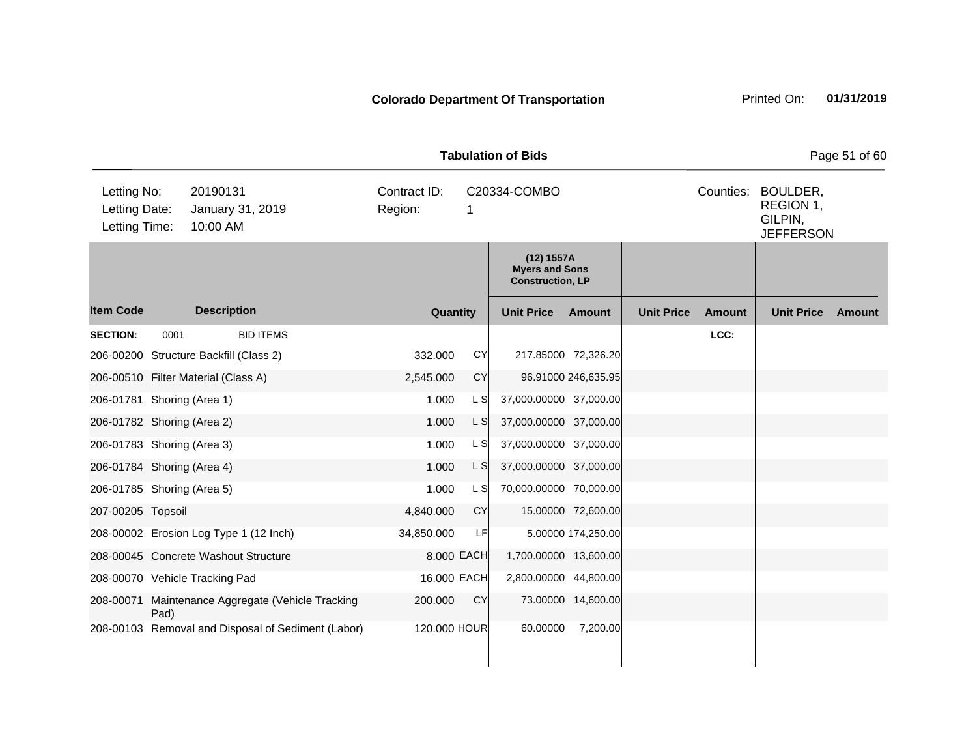| <b>Tabulation of Bids</b>                     |      |                      |                                                    |                         |           |              |                                                                |                     |                   |           |                                                      | Page 51 of 60 |
|-----------------------------------------------|------|----------------------|----------------------------------------------------|-------------------------|-----------|--------------|----------------------------------------------------------------|---------------------|-------------------|-----------|------------------------------------------------------|---------------|
| Letting No:<br>Letting Date:<br>Letting Time: |      | 20190131<br>10:00 AM | January 31, 2019                                   | Contract ID:<br>Region: |           | 1            | C20334-COMBO                                                   |                     |                   | Counties: | BOULDER,<br>REGION 1,<br>GILPIN,<br><b>JEFFERSON</b> |               |
|                                               |      |                      |                                                    |                         |           |              | (12) 1557A<br><b>Myers and Sons</b><br><b>Construction, LP</b> |                     |                   |           |                                                      |               |
| <b>Item Code</b>                              |      | <b>Description</b>   |                                                    |                         | Quantity  |              | <b>Unit Price</b>                                              | Amount              | <b>Unit Price</b> | Amount    | <b>Unit Price</b>                                    | Amount        |
| <b>SECTION:</b>                               | 0001 |                      | <b>BID ITEMS</b>                                   |                         |           |              |                                                                |                     |                   | LCC:      |                                                      |               |
| 206-00200 Structure Backfill (Class 2)        |      |                      |                                                    |                         | 332.000   | CY           | 217.85000 72,326.20                                            |                     |                   |           |                                                      |               |
| 206-00510 Filter Material (Class A)           |      |                      |                                                    |                         | 2,545.000 | <b>CY</b>    |                                                                | 96.91000 246,635.95 |                   |           |                                                      |               |
| 206-01781 Shoring (Area 1)                    |      |                      |                                                    |                         | 1.000     | L S          | 37,000.00000 37,000.00                                         |                     |                   |           |                                                      |               |
| 206-01782 Shoring (Area 2)                    |      |                      |                                                    |                         | 1.000     | L S          | 37,000.00000 37,000.00                                         |                     |                   |           |                                                      |               |
| 206-01783 Shoring (Area 3)                    |      |                      |                                                    |                         | 1.000     | L S          | 37,000.00000 37,000.00                                         |                     |                   |           |                                                      |               |
| 206-01784 Shoring (Area 4)                    |      |                      |                                                    |                         | 1.000     | L S          | 37,000.00000 37,000.00                                         |                     |                   |           |                                                      |               |
| 206-01785 Shoring (Area 5)                    |      |                      |                                                    |                         | 1.000     | L S          | 70,000.00000 70,000.00                                         |                     |                   |           |                                                      |               |
| 207-00205 Topsoil                             |      |                      |                                                    |                         | 4,840.000 | <b>CY</b>    |                                                                | 15.00000 72,600.00  |                   |           |                                                      |               |
|                                               |      |                      | 208-00002 Erosion Log Type 1 (12 Inch)             | 34,850.000              |           | LF           |                                                                | 5.00000 174,250.00  |                   |           |                                                      |               |
| 208-00045 Concrete Washout Structure          |      |                      |                                                    |                         |           | 8.000 EACH   | 1,700.00000 13,600.00                                          |                     |                   |           |                                                      |               |
| 208-00070 Vehicle Tracking Pad                |      |                      |                                                    |                         |           | 16.000 EACH  | 2,800.00000 44,800.00                                          |                     |                   |           |                                                      |               |
| 208-00071                                     | Pad) |                      | Maintenance Aggregate (Vehicle Tracking            |                         | 200.000   | <b>CY</b>    |                                                                | 73.00000 14,600.00  |                   |           |                                                      |               |
|                                               |      |                      | 208-00103 Removal and Disposal of Sediment (Labor) |                         |           | 120.000 HOUR | 60.00000                                                       | 7,200.00            |                   |           |                                                      |               |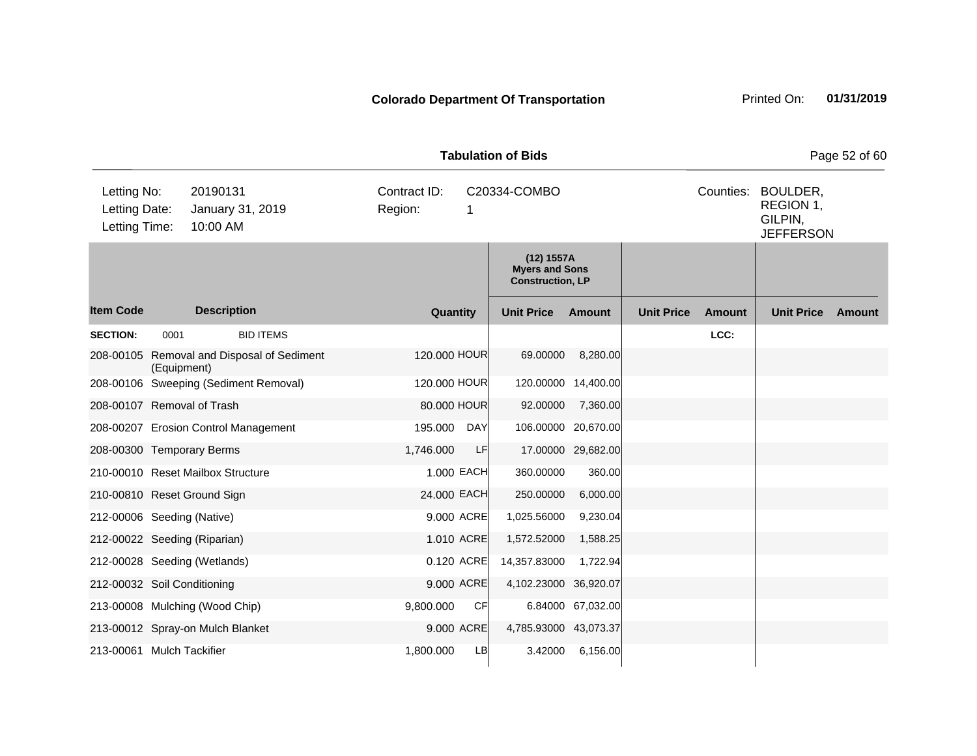| <b>Tabulation of Bids</b>                     |             |                                          |                         |              |            |                                                                |                    |                   |               |                                                      | Page 52 of 60 |
|-----------------------------------------------|-------------|------------------------------------------|-------------------------|--------------|------------|----------------------------------------------------------------|--------------------|-------------------|---------------|------------------------------------------------------|---------------|
| Letting No:<br>Letting Date:<br>Letting Time: |             | 20190131<br>January 31, 2019<br>10:00 AM | Contract ID:<br>Region: |              | 1          | C20334-COMBO                                                   |                    |                   | Counties:     | BOULDER,<br>REGION 1,<br>GILPIN,<br><b>JEFFERSON</b> |               |
|                                               |             |                                          |                         |              |            | (12) 1557A<br><b>Myers and Sons</b><br><b>Construction, LP</b> |                    |                   |               |                                                      |               |
| <b>Item Code</b>                              |             | <b>Description</b>                       |                         | Quantity     |            | <b>Unit Price</b>                                              | Amount             | <b>Unit Price</b> | <b>Amount</b> | <b>Unit Price</b>                                    | Amount        |
| <b>SECTION:</b>                               | 0001        | <b>BID ITEMS</b>                         |                         |              |            |                                                                |                    |                   | LCC:          |                                                      |               |
| 208-00105                                     | (Equipment) | Removal and Disposal of Sediment         |                         | 120.000 HOUR |            | 69.00000                                                       | 8,280.00           |                   |               |                                                      |               |
|                                               |             | 208-00106 Sweeping (Sediment Removal)    |                         | 120.000 HOUR |            | 120.00000 14,400.00                                            |                    |                   |               |                                                      |               |
| 208-00107 Removal of Trash                    |             |                                          |                         | 80.000 HOUR  |            | 92.00000                                                       | 7,360.00           |                   |               |                                                      |               |
|                                               |             | 208-00207 Erosion Control Management     |                         | 195.000      | <b>DAY</b> | 106.00000 20,670.00                                            |                    |                   |               |                                                      |               |
| 208-00300 Temporary Berms                     |             |                                          |                         | 1,746.000    | LF         |                                                                | 17.00000 29,682.00 |                   |               |                                                      |               |
|                                               |             | 210-00010 Reset Mailbox Structure        |                         | 1.000 EACH   |            | 360.00000                                                      | 360.00             |                   |               |                                                      |               |
|                                               |             | 210-00810 Reset Ground Sign              |                         | 24.000 EACH  |            | 250.00000                                                      | 6,000.00           |                   |               |                                                      |               |
| 212-00006 Seeding (Native)                    |             |                                          |                         | 9.000 ACRE   |            | 1,025.56000                                                    | 9,230.04           |                   |               |                                                      |               |
|                                               |             | 212-00022 Seeding (Riparian)             |                         | 1.010 ACRE   |            | 1,572.52000                                                    | 1,588.25           |                   |               |                                                      |               |
|                                               |             | 212-00028 Seeding (Wetlands)             |                         | 0.120 ACRE   |            | 14,357.83000                                                   | 1,722.94           |                   |               |                                                      |               |
| 212-00032 Soil Conditioning                   |             |                                          |                         | 9.000 ACRE   |            | 4,102.23000 36,920.07                                          |                    |                   |               |                                                      |               |
|                                               |             | 213-00008 Mulching (Wood Chip)           |                         | 9,800.000    | <b>CF</b>  |                                                                | 6.84000 67,032.00  |                   |               |                                                      |               |
|                                               |             | 213-00012 Spray-on Mulch Blanket         |                         | 9.000 ACRE   |            | 4,785.93000 43,073.37                                          |                    |                   |               |                                                      |               |
| 213-00061 Mulch Tackifier                     |             |                                          |                         | 1,800.000    | LB         | 3.42000                                                        | 6,156.00           |                   |               |                                                      |               |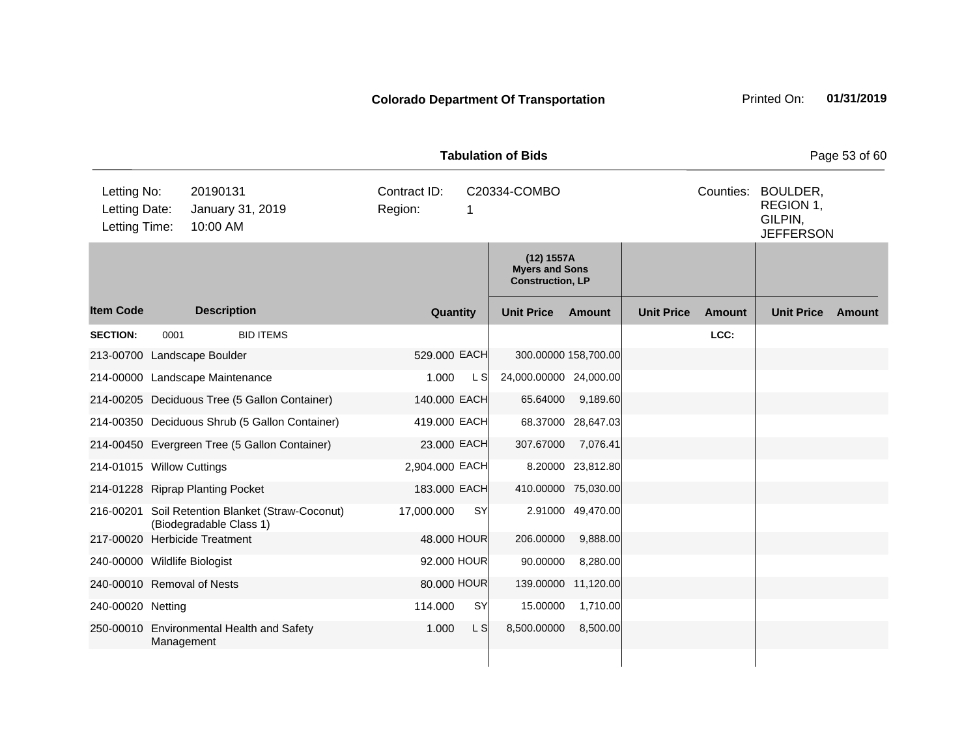| <b>Tabulation of Bids</b>                     |            |                                           |                                                  |                         |              |                                                                |                      |                   |           |                                                      | Page 53 of 60 |
|-----------------------------------------------|------------|-------------------------------------------|--------------------------------------------------|-------------------------|--------------|----------------------------------------------------------------|----------------------|-------------------|-----------|------------------------------------------------------|---------------|
| Letting No:<br>Letting Date:<br>Letting Time: |            | 20190131<br>January 31, 2019<br>10:00 AM  |                                                  | Contract ID:<br>Region: | 1            | C20334-COMBO                                                   |                      |                   | Counties: | BOULDER,<br>REGION 1,<br>GILPIN,<br><b>JEFFERSON</b> |               |
|                                               |            |                                           |                                                  |                         |              | (12) 1557A<br><b>Myers and Sons</b><br><b>Construction, LP</b> |                      |                   |           |                                                      |               |
| <b>Item Code</b>                              |            | <b>Description</b>                        |                                                  |                         | Quantity     | <b>Unit Price</b>                                              | Amount               | <b>Unit Price</b> | Amount    | <b>Unit Price</b>                                    | Amount        |
| <b>SECTION:</b>                               | 0001       |                                           | <b>BID ITEMS</b>                                 |                         |              |                                                                |                      |                   | LCC:      |                                                      |               |
|                                               |            | 213-00700 Landscape Boulder               |                                                  |                         | 529,000 EACH |                                                                | 300.00000 158,700.00 |                   |           |                                                      |               |
|                                               |            | 214-00000 Landscape Maintenance           |                                                  | 1.000                   | L S          | 24,000.00000 24,000.00                                         |                      |                   |           |                                                      |               |
|                                               |            |                                           | 214-00205 Deciduous Tree (5 Gallon Container)    |                         | 140.000 EACH | 65.64000                                                       | 9,189.60             |                   |           |                                                      |               |
|                                               |            |                                           | 214-00350 Deciduous Shrub (5 Gallon Container)   |                         | 419.000 EACH |                                                                | 68.37000 28,647.03   |                   |           |                                                      |               |
|                                               |            |                                           | 214-00450 Evergreen Tree (5 Gallon Container)    |                         | 23.000 EACH  | 307.67000                                                      | 7,076.41             |                   |           |                                                      |               |
| 214-01015 Willow Cuttings                     |            |                                           |                                                  | 2,904.000 EACH          |              |                                                                | 8.20000 23,812.80    |                   |           |                                                      |               |
|                                               |            | 214-01228 Riprap Planting Pocket          |                                                  |                         | 183.000 EACH |                                                                | 410.00000 75,030.00  |                   |           |                                                      |               |
|                                               |            | (Biodegradable Class 1)                   | 216-00201 Soil Retention Blanket (Straw-Coconut) | 17,000.000              | <b>SY</b>    |                                                                | 2.91000 49,470.00    |                   |           |                                                      |               |
|                                               |            | 217-00020 Herbicide Treatment             |                                                  |                         | 48.000 HOUR  | 206.00000                                                      | 9,888.00             |                   |           |                                                      |               |
| 240-00000 Wildlife Biologist                  |            |                                           |                                                  |                         | 92.000 HOUR  | 90.00000                                                       | 8,280.00             |                   |           |                                                      |               |
| 240-00010 Removal of Nests                    |            |                                           |                                                  |                         | 80.000 HOUR  | 139.00000                                                      | 11,120.00            |                   |           |                                                      |               |
| 240-00020 Netting                             |            |                                           |                                                  | 114.000                 | SY           | 15.00000                                                       | 1,710.00             |                   |           |                                                      |               |
|                                               | Management | 250-00010 Environmental Health and Safety |                                                  | 1.000                   | L S          | 8,500.00000                                                    | 8,500.00             |                   |           |                                                      |               |
|                                               |            |                                           |                                                  |                         |              |                                                                |                      |                   |           |                                                      |               |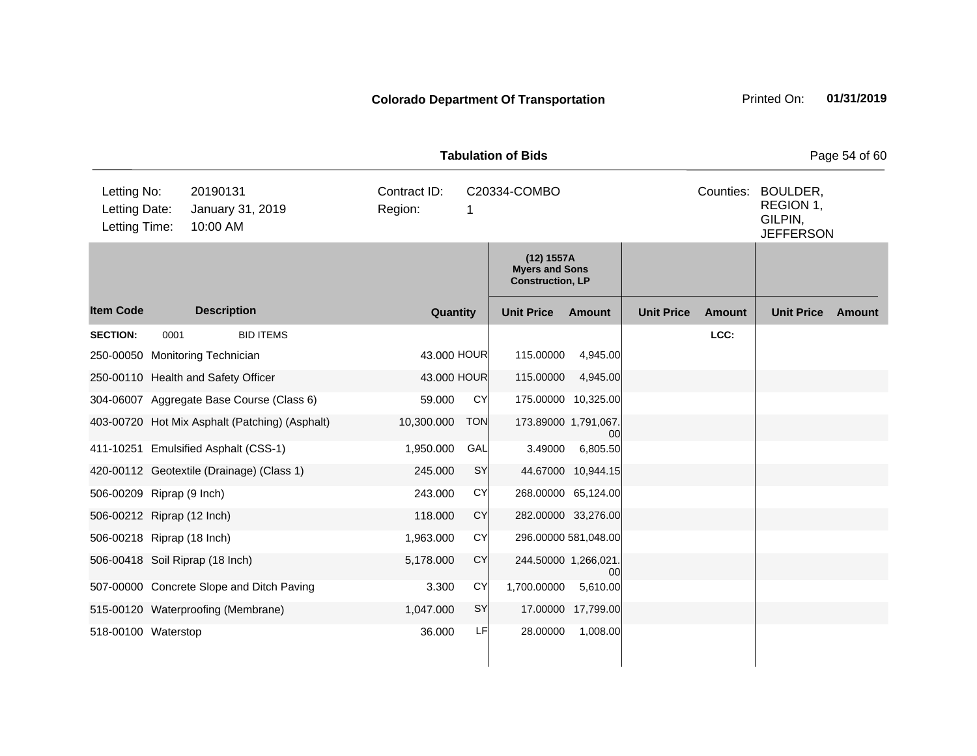| <b>Tabulation of Bids</b><br>BOULDER,         |                                                                                                                                              |                                                |            |             |                         |                      |                   |               |                   |                  |  |
|-----------------------------------------------|----------------------------------------------------------------------------------------------------------------------------------------------|------------------------------------------------|------------|-------------|-------------------------|----------------------|-------------------|---------------|-------------------|------------------|--|
| Letting No:<br>Letting Date:<br>Letting Time: | 20190131<br>Contract ID:<br>Counties:<br>C20334-COMBO<br>Region:<br>January 31, 2019<br>1<br>10:00 AM<br>(12) 1557A<br><b>Myers and Sons</b> |                                                |            |             |                         |                      |                   |               |                   | <b>JEFFERSON</b> |  |
|                                               |                                                                                                                                              |                                                |            |             | <b>Construction, LP</b> |                      |                   |               |                   |                  |  |
| <b>Item Code</b>                              |                                                                                                                                              | <b>Description</b>                             |            | Quantity    | <b>Unit Price</b>       | Amount               | <b>Unit Price</b> | <b>Amount</b> | <b>Unit Price</b> | Amount           |  |
| <b>SECTION:</b>                               | 0001                                                                                                                                         | <b>BID ITEMS</b>                               |            |             |                         |                      |                   | LCC:          |                   |                  |  |
|                                               |                                                                                                                                              | 250-00050 Monitoring Technician                |            | 43.000 HOUR | 115.00000               | 4,945.00             |                   |               |                   |                  |  |
|                                               |                                                                                                                                              | 250-00110 Health and Safety Officer            |            | 43.000 HOUR | 115.00000               | 4,945.00             |                   |               |                   |                  |  |
|                                               |                                                                                                                                              | 304-06007 Aggregate Base Course (Class 6)      | 59.000     | CY          | 175.00000 10,325.00     |                      |                   |               |                   |                  |  |
|                                               |                                                                                                                                              | 403-00720 Hot Mix Asphalt (Patching) (Asphalt) | 10,300.000 | <b>TON</b>  | 173.89000 1,791,067.    | 00                   |                   |               |                   |                  |  |
|                                               |                                                                                                                                              | 411-10251 Emulsified Asphalt (CSS-1)           | 1,950.000  | GAL         | 3.49000                 | 6,805.50             |                   |               |                   |                  |  |
|                                               |                                                                                                                                              | 420-00112 Geotextile (Drainage) (Class 1)      | 245.000    | SY          |                         | 44.67000 10,944.15   |                   |               |                   |                  |  |
| 506-00209 Riprap (9 Inch)                     |                                                                                                                                              |                                                | 243.000    | <b>CY</b>   |                         | 268.00000 65,124.00  |                   |               |                   |                  |  |
| 506-00212 Riprap (12 Inch)                    |                                                                                                                                              |                                                | 118.000    | CY          |                         | 282.00000 33,276.00  |                   |               |                   |                  |  |
| 506-00218 Riprap (18 Inch)                    |                                                                                                                                              |                                                | 1,963.000  | CY          |                         | 296.00000 581,048.00 |                   |               |                   |                  |  |
|                                               |                                                                                                                                              | 506-00418 Soil Riprap (18 Inch)                | 5,178.000  | CY          | 244.50000 1,266,021.    | $00 \,$              |                   |               |                   |                  |  |
|                                               |                                                                                                                                              | 507-00000 Concrete Slope and Ditch Paving      | 3.300      | <b>CY</b>   | 1,700.00000             | 5,610.00             |                   |               |                   |                  |  |
|                                               |                                                                                                                                              | 515-00120 Waterproofing (Membrane)             | 1,047.000  | SY          |                         | 17.00000 17,799.00   |                   |               |                   |                  |  |
| 518-00100 Waterstop                           |                                                                                                                                              |                                                | 36.000     | LF          | 28.00000                | 1,008.00             |                   |               |                   |                  |  |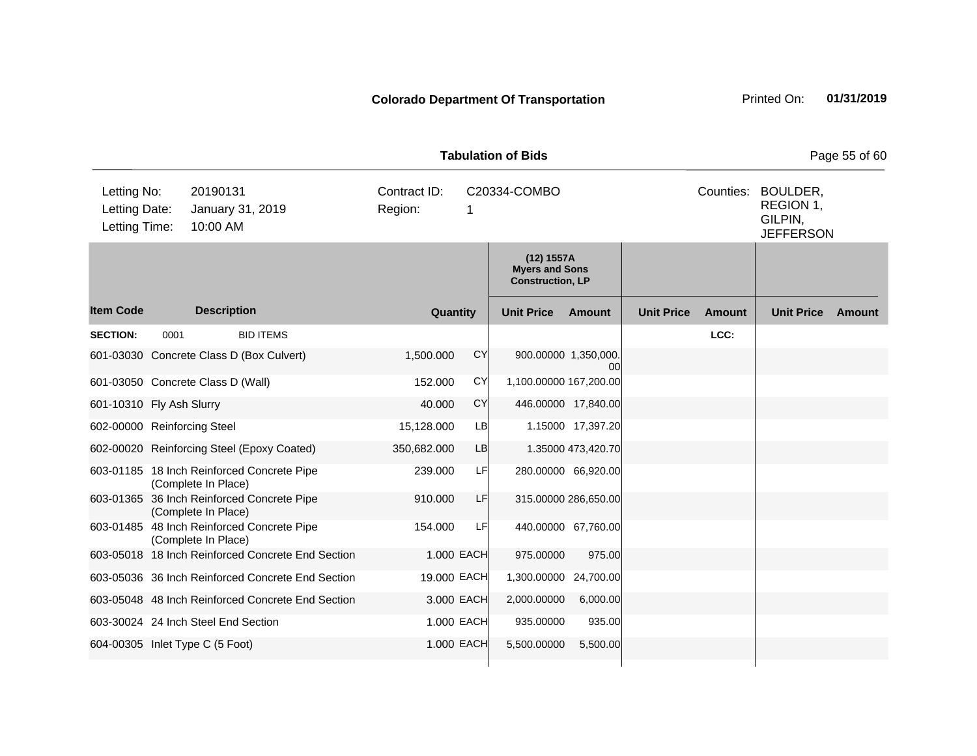| <b>Tabulation of Bids</b>                     |      |                      |                                                   |         |              |             |                                                                |                            |                   |        |                                                                | Page 55 of 60 |
|-----------------------------------------------|------|----------------------|---------------------------------------------------|---------|--------------|-------------|----------------------------------------------------------------|----------------------------|-------------------|--------|----------------------------------------------------------------|---------------|
| Letting No:<br>Letting Date:<br>Letting Time: |      | 20190131<br>10:00 AM | January 31, 2019                                  | Region: | Contract ID: | 1           | C20334-COMBO                                                   |                            |                   |        | Counties: BOULDER,<br>REGION 1,<br>GILPIN,<br><b>JEFFERSON</b> |               |
|                                               |      |                      |                                                   |         |              |             | (12) 1557A<br><b>Myers and Sons</b><br><b>Construction, LP</b> |                            |                   |        |                                                                |               |
| <b>Item Code</b>                              |      | <b>Description</b>   |                                                   |         | Quantity     |             | <b>Unit Price</b>                                              | Amount                     | <b>Unit Price</b> | Amount | <b>Unit Price</b>                                              | Amount        |
| <b>SECTION:</b>                               | 0001 |                      | <b>BID ITEMS</b>                                  |         |              |             |                                                                |                            |                   | LCC:   |                                                                |               |
|                                               |      |                      | 601-03030 Concrete Class D (Box Culvert)          |         | 1,500.000    | <b>CY</b>   |                                                                | 900.00000 1,350,000.<br>00 |                   |        |                                                                |               |
| 601-03050 Concrete Class D (Wall)             |      |                      |                                                   |         | 152.000      | CY          | 1,100.00000 167,200.00                                         |                            |                   |        |                                                                |               |
| 601-10310 Fly Ash Slurry                      |      |                      |                                                   |         | 40.000       | CY          |                                                                | 446.00000 17,840.00        |                   |        |                                                                |               |
| 602-00000 Reinforcing Steel                   |      |                      |                                                   |         | 15,128.000   | <b>LB</b>   |                                                                | 1.15000 17,397.20          |                   |        |                                                                |               |
|                                               |      |                      | 602-00020 Reinforcing Steel (Epoxy Coated)        |         | 350,682.000  | LB          |                                                                | 1.35000 473,420.70         |                   |        |                                                                |               |
|                                               |      | (Complete In Place)  | 603-01185 18 Inch Reinforced Concrete Pipe        |         | 239.000      | LF          |                                                                | 280.00000 66,920.00        |                   |        |                                                                |               |
|                                               |      | (Complete In Place)  | 603-01365 36 Inch Reinforced Concrete Pipe        |         | 910.000      | LF          |                                                                | 315.00000 286,650.00       |                   |        |                                                                |               |
|                                               |      | (Complete In Place)  | 603-01485 48 Inch Reinforced Concrete Pipe        |         | 154.000      | LF          |                                                                | 440.00000 67,760.00        |                   |        |                                                                |               |
|                                               |      |                      | 603-05018 18 Inch Reinforced Concrete End Section |         |              | 1.000 EACH  | 975.00000                                                      | 975.00                     |                   |        |                                                                |               |
|                                               |      |                      | 603-05036 36 Inch Reinforced Concrete End Section |         |              | 19.000 EACH | 1,300.00000 24,700.00                                          |                            |                   |        |                                                                |               |
|                                               |      |                      | 603-05048 48 Inch Reinforced Concrete End Section |         |              | 3.000 EACH  | 2,000.00000                                                    | 6,000.00                   |                   |        |                                                                |               |
| 603-30024 24 Inch Steel End Section           |      |                      |                                                   |         |              | 1.000 EACH  | 935.00000                                                      | 935.00                     |                   |        |                                                                |               |
| 604-00305 Inlet Type C (5 Foot)               |      |                      |                                                   |         |              | 1.000 EACH  | 5,500.00000                                                    | 5,500.00                   |                   |        |                                                                |               |
|                                               |      |                      |                                                   |         |              |             |                                                                |                            |                   |        |                                                                |               |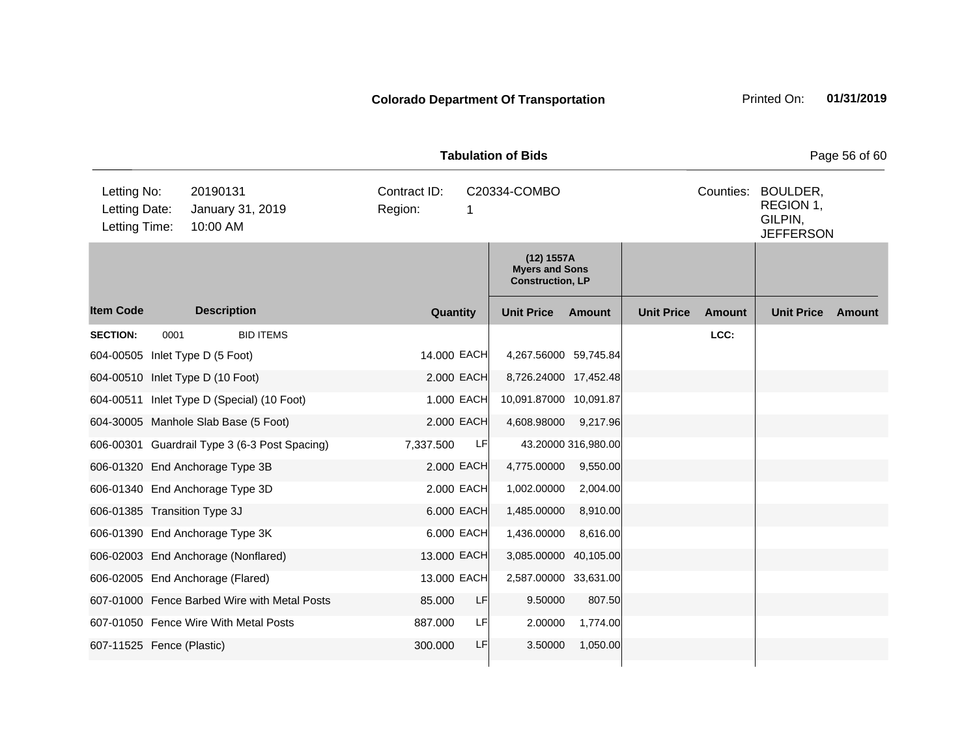| <b>Tabulation of Bids</b><br>Page 56 of 60    |      |                                               |  |                         |            |                                                                |                     |                   |           |                                                      |        |
|-----------------------------------------------|------|-----------------------------------------------|--|-------------------------|------------|----------------------------------------------------------------|---------------------|-------------------|-----------|------------------------------------------------------|--------|
| Letting No:<br>Letting Date:<br>Letting Time: |      | 20190131<br>January 31, 2019<br>10:00 AM      |  | Contract ID:<br>Region: | 1          | C20334-COMBO                                                   |                     |                   | Counties: | BOULDER,<br>REGION 1,<br>GILPIN,<br><b>JEFFERSON</b> |        |
|                                               |      |                                               |  |                         |            | (12) 1557A<br><b>Myers and Sons</b><br><b>Construction, LP</b> |                     |                   |           |                                                      |        |
| <b>Item Code</b>                              |      | <b>Description</b>                            |  | Quantity                |            | <b>Unit Price</b>                                              | <b>Amount</b>       | <b>Unit Price</b> | Amount    | <b>Unit Price</b>                                    | Amount |
| <b>SECTION:</b>                               | 0001 | <b>BID ITEMS</b>                              |  |                         |            |                                                                |                     |                   | LCC:      |                                                      |        |
|                                               |      | 604-00505 Inlet Type D (5 Foot)               |  | 14.000 EACH             |            | 4,267.56000 59,745.84                                          |                     |                   |           |                                                      |        |
|                                               |      | 604-00510 Inlet Type D (10 Foot)              |  |                         | 2.000 EACH | 8,726.24000 17,452.48                                          |                     |                   |           |                                                      |        |
|                                               |      | 604-00511 Inlet Type D (Special) (10 Foot)    |  |                         | 1.000 EACH | 10,091.87000 10,091.87                                         |                     |                   |           |                                                      |        |
|                                               |      | 604-30005 Manhole Slab Base (5 Foot)          |  |                         | 2.000 EACH | 4,608.98000                                                    | 9,217.96            |                   |           |                                                      |        |
|                                               |      | 606-00301 Guardrail Type 3 (6-3 Post Spacing) |  | 7,337.500               | LF         |                                                                | 43.20000 316,980.00 |                   |           |                                                      |        |
|                                               |      | 606-01320 End Anchorage Type 3B               |  |                         | 2.000 EACH | 4,775.00000                                                    | 9,550.00            |                   |           |                                                      |        |
|                                               |      | 606-01340 End Anchorage Type 3D               |  |                         | 2.000 EACH | 1,002.00000                                                    | 2,004.00            |                   |           |                                                      |        |
| 606-01385 Transition Type 3J                  |      |                                               |  |                         | 6.000 EACH | 1,485.00000                                                    | 8,910.00            |                   |           |                                                      |        |
|                                               |      | 606-01390 End Anchorage Type 3K               |  |                         | 6.000 EACH | 1,436.00000                                                    | 8,616.00            |                   |           |                                                      |        |
|                                               |      | 606-02003 End Anchorage (Nonflared)           |  | 13.000 EACH             |            | 3,085.00000 40,105.00                                          |                     |                   |           |                                                      |        |
|                                               |      | 606-02005 End Anchorage (Flared)              |  | 13.000 EACH             |            | 2,587.00000 33,631.00                                          |                     |                   |           |                                                      |        |
|                                               |      | 607-01000 Fence Barbed Wire with Metal Posts  |  | 85.000                  | LF         | 9.50000                                                        | 807.50              |                   |           |                                                      |        |
|                                               |      | 607-01050 Fence Wire With Metal Posts         |  | 887.000                 | LF         | 2.00000                                                        | 1,774.00            |                   |           |                                                      |        |
| 607-11525 Fence (Plastic)                     |      |                                               |  | 300.000                 | LF         | 3.50000                                                        | 1,050.00            |                   |           |                                                      |        |
|                                               |      |                                               |  |                         |            |                                                                |                     |                   |           |                                                      |        |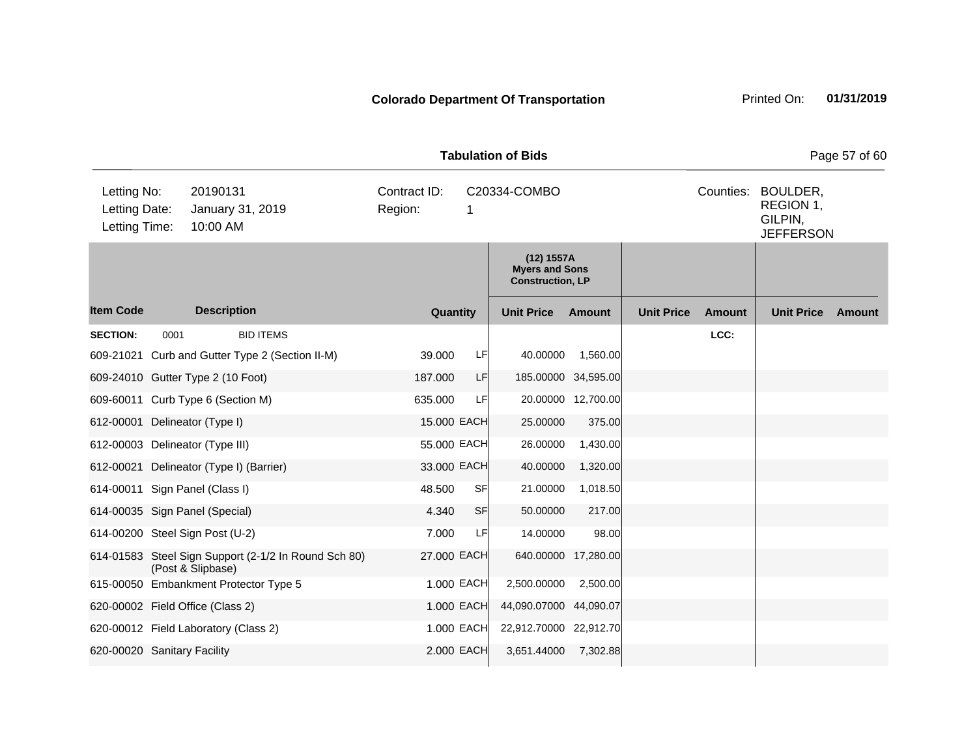|                                               |      |                                                                           |                         |            | <b>Tabulation of Bids</b>                                      |                     |                   |               |                                                      | Page 57 of 60 |
|-----------------------------------------------|------|---------------------------------------------------------------------------|-------------------------|------------|----------------------------------------------------------------|---------------------|-------------------|---------------|------------------------------------------------------|---------------|
| Letting No:<br>Letting Date:<br>Letting Time: |      | 20190131<br>January 31, 2019<br>10:00 AM                                  | Contract ID:<br>Region: | 1          | C20334-COMBO                                                   |                     |                   | Counties:     | BOULDER,<br>REGION 1,<br>GILPIN,<br><b>JEFFERSON</b> |               |
|                                               |      |                                                                           |                         |            | (12) 1557A<br><b>Myers and Sons</b><br><b>Construction, LP</b> |                     |                   |               |                                                      |               |
| <b>Item Code</b>                              |      | <b>Description</b>                                                        | Quantity                |            | <b>Unit Price</b>                                              | Amount              | <b>Unit Price</b> | <b>Amount</b> | <b>Unit Price</b>                                    | Amount        |
| <b>SECTION:</b>                               | 0001 | <b>BID ITEMS</b>                                                          |                         |            |                                                                |                     |                   | LCC:          |                                                      |               |
|                                               |      | 609-21021 Curb and Gutter Type 2 (Section II-M)                           | 39,000                  | LF.        | 40.00000                                                       | 1,560.00            |                   |               |                                                      |               |
|                                               |      | 609-24010 Gutter Type 2 (10 Foot)                                         | 187.000                 | LF         |                                                                | 185.00000 34,595.00 |                   |               |                                                      |               |
|                                               |      | 609-60011 Curb Type 6 (Section M)                                         | 635.000                 | LF         |                                                                | 20.00000 12,700.00  |                   |               |                                                      |               |
| 612-00001 Delineator (Type I)                 |      |                                                                           | 15.000 EACH             |            | 25.00000                                                       | 375.00              |                   |               |                                                      |               |
|                                               |      | 612-00003 Delineator (Type III)                                           | 55.000 EACH             |            | 26.00000                                                       | 1,430.00            |                   |               |                                                      |               |
|                                               |      | 612-00021 Delineator (Type I) (Barrier)                                   | 33.000 EACH             |            | 40.00000                                                       | 1,320.00            |                   |               |                                                      |               |
|                                               |      | 614-00011 Sign Panel (Class I)                                            | 48.500                  | <b>SF</b>  | 21.00000                                                       | 1,018.50            |                   |               |                                                      |               |
|                                               |      | 614-00035 Sign Panel (Special)                                            | 4.340                   | SF         | 50.00000                                                       | 217.00              |                   |               |                                                      |               |
|                                               |      | 614-00200 Steel Sign Post (U-2)                                           | 7.000                   | LF         | 14.00000                                                       | 98.00               |                   |               |                                                      |               |
|                                               |      | 614-01583 Steel Sign Support (2-1/2 In Round Sch 80)<br>(Post & Slipbase) | 27.000 EACH             |            |                                                                | 640.00000 17,280.00 |                   |               |                                                      |               |
|                                               |      | 615-00050 Embankment Protector Type 5                                     |                         | 1.000 EACH | 2,500.00000                                                    | 2,500.00            |                   |               |                                                      |               |
|                                               |      | 620-00002 Field Office (Class 2)                                          |                         | 1.000 EACH | 44,090.07000 44,090.07                                         |                     |                   |               |                                                      |               |
|                                               |      | 620-00012 Field Laboratory (Class 2)                                      |                         | 1.000 EACH | 22,912.70000 22,912.70                                         |                     |                   |               |                                                      |               |
| 620-00020 Sanitary Facility                   |      |                                                                           |                         | 2.000 EACH | 3,651.44000                                                    | 7,302.88            |                   |               |                                                      |               |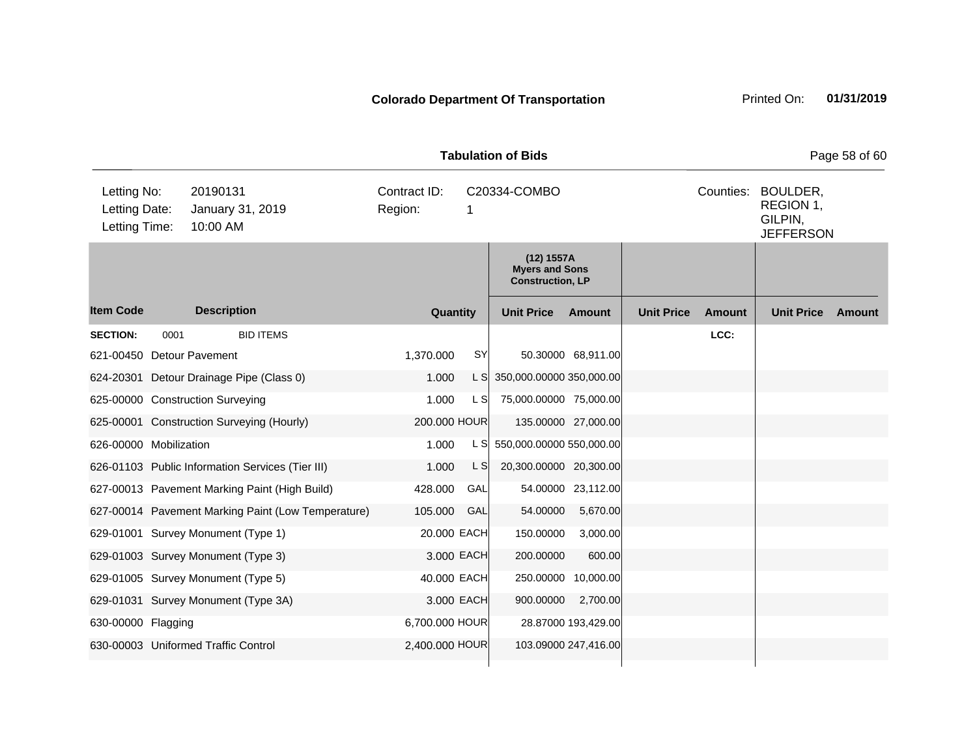| <b>Tabulation of Bids</b>                     |                                          |                                                  |                                                    |                         |            |                                                                |                      |                   |           |                                                      | Page 58 of 60 |
|-----------------------------------------------|------------------------------------------|--------------------------------------------------|----------------------------------------------------|-------------------------|------------|----------------------------------------------------------------|----------------------|-------------------|-----------|------------------------------------------------------|---------------|
| Letting No:<br>Letting Date:<br>Letting Time: | 20190131<br>January 31, 2019<br>10:00 AM |                                                  |                                                    | Contract ID:<br>Region: | 1          | C20334-COMBO                                                   |                      |                   | Counties: | BOULDER,<br>REGION 1,<br>GILPIN,<br><b>JEFFERSON</b> |               |
|                                               |                                          |                                                  |                                                    |                         |            | (12) 1557A<br><b>Myers and Sons</b><br><b>Construction, LP</b> |                      |                   |           |                                                      |               |
| <b>Item Code</b>                              |                                          | <b>Description</b>                               |                                                    | Quantity                |            | <b>Unit Price</b>                                              | Amount               | <b>Unit Price</b> | Amount    | <b>Unit Price</b>                                    | Amount        |
| <b>SECTION:</b>                               | 0001                                     |                                                  | <b>BID ITEMS</b>                                   |                         |            |                                                                |                      |                   | LCC:      |                                                      |               |
| 621-00450 Detour Pavement                     |                                          |                                                  |                                                    | 1,370.000               | SY         |                                                                | 50.30000 68,911.00   |                   |           |                                                      |               |
|                                               |                                          | 624-20301 Detour Drainage Pipe (Class 0)         |                                                    | 1.000                   |            | L S 350,000.00000 350,000.00                                   |                      |                   |           |                                                      |               |
|                                               |                                          | 625-00000 Construction Surveying                 |                                                    | 1.000                   | L SI       | 75,000.00000 75,000.00                                         |                      |                   |           |                                                      |               |
|                                               |                                          | 625-00001 Construction Surveying (Hourly)        |                                                    | 200.000 HOUR            |            |                                                                | 135.00000 27,000.00  |                   |           |                                                      |               |
| 626-00000 Mobilization                        |                                          |                                                  |                                                    | 1.000                   |            | L S 550,000.00000 550,000.00                                   |                      |                   |           |                                                      |               |
|                                               |                                          | 626-01103 Public Information Services (Tier III) |                                                    | 1.000                   | L S        | 20,300.00000 20,300.00                                         |                      |                   |           |                                                      |               |
|                                               |                                          | 627-00013 Pavement Marking Paint (High Build)    |                                                    | 428.000                 | GAL        |                                                                | 54.00000 23,112.00   |                   |           |                                                      |               |
|                                               |                                          |                                                  | 627-00014 Pavement Marking Paint (Low Temperature) | 105.000                 | GAL        | 54.00000                                                       | 5,670.00             |                   |           |                                                      |               |
|                                               |                                          | 629-01001 Survey Monument (Type 1)               |                                                    | 20.000 EACH             |            | 150.00000                                                      | 3,000.00             |                   |           |                                                      |               |
|                                               |                                          | 629-01003 Survey Monument (Type 3)               |                                                    |                         | 3.000 EACH | 200.00000                                                      | 600.00               |                   |           |                                                      |               |
|                                               |                                          | 629-01005 Survey Monument (Type 5)               |                                                    | 40.000 EACH             |            | 250.00000                                                      | 10,000.00            |                   |           |                                                      |               |
|                                               |                                          | 629-01031 Survey Monument (Type 3A)              |                                                    |                         | 3.000 EACH | 900.00000                                                      | 2,700.00             |                   |           |                                                      |               |
| 630-00000 Flagging                            |                                          |                                                  |                                                    | 6,700.000 HOUR          |            |                                                                | 28.87000 193,429.00  |                   |           |                                                      |               |
|                                               |                                          | 630-00003 Uniformed Traffic Control              |                                                    | 2,400.000 HOUR          |            |                                                                | 103.09000 247,416.00 |                   |           |                                                      |               |
|                                               |                                          |                                                  |                                                    |                         |            |                                                                |                      |                   |           |                                                      |               |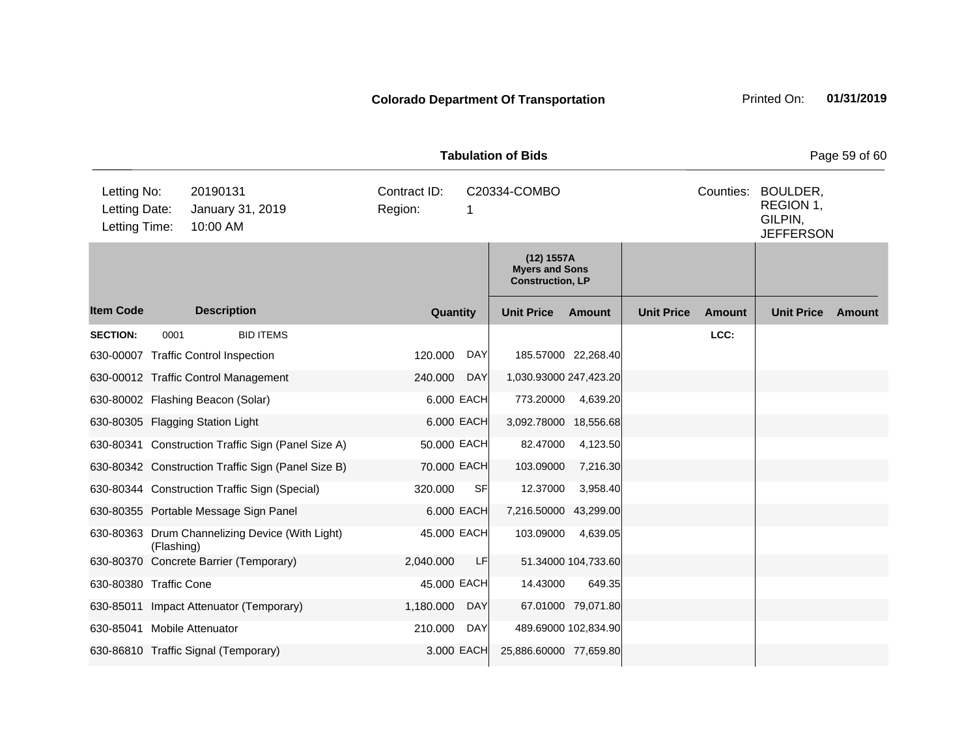| <b>Tabulation of Bids</b><br>Page 59 of 60    |            |                                                    |                         |            |                                                                |                      |                   |           |                                                      |        |
|-----------------------------------------------|------------|----------------------------------------------------|-------------------------|------------|----------------------------------------------------------------|----------------------|-------------------|-----------|------------------------------------------------------|--------|
| Letting No:<br>Letting Date:<br>Letting Time: |            | 20190131<br>January 31, 2019<br>10:00 AM           | Contract ID:<br>Region: | 1          | C20334-COMBO                                                   |                      |                   | Counties: | BOULDER,<br>REGION 1,<br>GILPIN,<br><b>JEFFERSON</b> |        |
|                                               |            |                                                    |                         |            | (12) 1557A<br><b>Myers and Sons</b><br><b>Construction, LP</b> |                      |                   |           |                                                      |        |
| <b>Item Code</b>                              |            | <b>Description</b>                                 | Quantity                |            | <b>Unit Price</b>                                              | <b>Amount</b>        | <b>Unit Price</b> | Amount    | <b>Unit Price</b>                                    | Amount |
| <b>SECTION:</b>                               | 0001       | <b>BID ITEMS</b>                                   |                         |            |                                                                |                      |                   | LCC:      |                                                      |        |
|                                               |            | 630-00007 Traffic Control Inspection               | 120.000                 | <b>DAY</b> |                                                                | 185.57000 22,268.40  |                   |           |                                                      |        |
|                                               |            | 630-00012 Traffic Control Management               | 240.000                 | <b>DAY</b> | 1,030.93000 247,423.20                                         |                      |                   |           |                                                      |        |
|                                               |            | 630-80002 Flashing Beacon (Solar)                  |                         | 6.000 EACH | 773.20000                                                      | 4,639.20             |                   |           |                                                      |        |
|                                               |            | 630-80305 Flagging Station Light                   |                         | 6.000 EACH | 3,092.78000 18,556.68                                          |                      |                   |           |                                                      |        |
|                                               |            | 630-80341 Construction Traffic Sign (Panel Size A) | 50.000 EACH             |            | 82.47000                                                       | 4,123.50             |                   |           |                                                      |        |
|                                               |            | 630-80342 Construction Traffic Sign (Panel Size B) | 70.000 EACH             |            | 103.09000                                                      | 7,216.30             |                   |           |                                                      |        |
|                                               |            | 630-80344 Construction Traffic Sign (Special)      | 320.000                 | SF         | 12.37000                                                       | 3,958.40             |                   |           |                                                      |        |
|                                               |            | 630-80355 Portable Message Sign Panel              |                         | 6.000 EACH | 7,216.50000 43,299.00                                          |                      |                   |           |                                                      |        |
|                                               | (Flashing) | 630-80363 Drum Channelizing Device (With Light)    | 45.000 EACH             |            | 103.09000                                                      | 4,639.05             |                   |           |                                                      |        |
|                                               |            | 630-80370 Concrete Barrier (Temporary)             | 2,040.000               | LF         |                                                                | 51.34000 104,733.60  |                   |           |                                                      |        |
| 630-80380 Traffic Cone                        |            |                                                    | 45.000 EACH             |            | 14.43000                                                       | 649.35               |                   |           |                                                      |        |
|                                               |            | 630-85011 Impact Attenuator (Temporary)            | 1,180.000               | <b>DAY</b> |                                                                | 67.01000 79,071.80   |                   |           |                                                      |        |
| 630-85041                                     |            | <b>Mobile Attenuator</b>                           | 210.000                 | DAY        |                                                                | 489.69000 102,834.90 |                   |           |                                                      |        |
|                                               |            | 630-86810 Traffic Signal (Temporary)               |                         | 3.000 EACH | 25,886.60000 77,659.80                                         |                      |                   |           |                                                      |        |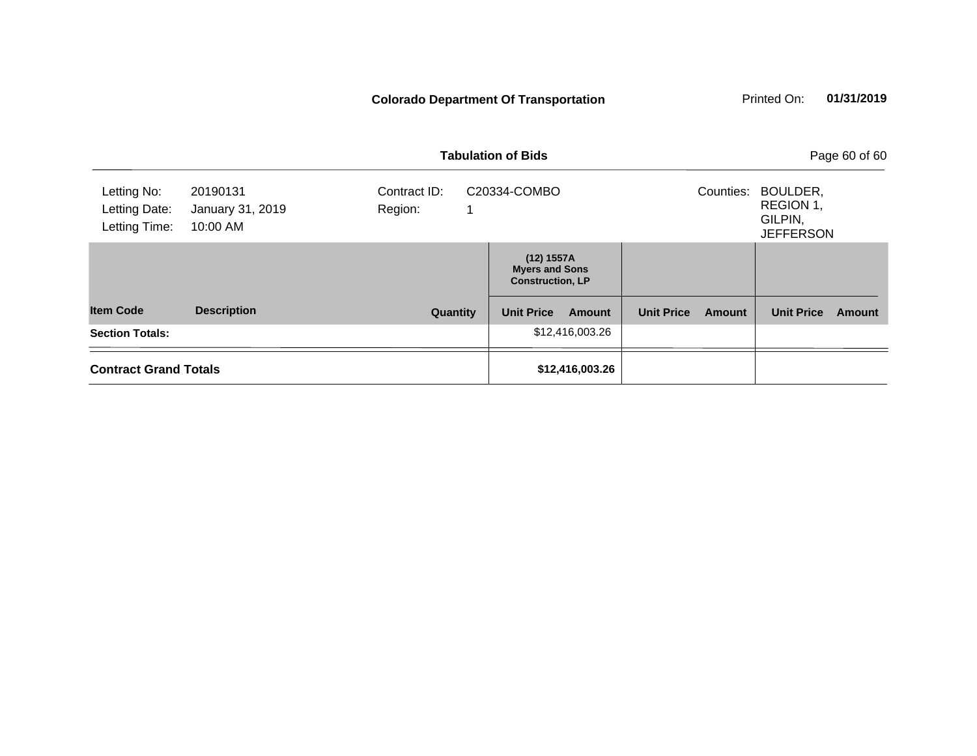### **Colorado Department Of Transportation**

| Printed On: | 01/31/2019 |
|-------------|------------|
|             |            |

|                                               |                                          | <b>Tabulation of Bids</b> | Page 60 of 60                                                  |                             |                                                                   |        |
|-----------------------------------------------|------------------------------------------|---------------------------|----------------------------------------------------------------|-----------------------------|-------------------------------------------------------------------|--------|
| Letting No:<br>Letting Date:<br>Letting Time: | 20190131<br>January 31, 2019<br>10:00 AM | Contract ID:<br>Region:   | C20334-COMBO                                                   |                             | BOULDER,<br>Counties:<br>REGION 1,<br>GILPIN,<br><b>JEFFERSON</b> |        |
|                                               |                                          |                           | (12) 1557A<br><b>Myers and Sons</b><br><b>Construction, LP</b> |                             |                                                                   |        |
| <b>Item Code</b>                              | <b>Description</b>                       | Quantity                  | <b>Unit Price</b><br>Amount                                    | <b>Unit Price</b><br>Amount | <b>Unit Price</b>                                                 | Amount |
| <b>Section Totals:</b>                        |                                          |                           | \$12,416,003.26                                                |                             |                                                                   |        |
| <b>Contract Grand Totals</b>                  |                                          |                           | \$12,416,003.26                                                |                             |                                                                   |        |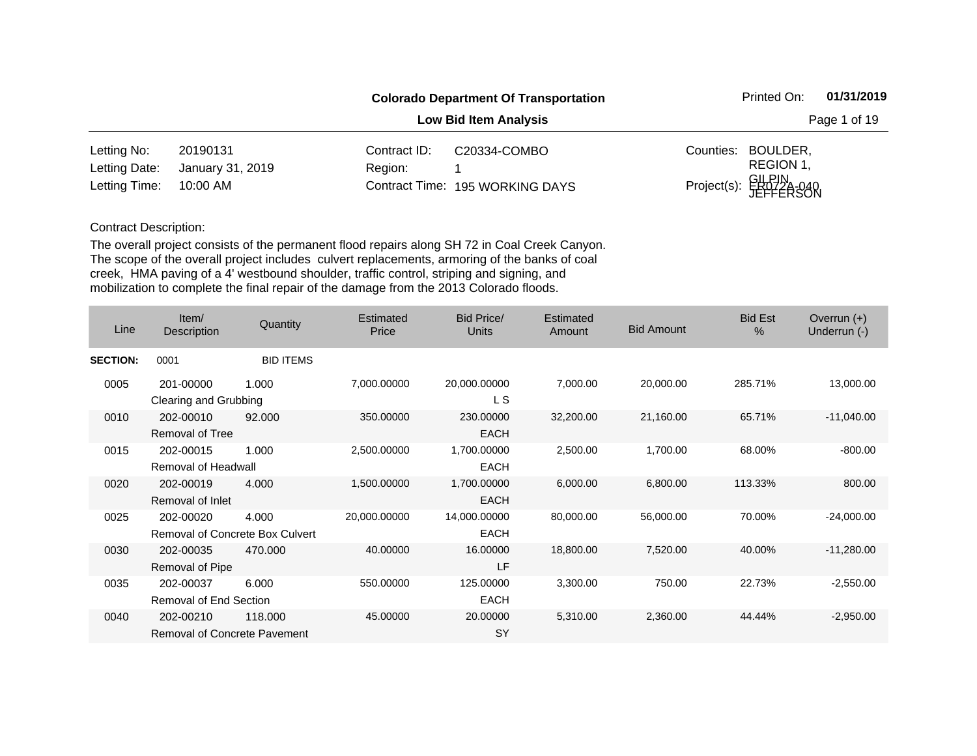|               |                  |              | <b>Colorado Department Of Transportation</b> |           | Printed On:                     | 01/31/2019   |
|---------------|------------------|--------------|----------------------------------------------|-----------|---------------------------------|--------------|
|               |                  |              | <b>Low Bid Item Analysis</b>                 |           |                                 | Page 1 of 19 |
| Letting No:   | 20190131         | Contract ID: | C20334-COMBO                                 | Counties: | BOULDER,                        |              |
| Letting Date: | January 31, 2019 | Region:      |                                              |           | REGION 1,                       |              |
| Letting Time: | 10:00 AM         |              | Contract Time: 195 WORKING DAYS              |           | Project(s): GILPIN<br>JEFFERSON |              |

| Line            | Item/<br>Description                             | Quantity                                 | <b>Estimated</b><br>Price | <b>Bid Price/</b><br>Units  | <b>Estimated</b><br>Amount | <b>Bid Amount</b> | <b>Bid Est</b><br>$\%$ | Overrun $(+)$<br>Underrun (-) |
|-----------------|--------------------------------------------------|------------------------------------------|---------------------------|-----------------------------|----------------------------|-------------------|------------------------|-------------------------------|
| <b>SECTION:</b> | 0001                                             | <b>BID ITEMS</b>                         |                           |                             |                            |                   |                        |                               |
| 0005            | 201-00000<br>Clearing and Grubbing               | 1.000                                    | 7,000.00000               | 20,000.00000<br>L S         | 7,000.00                   | 20,000.00         | 285.71%                | 13,000.00                     |
| 0010            | 202-00010<br><b>Removal of Tree</b>              | 92.000                                   | 350.00000                 | 230.00000<br><b>EACH</b>    | 32,200.00                  | 21,160.00         | 65.71%                 | $-11,040.00$                  |
| 0015            | 202-00015<br>Removal of Headwall                 | 1.000                                    | 2,500.00000               | 1,700.00000<br><b>EACH</b>  | 2,500.00                   | 1,700.00          | 68.00%                 | $-800.00$                     |
| 0020            | 202-00019<br>Removal of Inlet                    | 4.000                                    | 1,500.00000               | 1,700.00000<br><b>EACH</b>  | 6,000.00                   | 6,800.00          | 113.33%                | 800.00                        |
| 0025            | 202-00020                                        | 4.000<br>Removal of Concrete Box Culvert | 20,000.00000              | 14,000.00000<br><b>EACH</b> | 80,000.00                  | 56,000.00         | 70.00%                 | $-24,000.00$                  |
| 0030            | 202-00035<br>Removal of Pipe                     | 470.000                                  | 40.00000                  | 16.00000<br>LF              | 18,800.00                  | 7,520.00          | 40.00%                 | $-11,280.00$                  |
| 0035            | 202-00037<br><b>Removal of End Section</b>       | 6.000                                    | 550.00000                 | 125.00000<br><b>EACH</b>    | 3,300.00                   | 750.00            | 22.73%                 | $-2,550.00$                   |
| 0040            | 202-00210<br><b>Removal of Concrete Pavement</b> | 118.000                                  | 45.00000                  | 20.00000<br>SY              | 5,310.00                   | 2,360.00          | 44.44%                 | $-2,950.00$                   |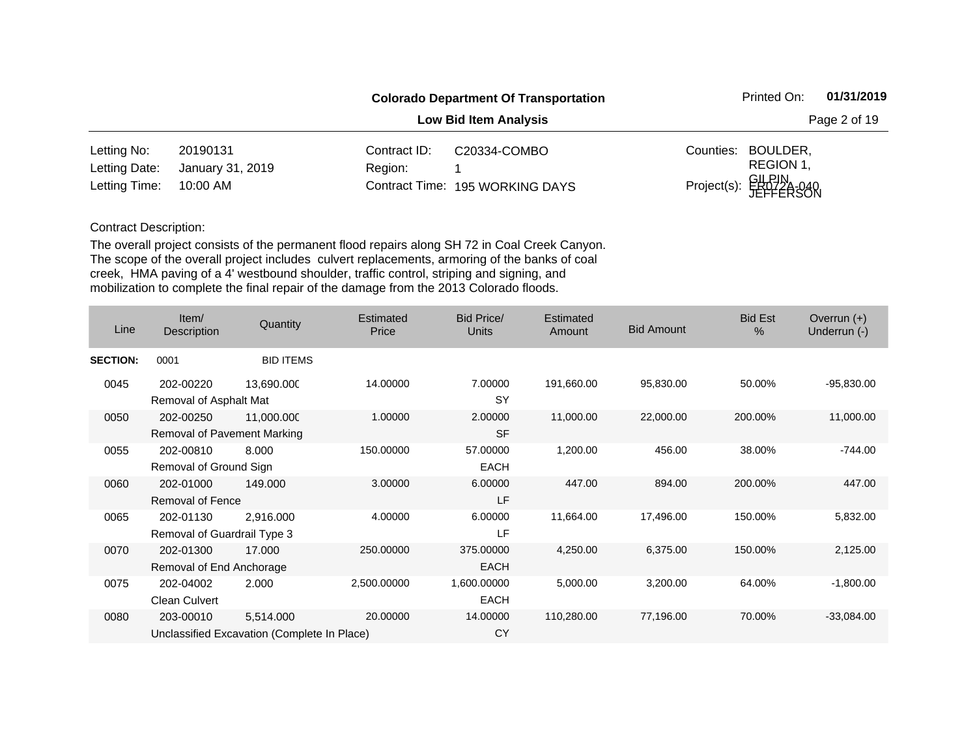|               |                  |              | <b>Colorado Department Of Transportation</b> |           | Printed On:                     | 01/31/2019   |
|---------------|------------------|--------------|----------------------------------------------|-----------|---------------------------------|--------------|
|               |                  |              | <b>Low Bid Item Analysis</b>                 |           |                                 | Page 2 of 19 |
| Letting No:   | 20190131         | Contract ID: | C20334-COMBO                                 | Counties: | BOULDER,                        |              |
| Letting Date: | January 31, 2019 | Region:      |                                              |           | REGION 1,                       |              |
| Letting Time: | 10:00 AM         |              | Contract Time: 195 WORKING DAYS              |           | Project(s): GILPIN<br>JEFFERSON |              |

| Line            | Item/<br>Description                     | Quantity                                                 | Estimated<br>Price | <b>Bid Price/</b><br><b>Units</b> | Estimated<br>Amount | <b>Bid Amount</b> | <b>Bid Est</b><br>$\frac{0}{0}$ | Overrun $(+)$<br>Underrun (-) |
|-----------------|------------------------------------------|----------------------------------------------------------|--------------------|-----------------------------------|---------------------|-------------------|---------------------------------|-------------------------------|
| <b>SECTION:</b> | 0001                                     | <b>BID ITEMS</b>                                         |                    |                                   |                     |                   |                                 |                               |
| 0045            | 202-00220<br>Removal of Asphalt Mat      | 13,690.000                                               | 14.00000           | 7.00000<br><b>SY</b>              | 191,660.00          | 95,830.00         | 50.00%                          | $-95,830.00$                  |
| 0050            | 202-00250<br>Removal of Pavement Marking | 11,000.000                                               | 1.00000            | 2.00000<br><b>SF</b>              | 11,000.00           | 22,000.00         | 200.00%                         | 11,000.00                     |
| 0055            | 202-00810<br>Removal of Ground Sign      | 8.000                                                    | 150.00000          | 57.00000<br><b>EACH</b>           | 1,200.00            | 456.00            | 38.00%                          | $-744.00$                     |
| 0060            | 202-01000<br><b>Removal of Fence</b>     | 149,000                                                  | 3.00000            | 6.00000<br>LF                     | 447.00              | 894.00            | 200.00%                         | 447.00                        |
| 0065            | 202-01130<br>Removal of Guardrail Type 3 | 2,916.000                                                | 4.00000            | 6.00000<br>LF                     | 11,664.00           | 17,496.00         | 150.00%                         | 5,832.00                      |
| 0070            | 202-01300<br>Removal of End Anchorage    | 17.000                                                   | 250.00000          | 375.00000<br><b>EACH</b>          | 4,250.00            | 6,375.00          | 150.00%                         | 2,125.00                      |
| 0075            | 202-04002<br>Clean Culvert               | 2.000                                                    | 2,500.00000        | 1,600.00000<br><b>EACH</b>        | 5,000.00            | 3,200.00          | 64.00%                          | $-1,800.00$                   |
| 0080            | 203-00010                                | 5,514.000<br>Unclassified Excavation (Complete In Place) | 20.00000           | 14.00000<br>CY                    | 110,280.00          | 77,196.00         | 70.00%                          | $-33,084.00$                  |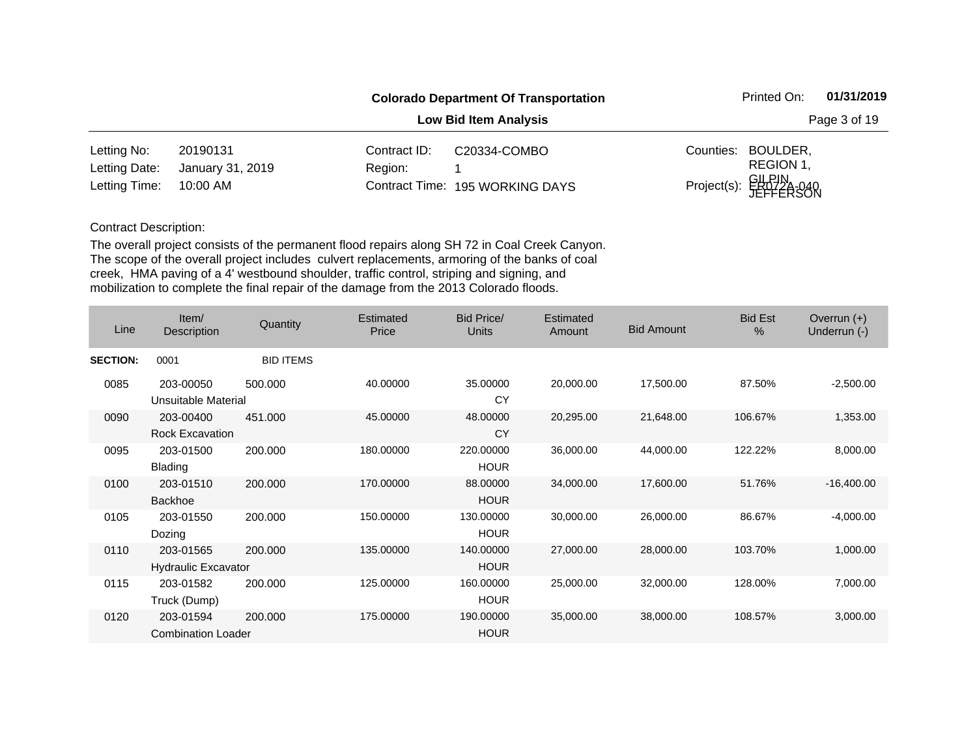|               |                  |              | <b>Colorado Department Of Transportation</b> |           | Printed On:                     | 01/31/2019 |
|---------------|------------------|--------------|----------------------------------------------|-----------|---------------------------------|------------|
|               |                  | Page 3 of 19 |                                              |           |                                 |            |
| Letting No:   | 20190131         | Contract ID: | C20334-COMBO                                 | Counties: | BOULDER,                        |            |
| Letting Date: | January 31, 2019 | Region:      |                                              |           | REGION 1,                       |            |
| Letting Time: | 10:00 AM         |              | Contract Time: 195 WORKING DAYS              |           | Project(s): GILPIN<br>JEFFERSON |            |

| Line            | Item/<br>Description                    | Quantity         | Estimated<br>Price | <b>Bid Price/</b><br>Units | Estimated<br>Amount | <b>Bid Amount</b> | <b>Bid Est</b><br>% | Overrun $(+)$<br>Underrun (-) |
|-----------------|-----------------------------------------|------------------|--------------------|----------------------------|---------------------|-------------------|---------------------|-------------------------------|
| <b>SECTION:</b> | 0001                                    | <b>BID ITEMS</b> |                    |                            |                     |                   |                     |                               |
| 0085            | 203-00050<br>Unsuitable Material        | 500.000          | 40.00000           | 35.00000<br>CY             | 20,000.00           | 17,500.00         | 87.50%              | $-2,500.00$                   |
| 0090            | 203-00400<br>Rock Excavation            | 451.000          | 45.00000           | 48.00000<br>CY             | 20,295.00           | 21,648.00         | 106.67%             | 1,353.00                      |
| 0095            | 203-01500<br><b>Blading</b>             | 200.000          | 180.00000          | 220.00000<br><b>HOUR</b>   | 36,000.00           | 44,000.00         | 122.22%             | 8,000.00                      |
| 0100            | 203-01510<br><b>Backhoe</b>             | 200,000          | 170.00000          | 88.00000<br><b>HOUR</b>    | 34,000.00           | 17,600.00         | 51.76%              | $-16,400.00$                  |
| 0105            | 203-01550<br>Dozing                     | 200.000          | 150.00000          | 130.00000<br><b>HOUR</b>   | 30,000.00           | 26,000.00         | 86.67%              | $-4,000.00$                   |
| 0110            | 203-01565<br><b>Hydraulic Excavator</b> | 200,000          | 135.00000          | 140.00000<br><b>HOUR</b>   | 27,000.00           | 28,000.00         | 103.70%             | 1,000.00                      |
| 0115            | 203-01582<br>Truck (Dump)               | 200.000          | 125.00000          | 160.00000<br><b>HOUR</b>   | 25,000.00           | 32,000.00         | 128.00%             | 7,000.00                      |
| 0120            | 203-01594<br><b>Combination Loader</b>  | 200,000          | 175.00000          | 190.00000<br><b>HOUR</b>   | 35,000.00           | 38,000.00         | 108.57%             | 3,000.00                      |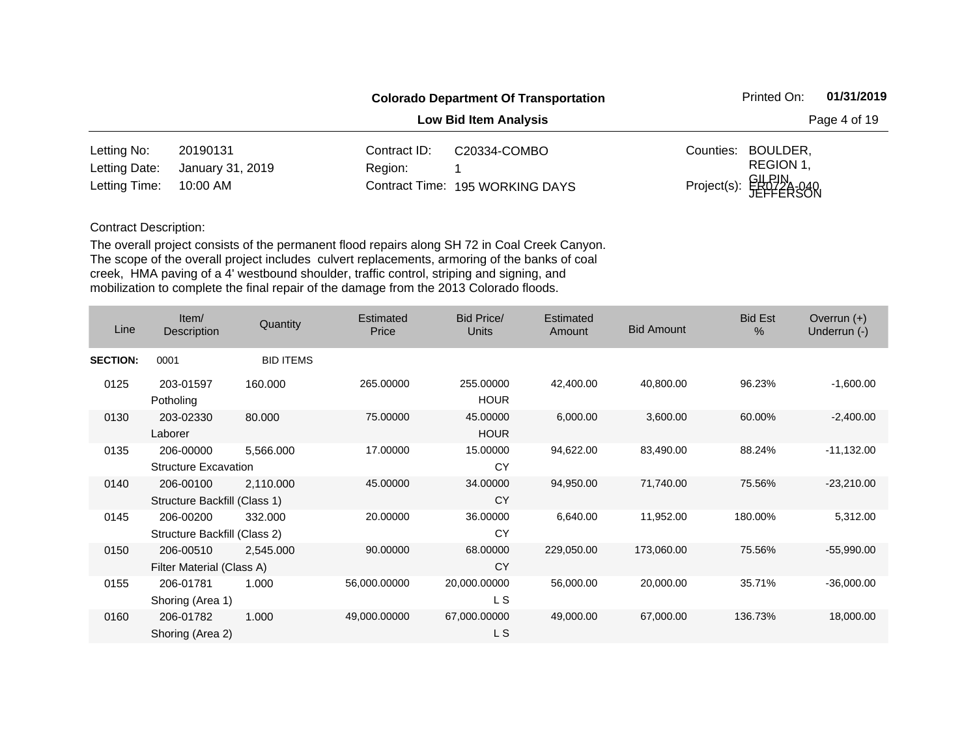|               |                  |              | <b>Colorado Department Of Transportation</b> |           | Printed On:                     | 01/31/2019   |
|---------------|------------------|--------------|----------------------------------------------|-----------|---------------------------------|--------------|
|               |                  |              | <b>Low Bid Item Analysis</b>                 |           |                                 | Page 4 of 19 |
| Letting No:   | 20190131         | Contract ID: | C20334-COMBO                                 | Counties: | BOULDER,                        |              |
| Letting Date: | January 31, 2019 | Region:      |                                              |           | REGION 1,                       |              |
| Letting Time: | 10:00 AM         |              | Contract Time: 195 WORKING DAYS              |           | Project(s): GILPIN<br>JEFFERSON |              |

| Line            | Item/<br>Description                      | Quantity         | Estimated<br>Price | Bid Price/<br><b>Units</b> | Estimated<br>Amount | <b>Bid Amount</b> | <b>Bid Est</b><br>$\frac{0}{0}$ | Overrun $(+)$<br>Underrun (-) |
|-----------------|-------------------------------------------|------------------|--------------------|----------------------------|---------------------|-------------------|---------------------------------|-------------------------------|
| <b>SECTION:</b> | 0001                                      | <b>BID ITEMS</b> |                    |                            |                     |                   |                                 |                               |
| 0125            | 203-01597<br>Potholing                    | 160.000          | 265.00000          | 255.00000<br><b>HOUR</b>   | 42,400.00           | 40,800.00         | 96.23%                          | $-1,600.00$                   |
| 0130            | 203-02330<br>Laborer                      | 80.000           | 75.00000           | 45.00000<br><b>HOUR</b>    | 6,000.00            | 3,600.00          | 60.00%                          | $-2,400.00$                   |
| 0135            | 206-00000<br><b>Structure Excavation</b>  | 5,566.000        | 17.00000           | 15.00000<br>CY             | 94,622.00           | 83,490.00         | 88.24%                          | $-11,132.00$                  |
| 0140            | 206-00100<br>Structure Backfill (Class 1) | 2,110.000        | 45.00000           | 34.00000<br>CY             | 94,950.00           | 71,740.00         | 75.56%                          | $-23,210.00$                  |
| 0145            | 206-00200<br>Structure Backfill (Class 2) | 332.000          | 20.00000           | 36.00000<br>CY             | 6,640.00            | 11,952.00         | 180.00%                         | 5,312.00                      |
| 0150            | 206-00510<br>Filter Material (Class A)    | 2,545.000        | 90.00000           | 68.00000<br>CY             | 229,050.00          | 173,060.00        | 75.56%                          | $-55,990.00$                  |
| 0155            | 206-01781<br>Shoring (Area 1)             | 1.000            | 56,000.00000       | 20,000.00000<br>L S        | 56,000.00           | 20,000.00         | 35.71%                          | $-36,000.00$                  |
| 0160            | 206-01782<br>Shoring (Area 2)             | 1.000            | 49,000.00000       | 67,000.00000<br>L S        | 49,000.00           | 67,000.00         | 136.73%                         | 18,000.00                     |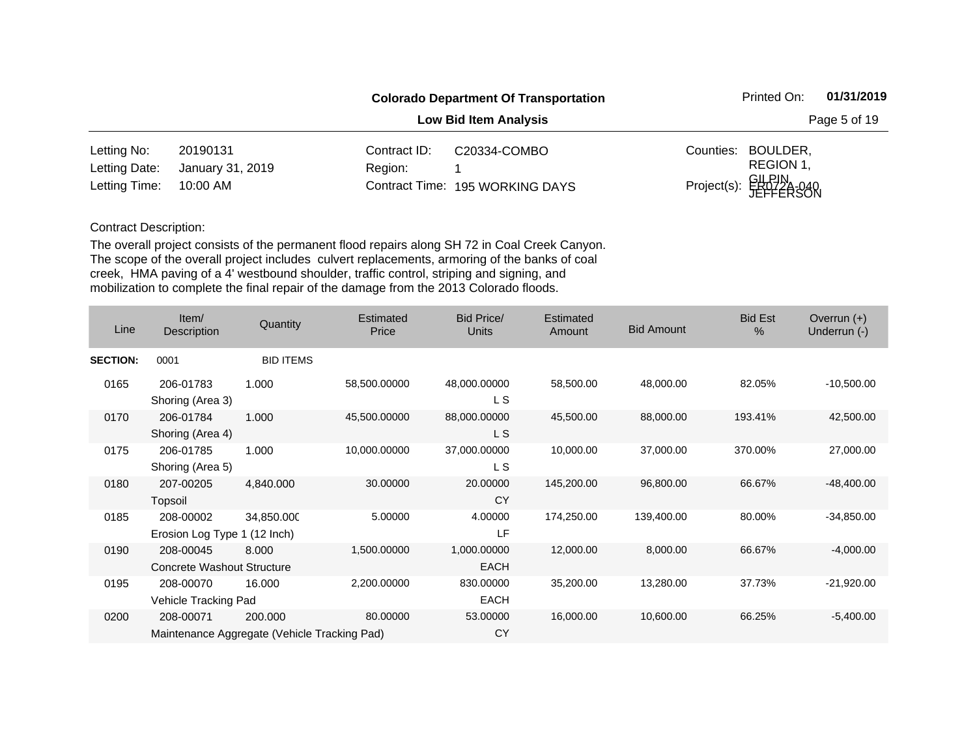|               |                  |              | <b>Colorado Department Of Transportation</b> |           | Printed On:                     | 01/31/2019   |
|---------------|------------------|--------------|----------------------------------------------|-----------|---------------------------------|--------------|
|               |                  |              | <b>Low Bid Item Analysis</b>                 |           |                                 | Page 5 of 19 |
| Letting No:   | 20190131         | Contract ID: | C20334-COMBO                                 | Counties: | BOULDER,                        |              |
| Letting Date: | January 31, 2019 | Region:      |                                              |           | REGION 1,                       |              |
| Letting Time: | 10:00 AM         |              | Contract Time: 195 WORKING DAYS              |           | Project(s): GILPIN<br>JEFFERSON |              |

| Line            | Item/<br>Description                                      | Quantity         | Estimated<br>Price | <b>Bid Price/</b><br>Units | Estimated<br>Amount | <b>Bid Amount</b> | <b>Bid Est</b><br>$\frac{0}{0}$ | Overrun $(+)$<br>Underrun (-) |
|-----------------|-----------------------------------------------------------|------------------|--------------------|----------------------------|---------------------|-------------------|---------------------------------|-------------------------------|
| <b>SECTION:</b> | 0001                                                      | <b>BID ITEMS</b> |                    |                            |                     |                   |                                 |                               |
| 0165            | 206-01783<br>Shoring (Area 3)                             | 1.000            | 58,500.00000       | 48,000.00000<br>L S        | 58,500.00           | 48,000.00         | 82.05%                          | $-10,500.00$                  |
| 0170            | 206-01784<br>Shoring (Area 4)                             | 1.000            | 45,500.00000       | 88,000.00000<br>L S        | 45,500.00           | 88,000.00         | 193.41%                         | 42,500.00                     |
| 0175            | 206-01785<br>Shoring (Area 5)                             | 1.000            | 10,000.00000       | 37,000.00000<br>L S        | 10,000.00           | 37,000.00         | 370.00%                         | 27,000.00                     |
| 0180            | 207-00205<br>Topsoil                                      | 4,840.000        | 30.00000           | 20.00000<br><b>CY</b>      | 145,200.00          | 96,800.00         | 66.67%                          | $-48,400.00$                  |
| 0185            | 208-00002<br>Erosion Log Type 1 (12 Inch)                 | 34,850.000       | 5.00000            | 4.00000<br>LF              | 174,250.00          | 139,400.00        | 80.00%                          | $-34,850.00$                  |
| 0190            | 208-00045<br><b>Concrete Washout Structure</b>            | 8.000            | 1,500.00000        | 1,000.00000<br><b>EACH</b> | 12,000.00           | 8,000.00          | 66.67%                          | $-4,000.00$                   |
| 0195            | 208-00070<br>Vehicle Tracking Pad                         | 16.000           | 2,200.00000        | 830.00000<br>EACH          | 35,200.00           | 13,280.00         | 37.73%                          | $-21,920.00$                  |
| 0200            | 208-00071<br>Maintenance Aggregate (Vehicle Tracking Pad) | 200.000          | 80.00000           | 53.00000<br><b>CY</b>      | 16,000.00           | 10,600.00         | 66.25%                          | $-5,400.00$                   |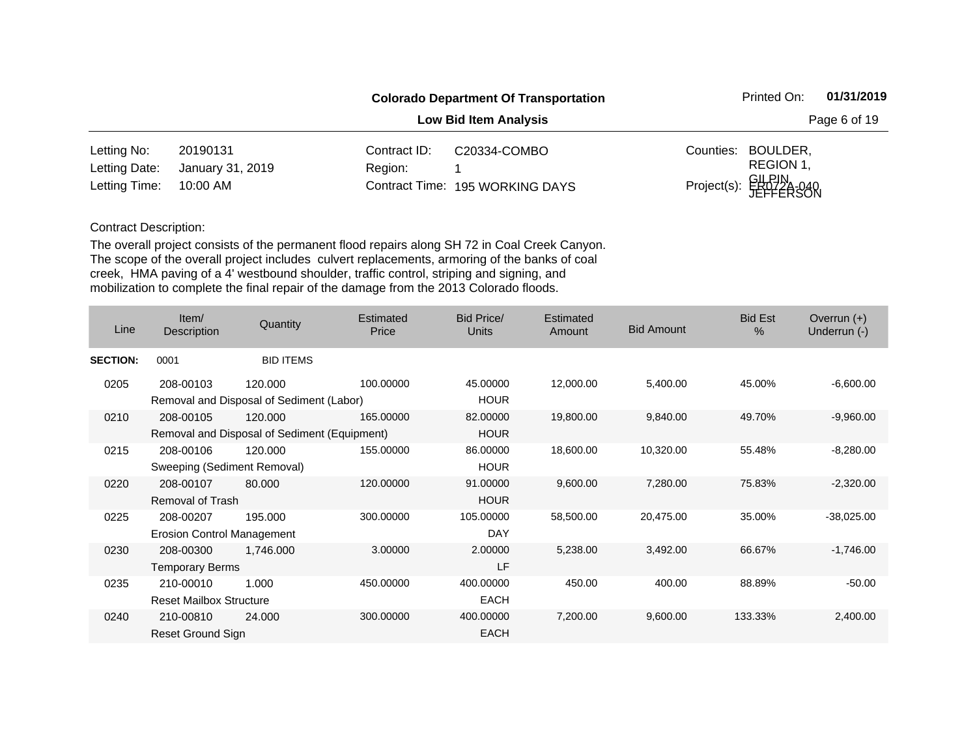|               |                  |              | <b>Colorado Department Of Transportation</b> |           | Printed On:                     | 01/31/2019   |
|---------------|------------------|--------------|----------------------------------------------|-----------|---------------------------------|--------------|
|               |                  |              | <b>Low Bid Item Analysis</b>                 |           |                                 | Page 6 of 19 |
| Letting No:   | 20190131         | Contract ID: | C20334-COMBO                                 | Counties: | BOULDER,                        |              |
| Letting Date: | January 31, 2019 | Region:      |                                              |           | REGION 1,                       |              |
| Letting Time: | 10:00 AM         |              | Contract Time: 195 WORKING DAYS              |           | Project(s): GILPIN<br>JEFFERSON |              |

| Line            | Item/<br>Description              | Quantity                                     | Estimated<br>Price | <b>Bid Price/</b><br><b>Units</b> | Estimated<br>Amount | <b>Bid Amount</b> | <b>Bid Est</b><br>$\%$ | Overrun $(+)$<br>Underrun (-) |
|-----------------|-----------------------------------|----------------------------------------------|--------------------|-----------------------------------|---------------------|-------------------|------------------------|-------------------------------|
| <b>SECTION:</b> | 0001                              | <b>BID ITEMS</b>                             |                    |                                   |                     |                   |                        |                               |
| 0205            | 208-00103                         | 120.000                                      | 100.00000          | 45.00000                          | 12,000.00           | 5,400.00          | 45.00%                 | $-6,600.00$                   |
|                 |                                   | Removal and Disposal of Sediment (Labor)     |                    | <b>HOUR</b>                       |                     |                   |                        |                               |
| 0210            | 208-00105                         | 120.000                                      | 165.00000          | 82.00000                          | 19,800.00           | 9,840.00          | 49.70%                 | $-9,960.00$                   |
|                 |                                   | Removal and Disposal of Sediment (Equipment) |                    | <b>HOUR</b>                       |                     |                   |                        |                               |
| 0215            | 208-00106                         | 120,000                                      | 155.00000          | 86.00000                          | 18,600.00           | 10,320.00         | 55.48%                 | $-8,280.00$                   |
|                 | Sweeping (Sediment Removal)       |                                              |                    | <b>HOUR</b>                       |                     |                   |                        |                               |
| 0220            | 208-00107                         | 80,000                                       | 120.00000          | 91.00000                          | 9,600.00            | 7,280.00          | 75.83%                 | $-2,320.00$                   |
|                 | Removal of Trash                  |                                              |                    | <b>HOUR</b>                       |                     |                   |                        |                               |
| 0225            | 208-00207                         | 195,000                                      | 300.00000          | 105.00000                         | 58,500.00           | 20,475.00         | 35.00%                 | $-38,025.00$                  |
|                 | <b>Erosion Control Management</b> |                                              |                    | <b>DAY</b>                        |                     |                   |                        |                               |
| 0230            | 208-00300                         | 1,746.000                                    | 3.00000            | 2.00000                           | 5,238.00            | 3,492.00          | 66.67%                 | $-1,746.00$                   |
|                 | <b>Temporary Berms</b>            |                                              |                    | LF                                |                     |                   |                        |                               |
| 0235            | 210-00010                         | 1.000                                        | 450.00000          | 400.00000                         | 450.00              | 400.00            | 88.89%                 | $-50.00$                      |
|                 | <b>Reset Mailbox Structure</b>    |                                              |                    | <b>EACH</b>                       |                     |                   |                        |                               |
| 0240            | 210-00810                         | 24.000                                       | 300.00000          | 400.00000                         | 7,200.00            | 9,600.00          | 133.33%                | 2,400.00                      |
|                 | Reset Ground Sign                 |                                              |                    | <b>EACH</b>                       |                     |                   |                        |                               |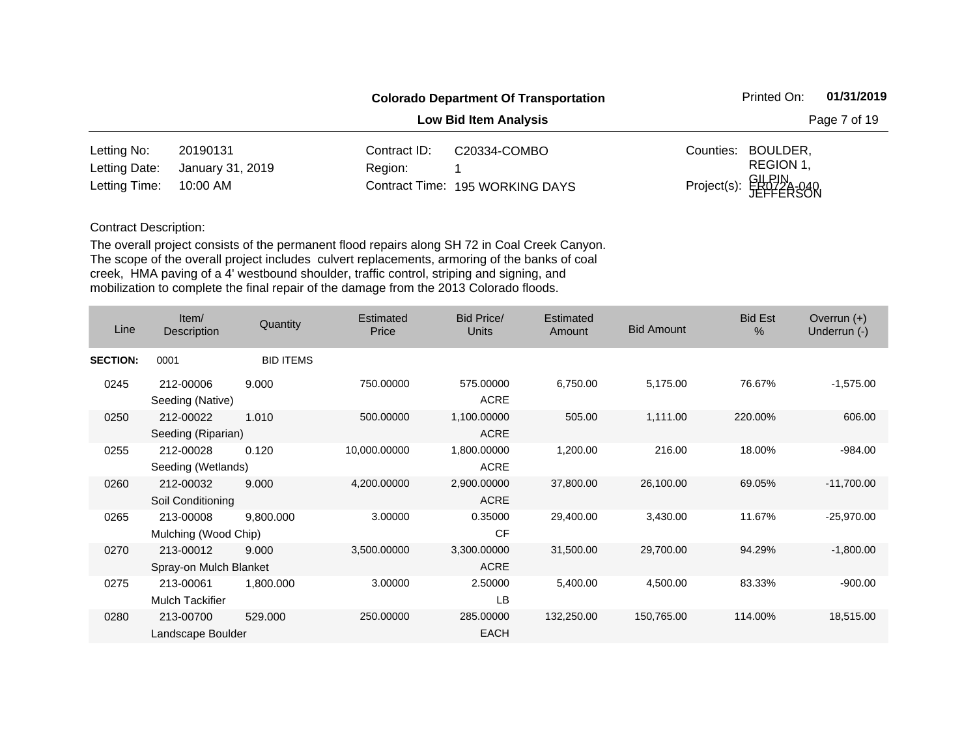|               |                  |              | <b>Colorado Department Of Transportation</b> |           | Printed On:                     | 01/31/2019   |
|---------------|------------------|--------------|----------------------------------------------|-----------|---------------------------------|--------------|
|               |                  |              | <b>Low Bid Item Analysis</b>                 |           |                                 | Page 7 of 19 |
| Letting No:   | 20190131         | Contract ID: | C20334-COMBO                                 | Counties: | BOULDER,                        |              |
| Letting Date: | January 31, 2019 | Region:      |                                              |           | REGION 1,                       |              |
| Letting Time: | 10:00 AM         |              | Contract Time: 195 WORKING DAYS              |           | Project(s): GILPIN<br>JEFFERSON |              |

| Line            | Item/<br>Description                | Quantity         | Estimated<br>Price | <b>Bid Price/</b><br><b>Units</b> | Estimated<br>Amount | <b>Bid Amount</b> | <b>Bid Est</b><br>$\%$ | Overrun $(+)$<br>Underrun (-) |
|-----------------|-------------------------------------|------------------|--------------------|-----------------------------------|---------------------|-------------------|------------------------|-------------------------------|
| <b>SECTION:</b> | 0001                                | <b>BID ITEMS</b> |                    |                                   |                     |                   |                        |                               |
| 0245            | 212-00006<br>Seeding (Native)       | 9.000            | 750.00000          | 575.00000<br><b>ACRE</b>          | 6,750.00            | 5,175.00          | 76.67%                 | $-1,575.00$                   |
| 0250            | 212-00022<br>Seeding (Riparian)     | 1.010            | 500.00000          | 1,100.00000<br><b>ACRE</b>        | 505.00              | 1,111.00          | 220.00%                | 606.00                        |
| 0255            | 212-00028<br>Seeding (Wetlands)     | 0.120            | 10,000.00000       | 1,800.00000<br><b>ACRE</b>        | 1,200.00            | 216.00            | 18.00%                 | $-984.00$                     |
| 0260            | 212-00032<br>Soil Conditioning      | 9.000            | 4,200.00000        | 2,900.00000<br><b>ACRE</b>        | 37,800.00           | 26,100.00         | 69.05%                 | $-11,700.00$                  |
| 0265            | 213-00008<br>Mulching (Wood Chip)   | 9,800.000        | 3.00000            | 0.35000<br><b>CF</b>              | 29,400.00           | 3,430.00          | 11.67%                 | $-25,970.00$                  |
| 0270            | 213-00012<br>Spray-on Mulch Blanket | 9.000            | 3,500.00000        | 3,300.00000<br><b>ACRE</b>        | 31,500.00           | 29,700.00         | 94.29%                 | $-1,800.00$                   |
| 0275            | 213-00061<br>Mulch Tackifier        | 1,800.000        | 3.00000            | 2.50000<br>LB                     | 5,400.00            | 4,500.00          | 83.33%                 | $-900.00$                     |
| 0280            | 213-00700<br>Landscape Boulder      | 529.000          | 250.00000          | 285.00000<br><b>EACH</b>          | 132,250.00          | 150,765.00        | 114.00%                | 18,515.00                     |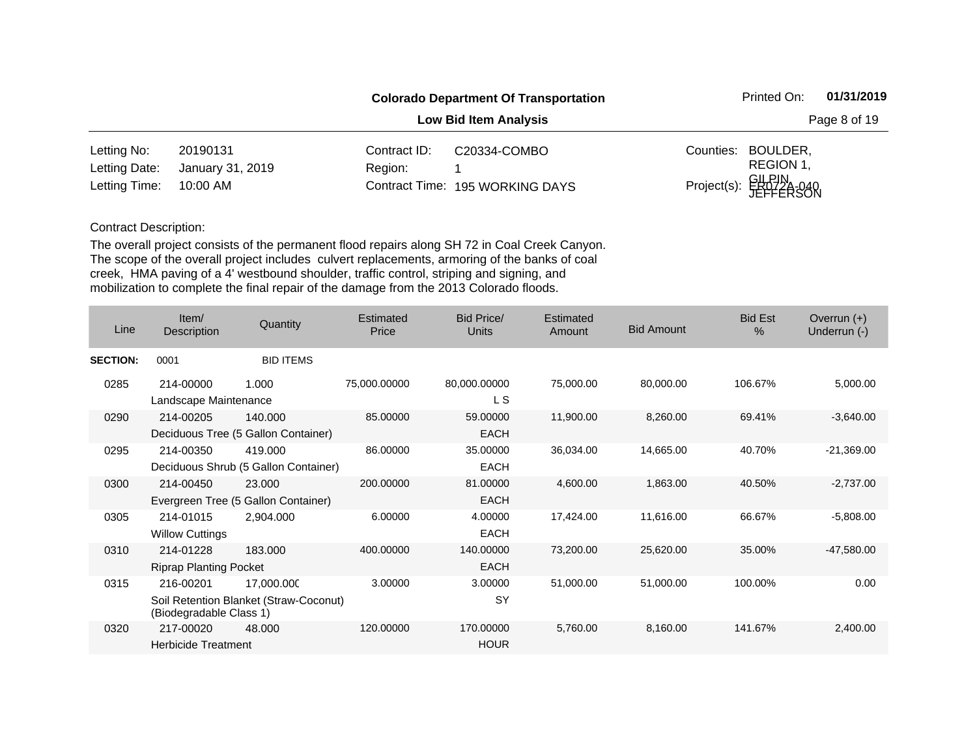|               |                  |              | <b>Colorado Department Of Transportation</b> |           | Printed On:                     | 01/31/2019   |
|---------------|------------------|--------------|----------------------------------------------|-----------|---------------------------------|--------------|
|               |                  |              | <b>Low Bid Item Analysis</b>                 |           |                                 | Page 8 of 19 |
| Letting No:   | 20190131         | Contract ID: | C20334-COMBO                                 | Counties: | BOULDER,                        |              |
| Letting Date: | January 31, 2019 | Region:      |                                              |           | REGION 1,                       |              |
| Letting Time: | 10:00 AM         |              | Contract Time: 195 WORKING DAYS              |           | Project(s): GILPIN<br>JEFFERSON |              |

| Line            | Item/<br><b>Description</b>                | Quantity                                             | <b>Estimated</b><br>Price | <b>Bid Price/</b><br>Units | <b>Estimated</b><br>Amount | <b>Bid Amount</b> | <b>Bid Est</b><br>$\frac{0}{0}$ | Overrun $(+)$<br>Underrun (-) |
|-----------------|--------------------------------------------|------------------------------------------------------|---------------------------|----------------------------|----------------------------|-------------------|---------------------------------|-------------------------------|
| <b>SECTION:</b> | 0001                                       | <b>BID ITEMS</b>                                     |                           |                            |                            |                   |                                 |                               |
| 0285            | 214-00000<br>Landscape Maintenance         | 1.000                                                | 75,000.00000              | 80,000.00000<br>L S        | 75,000.00                  | 80,000.00         | 106.67%                         | 5,000.00                      |
| 0290            | 214-00205                                  | 140.000<br>Deciduous Tree (5 Gallon Container)       | 85.00000                  | 59.00000<br><b>EACH</b>    | 11,900.00                  | 8,260.00          | 69.41%                          | $-3,640.00$                   |
| 0295            | 214-00350                                  | 419,000<br>Deciduous Shrub (5 Gallon Container)      | 86.00000                  | 35.00000<br><b>EACH</b>    | 36,034.00                  | 14,665.00         | 40.70%                          | $-21,369.00$                  |
| 0300            | 214-00450                                  | 23.000<br>Evergreen Tree (5 Gallon Container)        | 200.00000                 | 81.00000<br><b>EACH</b>    | 4,600.00                   | 1,863.00          | 40.50%                          | $-2,737.00$                   |
| 0305            | 214-01015<br><b>Willow Cuttings</b>        | 2,904.000                                            | 6.00000                   | 4.00000<br><b>EACH</b>     | 17,424.00                  | 11,616.00         | 66.67%                          | $-5,808.00$                   |
| 0310            | 214-01228<br><b>Riprap Planting Pocket</b> | 183.000                                              | 400.00000                 | 140.00000<br><b>EACH</b>   | 73,200.00                  | 25,620.00         | 35.00%                          | $-47,580.00$                  |
| 0315            | 216-00201<br>(Biodegradable Class 1)       | 17,000.000<br>Soil Retention Blanket (Straw-Coconut) | 3.00000                   | 3.00000<br>SY              | 51,000.00                  | 51,000.00         | 100.00%                         | 0.00                          |
| 0320            | 217-00020<br><b>Herbicide Treatment</b>    | 48,000                                               | 120.00000                 | 170.00000<br><b>HOUR</b>   | 5,760.00                   | 8,160.00          | 141.67%                         | 2,400.00                      |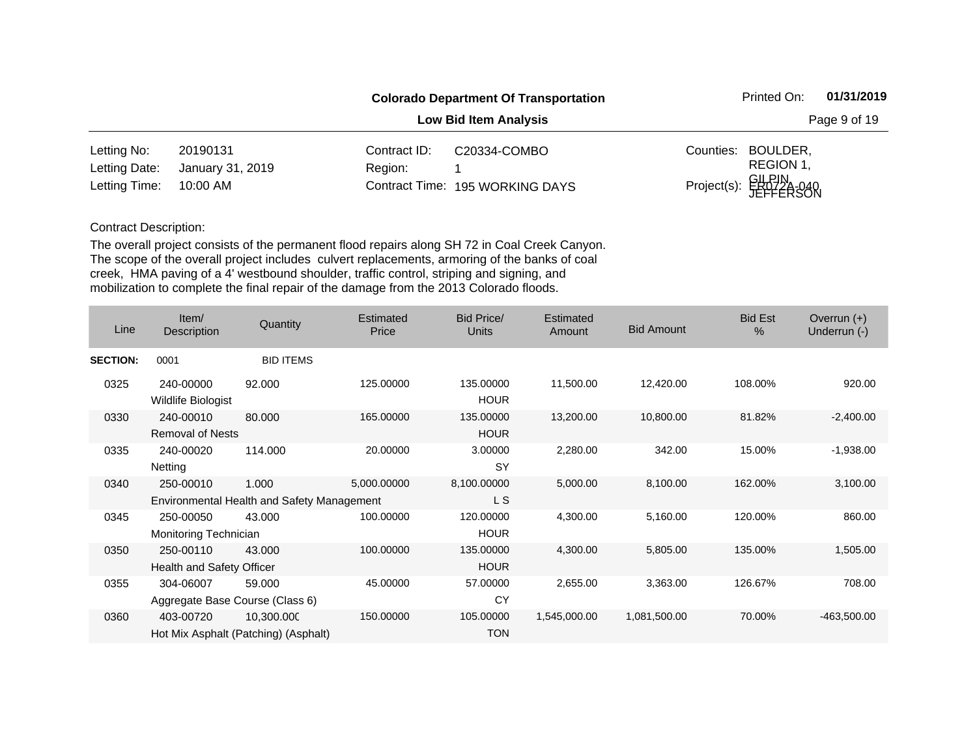|               |                  |              | <b>Colorado Department Of Transportation</b> |           | Printed On:                     | 01/31/2019   |
|---------------|------------------|--------------|----------------------------------------------|-----------|---------------------------------|--------------|
|               |                  |              | <b>Low Bid Item Analysis</b>                 |           |                                 | Page 9 of 19 |
| Letting No:   | 20190131         | Contract ID: | C20334-COMBO                                 | Counties: | BOULDER,                        |              |
| Letting Date: | January 31, 2019 | Region:      |                                              |           | REGION 1,                       |              |
| Letting Time: | 10:00 AM         |              | Contract Time: 195 WORKING DAYS              |           | Project(s): GILPIN<br>JEFFERSON |              |

| Line            | Item/<br>Description                         | Quantity                                            | Estimated<br>Price | Bid Price/<br>Units      | Estimated<br>Amount | <b>Bid Amount</b> | <b>Bid Est</b><br>$\%$ | Overrun $(+)$<br>Underrun (-) |
|-----------------|----------------------------------------------|-----------------------------------------------------|--------------------|--------------------------|---------------------|-------------------|------------------------|-------------------------------|
| <b>SECTION:</b> | 0001                                         | <b>BID ITEMS</b>                                    |                    |                          |                     |                   |                        |                               |
| 0325            | 240-00000<br>Wildlife Biologist              | 92.000                                              | 125.00000          | 135.00000<br><b>HOUR</b> | 11,500.00           | 12,420.00         | 108.00%                | 920.00                        |
| 0330            | 240-00010<br><b>Removal of Nests</b>         | 80.000                                              | 165.00000          | 135.00000<br><b>HOUR</b> | 13,200.00           | 10,800.00         | 81.82%                 | $-2,400.00$                   |
| 0335            | 240-00020<br>Netting                         | 114.000                                             | 20.00000           | 3.00000<br><b>SY</b>     | 2,280.00            | 342.00            | 15.00%                 | $-1,938.00$                   |
| 0340            | 250-00010                                    | 1.000<br>Environmental Health and Safety Management | 5,000.00000        | 8,100.00000<br>L S       | 5,000.00            | 8,100.00          | 162.00%                | 3,100.00                      |
| 0345            | 250-00050<br>Monitoring Technician           | 43.000                                              | 100.00000          | 120.00000<br><b>HOUR</b> | 4,300.00            | 5,160.00          | 120.00%                | 860.00                        |
| 0350            | 250-00110<br>Health and Safety Officer       | 43.000                                              | 100.00000          | 135.00000<br><b>HOUR</b> | 4,300.00            | 5,805.00          | 135.00%                | 1,505.00                      |
| 0355            | 304-06007<br>Aggregate Base Course (Class 6) | 59.000                                              | 45.00000           | 57.00000<br>CY           | 2,655.00            | 3,363.00          | 126.67%                | 708.00                        |
| 0360            | 403-00720                                    | 10,300.000<br>Hot Mix Asphalt (Patching) (Asphalt)  | 150.00000          | 105.00000<br><b>TON</b>  | 1,545,000.00        | 1,081,500.00      | 70.00%                 | -463,500.00                   |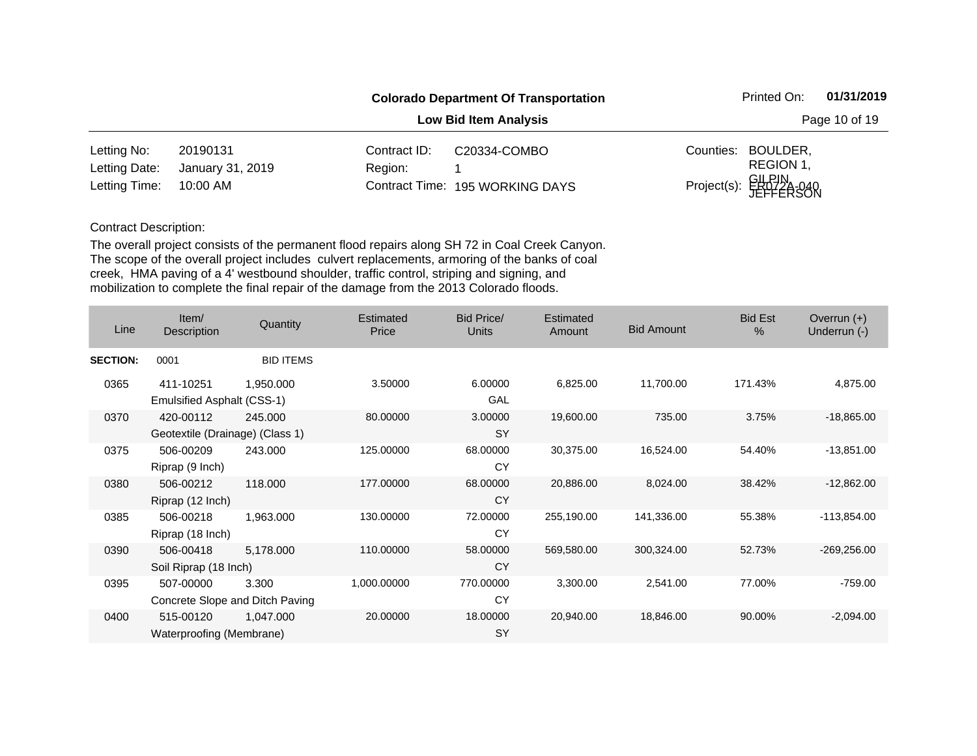|               |                  |              | <b>Colorado Department Of Transportation</b> |           | Printed On:                     | 01/31/2019 |
|---------------|------------------|--------------|----------------------------------------------|-----------|---------------------------------|------------|
|               |                  |              | Page 10 of 19                                |           |                                 |            |
| Letting No:   | 20190131         | Contract ID: | C20334-COMBO                                 | Counties: | BOULDER,                        |            |
| Letting Date: | January 31, 2019 | Region:      |                                              |           | REGION 1,                       |            |
| Letting Time: | 10:00 AM         |              | Contract Time: 195 WORKING DAYS              |           | Project(s): GILPIN<br>JEFFERSON |            |

| Line            | Item/<br><b>Description</b>                  | Quantity         | Estimated<br>Price | Bid Price/<br>Units   | Estimated<br>Amount | <b>Bid Amount</b> | <b>Bid Est</b><br>$\%$ | Overrun $(+)$<br>Underrun (-) |
|-----------------|----------------------------------------------|------------------|--------------------|-----------------------|---------------------|-------------------|------------------------|-------------------------------|
| <b>SECTION:</b> | 0001                                         | <b>BID ITEMS</b> |                    |                       |                     |                   |                        |                               |
| 0365            | 411-10251<br>Emulsified Asphalt (CSS-1)      | 1,950.000        | 3.50000            | 6.00000<br>GAL        | 6,825.00            | 11,700.00         | 171.43%                | 4,875.00                      |
| 0370            | 420-00112<br>Geotextile (Drainage) (Class 1) | 245.000          | 80.00000           | 3.00000<br><b>SY</b>  | 19,600.00           | 735.00            | 3.75%                  | $-18,865.00$                  |
| 0375            | 506-00209<br>Riprap (9 Inch)                 | 243,000          | 125.00000          | 68.00000<br>CY        | 30,375.00           | 16,524.00         | 54.40%                 | $-13,851.00$                  |
| 0380            | 506-00212<br>Riprap (12 Inch)                | 118,000          | 177.00000          | 68.00000<br><b>CY</b> | 20,886.00           | 8,024.00          | 38.42%                 | $-12,862.00$                  |
| 0385            | 506-00218<br>Riprap (18 Inch)                | 1,963.000        | 130.00000          | 72.00000<br>CY        | 255,190.00          | 141,336.00        | 55.38%                 | $-113,854.00$                 |
| 0390            | 506-00418<br>Soil Riprap (18 Inch)           | 5,178.000        | 110.00000          | 58.00000<br><b>CY</b> | 569,580.00          | 300,324.00        | 52.73%                 | $-269,256.00$                 |
| 0395            | 507-00000<br>Concrete Slope and Ditch Paving | 3.300            | 1,000.00000        | 770.00000<br>CY       | 3,300.00            | 2,541.00          | 77.00%                 | $-759.00$                     |
| 0400            | 515-00120<br>Waterproofing (Membrane)        | 1,047.000        | 20.00000           | 18.00000<br><b>SY</b> | 20,940.00           | 18,846.00         | 90.00%                 | $-2,094.00$                   |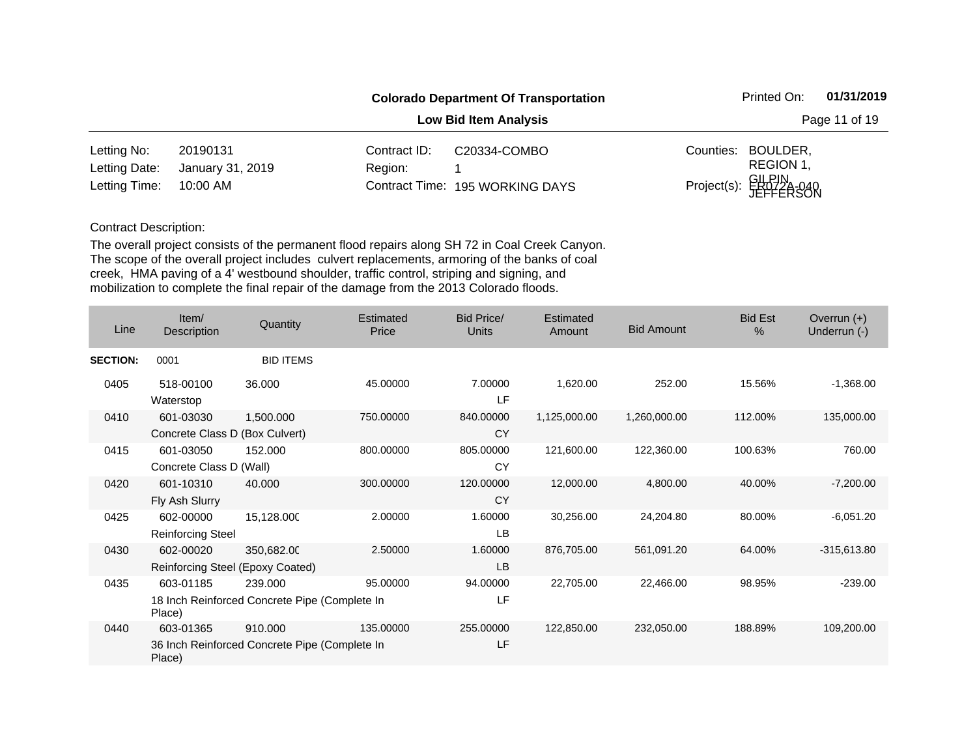|               |                  |               | <b>Colorado Department Of Transportation</b> | Printed On:                     | 01/31/2019 |
|---------------|------------------|---------------|----------------------------------------------|---------------------------------|------------|
|               |                  | Page 11 of 19 |                                              |                                 |            |
| Letting No:   | 20190131         | Contract ID:  | C20334-COMBO                                 | Counties: BOULDER,              |            |
| Letting Date: | January 31, 2019 | Region:       |                                              | REGION 1.                       |            |
| Letting Time: | 10:00 AM         |               | Contract Time: 195 WORKING DAYS              | Project(s): GILPIN<br>JEFFERSON |            |

| Line            | Item/<br>Description                          | Quantity                                                 | Estimated<br>Price | <b>Bid Price/</b><br><b>Units</b> | Estimated<br>Amount | <b>Bid Amount</b> | <b>Bid Est</b><br>% | Overrun $(+)$<br>Underrun (-) |
|-----------------|-----------------------------------------------|----------------------------------------------------------|--------------------|-----------------------------------|---------------------|-------------------|---------------------|-------------------------------|
| <b>SECTION:</b> | 0001                                          | <b>BID ITEMS</b>                                         |                    |                                   |                     |                   |                     |                               |
| 0405            | 518-00100<br>Waterstop                        | 36.000                                                   | 45.00000           | 7.00000<br>LF                     | 1,620.00            | 252.00            | 15.56%              | $-1,368.00$                   |
| 0410            | 601-03030<br>Concrete Class D (Box Culvert)   | 1,500.000                                                | 750.00000          | 840.00000<br><b>CY</b>            | 1,125,000.00        | 1,260,000.00      | 112.00%             | 135,000.00                    |
| 0415            | 601-03050<br>Concrete Class D (Wall)          | 152.000                                                  | 800.00000          | 805.00000<br>CY                   | 121,600.00          | 122,360.00        | 100.63%             | 760.00                        |
| 0420            | 601-10310<br>Fly Ash Slurry                   | 40.000                                                   | 300.00000          | 120.00000<br><b>CY</b>            | 12,000.00           | 4,800.00          | 40.00%              | $-7,200.00$                   |
| 0425            | 602-00000<br><b>Reinforcing Steel</b>         | 15,128.000                                               | 2.00000            | 1.60000<br>LB                     | 30,256.00           | 24,204.80         | 80.00%              | $-6,051.20$                   |
| 0430            | 602-00020<br>Reinforcing Steel (Epoxy Coated) | 350,682.00                                               | 2.50000            | 1.60000<br><b>LB</b>              | 876,705.00          | 561,091.20        | 64.00%              | $-315,613.80$                 |
| 0435            | 603-01185<br>Place)                           | 239.000<br>18 Inch Reinforced Concrete Pipe (Complete In | 95.00000           | 94.00000<br>LF                    | 22,705.00           | 22,466.00         | 98.95%              | $-239.00$                     |
| 0440            | 603-01365<br>Place)                           | 910.000<br>36 Inch Reinforced Concrete Pipe (Complete In | 135.00000          | 255.00000<br>LF                   | 122,850.00          | 232,050.00        | 188.89%             | 109,200.00                    |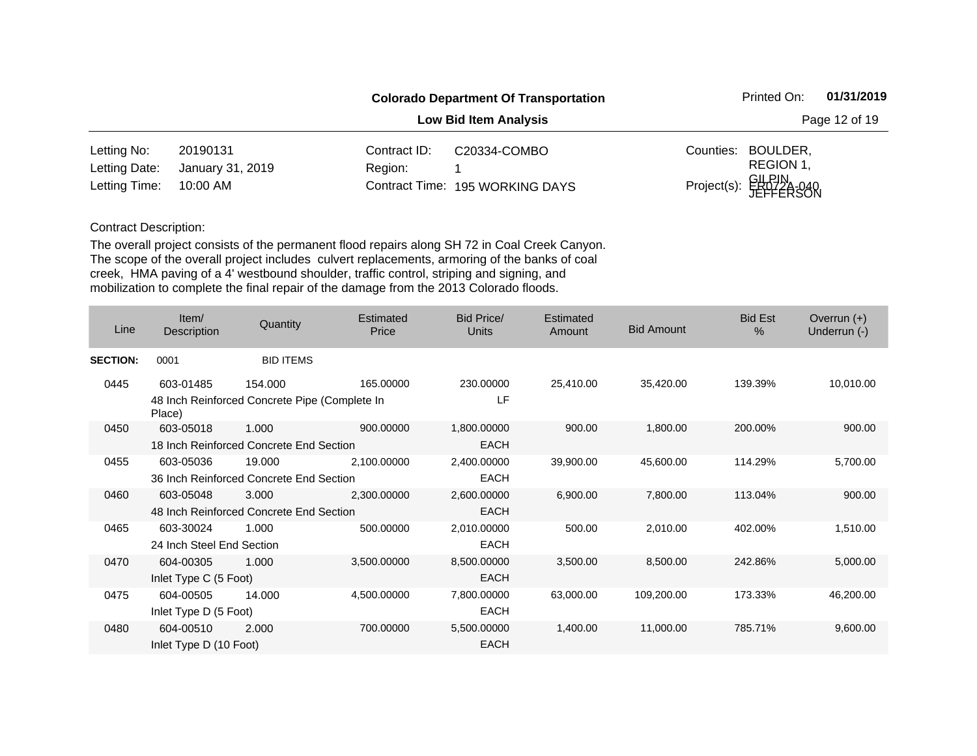|               |                  |              | <b>Colorado Department Of Transportation</b> |           | Printed On:                     | 01/31/2019 |
|---------------|------------------|--------------|----------------------------------------------|-----------|---------------------------------|------------|
|               |                  |              | Page 12 of 19                                |           |                                 |            |
| Letting No:   | 20190131         | Contract ID: | C20334-COMBO                                 | Counties: | BOULDER,                        |            |
| Letting Date: | January 31, 2019 | Region:      |                                              |           | REGION 1,                       |            |
| Letting Time: | 10:00 AM         |              | Contract Time: 195 WORKING DAYS              |           | Project(s): GILPIN<br>JEFFERSON |            |

| Line            | Item/<br>Description      | Quantity                                      | <b>Estimated</b><br>Price | Bid Price/<br><b>Units</b> | <b>Estimated</b><br>Amount | <b>Bid Amount</b> | <b>Bid Est</b><br>$\%$ | Overrun $(+)$<br>Underrun (-) |
|-----------------|---------------------------|-----------------------------------------------|---------------------------|----------------------------|----------------------------|-------------------|------------------------|-------------------------------|
| <b>SECTION:</b> | 0001                      | <b>BID ITEMS</b>                              |                           |                            |                            |                   |                        |                               |
| 0445            | 603-01485                 | 154.000                                       | 165.00000                 | 230.00000                  | 25,410.00                  | 35,420.00         | 139.39%                | 10,010.00                     |
|                 | Place)                    | 48 Inch Reinforced Concrete Pipe (Complete In |                           | LF                         |                            |                   |                        |                               |
| 0450            | 603-05018                 | 1.000                                         | 900.00000                 | 1,800.00000                | 900.00                     | 1,800.00          | 200.00%                | 900.00                        |
|                 |                           | 18 Inch Reinforced Concrete End Section       |                           | <b>EACH</b>                |                            |                   |                        |                               |
| 0455            | 603-05036                 | 19.000                                        | 2,100.00000               | 2,400.00000                | 39,900.00                  | 45,600.00         | 114.29%                | 5,700.00                      |
|                 |                           | 36 Inch Reinforced Concrete End Section       |                           | <b>EACH</b>                |                            |                   |                        |                               |
| 0460            | 603-05048                 | 3.000                                         | 2,300.00000               | 2,600.00000                | 6,900.00                   | 7,800.00          | 113.04%                | 900.00                        |
|                 |                           | 48 Inch Reinforced Concrete End Section       |                           | <b>EACH</b>                |                            |                   |                        |                               |
| 0465            | 603-30024                 | 1.000                                         | 500.00000                 | 2,010.00000                | 500.00                     | 2,010.00          | 402.00%                | 1,510.00                      |
|                 | 24 Inch Steel End Section |                                               |                           | <b>EACH</b>                |                            |                   |                        |                               |
| 0470            | 604-00305                 | 1.000                                         | 3,500.00000               | 8,500.00000                | 3,500.00                   | 8,500.00          | 242.86%                | 5,000.00                      |
|                 | Inlet Type C (5 Foot)     |                                               |                           | <b>EACH</b>                |                            |                   |                        |                               |
| 0475            | 604-00505                 | 14.000                                        | 4,500.00000               | 7,800.00000                | 63,000.00                  | 109,200.00        | 173.33%                | 46,200.00                     |
|                 | Inlet Type D (5 Foot)     |                                               |                           | <b>EACH</b>                |                            |                   |                        |                               |
| 0480            | 604-00510                 | 2.000                                         | 700.00000                 | 5,500.00000                | 1,400.00                   | 11,000.00         | 785.71%                | 9,600.00                      |
|                 | Inlet Type D (10 Foot)    |                                               |                           | <b>EACH</b>                |                            |                   |                        |                               |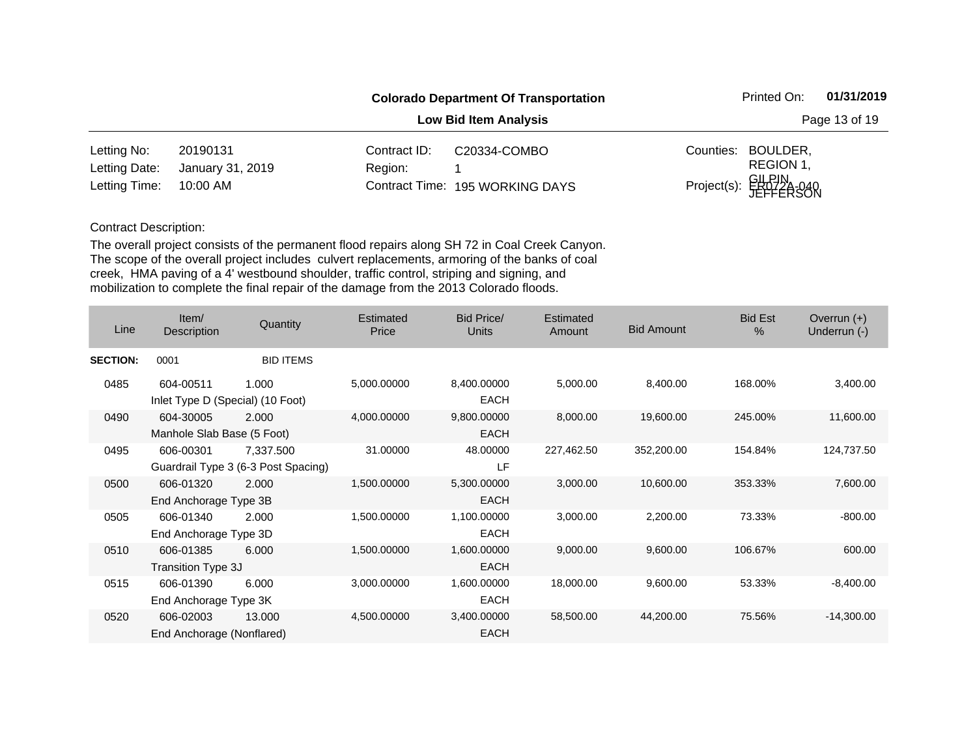|               |                  |                              | <b>Colorado Department Of Transportation</b> |           | Printed On:                     | 01/31/2019 |
|---------------|------------------|------------------------------|----------------------------------------------|-----------|---------------------------------|------------|
|               |                  | <b>Low Bid Item Analysis</b> |                                              |           |                                 |            |
| Letting No:   | 20190131         | Contract ID:                 | C20334-COMBO                                 | Counties: | BOULDER,                        |            |
| Letting Date: | January 31, 2019 | Region:                      |                                              |           | REGION 1,                       |            |
| Letting Time: | 10:00 AM         |                              | Contract Time: 195 WORKING DAYS              |           | Project(s): GILPIN<br>JEFFERSON |            |

| Line            | Item/<br><b>Description</b>                   | Quantity                                         | Estimated<br>Price | Bid Price/<br>Units        | Estimated<br>Amount | <b>Bid Amount</b> | <b>Bid Est</b><br>$\frac{0}{0}$ | Overrun $(+)$<br>Underrun (-) |
|-----------------|-----------------------------------------------|--------------------------------------------------|--------------------|----------------------------|---------------------|-------------------|---------------------------------|-------------------------------|
| <b>SECTION:</b> | 0001                                          | <b>BID ITEMS</b>                                 |                    |                            |                     |                   |                                 |                               |
| 0485            | 604-00511<br>Inlet Type D (Special) (10 Foot) | 1.000                                            | 5,000.00000        | 8,400.00000<br><b>EACH</b> | 5,000.00            | 8,400.00          | 168.00%                         | 3,400.00                      |
| 0490            | 604-30005<br>Manhole Slab Base (5 Foot)       | 2.000                                            | 4,000.00000        | 9,800.00000<br><b>EACH</b> | 8,000.00            | 19,600.00         | 245.00%                         | 11,600.00                     |
| 0495            | 606-00301                                     | 7,337.500<br>Guardrail Type 3 (6-3 Post Spacing) | 31.00000           | 48.00000<br>LF             | 227,462.50          | 352,200.00        | 154.84%                         | 124,737.50                    |
| 0500            | 606-01320<br>End Anchorage Type 3B            | 2.000                                            | 1,500.00000        | 5,300.00000<br><b>EACH</b> | 3,000.00            | 10,600.00         | 353.33%                         | 7,600.00                      |
| 0505            | 606-01340<br>End Anchorage Type 3D            | 2.000                                            | 1,500.00000        | 1,100.00000<br><b>EACH</b> | 3,000.00            | 2,200.00          | 73.33%                          | $-800.00$                     |
| 0510            | 606-01385<br>Transition Type 3J               | 6.000                                            | 1,500.00000        | 1,600.00000<br><b>EACH</b> | 9,000.00            | 9,600.00          | 106.67%                         | 600.00                        |
| 0515            | 606-01390<br>End Anchorage Type 3K            | 6.000                                            | 3,000.00000        | 1,600.00000<br>EACH        | 18,000.00           | 9,600.00          | 53.33%                          | $-8,400.00$                   |
| 0520            | 606-02003<br>End Anchorage (Nonflared)        | 13.000                                           | 4,500.00000        | 3,400.00000<br><b>EACH</b> | 58,500.00           | 44,200.00         | 75.56%                          | $-14,300.00$                  |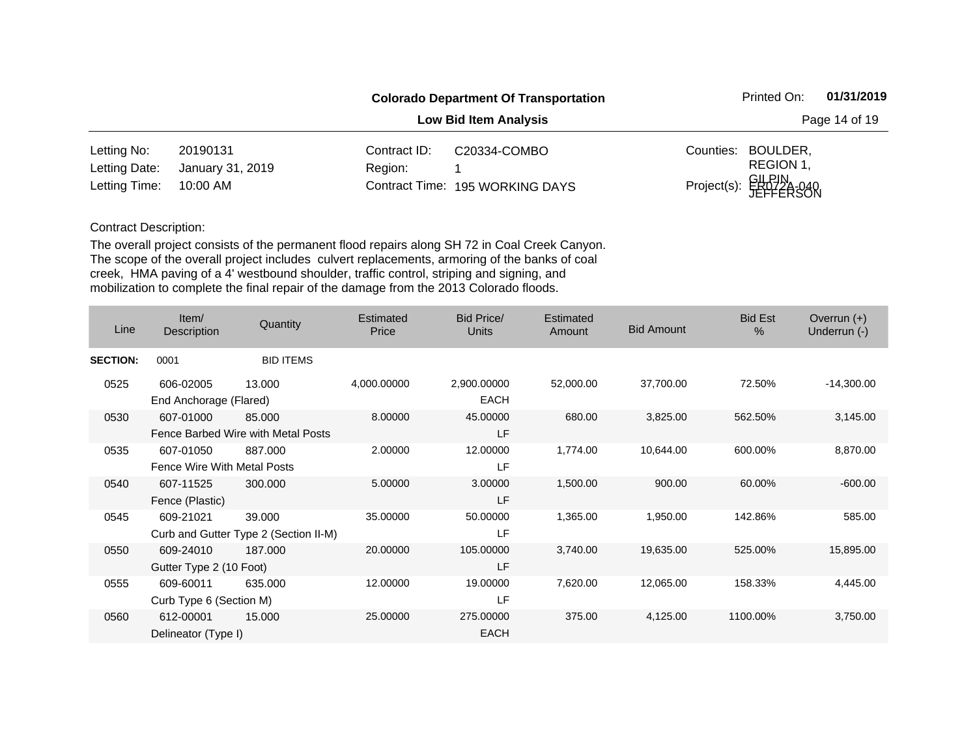|               |                  |                              | <b>Colorado Department Of Transportation</b> |           | Printed On:                     | 01/31/2019 |
|---------------|------------------|------------------------------|----------------------------------------------|-----------|---------------------------------|------------|
|               |                  | <b>Low Bid Item Analysis</b> |                                              |           |                                 |            |
| Letting No:   | 20190131         | Contract ID:                 | C20334-COMBO                                 | Counties: | BOULDER,                        |            |
| Letting Date: | January 31, 2019 | Region:                      |                                              |           | REGION 1,                       |            |
| Letting Time: | 10:00 AM         |                              | Contract Time: 195 WORKING DAYS              |           | Project(s): GILPIN<br>JEFFERSON |            |

| Line            | Item/<br><b>Description</b>              | Quantity                                        | Estimated<br>Price | Bid Price/<br>Units        | Estimated<br><b>Amount</b> | <b>Bid Amount</b> | <b>Bid Est</b><br>$\frac{0}{0}$ | Overrun $(+)$<br>Underrun (-) |
|-----------------|------------------------------------------|-------------------------------------------------|--------------------|----------------------------|----------------------------|-------------------|---------------------------------|-------------------------------|
| <b>SECTION:</b> | 0001                                     | <b>BID ITEMS</b>                                |                    |                            |                            |                   |                                 |                               |
| 0525            | 606-02005<br>End Anchorage (Flared)      | 13.000                                          | 4,000.00000        | 2,900.00000<br><b>EACH</b> | 52,000.00                  | 37,700.00         | 72.50%                          | $-14,300.00$                  |
| 0530            | 607-01000                                | 85.000<br>Fence Barbed Wire with Metal Posts    | 8.00000            | 45.00000<br>LF             | 680.00                     | 3,825.00          | 562.50%                         | 3,145.00                      |
| 0535            | 607-01050<br>Fence Wire With Metal Posts | 887.000                                         | 2.00000            | 12.00000<br>LF             | 1,774.00                   | 10,644.00         | 600.00%                         | 8,870.00                      |
| 0540            | 607-11525<br>Fence (Plastic)             | 300,000                                         | 5.00000            | 3.00000<br>LF              | 1,500.00                   | 900.00            | 60.00%                          | $-600.00$                     |
| 0545            | 609-21021                                | 39.000<br>Curb and Gutter Type 2 (Section II-M) | 35.00000           | 50.00000<br>LF             | 1,365.00                   | 1,950.00          | 142.86%                         | 585.00                        |
| 0550            | 609-24010<br>Gutter Type 2 (10 Foot)     | 187.000                                         | 20.00000           | 105.00000<br>LF            | 3,740.00                   | 19,635.00         | 525.00%                         | 15,895.00                     |
| 0555            | 609-60011<br>Curb Type 6 (Section M)     | 635,000                                         | 12.00000           | 19.00000<br>LF             | 7,620.00                   | 12,065.00         | 158.33%                         | 4,445.00                      |
| 0560            | 612-00001<br>Delineator (Type I)         | 15.000                                          | 25.00000           | 275.00000<br><b>EACH</b>   | 375.00                     | 4,125.00          | 1100.00%                        | 3,750.00                      |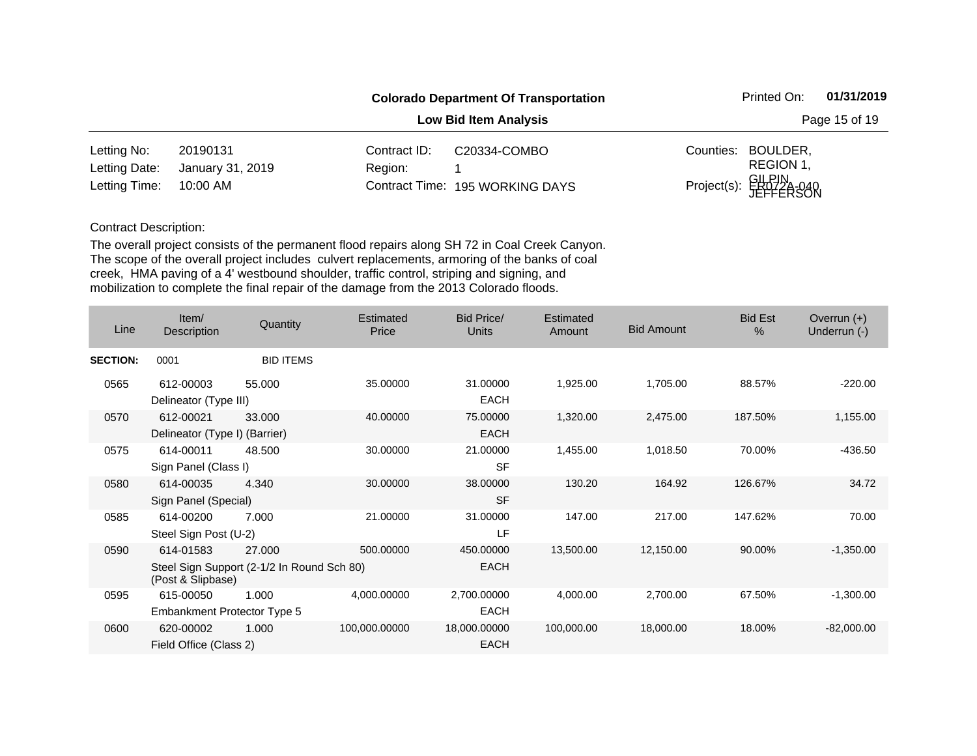|               |                  |              | <b>Colorado Department Of Transportation</b> |           | Printed On:                     | 01/31/2019 |
|---------------|------------------|--------------|----------------------------------------------|-----------|---------------------------------|------------|
|               |                  |              | Page 15 of 19                                |           |                                 |            |
| Letting No:   | 20190131         | Contract ID: | C20334-COMBO                                 | Counties: | BOULDER,                        |            |
| Letting Date: | January 31, 2019 | Region:      |                                              |           | REGION 1,                       |            |
| Letting Time: | 10:00 AM         |              | Contract Time: 195 WORKING DAYS              |           | Project(s): GILPIN<br>JEFFERSON |            |

| Line            | Item/<br>Description                       | Quantity                                             | <b>Estimated</b><br>Price | Bid Price/<br>Units         | <b>Estimated</b><br><b>Amount</b> | <b>Bid Amount</b> | <b>Bid Est</b><br>$\frac{0}{0}$ | Overrun $(+)$<br>Underrun (-) |
|-----------------|--------------------------------------------|------------------------------------------------------|---------------------------|-----------------------------|-----------------------------------|-------------------|---------------------------------|-------------------------------|
| <b>SECTION:</b> | 0001                                       | <b>BID ITEMS</b>                                     |                           |                             |                                   |                   |                                 |                               |
| 0565            | 612-00003<br>Delineator (Type III)         | 55,000                                               | 35.00000                  | 31.00000<br><b>EACH</b>     | 1,925.00                          | 1,705.00          | 88.57%                          | $-220.00$                     |
| 0570            | 612-00021<br>Delineator (Type I) (Barrier) | 33.000                                               | 40.00000                  | 75.00000<br><b>EACH</b>     | 1,320.00                          | 2,475.00          | 187.50%                         | 1,155.00                      |
| 0575            | 614-00011<br>Sign Panel (Class I)          | 48.500                                               | 30.00000                  | 21.00000<br><b>SF</b>       | 1,455.00                          | 1,018.50          | 70.00%                          | $-436.50$                     |
| 0580            | 614-00035<br>Sign Panel (Special)          | 4.340                                                | 30.00000                  | 38.00000<br><b>SF</b>       | 130.20                            | 164.92            | 126.67%                         | 34.72                         |
| 0585            | 614-00200<br>Steel Sign Post (U-2)         | 7.000                                                | 21.00000                  | 31.00000<br>LF              | 147.00                            | 217.00            | 147.62%                         | 70.00                         |
| 0590            | 614-01583<br>(Post & Slipbase)             | 27.000<br>Steel Sign Support (2-1/2 In Round Sch 80) | 500.00000                 | 450.00000<br><b>EACH</b>    | 13,500.00                         | 12,150.00         | 90.00%                          | $-1,350.00$                   |
| 0595            | 615-00050<br>Embankment Protector Type 5   | 1.000                                                | 4,000.00000               | 2,700.00000<br><b>EACH</b>  | 4,000.00                          | 2,700.00          | 67.50%                          | $-1,300.00$                   |
| 0600            | 620-00002<br>Field Office (Class 2)        | 1.000                                                | 100,000.00000             | 18,000.00000<br><b>EACH</b> | 100,000.00                        | 18,000.00         | 18.00%                          | $-82,000.00$                  |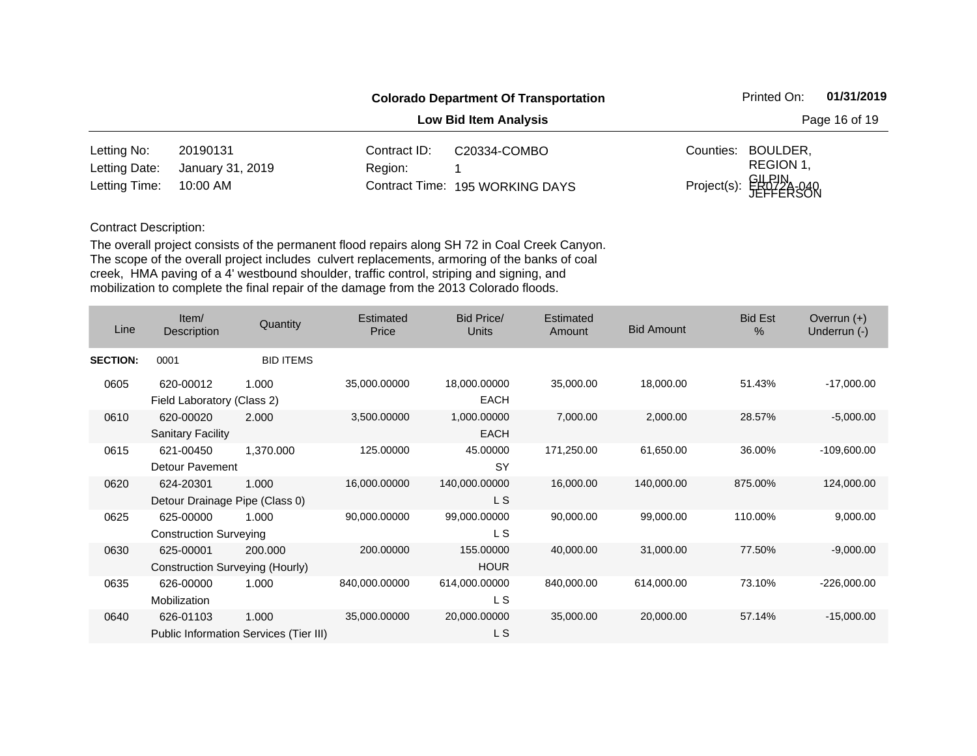|               |                              |              | <b>Colorado Department Of Transportation</b> |           | Printed On:                     | 01/31/2019 |  |
|---------------|------------------------------|--------------|----------------------------------------------|-----------|---------------------------------|------------|--|
|               | <b>Low Bid Item Analysis</b> |              |                                              |           | Page 16 of 19                   |            |  |
| Letting No:   | 20190131                     | Contract ID: | C20334-COMBO                                 | Counties: | BOULDER,                        |            |  |
| Letting Date: | January 31, 2019             | Region:      |                                              |           | REGION 1,                       |            |  |
| Letting Time: | 10:00 AM                     |              | Contract Time: 195 WORKING DAYS              |           | Project(s): GILPIN<br>JEFFERSON |            |  |

| Line            | Item/<br>Description                         | Quantity                                        | Estimated<br>Price | <b>Bid Price/</b><br>Units  | Estimated<br>Amount | <b>Bid Amount</b> | <b>Bid Est</b><br>$\frac{0}{0}$ | Overrun $(+)$<br>Underrun (-) |
|-----------------|----------------------------------------------|-------------------------------------------------|--------------------|-----------------------------|---------------------|-------------------|---------------------------------|-------------------------------|
| <b>SECTION:</b> | 0001                                         | <b>BID ITEMS</b>                                |                    |                             |                     |                   |                                 |                               |
| 0605            | 620-00012<br>Field Laboratory (Class 2)      | 1.000                                           | 35,000.00000       | 18,000.00000<br><b>EACH</b> | 35,000.00           | 18,000.00         | 51.43%                          | $-17,000.00$                  |
| 0610            | 620-00020<br><b>Sanitary Facility</b>        | 2.000                                           | 3,500.00000        | 1,000.00000<br><b>EACH</b>  | 7,000.00            | 2,000.00          | 28.57%                          | $-5,000.00$                   |
| 0615            | 621-00450<br>Detour Pavement                 | 1,370.000                                       | 125.00000          | 45.00000<br>SY              | 171,250.00          | 61,650.00         | 36.00%                          | $-109,600.00$                 |
| 0620            | 624-20301<br>Detour Drainage Pipe (Class 0)  | 1.000                                           | 16,000.00000       | 140,000.00000<br>L S        | 16,000.00           | 140,000.00        | 875.00%                         | 124,000.00                    |
| 0625            | 625-00000<br><b>Construction Surveying</b>   | 1.000                                           | 90,000.00000       | 99,000.00000<br>L S         | 90,000.00           | 99,000.00         | 110.00%                         | 9,000.00                      |
| 0630            | 625-00001<br>Construction Surveying (Hourly) | 200.000                                         | 200.00000          | 155.00000<br><b>HOUR</b>    | 40,000.00           | 31,000.00         | 77.50%                          | $-9,000.00$                   |
| 0635            | 626-00000<br>Mobilization                    | 1.000                                           | 840,000.00000      | 614,000.00000<br>L S        | 840,000.00          | 614,000.00        | 73.10%                          | $-226,000.00$                 |
| 0640            | 626-01103                                    | 1.000<br>Public Information Services (Tier III) | 35,000.00000       | 20,000.00000<br>L S         | 35,000.00           | 20,000.00         | 57.14%                          | $-15,000.00$                  |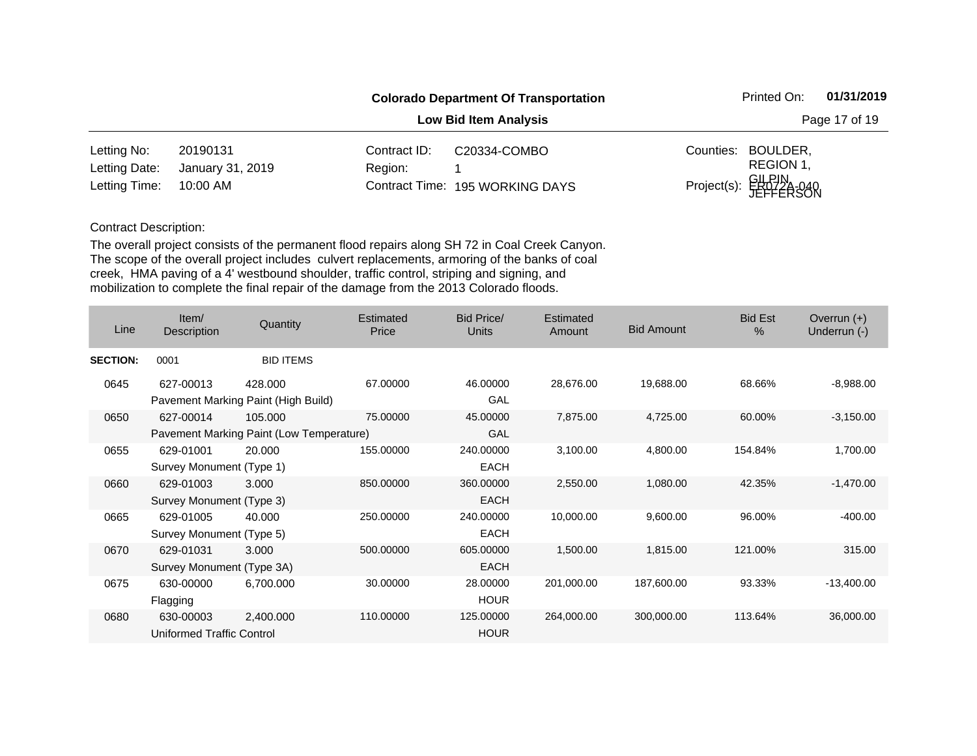|               |                              |              | <b>Colorado Department Of Transportation</b> |           | Printed On:                     | 01/31/2019 |  |
|---------------|------------------------------|--------------|----------------------------------------------|-----------|---------------------------------|------------|--|
|               | <b>Low Bid Item Analysis</b> |              |                                              |           | Page 17 of 19                   |            |  |
| Letting No:   | 20190131                     | Contract ID: | C20334-COMBO                                 | Counties: | BOULDER,                        |            |  |
| Letting Date: | January 31, 2019             | Region:      |                                              |           | REGION 1,                       |            |  |
| Letting Time: | 10:00 AM                     |              | Contract Time: 195 WORKING DAYS              |           | Project(s): GILPIN<br>JEFFERSON |            |  |

| Line            | Item/<br>Description                   | Quantity                                            | <b>Estimated</b><br>Price | Bid Price/<br><b>Units</b> | Estimated<br>Amount | <b>Bid Amount</b> | <b>Bid Est</b><br>$\%$ | Overrun $(+)$<br>Underrun (-) |
|-----------------|----------------------------------------|-----------------------------------------------------|---------------------------|----------------------------|---------------------|-------------------|------------------------|-------------------------------|
| <b>SECTION:</b> | 0001                                   | <b>BID ITEMS</b>                                    |                           |                            |                     |                   |                        |                               |
| 0645            | 627-00013                              | 428.000<br>Pavement Marking Paint (High Build)      | 67.00000                  | 46.00000<br>GAL            | 28,676.00           | 19,688.00         | 68.66%                 | $-8,988.00$                   |
| 0650            | 627-00014                              | 105.000<br>Pavement Marking Paint (Low Temperature) | 75.00000                  | 45.00000<br>GAL            | 7,875.00            | 4,725.00          | 60.00%                 | $-3,150.00$                   |
| 0655            | 629-01001<br>Survey Monument (Type 1)  | 20.000                                              | 155.00000                 | 240.00000<br><b>EACH</b>   | 3,100.00            | 4,800.00          | 154.84%                | 1,700.00                      |
| 0660            | 629-01003<br>Survey Monument (Type 3)  | 3.000                                               | 850.00000                 | 360.00000<br><b>EACH</b>   | 2,550.00            | 1,080.00          | 42.35%                 | $-1,470.00$                   |
| 0665            | 629-01005<br>Survey Monument (Type 5)  | 40.000                                              | 250.00000                 | 240.00000<br><b>EACH</b>   | 10,000.00           | 9,600.00          | 96.00%                 | $-400.00$                     |
| 0670            | 629-01031<br>Survey Monument (Type 3A) | 3.000                                               | 500.00000                 | 605.00000<br><b>EACH</b>   | 1,500.00            | 1,815.00          | 121.00%                | 315.00                        |
| 0675            | 630-00000<br>Flagging                  | 6,700.000                                           | 30.00000                  | 28.00000<br><b>HOUR</b>    | 201,000.00          | 187,600.00        | 93.33%                 | $-13,400.00$                  |
| 0680            | 630-00003<br>Uniformed Traffic Control | 2,400.000                                           | 110.00000                 | 125.00000<br><b>HOUR</b>   | 264,000.00          | 300,000.00        | 113.64%                | 36,000.00                     |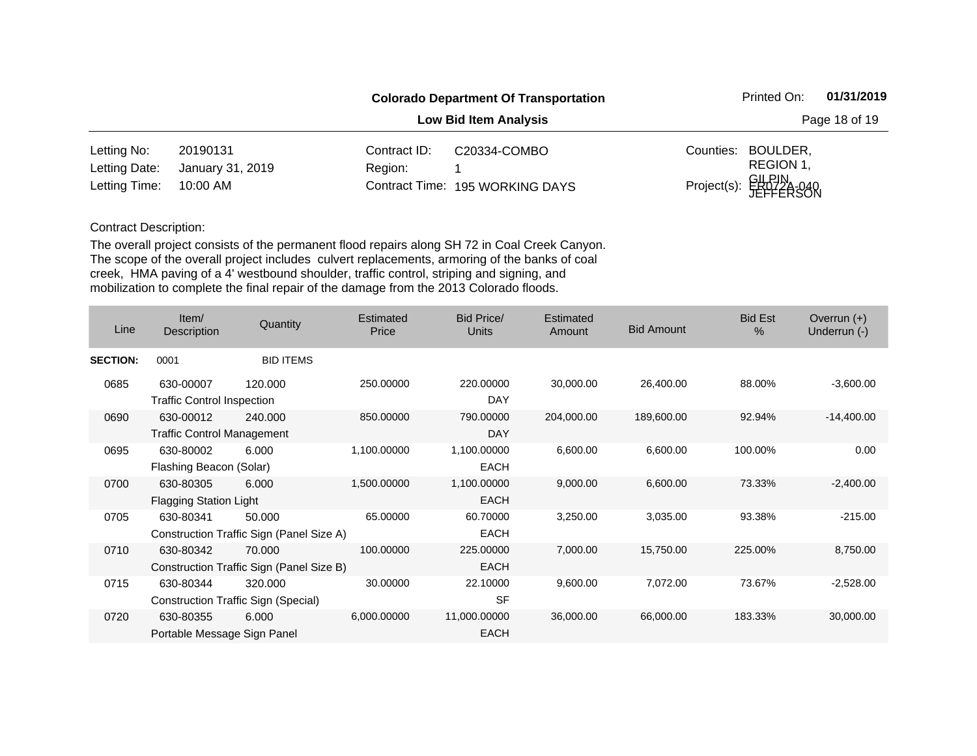|               |                              |              | <b>Colorado Department Of Transportation</b> |           | Printed On:                     | 01/31/2019 |  |
|---------------|------------------------------|--------------|----------------------------------------------|-----------|---------------------------------|------------|--|
|               | <b>Low Bid Item Analysis</b> |              |                                              |           | Page 18 of 19                   |            |  |
| Letting No:   | 20190131                     | Contract ID: | C20334-COMBO                                 | Counties: | BOULDER,                        |            |  |
| Letting Date: | January 31, 2019             | Region:      |                                              |           | REGION 1,                       |            |  |
| Letting Time: | 10:00 AM                     |              | Contract Time: 195 WORKING DAYS              |           | Project(s): GILPIN<br>JEFFERSON |            |  |

| Line            | Item/<br>Description              | Quantity                                   | <b>Estimated</b><br>Price | <b>Bid Price/</b><br>Units | <b>Estimated</b><br><b>Amount</b> | <b>Bid Amount</b> | <b>Bid Est</b><br>$\frac{0}{0}$ | Overrun $(+)$<br>Underrun (-) |
|-----------------|-----------------------------------|--------------------------------------------|---------------------------|----------------------------|-----------------------------------|-------------------|---------------------------------|-------------------------------|
| <b>SECTION:</b> | 0001                              | <b>BID ITEMS</b>                           |                           |                            |                                   |                   |                                 |                               |
| 0685            | 630-00007                         | 120,000                                    | 250.00000                 | 220.00000                  | 30,000.00                         | 26,400.00         | 88.00%                          | $-3,600.00$                   |
|                 | <b>Traffic Control Inspection</b> |                                            |                           | DAY                        |                                   |                   |                                 |                               |
| 0690            | 630-00012                         | 240.000                                    | 850.00000                 | 790,00000                  | 204,000.00                        | 189,600.00        | 92.94%                          | $-14,400.00$                  |
|                 | <b>Traffic Control Management</b> |                                            |                           | DAY                        |                                   |                   |                                 |                               |
| 0695            | 630-80002                         | 6.000                                      | 1,100.00000               | 1,100.00000                | 6,600.00                          | 6,600.00          | 100.00%                         | 0.00                          |
|                 | Flashing Beacon (Solar)           |                                            |                           | <b>EACH</b>                |                                   |                   |                                 |                               |
| 0700            | 630-80305                         | 6.000                                      | 1,500.00000               | 1,100.00000                | 9,000.00                          | 6,600.00          | 73.33%                          | $-2,400.00$                   |
|                 | <b>Flagging Station Light</b>     |                                            |                           | <b>EACH</b>                |                                   |                   |                                 |                               |
| 0705            | 630-80341                         | 50.000                                     | 65.00000                  | 60.70000                   | 3,250.00                          | 3,035.00          | 93.38%                          | $-215.00$                     |
|                 |                                   | Construction Traffic Sign (Panel Size A)   |                           | <b>EACH</b>                |                                   |                   |                                 |                               |
| 0710            | 630-80342                         | 70,000                                     | 100.00000                 | 225.00000                  | 7,000.00                          | 15,750.00         | 225.00%                         | 8,750.00                      |
|                 |                                   | Construction Traffic Sign (Panel Size B)   |                           | <b>EACH</b>                |                                   |                   |                                 |                               |
| 0715            | 630-80344                         | 320,000                                    | 30.00000                  | 22.10000                   | 9,600.00                          | 7,072.00          | 73.67%                          | $-2,528.00$                   |
|                 |                                   | <b>Construction Traffic Sign (Special)</b> |                           | <b>SF</b>                  |                                   |                   |                                 |                               |
| 0720            | 630-80355                         | 6.000                                      | 6,000.00000               | 11,000.00000               | 36,000.00                         | 66,000.00         | 183.33%                         | 30,000.00                     |
|                 | Portable Message Sign Panel       |                                            |                           | <b>EACH</b>                |                                   |                   |                                 |                               |